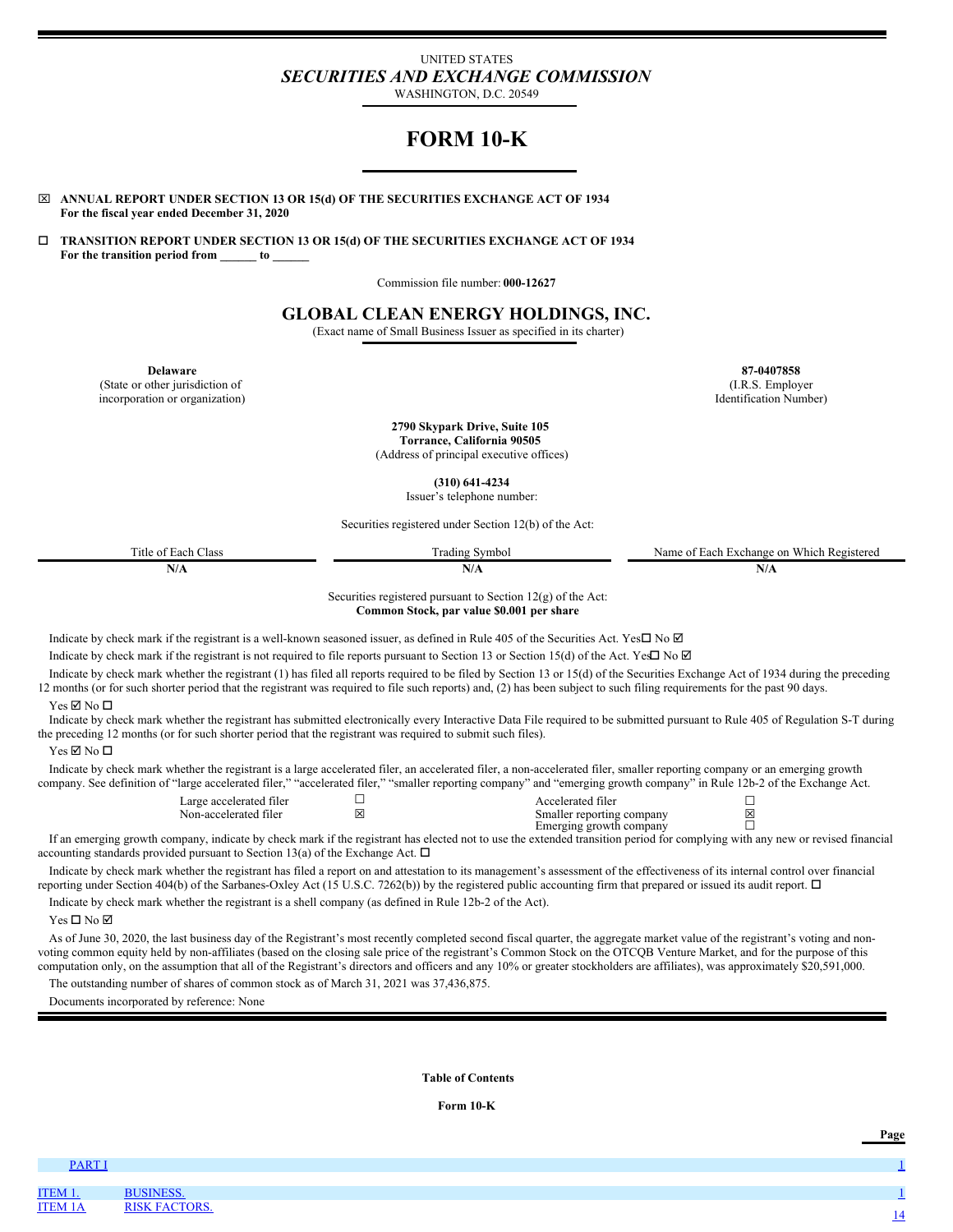### UNITED STATES *SECURITIES AND EXCHANGE COMMISSION* WASHINGTON, D.C. 20549

**FORM 10-K**

x **ANNUAL REPORT UNDER SECTION 13 OR 15(d) OF THE SECURITIES EXCHANGE ACT OF 1934 For the fiscal year ended December 31, 2020**

o **TRANSITION REPORT UNDER SECTION 13 OR 15(d) OF THE SECURITIES EXCHANGE ACT OF 1934 For the transition period from \_\_\_\_\_\_ to \_\_\_\_\_\_**

Commission file number: **000-12627**

### **GLOBAL CLEAN ENERGY HOLDINGS, INC.**

(Exact name of Small Business Issuer as specified in its charter)

**Delaware 87-0407858** (State or other jurisdiction of incorporation or organization)

(I.R.S. Employer Identification Number)

**Page**

**2790 Skypark Drive, Suite 105 Torrance, California 90505**

(Address of principal executive offices)

**(310) 641-4234**

Issuer's telephone number:

Securities registered under Section 12(b) of the Act:

| Title<br>Class<br>⊹ach<br>$^{\Omega}$ | radıng<br>Symbol | Which<br>$\sim$<br>Each<br>on<br>↑ Registered<br>. xchange<br>Name<br>۰^<br>., |
|---------------------------------------|------------------|--------------------------------------------------------------------------------|
| 11/H                                  | 11/7             | 11/2                                                                           |

Securities registered pursuant to Section  $12(\gamma)$  of the Act: **Common Stock, par value \$0.001 per share**

Indicate by check mark if the registrant is a well-known seasoned issuer, as defined in Rule 405 of the Securities Act. Yes $\Box$  No  $\Box$ 

Indicate by check mark if the registrant is not required to file reports pursuant to Section 13 or Section 15(d) of the Act. Yes $\Box$  No  $\Box$ 

Indicate by check mark whether the registrant (1) has filed all reports required to be filed by Section 13 or 15(d) of the Securities Exchange Act of 1934 during the preceding 12 months (or for such shorter period that the registrant was required to file such reports) and, (2) has been subject to such filing requirements for the past 90 days.  $Yes \nbox{ } No \nbox{ } \square$ 

Indicate by check mark whether the registrant has submitted electronically every Interactive Data File required to be submitted pursuant to Rule 405 of Regulation S-T during the preceding 12 months (or for such shorter period that the registrant was required to submit such files).

 $Yes \nbox{ } No \square$ 

Indicate by check mark whether the registrant is a large accelerated filer, an accelerated filer, a non-accelerated filer, smaller reporting company or an emerging growth company. See definition of "large accelerated filer," "accelerated filer," "smaller reporting company" and "emerging growth company" in Rule 12b-2 of the Exchange Act.

| Large accelerated filer |   | Accelerated filer         |   |
|-------------------------|---|---------------------------|---|
| Non-accelerated filer   | ⋉ | Smaller reporting company | ⊠ |
|                         |   | Emerging growth company   |   |

If an emerging growth company, indicate by check mark if the registrant has elected not to use the extended transition period for complying with any new or revised financial accounting standards provided pursuant to Section 13(a) of the Exchange Act.  $\Box$ 

Indicate by check mark whether the registrant has filed a report on and attestation to its management's assessment of the effectiveness of its internal control over financial reporting under Section 404(b) of the Sarbanes-Oxley Act (15 U.S.C. 7262(b)) by the registered public accounting firm that prepared or issued its audit report.  $\Box$ 

Indicate by check mark whether the registrant is a shell company (as defined in Rule 12b-2 of the Act).

Yes □ No ☑

As of June 30, 2020, the last business day of the Registrant's most recently completed second fiscal quarter, the aggregate market value of the registrant's voting and nonvoting common equity held by non-affiliates (based on the closing sale price of the registrant's Common Stock on the OTCQB Venture Market, and for the purpose of this computation only, on the assumption that all of the Registrant's directors and officers and any 10% or greater stockholders are affiliates), was approximately \$20,591,000.

The outstanding number of shares of common stock as of March 31, 2021 was 37,436,875.

Documents incorporated by reference: None

<span id="page-0-0"></span>**Table of Contents**

**Form 10-K**

| <b>PART I</b>             |                      |  |
|---------------------------|----------------------|--|
|                           | <b>BUSINESS.</b>     |  |
| <b>ITEM 1.</b><br>ITEM 1A | <b>RISK FACTORS.</b> |  |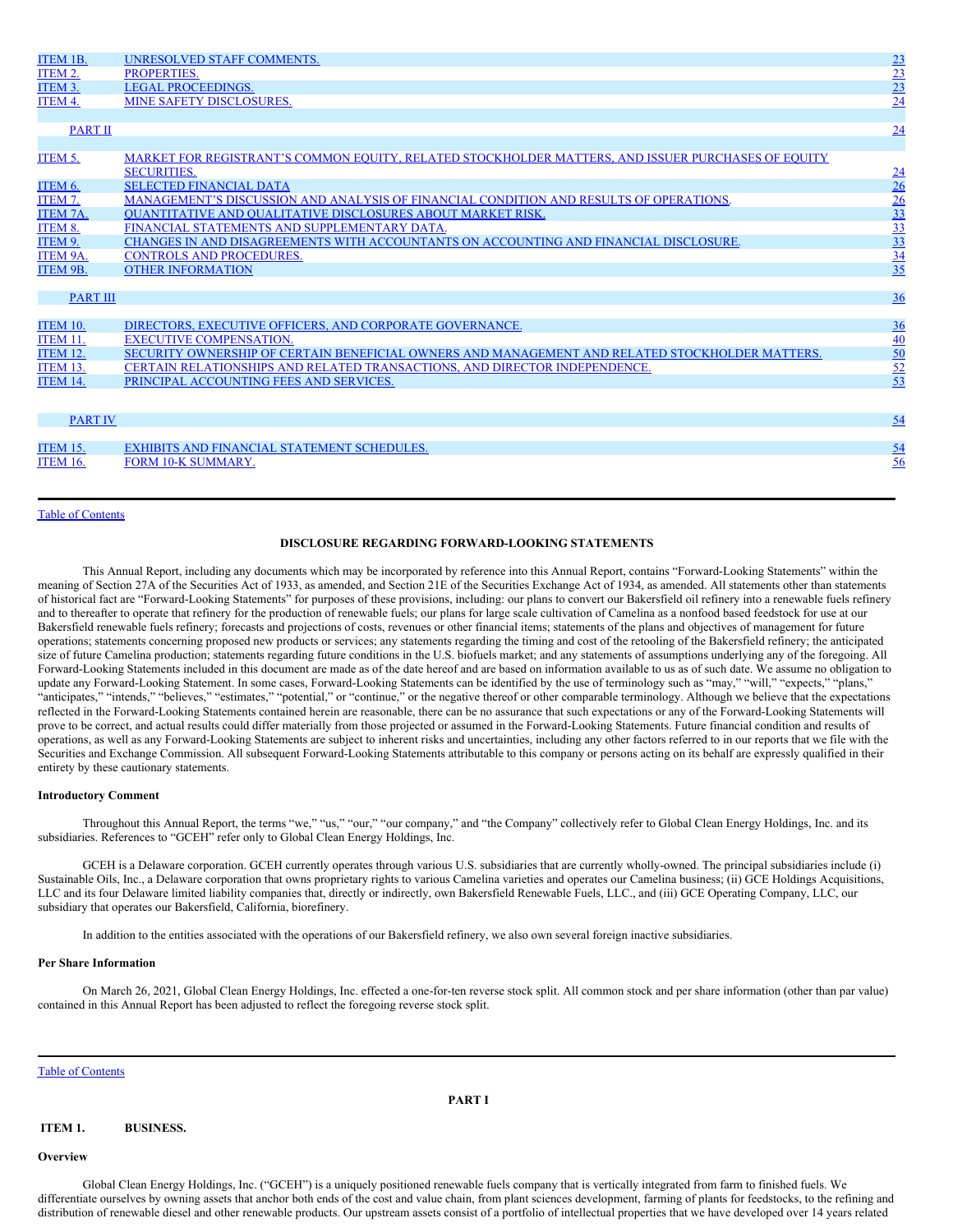| <b>ITEM 1B.</b> | <b>UNRESOLVED STAFF COMMENTS.</b>                                                                  | 23                                                              |
|-----------------|----------------------------------------------------------------------------------------------------|-----------------------------------------------------------------|
| ITEM 2.         | <b>PROPERTIES.</b>                                                                                 | $\frac{23}{23}$ $\frac{23}{24}$                                 |
| ITEM 3.         | <b>LEGAL PROCEEDINGS.</b>                                                                          |                                                                 |
| ITEM 4.         | <b>MINE SAFETY DISCLOSURES.</b>                                                                    |                                                                 |
|                 |                                                                                                    |                                                                 |
| <b>PART II</b>  |                                                                                                    | $\overline{24}$                                                 |
|                 |                                                                                                    |                                                                 |
| ITEM 5.         | MARKET FOR REGISTRANT'S COMMON EOUITY. RELATED STOCKHOLDER MATTERS, AND ISSUER PURCHASES OF EOUITY |                                                                 |
|                 | <b>SECURITIES.</b>                                                                                 |                                                                 |
| ITEM 6.         | <b>SELECTED FINANCIAL DATA</b>                                                                     | $\frac{24}{26}$                                                 |
| ITEM 7.         | MANAGEMENT'S DISCUSSION AND ANALYSIS OF FINANCIAL CONDITION AND RESULTS OF OPERATIONS.             |                                                                 |
| <b>ITEM 7A.</b> | <b>OUANTITATIVE AND OUALITATIVE DISCLOSURES ABOUT MARKET RISK.</b>                                 | $\frac{26}{33}$ $\frac{33}{33}$ $\frac{33}{34}$ $\frac{34}{35}$ |
| ITEM 8.         | FINANCIAL STATEMENTS AND SUPPLEMENTARY DATA.                                                       |                                                                 |
| ITEM 9.         | CHANGES IN AND DISAGREEMENTS WITH ACCOUNTANTS ON ACCOUNTING AND FINANCIAL DISCLOSURE.              |                                                                 |
| ITEM 9A.        | <b>CONTROLS AND PROCEDURES.</b>                                                                    |                                                                 |
| ITEM 9B.        | <b>OTHER INFORMATION</b>                                                                           |                                                                 |
|                 |                                                                                                    |                                                                 |
| <b>PART III</b> |                                                                                                    | 36                                                              |
|                 |                                                                                                    |                                                                 |
| <b>ITEM 10.</b> | DIRECTORS, EXECUTIVE OFFICERS, AND CORPORATE GOVERNANCE.                                           |                                                                 |
| <b>ITEM 11.</b> | <b>EXECUTIVE COMPENSATION.</b>                                                                     |                                                                 |
| <b>ITEM 12.</b> | SECURITY OWNERSHIP OF CERTAIN BENEFICIAL OWNERS AND MANAGEMENT AND RELATED STOCKHOLDER MATTERS.    |                                                                 |
| <b>ITEM 13.</b> | CERTAIN RELATIONSHIPS AND RELATED TRANSACTIONS, AND DIRECTOR INDEPENDENCE.                         | $\frac{36}{40}$<br>$\frac{50}{52}$<br>$\frac{52}{53}$           |
| <b>ITEM 14.</b> | PRINCIPAL ACCOUNTING FEES AND SERVICES.                                                            |                                                                 |
|                 |                                                                                                    |                                                                 |
|                 |                                                                                                    |                                                                 |
| <b>PART IV</b>  |                                                                                                    | 54                                                              |
|                 |                                                                                                    |                                                                 |
| <b>ITEM 15.</b> | EXHIBITS AND FINANCIAL STATEMENT SCHEDULES.                                                        | 54                                                              |
| <b>ITEM 16.</b> | FORM 10-K SUMMARY.                                                                                 | 56                                                              |
|                 |                                                                                                    |                                                                 |

### Table of [Contents](#page-0-0)

#### **DISCLOSURE REGARDING FORWARD-LOOKING STATEMENTS**

This Annual Report, including any documents which may be incorporated by reference into this Annual Report, contains "Forward-Looking Statements" within the meaning of Section 27A of the Securities Act of 1933, as amended, and Section 21E of the Securities Exchange Act of 1934, as amended. All statements other than statements of historical fact are "Forward-Looking Statements" for purposes of these provisions, including: our plans to convert our Bakersfield oil refinery into a renewable fuels refinery and to thereafter to operate that refinery for the production of renewable fuels; our plans for large scale cultivation of Camelina as a nonfood based feedstock for use at our Bakersfield renewable fuels refinery; forecasts and projections of costs, revenues or other financial items; statements of the plans and objectives of management for future operations; statements concerning proposed new products or services; any statements regarding the timing and cost of the retooling of the Bakersfield refinery; the anticipated size of future Camelina production; statements regarding future conditions in the U.S. biofuels market; and any statements of assumptions underlying any of the foregoing. All Forward-Looking Statements included in this document are made as of the date hereof and are based on information available to us as of such date. We assume no obligation to update any Forward-Looking Statement. In some cases, Forward-Looking Statements can be identified by the use of terminology such as "may," "will," "expects," "plans," "anticipates," "intends," "believes," "estimates," "potential," or "continue," or the negative thereof or other comparable terminology. Although we believe that the expectations reflected in the Forward-Looking Statements contained herein are reasonable, there can be no assurance that such expectations or any of the Forward-Looking Statements will prove to be correct, and actual results could differ materially from those projected or assumed in the Forward-Looking Statements. Future financial condition and results of operations, as well as any Forward-Looking Statements are subject to inherent risks and uncertainties, including any other factors referred to in our reports that we file with the Securities and Exchange Commission. All subsequent Forward-Looking Statements attributable to this company or persons acting on its behalf are expressly qualified in their entirety by these cautionary statements.

### **Introductory Comment**

Throughout this Annual Report, the terms "we," "us," "our," "our company," and "the Company" collectively refer to Global Clean Energy Holdings, Inc. and its subsidiaries. References to "GCEH" refer only to Global Clean Energy Holdings, Inc.

GCEH is a Delaware corporation. GCEH currently operates through various U.S. subsidiaries that are currently wholly-owned. The principal subsidiaries include (i) Sustainable Oils, Inc., a Delaware corporation that owns proprietary rights to various Camelina varieties and operates our Camelina business; (ii) GCE Holdings Acquisitions, LLC and its four Delaware limited liability companies that, directly or indirectly, own Bakersfield Renewable Fuels, LLC., and (iii) GCE Operating Company, LLC, our subsidiary that operates our Bakersfield, California, biorefinery.

In addition to the entities associated with the operations of our Bakersfield refinery, we also own several foreign inactive subsidiaries.

#### **Per Share Information**

On March 26, 2021, Global Clean Energy Holdings, Inc. effected a one-for-ten reverse stock split. All common stock and per share information (other than par value) contained in this Annual Report has been adjusted to reflect the foregoing reverse stock split.

### Table of [Contents](#page-0-0)

<span id="page-1-0"></span>**PART I**

### <span id="page-1-1"></span>**ITEM 1. BUSINESS.**

### **Overview**

Global Clean Energy Holdings, Inc. ("GCEH") is a uniquely positioned renewable fuels company that is vertically integrated from farm to finished fuels. We differentiate ourselves by owning assets that anchor both ends of the cost and value chain, from plant sciences development, farming of plants for feedstocks, to the refining and distribution of renewable diesel and other renewable products. Our upstream assets consist of a portfolio of intellectual properties that we have developed over 14 years related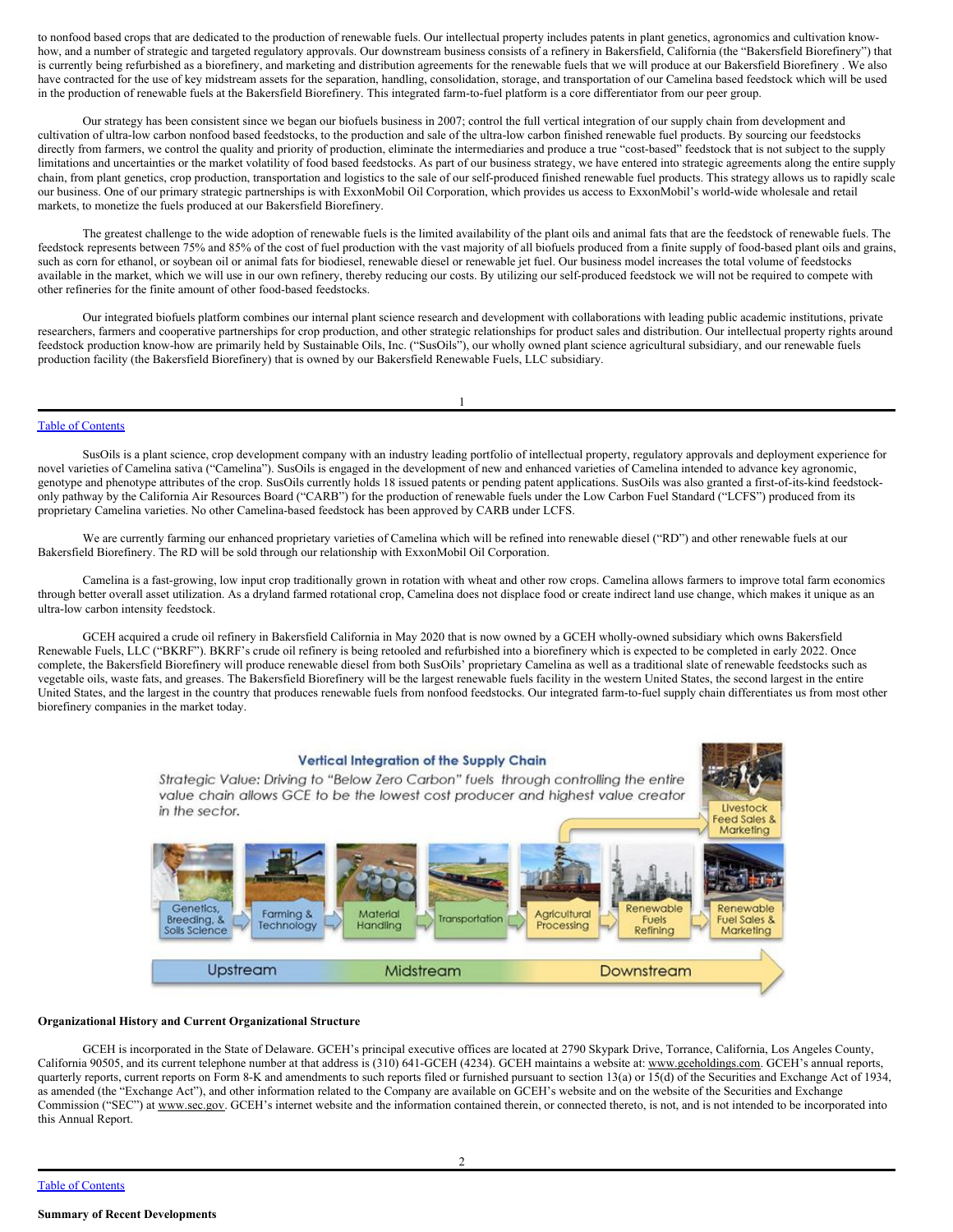to nonfood based crops that are dedicated to the production of renewable fuels. Our intellectual property includes patents in plant genetics, agronomics and cultivation knowhow, and a number of strategic and targeted regulatory approvals. Our downstream business consists of a refinery in Bakersfield, California (the "Bakersfield Biorefinery") that is currently being refurbished as a biorefinery, and marketing and distribution agreements for the renewable fuels that we will produce at our Bakersfield Biorefinery . We also have contracted for the use of key midstream assets for the separation, handling, consolidation, storage, and transportation of our Camelina based feedstock which will be used in the production of renewable fuels at the Bakersfield Biorefinery. This integrated farm-to-fuel platform is a core differentiator from our peer group.

Our strategy has been consistent since we began our biofuels business in 2007; control the full vertical integration of our supply chain from development and cultivation of ultra-low carbon nonfood based feedstocks, to the production and sale of the ultra-low carbon finished renewable fuel products. By sourcing our feedstocks directly from farmers, we control the quality and priority of production, eliminate the intermediaries and produce a true "cost-based" feedstock that is not subject to the supply limitations and uncertainties or the market volatility of food based feedstocks. As part of our business strategy, we have entered into strategic agreements along the entire supply chain, from plant genetics, crop production, transportation and logistics to the sale of our self-produced finished renewable fuel products. This strategy allows us to rapidly scale our business. One of our primary strategic partnerships is with ExxonMobil Oil Corporation, which provides us access to ExxonMobil's world-wide wholesale and retail markets, to monetize the fuels produced at our Bakersfield Biorefinery.

The greatest challenge to the wide adoption of renewable fuels is the limited availability of the plant oils and animal fats that are the feedstock of renewable fuels. The feedstock represents between 75% and 85% of the cost of fuel production with the vast majority of all biofuels produced from a finite supply of food-based plant oils and grains, such as corn for ethanol, or soybean oil or animal fats for biodiesel, renewable diesel or renewable jet fuel. Our business model increases the total volume of feedstocks available in the market, which we will use in our own refinery, thereby reducing our costs. By utilizing our self-produced feedstock we will not be required to compete with other refineries for the finite amount of other food-based feedstocks.

Our integrated biofuels platform combines our internal plant science research and development with collaborations with leading public academic institutions, private researchers, farmers and cooperative partnerships for crop production, and other strategic relationships for product sales and distribution. Our intellectual property rights around feedstock production know-how are primarily held by Sustainable Oils, Inc. ("SusOils"), our wholly owned plant science agricultural subsidiary, and our renewable fuels production facility (the Bakersfield Biorefinery) that is owned by our Bakersfield Renewable Fuels, LLC subsidiary.

1

### Table of [Contents](#page-0-0)

SusOils is a plant science, crop development company with an industry leading portfolio of intellectual property, regulatory approvals and deployment experience for novel varieties of Camelina sativa ("Camelina"). SusOils is engaged in the development of new and enhanced varieties of Camelina intended to advance key agronomic, genotype and phenotype attributes of the crop. SusOils currently holds 18 issued patents or pending patent applications. SusOils was also granted a first-of-its-kind feedstockonly pathway by the California Air Resources Board ("CARB") for the production of renewable fuels under the Low Carbon Fuel Standard ("LCFS") produced from its proprietary Camelina varieties. No other Camelina-based feedstock has been approved by CARB under LCFS.

We are currently farming our enhanced proprietary varieties of Camelina which will be refined into renewable diesel ("RD") and other renewable fuels at our Bakersfield Biorefinery. The RD will be sold through our relationship with ExxonMobil Oil Corporation.

Camelina is a fast-growing, low input crop traditionally grown in rotation with wheat and other row crops. Camelina allows farmers to improve total farm economics through better overall asset utilization. As a dryland farmed rotational crop, Camelina does not displace food or create indirect land use change, which makes it unique as an ultra-low carbon intensity feedstock.

GCEH acquired a crude oil refinery in Bakersfield California in May 2020 that is now owned by a GCEH wholly-owned subsidiary which owns Bakersfield Renewable Fuels, LLC ("BKRF"). BKRF's crude oil refinery is being retooled and refurbished into a biorefinery which is expected to be completed in early 2022. Once complete, the Bakersfield Biorefinery will produce renewable diesel from both SusOils' proprietary Camelina as well as a traditional slate of renewable feedstocks such as vegetable oils, waste fats, and greases. The Bakersfield Biorefinery will be the largest renewable fuels facility in the western United States, the second largest in the entire United States, and the largest in the country that produces renewable fuels from nonfood feedstocks. Our integrated farm-to-fuel supply chain differentiates us from most other biorefinery companies in the market today.



#### **Organizational History and Current Organizational Structure**

GCEH is incorporated in the State of Delaware. GCEH's principal executive offices are located at 2790 Skypark Drive, Torrance, California, Los Angeles County, California 90505, and its current telephone number at that address is (310) 641-GCEH (4234). GCEH maintains a website at: www.gceholdings.com. GCEH's annual reports, quarterly reports, current reports on Form 8-K and amendments to such reports filed or furnished pursuant to section 13(a) or 15(d) of the Securities and Exchange Act of 1934, as amended (the "Exchange Act"), and other information related to the Company are available on GCEH's website and on the website of the Securities and Exchange Commission ("SEC") at www.sec.gov. GCEH's internet website and the information contained therein, or connected thereto, is not, and is not intended to be incorporated into this Annual Report.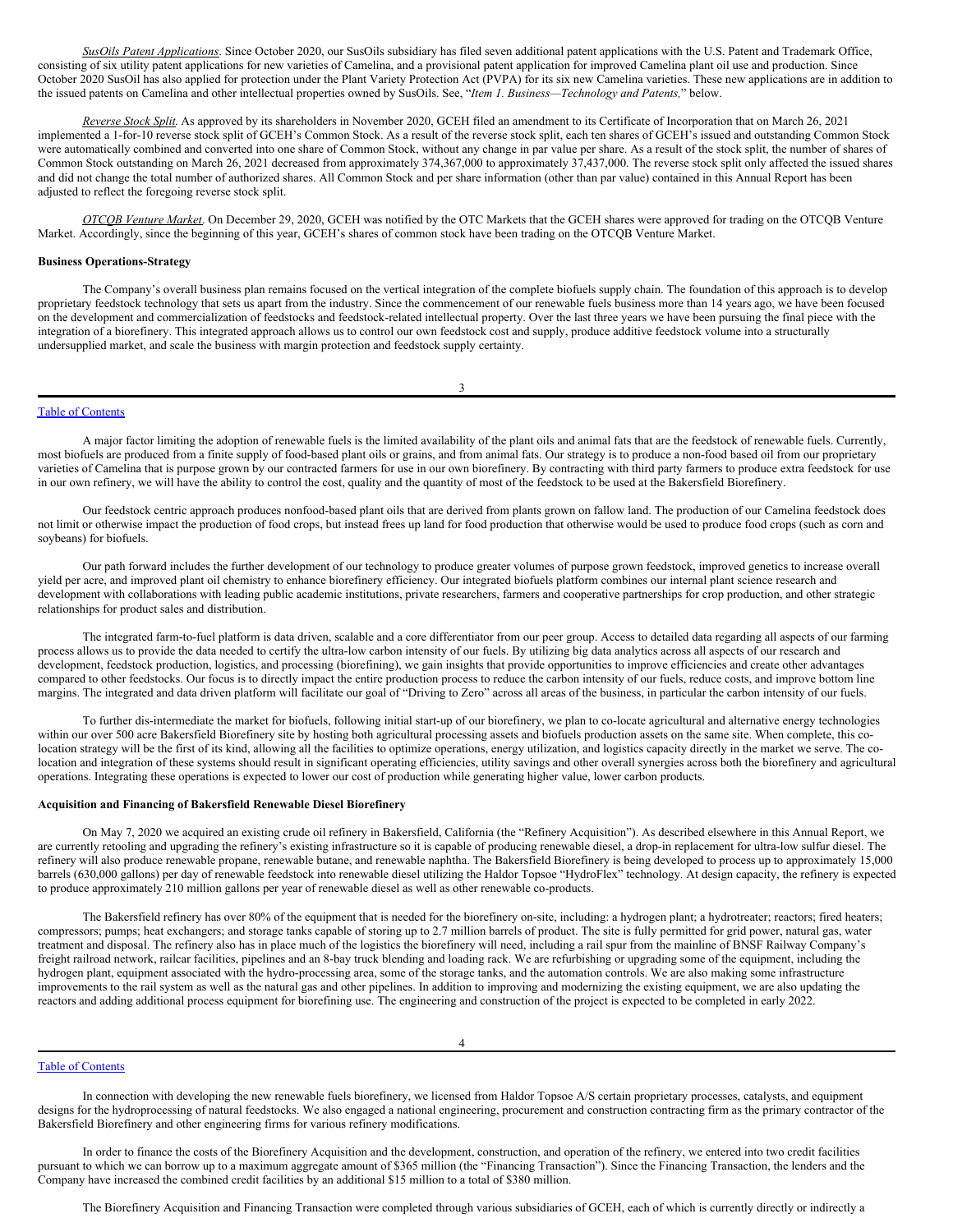*SusOils Patent Applications*. Since October 2020, our SusOils subsidiary has filed seven additional patent applications with the U.S. Patent and Trademark Office, consisting of six utility patent applications for new varieties of Camelina, and a provisional patent application for improved Camelina plant oil use and production. Since October 2020 SusOil has also applied for protection under the Plant Variety Protection Act (PVPA) for its six new Camelina varieties. These new applications are in addition to the issued patents on Camelina and other intellectual properties owned by SusOils. See, "*Item 1. Business—Technology and Patents,*" below.

*Reverse Stock Split*. As approved by its shareholders in November 2020, GCEH filed an amendment to its Certificate of Incorporation that on March 26, 2021 implemented a 1-for-10 reverse stock split of GCEH's Common Stock. As a result of the reverse stock split, each ten shares of GCEH's issued and outstanding Common Stock were automatically combined and converted into one share of Common Stock, without any change in par value per share. As a result of the stock split, the number of shares of Common Stock outstanding on March 26, 2021 decreased from approximately 374,367,000 to approximately 37,437,000. The reverse stock split only affected the issued shares and did not change the total number of authorized shares. All Common Stock and per share information (other than par value) contained in this Annual Report has been adjusted to reflect the foregoing reverse stock split.

*OTCQB Venture Market*. On December 29, 2020, GCEH was notified by the OTC Markets that the GCEH shares were approved for trading on the OTCQB Venture Market. Accordingly, since the beginning of this year, GCEH's shares of common stock have been trading on the OTCQB Venture Market.

#### **Business Operations-Strategy**

The Company's overall business plan remains focused on the vertical integration of the complete biofuels supply chain. The foundation of this approach is to develop proprietary feedstock technology that sets us apart from the industry. Since the commencement of our renewable fuels business more than 14 years ago, we have been focused on the development and commercialization of feedstocks and feedstock-related intellectual property. Over the last three years we have been pursuing the final piece with the integration of a biorefinery. This integrated approach allows us to control our own feedstock cost and supply, produce additive feedstock volume into a structurally undersupplied market, and scale the business with margin protection and feedstock supply certainty.

3

### Table of [Contents](#page-0-0)

A major factor limiting the adoption of renewable fuels is the limited availability of the plant oils and animal fats that are the feedstock of renewable fuels. Currently, most biofuels are produced from a finite supply of food-based plant oils or grains, and from animal fats. Our strategy is to produce a non-food based oil from our proprietary varieties of Camelina that is purpose grown by our contracted farmers for use in our own biorefinery. By contracting with third party farmers to produce extra feedstock for use in our own refinery, we will have the ability to control the cost, quality and the quantity of most of the feedstock to be used at the Bakersfield Biorefinery.

Our feedstock centric approach produces nonfood-based plant oils that are derived from plants grown on fallow land. The production of our Camelina feedstock does not limit or otherwise impact the production of food crops, but instead frees up land for food production that otherwise would be used to produce food crops (such as corn and soybeans) for biofuels.

Our path forward includes the further development of our technology to produce greater volumes of purpose grown feedstock, improved genetics to increase overall yield per acre, and improved plant oil chemistry to enhance biorefinery efficiency. Our integrated biofuels platform combines our internal plant science research and development with collaborations with leading public academic institutions, private researchers, farmers and cooperative partnerships for crop production, and other strategic relationships for product sales and distribution.

The integrated farm-to-fuel platform is data driven, scalable and a core differentiator from our peer group. Access to detailed data regarding all aspects of our farming process allows us to provide the data needed to certify the ultra-low carbon intensity of our fuels. By utilizing big data analytics across all aspects of our research and development, feedstock production, logistics, and processing (biorefining), we gain insights that provide opportunities to improve efficiencies and create other advantages compared to other feedstocks. Our focus is to directly impact the entire production process to reduce the carbon intensity of our fuels, reduce costs, and improve bottom line margins. The integrated and data driven platform will facilitate our goal of "Driving to Zero" across all areas of the business, in particular the carbon intensity of our fuels.

To further dis-intermediate the market for biofuels, following initial start-up of our biorefinery, we plan to co-locate agricultural and alternative energy technologies within our over 500 acre Bakersfield Biorefinery site by hosting both agricultural processing assets and biofuels production assets on the same site. When complete, this colocation strategy will be the first of its kind, allowing all the facilities to optimize operations, energy utilization, and logistics capacity directly in the market we serve. The colocation and integration of these systems should result in significant operating efficiencies, utility savings and other overall synergies across both the biorefinery and agricultural operations. Integrating these operations is expected to lower our cost of production while generating higher value, lower carbon products.

### **Acquisition and Financing of Bakersfield Renewable Diesel Biorefinery**

On May 7, 2020 we acquired an existing crude oil refinery in Bakersfield, California (the "Refinery Acquisition"). As described elsewhere in this Annual Report, we are currently retooling and upgrading the refinery's existing infrastructure so it is capable of producing renewable diesel, a drop-in replacement for ultra-low sulfur diesel. The refinery will also produce renewable propane, renewable butane, and renewable naphtha. The Bakersfield Biorefinery is being developed to process up to approximately 15,000 barrels (630,000 gallons) per day of renewable feedstock into renewable diesel utilizing the Haldor Topsoe "HydroFlex" technology. At design capacity, the refinery is expected to produce approximately 210 million gallons per year of renewable diesel as well as other renewable co-products.

The Bakersfield refinery has over 80% of the equipment that is needed for the biorefinery on-site, including: a hydrogen plant; a hydrotreater; reactors; fired heaters; compressors; pumps; heat exchangers; and storage tanks capable of storing up to 2.7 million barrels of product. The site is fully permitted for grid power, natural gas, water treatment and disposal. The refinery also has in place much of the logistics the biorefinery will need, including a rail spur from the mainline of BNSF Railway Company's freight railroad network, railcar facilities, pipelines and an 8-bay truck blending and loading rack. We are refurbishing or upgrading some of the equipment, including the hydrogen plant, equipment associated with the hydro-processing area, some of the storage tanks, and the automation controls. We are also making some infrastructure improvements to the rail system as well as the natural gas and other pipelines. In addition to improving and modernizing the existing equipment, we are also updating the reactors and adding additional process equipment for biorefining use. The engineering and construction of the project is expected to be completed in early 2022.

### Table of [Contents](#page-0-0)

In connection with developing the new renewable fuels biorefinery, we licensed from Haldor Topsoe A/S certain proprietary processes, catalysts, and equipment designs for the hydroprocessing of natural feedstocks. We also engaged a national engineering, procurement and construction contracting firm as the primary contractor of the Bakersfield Biorefinery and other engineering firms for various refinery modifications.

4

In order to finance the costs of the Biorefinery Acquisition and the development, construction, and operation of the refinery, we entered into two credit facilities pursuant to which we can borrow up to a maximum aggregate amount of \$365 million (the "Financing Transaction"). Since the Financing Transaction, the lenders and the Company have increased the combined credit facilities by an additional \$15 million to a total of \$380 million.

The Biorefinery Acquisition and Financing Transaction were completed through various subsidiaries of GCEH, each of which is currently directly or indirectly a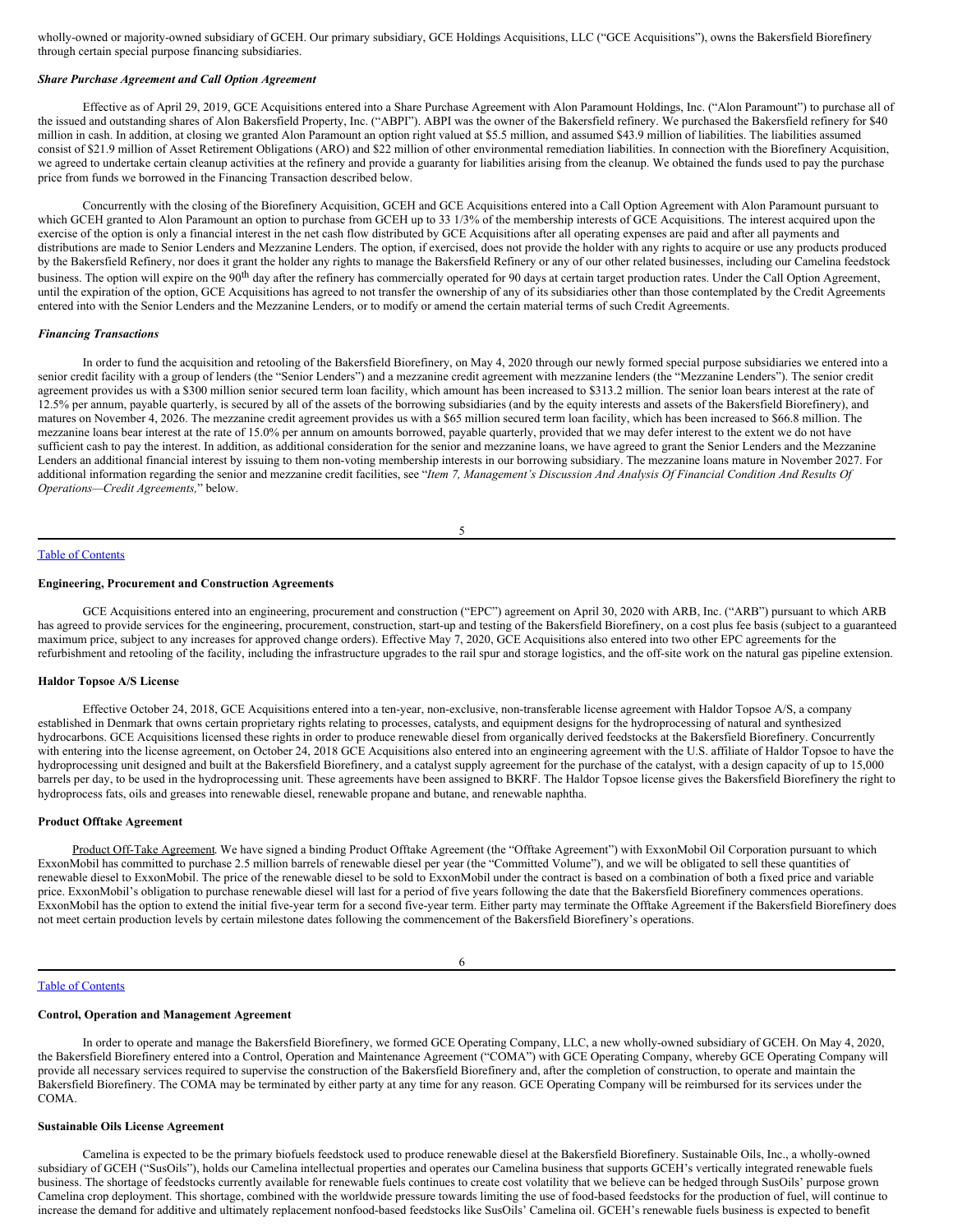wholly-owned or majority-owned subsidiary of GCEH. Our primary subsidiary, GCE Holdings Acquisitions, LLC ("GCE Acquisitions"), owns the Bakersfield Biorefinery through certain special purpose financing subsidiaries.

#### *Share Purchase Agreement and Call Option Agreement*

Effective as of April 29, 2019, GCE Acquisitions entered into a Share Purchase Agreement with Alon Paramount Holdings, Inc. ("Alon Paramount") to purchase all of the issued and outstanding shares of Alon Bakersfield Property, Inc. ("ABPI"). ABPI was the owner of the Bakersfield refinery. We purchased the Bakersfield refinery for \$40 million in cash. In addition, at closing we granted Alon Paramount an option right valued at \$5.5 million, and assumed \$43.9 million of liabilities. The liabilities assumed consist of \$21.9 million of Asset Retirement Obligations (ARO) and \$22 million of other environmental remediation liabilities. In connection with the Biorefinery Acquisition, we agreed to undertake certain cleanup activities at the refinery and provide a guaranty for liabilities arising from the cleanup. We obtained the funds used to pay the purchase price from funds we borrowed in the Financing Transaction described below.

Concurrently with the closing of the Biorefinery Acquisition, GCEH and GCE Acquisitions entered into a Call Option Agreement with Alon Paramount pursuant to which GCEH granted to Alon Paramount an option to purchase from GCEH up to 33 1/3% of the membership interests of GCE Acquisitions. The interest acquired upon the exercise of the option is only a financial interest in the net cash flow distributed by GCE Acquisitions after all operating expenses are paid and after all payments and distributions are made to Senior Lenders and Mezzanine Lenders. The option, if exercised, does not provide the holder with any rights to acquire or use any products produced by the Bakersfield Refinery, nor does it grant the holder any rights to manage the Bakersfield Refinery or any of our other related businesses, including our Camelina feedstock business. The option will expire on the 90<sup>th</sup> day after the refinery has commercially operated for 90 days at certain target production rates. Under the Call Option Agreement, until the expiration of the option, GCE Acquisitions has agreed to not transfer the ownership of any of its subsidiaries other than those contemplated by the Credit Agreements entered into with the Senior Lenders and the Mezzanine Lenders, or to modify or amend the certain material terms of such Credit Agreements.

#### *Financing Transactions*

In order to fund the acquisition and retooling of the Bakersfield Biorefinery, on May 4, 2020 through our newly formed special purpose subsidiaries we entered into a senior credit facility with a group of lenders (the "Senior Lenders") and a mezzanine credit agreement with mezzanine lenders (the "Mezzanine Lenders"). The senior credit agreement provides us with a \$300 million senior secured term loan facility, which amount has been increased to \$313.2 million. The senior loan bears interest at the rate of 12.5% per annum, payable quarterly, is secured by all of the assets of the borrowing subsidiaries (and by the equity interests and assets of the Bakersfield Biorefinery), and matures on November 4, 2026. The mezzanine credit agreement provides us with a \$65 million secured term loan facility, which has been increased to \$66.8 million. The mezzanine loans bear interest at the rate of 15.0% per annum on amounts borrowed, payable quarterly, provided that we may defer interest to the extent we do not have sufficient cash to pay the interest. In addition, as additional consideration for the senior and mezzanine loans, we have agreed to grant the Senior Lenders and the Mezzanine Lenders an additional financial interest by issuing to them non-voting membership interests in our borrowing subsidiary. The mezzanine loans mature in November 2027. For additional information regarding the senior and mezzanine credit facilities, see "Item 7, Management's Discussion And Analysis Of Financial Condition And Results Of *Operations—Credit Agreements,*" below.

#### 5

### Table of [Contents](#page-0-0)

#### **Engineering, Procurement and Construction Agreements**

GCE Acquisitions entered into an engineering, procurement and construction ("EPC") agreement on April 30, 2020 with ARB, Inc. ("ARB") pursuant to which ARB has agreed to provide services for the engineering, procurement, construction, start-up and testing of the Bakersfield Biorefinery, on a cost plus fee basis (subject to a guaranteed maximum price, subject to any increases for approved change orders). Effective May 7, 2020, GCE Acquisitions also entered into two other EPC agreements for the refurbishment and retooling of the facility, including the infrastructure upgrades to the rail spur and storage logistics, and the off-site work on the natural gas pipeline extension.

### **Haldor Topsoe A/S License**

Effective October 24, 2018, GCE Acquisitions entered into a ten-year, non-exclusive, non-transferable license agreement with Haldor Topsoe A/S, a company established in Denmark that owns certain proprietary rights relating to processes, catalysts, and equipment designs for the hydroprocessing of natural and synthesized hydrocarbons. GCE Acquisitions licensed these rights in order to produce renewable diesel from organically derived feedstocks at the Bakersfield Biorefinery. Concurrently with entering into the license agreement, on October 24, 2018 GCE Acquisitions also entered into an engineering agreement with the U.S. affiliate of Haldor Topsoe to have the hydroprocessing unit designed and built at the Bakersfield Biorefinery, and a catalyst supply agreement for the purchase of the catalyst, with a design capacity of up to 15,000 barrels per day, to be used in the hydroprocessing unit. These agreements have been assigned to BKRF. The Haldor Topsoe license gives the Bakersfield Biorefinery the right to hydroprocess fats, oils and greases into renewable diesel, renewable propane and butane, and renewable naphtha.

### **Product Offtake Agreement**

Product Off-Take Agreement. We have signed a binding Product Offtake Agreement (the "Offtake Agreement") with ExxonMobil Oil Corporation pursuant to which ExxonMobil has committed to purchase 2.5 million barrels of renewable diesel per year (the "Committed Volume"), and we will be obligated to sell these quantities of renewable diesel to ExxonMobil. The price of the renewable diesel to be sold to ExxonMobil under the contract is based on a combination of both a fixed price and variable price. ExxonMobil's obligation to purchase renewable diesel will last for a period of five years following the date that the Bakersfield Biorefinery commences operations. ExxonMobil has the option to extend the initial five-year term for a second five-year term. Either party may terminate the Offtake Agreement if the Bakersfield Biorefinery does not meet certain production levels by certain milestone dates following the commencement of the Bakersfield Biorefinery's operations.

6

### Table of [Contents](#page-0-0)

#### **Control, Operation and Management Agreement**

In order to operate and manage the Bakersfield Biorefinery, we formed GCE Operating Company, LLC, a new wholly-owned subsidiary of GCEH. On May 4, 2020, the Bakersfield Biorefinery entered into a Control, Operation and Maintenance Agreement ("COMA") with GCE Operating Company, whereby GCE Operating Company will provide all necessary services required to supervise the construction of the Bakersfield Biorefinery and, after the completion of construction, to operate and maintain the Bakersfield Biorefinery. The COMA may be terminated by either party at any time for any reason. GCE Operating Company will be reimbursed for its services under the COMA.

### **Sustainable Oils License Agreement**

Camelina is expected to be the primary biofuels feedstock used to produce renewable diesel at the Bakersfield Biorefinery. Sustainable Oils, Inc., a wholly-owned subsidiary of GCEH ("SusOils"), holds our Camelina intellectual properties and operates our Camelina business that supports GCEH's vertically integrated renewable fuels business. The shortage of feedstocks currently available for renewable fuels continues to create cost volatility that we believe can be hedged through SusOils' purpose grown Camelina crop deployment. This shortage, combined with the worldwide pressure towards limiting the use of food-based feedstocks for the production of fuel, will continue to increase the demand for additive and ultimately replacement nonfood-based feedstocks like SusOils' Camelina oil. GCEH's renewable fuels business is expected to benefit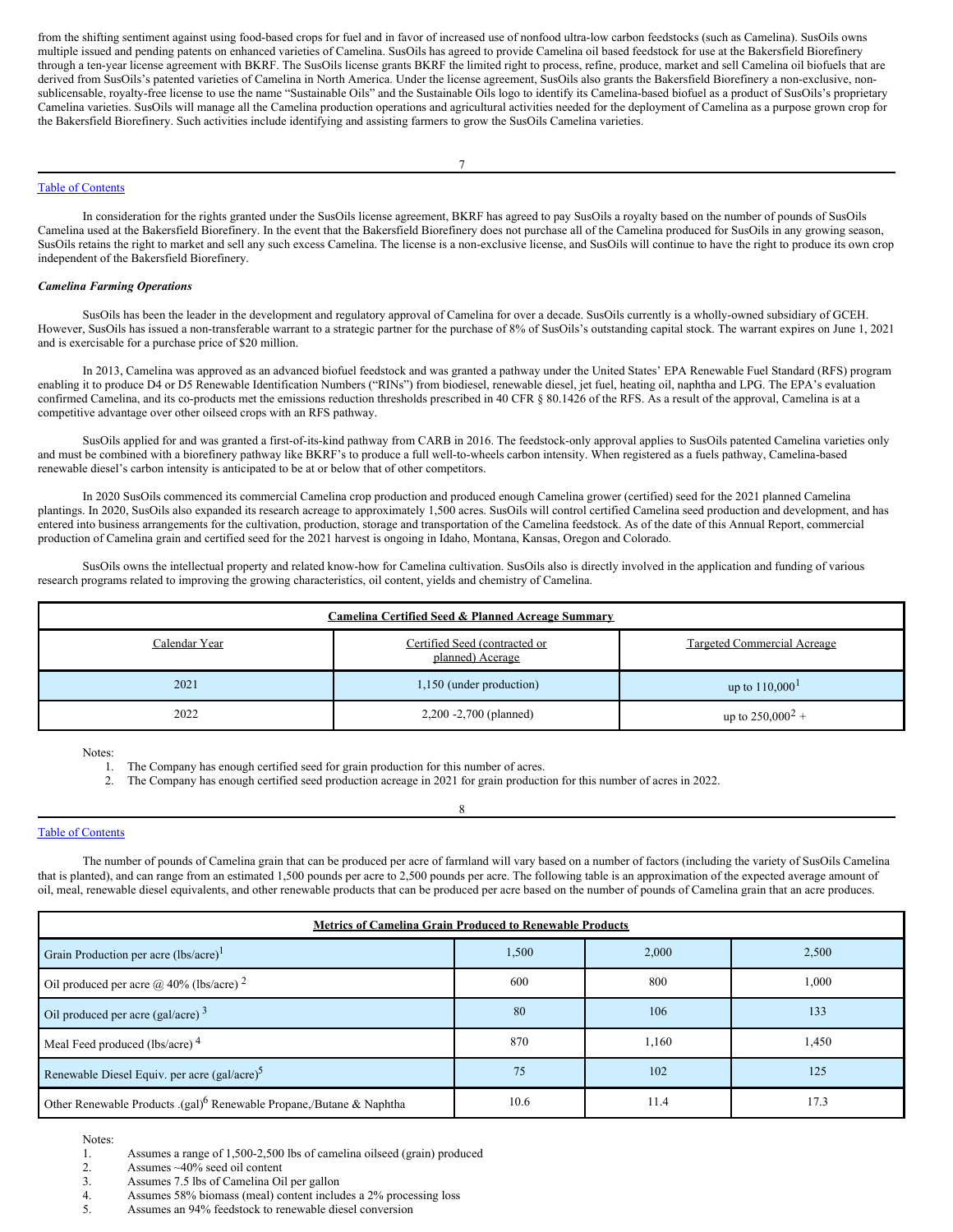from the shifting sentiment against using food-based crops for fuel and in favor of increased use of nonfood ultra-low carbon feedstocks (such as Camelina). SusOils owns multiple issued and pending patents on enhanced varieties of Camelina. SusOils has agreed to provide Camelina oil based feedstock for use at the Bakersfield Biorefinery through a ten-year license agreement with BKRF. The SusOils license grants BKRF the limited right to process, refine, produce, market and sell Camelina oil biofuels that are derived from SusOils's patented varieties of Camelina in North America. Under the license agreement, SusOils also grants the Bakersfield Biorefinery a non-exclusive, nonsublicensable, royalty-free license to use the name "Sustainable Oils" and the Sustainable Oils logo to identify its Camelina-based biofuel as a product of SusOils's proprietary Camelina varieties. SusOils will manage all the Camelina production operations and agricultural activities needed for the deployment of Camelina as a purpose grown crop for the Bakersfield Biorefinery. Such activities include identifying and assisting farmers to grow the SusOils Camelina varieties.

### Table of [Contents](#page-0-0)

In consideration for the rights granted under the SusOils license agreement, BKRF has agreed to pay SusOils a royalty based on the number of pounds of SusOils Camelina used at the Bakersfield Biorefinery. In the event that the Bakersfield Biorefinery does not purchase all of the Camelina produced for SusOils in any growing season, SusOils retains the right to market and sell any such excess Camelina. The license is a non-exclusive license, and SusOils will continue to have the right to produce its own crop independent of the Bakersfield Biorefinery.

#### *Camelina Farming Operations*

SusOils has been the leader in the development and regulatory approval of Camelina for over a decade. SusOils currently is a wholly-owned subsidiary of GCEH. However, SusOils has issued a non-transferable warrant to a strategic partner for the purchase of 8% of SusOils's outstanding capital stock. The warrant expires on June 1, 2021 and is exercisable for a purchase price of \$20 million.

In 2013, Camelina was approved as an advanced biofuel feedstock and was granted a pathway under the United States' EPA Renewable Fuel Standard (RFS) program enabling it to produce D4 or D5 Renewable Identification Numbers ("RINs") from biodiesel, renewable diesel, jet fuel, heating oil, naphtha and LPG. The EPA's evaluation confirmed Camelina, and its co-products met the emissions reduction thresholds prescribed in 40 CFR § 80.1426 of the RFS. As a result of the approval, Camelina is at a competitive advantage over other oilseed crops with an RFS pathway.

SusOils applied for and was granted a first-of-its-kind pathway from CARB in 2016. The feedstock-only approval applies to SusOils patented Camelina varieties only and must be combined with a biorefinery pathway like BKRF's to produce a full well-to-wheels carbon intensity. When registered as a fuels pathway, Camelina-based renewable diesel's carbon intensity is anticipated to be at or below that of other competitors.

In 2020 SusOils commenced its commercial Camelina crop production and produced enough Camelina grower (certified) seed for the 2021 planned Camelina plantings. In 2020, SusOils also expanded its research acreage to approximately 1,500 acres. SusOils will control certified Camelina seed production and development, and has entered into business arrangements for the cultivation, production, storage and transportation of the Camelina feedstock. As of the date of this Annual Report, commercial production of Camelina grain and certified seed for the 2021 harvest is ongoing in Idaho, Montana, Kansas, Oregon and Colorado.

SusOils owns the intellectual property and related know-how for Camelina cultivation. SusOils also is directly involved in the application and funding of various research programs related to improving the growing characteristics, oil content, yields and chemistry of Camelina.

| Camelina Certified Seed & Planned Acreage Summary |                                                   |                                    |
|---------------------------------------------------|---------------------------------------------------|------------------------------------|
| Calendar Year                                     | Certified Seed (contracted or<br>planned) Acerage | <b>Targeted Commercial Acreage</b> |
| 2021                                              | 1,150 (under production)                          | up to $110,000^1$                  |
| 2022                                              | 2,200 -2,700 (planned)                            | up to $250,000^2 +$                |

### Notes:

2. The Company has enough certified seed production acreage in 2021 for grain production for this number of acres in 2022.

### Table of [Contents](#page-0-0)

The number of pounds of Camelina grain that can be produced per acre of farmland will vary based on a number of factors (including the variety of SusOils Camelina that is planted), and can range from an estimated 1,500 pounds per acre to 2,500 pounds per acre. The following table is an approximation of the expected average amount of oil, meal, renewable diesel equivalents, and other renewable products that can be produced per acre based on the number of pounds of Camelina grain that an acre produces.

8

| <b>Metrics of Camelina Grain Produced to Renewable Products</b>                  |       |       |       |  |
|----------------------------------------------------------------------------------|-------|-------|-------|--|
| Grain Production per acre (lbs/acre) <sup>1</sup>                                | 1,500 | 2,000 | 2,500 |  |
| Oil produced per acre @ 40% (lbs/acre) $^2$                                      | 600   | 800   | 1,000 |  |
| Oil produced per acre (gal/acre) $3$                                             | 80    | 106   | 133   |  |
| Meal Feed produced (lbs/acre) <sup>4</sup>                                       | 870   | 1.160 | 1,450 |  |
| Renewable Diesel Equiv. per acre (gal/acre) <sup>5</sup>                         | 75    | 102   | 125   |  |
| Other Renewable Products .(gal) <sup>6</sup> Renewable Propane,/Butane & Naphtha | 10.6  | 11.4  | 17.3  |  |

Notes:

1. Assumes a range of 1,500-2,500 lbs of camelina oilseed (grain) produced

2. Assumes ~40% seed oil content

3. Assumes 7.5 lbs of Camelina Oil per gallon<br>4. Assumes 58% biomass (meal) content inclue

4. Assumes 58% biomass (meal) content includes a 2% processing loss

5. Assumes an 94% feedstock to renewable diesel conversion

<sup>1.</sup> The Company has enough certified seed for grain production for this number of acres.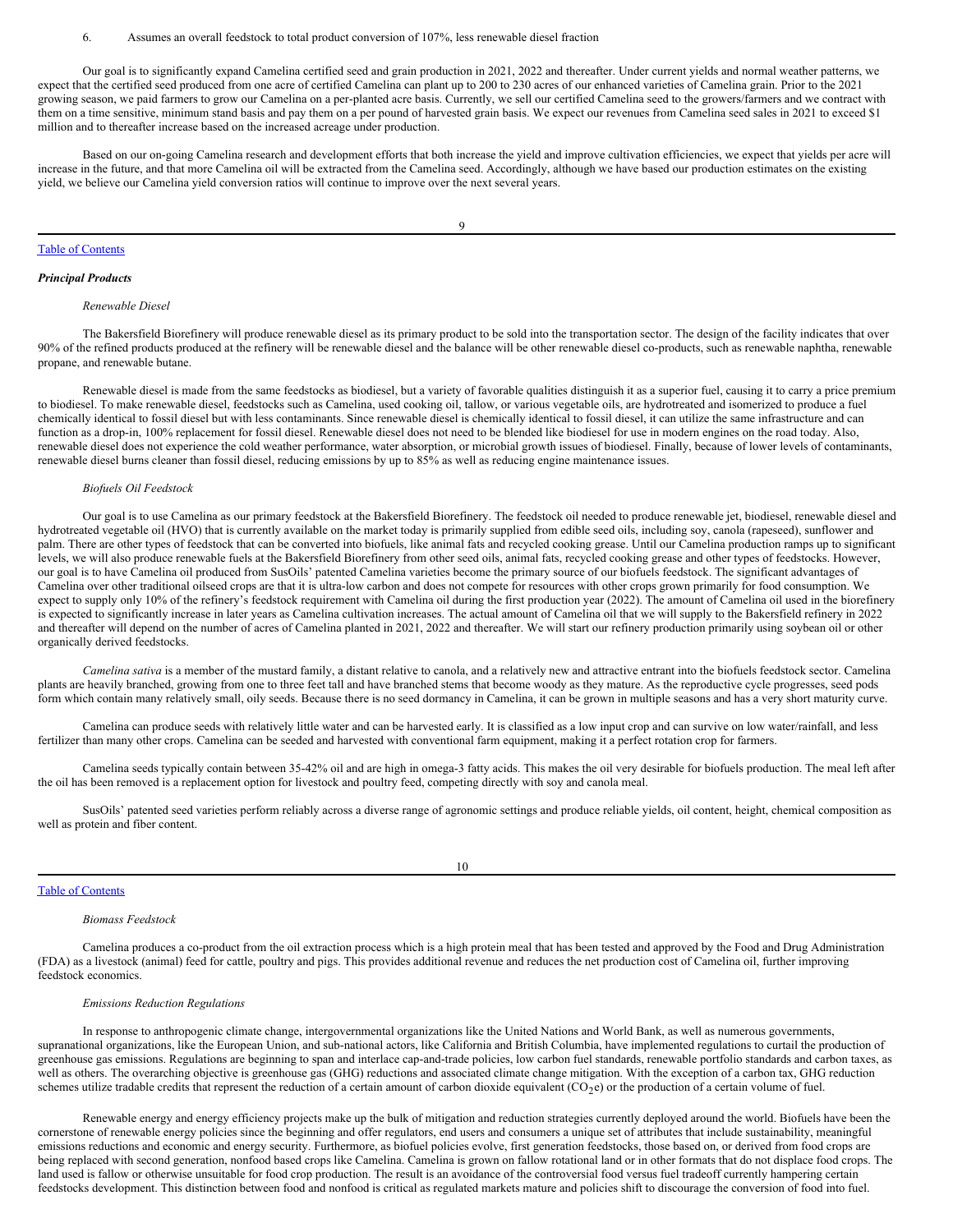#### 6. Assumes an overall feedstock to total product conversion of 107%, less renewable diesel fraction

Our goal is to significantly expand Camelina certified seed and grain production in 2021, 2022 and thereafter. Under current yields and normal weather patterns, we expect that the certified seed produced from one acre of certified Camelina can plant up to 200 to 230 acres of our enhanced varieties of Camelina grain. Prior to the 2021 growing season, we paid farmers to grow our Camelina on a per-planted acre basis. Currently, we sell our certified Camelina seed to the growers/farmers and we contract with them on a time sensitive, minimum stand basis and pay them on a per pound of harvested grain basis. We expect our revenues from Camelina seed sales in 2021 to exceed \$1 million and to thereafter increase based on the increased acreage under production.

Based on our on-going Camelina research and development efforts that both increase the yield and improve cultivation efficiencies, we expect that yields per acre will increase in the future, and that more Camelina oil will be extracted from the Camelina seed. Accordingly, although we have based our production estimates on the existing yield, we believe our Camelina yield conversion ratios will continue to improve over the next several years.

#### Table of [Contents](#page-0-0)

#### *Principal Products*

### *Renewable Diesel*

The Bakersfield Biorefinery will produce renewable diesel as its primary product to be sold into the transportation sector. The design of the facility indicates that over 90% of the refined products produced at the refinery will be renewable diesel and the balance will be other renewable diesel co-products, such as renewable naphtha, renewable propane, and renewable butane.

Renewable diesel is made from the same feedstocks as biodiesel, but a variety of favorable qualities distinguish it as a superior fuel, causing it to carry a price premium to biodiesel. To make renewable diesel, feedstocks such as Camelina, used cooking oil, tallow, or various vegetable oils, are hydrotreated and isomerized to produce a fuel chemically identical to fossil diesel but with less contaminants. Since renewable diesel is chemically identical to fossil diesel, it can utilize the same infrastructure and can function as a drop-in, 100% replacement for fossil diesel. Renewable diesel does not need to be blended like biodiesel for use in modern engines on the road today. Also, renewable diesel does not experience the cold weather performance, water absorption, or microbial growth issues of biodiesel. Finally, because of lower levels of contaminants, renewable diesel burns cleaner than fossil diesel, reducing emissions by up to 85% as well as reducing engine maintenance issues.

### *Biofuels Oil Feedstock*

Our goal is to use Camelina as our primary feedstock at the Bakersfield Biorefinery. The feedstock oil needed to produce renewable jet, biodiesel, renewable diesel and hydrotreated vegetable oil (HVO) that is currently available on the market today is primarily supplied from edible seed oils, including soy, canola (rapeseed), sunflower and palm. There are other types of feedstock that can be converted into biofuels, like animal fats and recycled cooking grease. Until our Camelina production ramps up to significant levels, we will also produce renewable fuels at the Bakersfield Biorefinery from other seed oils, animal fats, recycled cooking grease and other types of feedstocks. However, our goal is to have Camelina oil produced from SusOils' patented Camelina varieties become the primary source of our biofuels feedstock. The significant advantages of Camelina over other traditional oilseed crops are that it is ultra-low carbon and does not compete for resources with other crops grown primarily for food consumption. We expect to supply only 10% of the refinery's feedstock requirement with Camelina oil during the first production year (2022). The amount of Camelina oil used in the biorefinery is expected to significantly increase in later years as Camelina cultivation increases. The actual amount of Camelina oil that we will supply to the Bakersfield refinery in 2022 and thereafter will depend on the number of acres of Camelina planted in 2021, 2022 and thereafter. We will start our refinery production primarily using soybean oil or other organically derived feedstocks.

*Camelina sativa* is a member of the mustard family, a distant relative to canola, and a relatively new and attractive entrant into the biofuels feedstock sector. Camelina plants are heavily branched, growing from one to three feet tall and have branched stems that become woody as they mature. As the reproductive cycle progresses, seed pods form which contain many relatively small, oily seeds. Because there is no seed dormancy in Camelina, it can be grown in multiple seasons and has a very short maturity curve.

Camelina can produce seeds with relatively little water and can be harvested early. It is classified as a low input crop and can survive on low water/rainfall, and less fertilizer than many other crops. Camelina can be seeded and harvested with conventional farm equipment, making it a perfect rotation crop for farmers.

Camelina seeds typically contain between 35-42% oil and are high in omega-3 fatty acids. This makes the oil very desirable for biofuels production. The meal left after the oil has been removed is a replacement option for livestock and poultry feed, competing directly with soy and canola meal.

SusOils' patented seed varieties perform reliably across a diverse range of agronomic settings and produce reliable yields, oil content, height, chemical composition as well as protein and fiber content.

10

### Table of [Contents](#page-0-0)

*Biomass Feedstock*

Camelina produces a co-product from the oil extraction process which is a high protein meal that has been tested and approved by the Food and Drug Administration (FDA) as a livestock (animal) feed for cattle, poultry and pigs. This provides additional revenue and reduces the net production cost of Camelina oil, further improving feedstock economics.

#### *Emissions Reduction Regulations*

In response to anthropogenic climate change, intergovernmental organizations like the United Nations and World Bank, as well as numerous governments, supranational organizations, like the European Union, and sub-national actors, like California and British Columbia, have implemented regulations to curtail the production of greenhouse gas emissions. Regulations are beginning to span and interlace cap-and-trade policies, low carbon fuel standards, renewable portfolio standards and carbon taxes, as well as others. The overarching objective is greenhouse gas (GHG) reductions and associated climate change mitigation. With the exception of a carbon tax, GHG reduction schemes utilize tradable credits that represent the reduction of a certain amount of carbon dioxide equivalent ( $CO<sub>2</sub>e$ ) or the production of a certain volume of fuel.

Renewable energy and energy efficiency projects make up the bulk of mitigation and reduction strategies currently deployed around the world. Biofuels have been the cornerstone of renewable energy policies since the beginning and offer regulators, end users and consumers a unique set of attributes that include sustainability, meaningful emissions reductions and economic and energy security. Furthermore, as biofuel policies evolve, first generation feedstocks, those based on, or derived from food crops are being replaced with second generation, nonfood based crops like Camelina. Camelina is grown on fallow rotational land or in other formats that do not displace food crops. The land used is fallow or otherwise unsuitable for food crop production. The result is an avoidance of the controversial food versus fuel tradeoff currently hampering certain feedstocks development. This distinction between food and nonfood is critical as regulated markets mature and policies shift to discourage the conversion of food into fuel.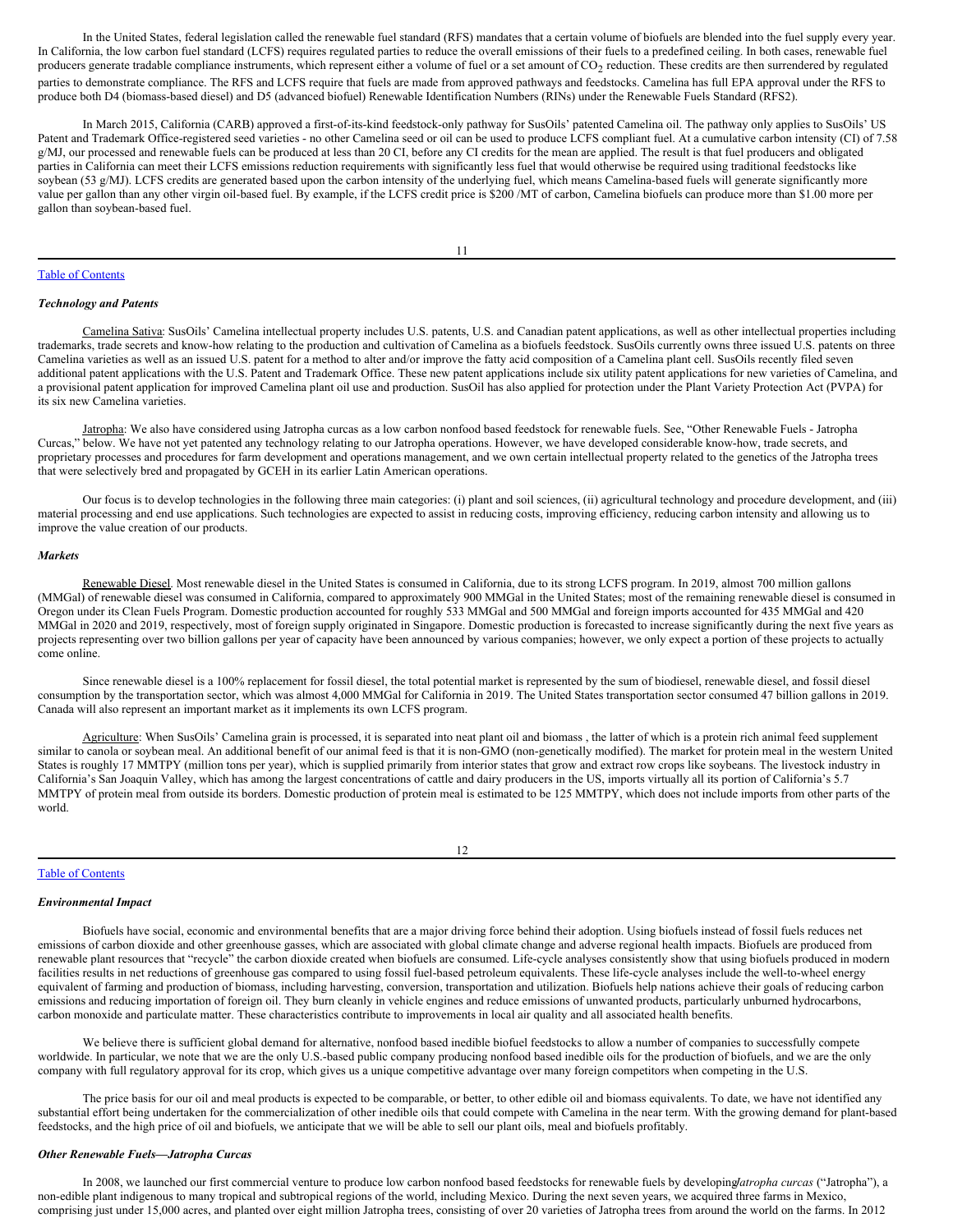In the United States, federal legislation called the renewable fuel standard (RFS) mandates that a certain volume of biofuels are blended into the fuel supply every year. In California, the low carbon fuel standard (LCFS) requires regulated parties to reduce the overall emissions of their fuels to a predefined ceiling. In both cases, renewable fuel producers generate tradable compliance instruments, which represent either a volume of fuel or a set amount of  $CO<sub>2</sub>$  reduction. These credits are then surrendered by regulated parties to demonstrate compliance. The RFS and LCFS require that fuels are made from approved pathways and feedstocks. Camelina has full EPA approval under the RFS to produce both D4 (biomass-based diesel) and D5 (advanced biofuel) Renewable Identification Numbers (RINs) under the Renewable Fuels Standard (RFS2).

In March 2015, California (CARB) approved a first-of-its-kind feedstock-only pathway for SusOils' patented Camelina oil. The pathway only applies to SusOils' US Patent and Trademark Office-registered seed varieties - no other Camelina seed or oil can be used to produce LCFS compliant fuel. At a cumulative carbon intensity (CI) of 7.58 g/MJ, our processed and renewable fuels can be produced at less than 20 CI, before any CI credits for the mean are applied. The result is that fuel producers and obligated parties in California can meet their LCFS emissions reduction requirements with significantly less fuel that would otherwise be required using traditional feedstocks like soybean (53 g/MJ). LCFS credits are generated based upon the carbon intensity of the underlying fuel, which means Camelina-based fuels will generate significantly more value per gallon than any other virgin oil-based fuel. By example, if the LCFS credit price is \$200 /MT of carbon, Camelina biofuels can produce more than \$1.00 more per gallon than soybean-based fuel.

### Table of [Contents](#page-0-0)

#### *Technology and Patents*

Camelina Sativa: SusOils' Camelina intellectual property includes U.S. patents, U.S. and Canadian patent applications, as well as other intellectual properties including trademarks, trade secrets and know-how relating to the production and cultivation of Camelina as a biofuels feedstock. SusOils currently owns three issued U.S. patents on three Camelina varieties as well as an issued U.S. patent for a method to alter and/or improve the fatty acid composition of a Camelina plant cell. SusOils recently filed seven additional patent applications with the U.S. Patent and Trademark Office. These new patent applications include six utility patent applications for new varieties of Camelina, and a provisional patent application for improved Camelina plant oil use and production. SusOil has also applied for protection under the Plant Variety Protection Act (PVPA) for its six new Camelina varieties.

Jatropha: We also have considered using Jatropha curcas as a low carbon nonfood based feedstock for renewable fuels. See, "Other Renewable Fuels - Jatropha Curcas," below. We have not yet patented any technology relating to our Jatropha operations. However, we have developed considerable know-how, trade secrets, and proprietary processes and procedures for farm development and operations management, and we own certain intellectual property related to the genetics of the Jatropha trees that were selectively bred and propagated by GCEH in its earlier Latin American operations.

Our focus is to develop technologies in the following three main categories: (i) plant and soil sciences, (ii) agricultural technology and procedure development, and (iii) material processing and end use applications. Such technologies are expected to assist in reducing costs, improving efficiency, reducing carbon intensity and allowing us to improve the value creation of our products.

#### *Markets*

Renewable Diesel. Most renewable diesel in the United States is consumed in California, due to its strong LCFS program. In 2019, almost 700 million gallons (MMGal) of renewable diesel was consumed in California, compared to approximately 900 MMGal in the United States; most of the remaining renewable diesel is consumed in Oregon under its Clean Fuels Program. Domestic production accounted for roughly 533 MMGal and 500 MMGal and foreign imports accounted for 435 MMGal and 420 MMGal in 2020 and 2019, respectively, most of foreign supply originated in Singapore. Domestic production is forecasted to increase significantly during the next five years as projects representing over two billion gallons per year of capacity have been announced by various companies; however, we only expect a portion of these projects to actually come online.

Since renewable diesel is a 100% replacement for fossil diesel, the total potential market is represented by the sum of biodiesel, renewable diesel, and fossil diesel consumption by the transportation sector, which was almost 4,000 MMGal for California in 2019. The United States transportation sector consumed 47 billion gallons in 2019. Canada will also represent an important market as it implements its own LCFS program.

Agriculture: When SusOils' Camelina grain is processed, it is separated into neat plant oil and biomass , the latter of which is a protein rich animal feed supplement similar to canola or soybean meal. An additional benefit of our animal feed is that it is non-GMO (non-genetically modified). The market for protein meal in the western United States is roughly 17 MMTPY (million tons per year), which is supplied primarily from interior states that grow and extract row crops like soybeans. The livestock industry in California's San Joaquin Valley, which has among the largest concentrations of cattle and dairy producers in the US, imports virtually all its portion of California's 5.7 MMTPY of protein meal from outside its borders. Domestic production of protein meal is estimated to be 125 MMTPY, which does not include imports from other parts of the world.

| v |
|---|
|   |
|   |

### Table of [Contents](#page-0-0)

### *Environmental Impact*

Biofuels have social, economic and environmental benefits that are a major driving force behind their adoption. Using biofuels instead of fossil fuels reduces net emissions of carbon dioxide and other greenhouse gasses, which are associated with global climate change and adverse regional health impacts. Biofuels are produced from renewable plant resources that "recycle" the carbon dioxide created when biofuels are consumed. Life-cycle analyses consistently show that using biofuels produced in modern facilities results in net reductions of greenhouse gas compared to using fossil fuel-based petroleum equivalents. These life-cycle analyses include the well-to-wheel energy equivalent of farming and production of biomass, including harvesting, conversion, transportation and utilization. Biofuels help nations achieve their goals of reducing carbon emissions and reducing importation of foreign oil. They burn cleanly in vehicle engines and reduce emissions of unwanted products, particularly unburned hydrocarbons, carbon monoxide and particulate matter. These characteristics contribute to improvements in local air quality and all associated health benefits.

We believe there is sufficient global demand for alternative, nonfood based inedible biofuel feedstocks to allow a number of companies to successfully compete worldwide. In particular, we note that we are the only U.S.-based public company producing nonfood based inedible oils for the production of biofuels, and we are the only company with full regulatory approval for its crop, which gives us a unique competitive advantage over many foreign competitors when competing in the U.S.

The price basis for our oil and meal products is expected to be comparable, or better, to other edible oil and biomass equivalents. To date, we have not identified any substantial effort being undertaken for the commercialization of other inedible oils that could compete with Camelina in the near term. With the growing demand for plant-based feedstocks, and the high price of oil and biofuels, we anticipate that we will be able to sell our plant oils, meal and biofuels profitably.

### *Other Renewable Fuels—Jatropha Curcas*

In 2008, we launched our first commercial venture to produce low carbon nonfood based feedstocks for renewable fuels by developing *atropha curcas* ("Jatropha"), a non-edible plant indigenous to many tropical and subtropical regions of the world, including Mexico. During the next seven years, we acquired three farms in Mexico, comprising just under 15,000 acres, and planted over eight million Jatropha trees, consisting of over 20 varieties of Jatropha trees from around the world on the farms. In 2012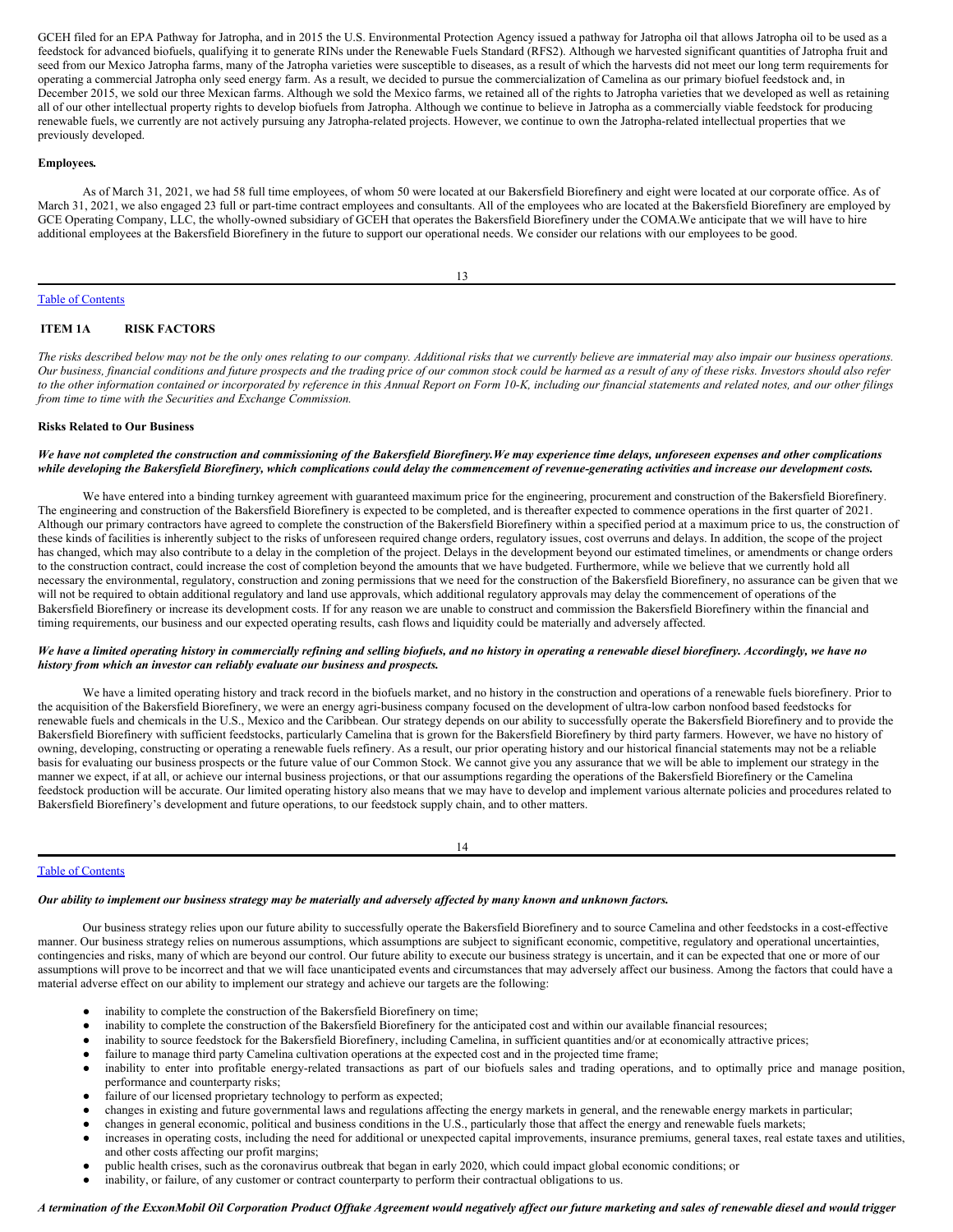GCEH filed for an EPA Pathway for Jatropha, and in 2015 the U.S. Environmental Protection Agency issued a pathway for Jatropha oil that allows Jatropha oil to be used as a feedstock for advanced biofuels, qualifying it to generate RINs under the Renewable Fuels Standard (RFS2). Although we harvested significant quantities of Jatropha fruit and seed from our Mexico Jatropha farms, many of the Jatropha varieties were susceptible to diseases, as a result of which the harvests did not meet our long term requirements for operating a commercial Jatropha only seed energy farm. As a result, we decided to pursue the commercialization of Camelina as our primary biofuel feedstock and, in December 2015, we sold our three Mexican farms. Although we sold the Mexico farms, we retained all of the rights to Jatropha varieties that we developed as well as retaining all of our other intellectual property rights to develop biofuels from Jatropha. Although we continue to believe in Jatropha as a commercially viable feedstock for producing renewable fuels, we currently are not actively pursuing any Jatropha-related projects. However, we continue to own the Jatropha-related intellectual properties that we previously developed.

### **Employees***.*

As of March 31, 2021, we had 58 full time employees, of whom 50 were located at our Bakersfield Biorefinery and eight were located at our corporate office. As of March 31, 2021, we also engaged 23 full or part-time contract employees and consultants. All of the employees who are located at the Bakersfield Biorefinery are employed by GCE Operating Company, LLC, the wholly-owned subsidiary of GCEH that operates the Bakersfield Biorefinery under the COMA.We anticipate that we will have to hire additional employees at the Bakersfield Biorefinery in the future to support our operational needs. We consider our relations with our employees to be good.

### Table of [Contents](#page-0-0)

### <span id="page-8-0"></span>**ITEM 1A RISK FACTORS**

The risks described below may not be the only ones relating to our company. Additional risks that we currently believe are immaterial may also impair our business operations. Our business, financial conditions and future prospects and the trading price of our common stock could be harmed as a result of any of these risks. Investors should also refer to the other information contained or incorporated by reference in this Annual Report on Form 10-K, including our financial statements and related notes, and our other filings *from time to time with the Securities and Exchange Commission.*

### **Risks Related to Our Business**

### We have not completed the construction and commissioning of the Bakersfield Biorefinery. We may experience time delays, unforeseen expenses and other complications while developing the Bakersfield Biorefinery, which complications could delay the commencement of revenue-generating activities and increase our development costs.

We have entered into a binding turnkey agreement with guaranteed maximum price for the engineering, procurement and construction of the Bakersfield Biorefinery. The engineering and construction of the Bakersfield Biorefinery is expected to be completed, and is thereafter expected to commence operations in the first quarter of 2021. Although our primary contractors have agreed to complete the construction of the Bakersfield Biorefinery within a specified period at a maximum price to us, the construction of these kinds of facilities is inherently subject to the risks of unforeseen required change orders, regulatory issues, cost overruns and delays. In addition, the scope of the project has changed, which may also contribute to a delay in the completion of the project. Delays in the development beyond our estimated timelines, or amendments or change orders to the construction contract, could increase the cost of completion beyond the amounts that we have budgeted. Furthermore, while we believe that we currently hold all necessary the environmental, regulatory, construction and zoning permissions that we need for the construction of the Bakersfield Biorefinery, no assurance can be given that we will not be required to obtain additional regulatory and land use approvals, which additional regulatory approvals may delay the commencement of operations of the Bakersfield Biorefinery or increase its development costs. If for any reason we are unable to construct and commission the Bakersfield Biorefinery within the financial and timing requirements, our business and our expected operating results, cash flows and liquidity could be materially and adversely affected.

#### We have a limited operating history in commercially refining and selling biofuels, and no history in operating a renewable diesel biorefinery. Accordingly, we have no *history from which an investor can reliably evaluate our business and prospects.*

We have a limited operating history and track record in the biofuels market, and no history in the construction and operations of a renewable fuels biorefinery. Prior to the acquisition of the Bakersfield Biorefinery, we were an energy agri-business company focused on the development of ultra-low carbon nonfood based feedstocks for renewable fuels and chemicals in the U.S., Mexico and the Caribbean. Our strategy depends on our ability to successfully operate the Bakersfield Biorefinery and to provide the Bakersfield Biorefinery with sufficient feedstocks, particularly Camelina that is grown for the Bakersfield Biorefinery by third party farmers. However, we have no history of owning, developing, constructing or operating a renewable fuels refinery. As a result, our prior operating history and our historical financial statements may not be a reliable basis for evaluating our business prospects or the future value of our Common Stock. We cannot give you any assurance that we will be able to implement our strategy in the manner we expect, if at all, or achieve our internal business projections, or that our assumptions regarding the operations of the Bakersfield Biorefinery or the Camelina feedstock production will be accurate. Our limited operating history also means that we may have to develop and implement various alternate policies and procedures related to Bakersfield Biorefinery's development and future operations, to our feedstock supply chain, and to other matters.

Table of [Contents](#page-0-0)

14

#### Our ability to implement our business strategy may be materially and adversely affected by many known and unknown factors.

Our business strategy relies upon our future ability to successfully operate the Bakersfield Biorefinery and to source Camelina and other feedstocks in a cost-effective manner. Our business strategy relies on numerous assumptions, which assumptions are subject to significant economic, competitive, regulatory and operational uncertainties, contingencies and risks, many of which are beyond our control. Our future ability to execute our business strategy is uncertain, and it can be expected that one or more of our assumptions will prove to be incorrect and that we will face unanticipated events and circumstances that may adversely affect our business. Among the factors that could have a material adverse effect on our ability to implement our strategy and achieve our targets are the following:

- inability to complete the construction of the Bakersfield Biorefinery on time;
- inability to complete the construction of the Bakersfield Biorefinery for the anticipated cost and within our available financial resources;
- inability to source feedstock for the Bakersfield Biorefinery, including Camelina, in sufficient quantities and/or at economically attractive prices;
- failure to manage third party Camelina cultivation operations at the expected cost and in the projected time frame;
- inability to enter into profitable energy-related transactions as part of our biofuels sales and trading operations, and to optimally price and manage position, performance and counterparty risks;
- failure of our licensed proprietary technology to perform as expected;
- changes in existing and future governmental laws and regulations affecting the energy markets in general, and the renewable energy markets in particular;
- changes in general economic, political and business conditions in the U.S., particularly those that affect the energy and renewable fuels markets;
- increases in operating costs, including the need for additional or unexpected capital improvements, insurance premiums, general taxes, real estate taxes and utilities, and other costs affecting our profit margins;
- public health crises, such as the coronavirus outbreak that began in early 2020, which could impact global economic conditions; or
- inability, or failure, of any customer or contract counterparty to perform their contractual obligations to us.

### A termination of the ExxonMobil Oil Corporation Product Offtake Agreement would negatively affect our future marketing and sales of renewable diesel and would trigger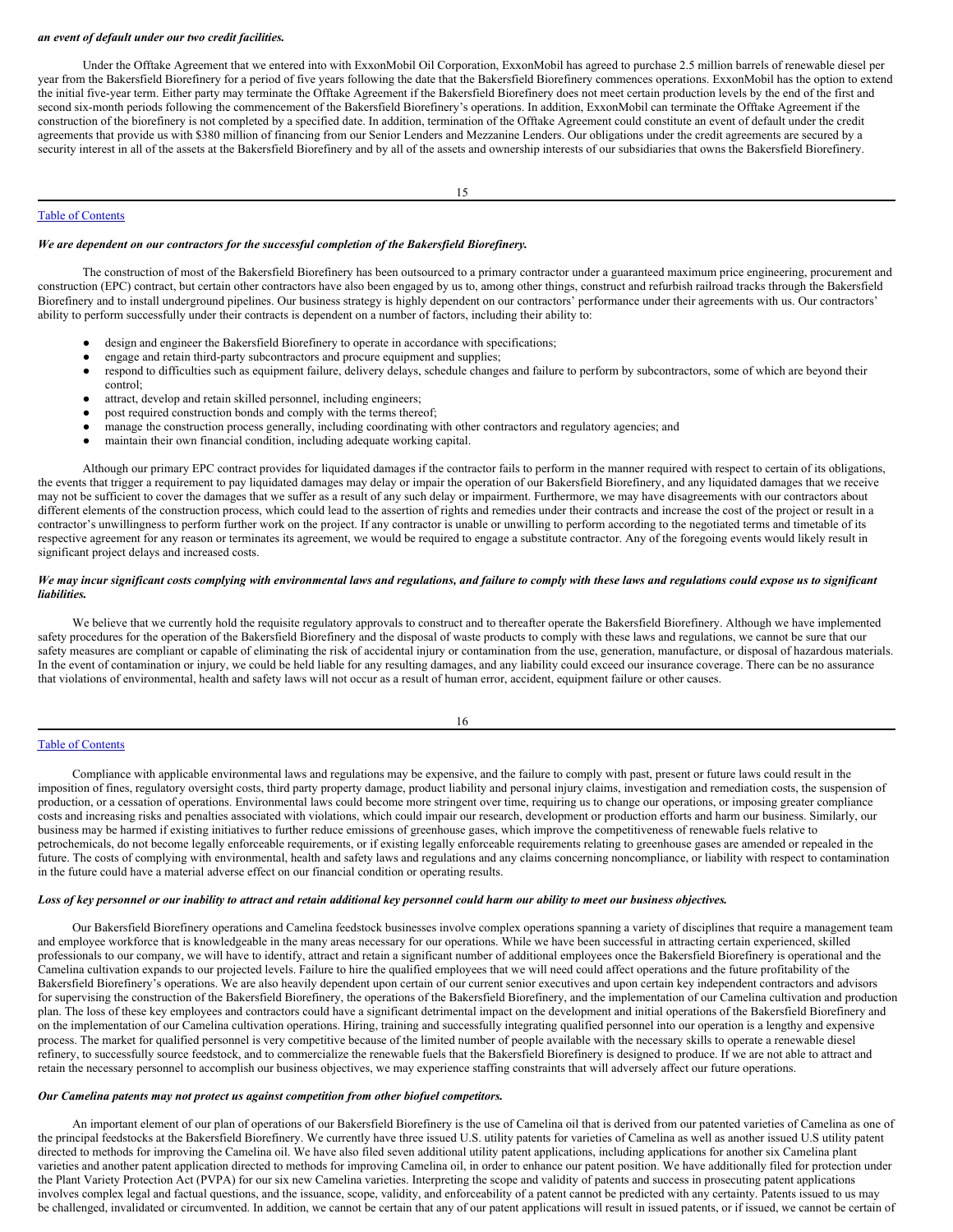#### *an event of default under our two credit facilities.*

Under the Offtake Agreement that we entered into with ExxonMobil Oil Corporation, ExxonMobil has agreed to purchase 2.5 million barrels of renewable diesel per year from the Bakersfield Biorefinery for a period of five years following the date that the Bakersfield Biorefinery commences operations. ExxonMobil has the option to extend the initial five-year term. Either party may terminate the Offtake Agreement if the Bakersfield Biorefinery does not meet certain production levels by the end of the first and second six-month periods following the commencement of the Bakersfield Biorefinery's operations. In addition, ExxonMobil can terminate the Offtake Agreement if the construction of the biorefinery is not completed by a specified date. In addition, termination of the Offtake Agreement could constitute an event of default under the credit agreements that provide us with \$380 million of financing from our Senior Lenders and Mezzanine Lenders. Our obligations under the credit agreements are secured by a security interest in all of the assets at the Bakersfield Biorefinery and by all of the assets and ownership interests of our subsidiaries that owns the Bakersfield Biorefinery.

15

### Table of [Contents](#page-0-0)

#### *We are dependent on our contractors for the successful completion of the Bakersfield Biorefinery.*

The construction of most of the Bakersfield Biorefinery has been outsourced to a primary contractor under a guaranteed maximum price engineering, procurement and construction (EPC) contract, but certain other contractors have also been engaged by us to, among other things, construct and refurbish railroad tracks through the Bakersfield Biorefinery and to install underground pipelines. Our business strategy is highly dependent on our contractors' performance under their agreements with us. Our contractors' ability to perform successfully under their contracts is dependent on a number of factors, including their ability to:

- design and engineer the Bakersfield Biorefinery to operate in accordance with specifications;
- engage and retain third-party subcontractors and procure equipment and supplies;
- respond to difficulties such as equipment failure, delivery delays, schedule changes and failure to perform by subcontractors, some of which are beyond their control;
- attract, develop and retain skilled personnel, including engineers;
- post required construction bonds and comply with the terms thereof;
- manage the construction process generally, including coordinating with other contractors and regulatory agencies; and
- maintain their own financial condition, including adequate working capital.

Although our primary EPC contract provides for liquidated damages if the contractor fails to perform in the manner required with respect to certain of its obligations, the events that trigger a requirement to pay liquidated damages may delay or impair the operation of our Bakersfield Biorefinery, and any liquidated damages that we receive may not be sufficient to cover the damages that we suffer as a result of any such delay or impairment. Furthermore, we may have disagreements with our contractors about different elements of the construction process, which could lead to the assertion of rights and remedies under their contracts and increase the cost of the project or result in a contractor's unwillingness to perform further work on the project. If any contractor is unable or unwilling to perform according to the negotiated terms and timetable of its respective agreement for any reason or terminates its agreement, we would be required to engage a substitute contractor. Any of the foregoing events would likely result in significant project delays and increased costs.

### We may incur significant costs complying with environmental laws and regulations, and failure to comply with these laws and regulations could expose us to significant *liabilities.*

We believe that we currently hold the requisite regulatory approvals to construct and to thereafter operate the Bakersfield Biorefinery. Although we have implemented safety procedures for the operation of the Bakersfield Biorefinery and the disposal of waste products to comply with these laws and regulations, we cannot be sure that our safety measures are compliant or capable of eliminating the risk of accidental injury or contamination from the use, generation, manufacture, or disposal of hazardous materials. In the event of contamination or injury, we could be held liable for any resulting damages, and any liability could exceed our insurance coverage. There can be no assurance that violations of environmental, health and safety laws will not occur as a result of human error, accident, equipment failure or other causes.

#### Table of [Contents](#page-0-0)

Compliance with applicable environmental laws and regulations may be expensive, and the failure to comply with past, present or future laws could result in the imposition of fines, regulatory oversight costs, third party property damage, product liability and personal injury claims, investigation and remediation costs, the suspension of production, or a cessation of operations. Environmental laws could become more stringent over time, requiring us to change our operations, or imposing greater compliance costs and increasing risks and penalties associated with violations, which could impair our research, development or production efforts and harm our business. Similarly, our business may be harmed if existing initiatives to further reduce emissions of greenhouse gases, which improve the competitiveness of renewable fuels relative to petrochemicals, do not become legally enforceable requirements, or if existing legally enforceable requirements relating to greenhouse gases are amended or repealed in the future. The costs of complying with environmental, health and safety laws and regulations and any claims concerning noncompliance, or liability with respect to contamination in the future could have a material adverse effect on our financial condition or operating results.

### Loss of key personnel or our inability to attract and retain additional key personnel could harm our ability to meet our business objectives.

Our Bakersfield Biorefinery operations and Camelina feedstock businesses involve complex operations spanning a variety of disciplines that require a management team and employee workforce that is knowledgeable in the many areas necessary for our operations. While we have been successful in attracting certain experienced, skilled professionals to our company, we will have to identify, attract and retain a significant number of additional employees once the Bakersfield Biorefinery is operational and the Camelina cultivation expands to our projected levels. Failure to hire the qualified employees that we will need could affect operations and the future profitability of the Bakersfield Biorefinery's operations. We are also heavily dependent upon certain of our current senior executives and upon certain key independent contractors and advisors for supervising the construction of the Bakersfield Biorefinery, the operations of the Bakersfield Biorefinery, and the implementation of our Camelina cultivation and production plan. The loss of these key employees and contractors could have a significant detrimental impact on the development and initial operations of the Bakersfield Biorefinery and on the implementation of our Camelina cultivation operations. Hiring, training and successfully integrating qualified personnel into our operation is a lengthy and expensive process. The market for qualified personnel is very competitive because of the limited number of people available with the necessary skills to operate a renewable diesel refinery, to successfully source feedstock, and to commercialize the renewable fuels that the Bakersfield Biorefinery is designed to produce. If we are not able to attract and retain the necessary personnel to accomplish our business objectives, we may experience staffing constraints that will adversely affect our future operations.

### *Our Camelina patents may not protect us against competition from other biofuel competitors.*

An important element of our plan of operations of our Bakersfield Biorefinery is the use of Camelina oil that is derived from our patented varieties of Camelina as one of the principal feedstocks at the Bakersfield Biorefinery. We currently have three issued U.S. utility patents for varieties of Camelina as well as another issued U.S utility patent directed to methods for improving the Camelina oil. We have also filed seven additional utility patent applications, including applications for another six Camelina plant varieties and another patent application directed to methods for improving Camelina oil, in order to enhance our patent position. We have additionally filed for protection under the Plant Variety Protection Act (PVPA) for our six new Camelina varieties. Interpreting the scope and validity of patents and success in prosecuting patent applications involves complex legal and factual questions, and the issuance, scope, validity, and enforceability of a patent cannot be predicted with any certainty. Patents issued to us may be challenged, invalidated or circumvented. In addition, we cannot be certain that any of our patent applications will result in issued patents, or if issued, we cannot be certain of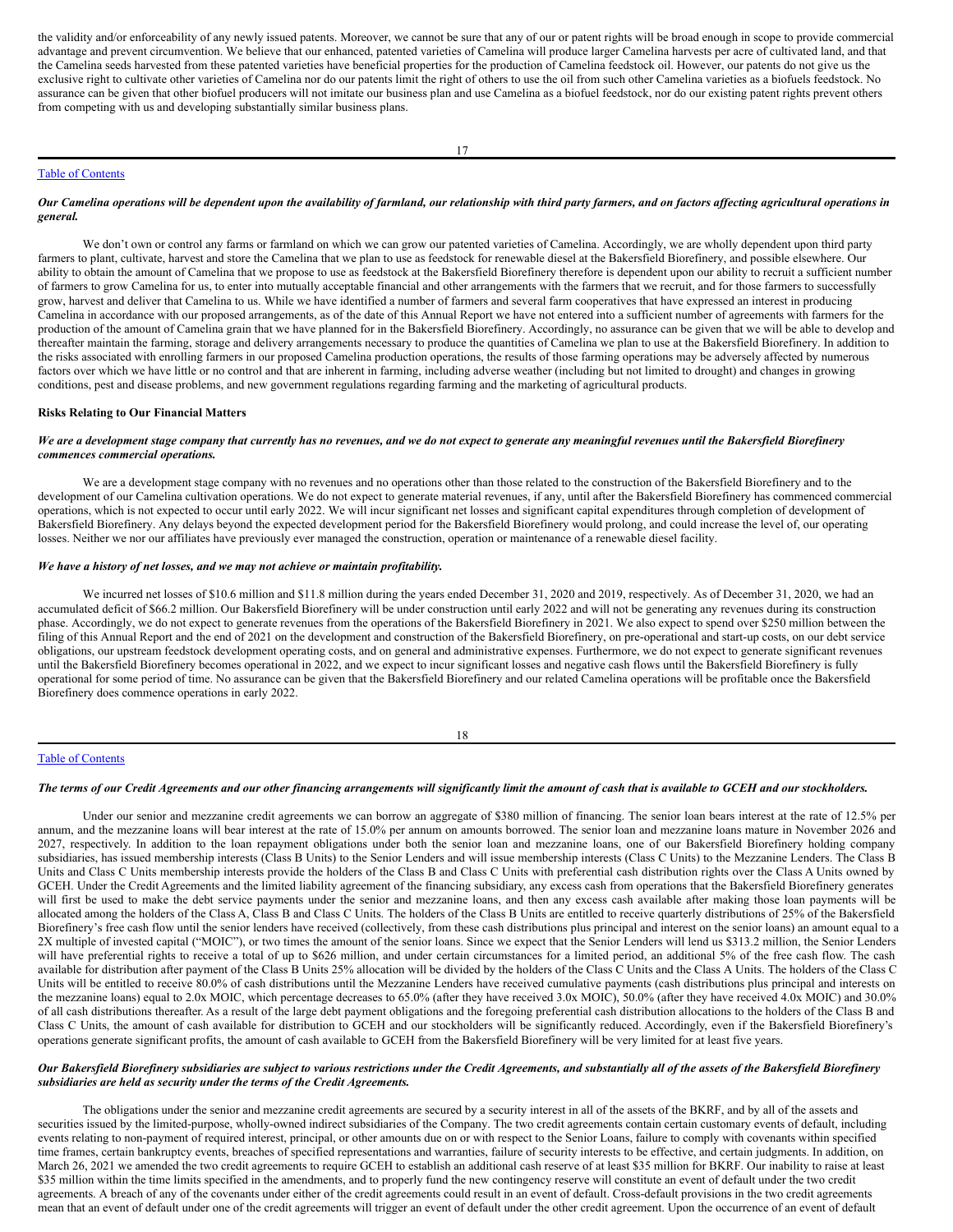the validity and/or enforceability of any newly issued patents. Moreover, we cannot be sure that any of our or patent rights will be broad enough in scope to provide commercial advantage and prevent circumvention. We believe that our enhanced, patented varieties of Camelina will produce larger Camelina harvests per acre of cultivated land, and that the Camelina seeds harvested from these patented varieties have beneficial properties for the production of Camelina feedstock oil. However, our patents do not give us the exclusive right to cultivate other varieties of Camelina nor do our patents limit the right of others to use the oil from such other Camelina varieties as a biofuels feedstock. No assurance can be given that other biofuel producers will not imitate our business plan and use Camelina as a biofuel feedstock, nor do our existing patent rights prevent others from competing with us and developing substantially similar business plans.

### Table of [Contents](#page-0-0)

### Our Camelina operations will be dependent upon the availability of farmland, our relationship with third party farmers, and on factors affecting agricultural operations in *general.*

We don't own or control any farms or farmland on which we can grow our patented varieties of Camelina. Accordingly, we are wholly dependent upon third party farmers to plant, cultivate, harvest and store the Camelina that we plan to use as feedstock for renewable diesel at the Bakersfield Biorefinery, and possible elsewhere. Our ability to obtain the amount of Camelina that we propose to use as feedstock at the Bakersfield Biorefinery therefore is dependent upon our ability to recruit a sufficient number of farmers to grow Camelina for us, to enter into mutually acceptable financial and other arrangements with the farmers that we recruit, and for those farmers to successfully grow, harvest and deliver that Camelina to us. While we have identified a number of farmers and several farm cooperatives that have expressed an interest in producing Camelina in accordance with our proposed arrangements, as of the date of this Annual Report we have not entered into a sufficient number of agreements with farmers for the production of the amount of Camelina grain that we have planned for in the Bakersfield Biorefinery. Accordingly, no assurance can be given that we will be able to develop and thereafter maintain the farming, storage and delivery arrangements necessary to produce the quantities of Camelina we plan to use at the Bakersfield Biorefinery. In addition to the risks associated with enrolling farmers in our proposed Camelina production operations, the results of those farming operations may be adversely affected by numerous factors over which we have little or no control and that are inherent in farming, including adverse weather (including but not limited to drought) and changes in growing conditions, pest and disease problems, and new government regulations regarding farming and the marketing of agricultural products.

### **Risks Relating to Our Financial Matters**

#### We are a development stage company that currently has no revenues, and we do not expect to generate any meaningful revenues until the Bakersfield Biorefinery *commences commercial operations.*

We are a development stage company with no revenues and no operations other than those related to the construction of the Bakersfield Biorefinery and to the development of our Camelina cultivation operations. We do not expect to generate material revenues, if any, until after the Bakersfield Biorefinery has commenced commercial operations, which is not expected to occur until early 2022. We will incur significant net losses and significant capital expenditures through completion of development of Bakersfield Biorefinery. Any delays beyond the expected development period for the Bakersfield Biorefinery would prolong, and could increase the level of, our operating losses. Neither we nor our affiliates have previously ever managed the construction, operation or maintenance of a renewable diesel facility.

### *We have a history of net losses, and we may not achieve or maintain profitability.*

We incurred net losses of \$10.6 million and \$11.8 million during the years ended December 31, 2020 and 2019, respectively. As of December 31, 2020, we had an accumulated deficit of \$66.2 million. Our Bakersfield Biorefinery will be under construction until early 2022 and will not be generating any revenues during its construction phase. Accordingly, we do not expect to generate revenues from the operations of the Bakersfield Biorefinery in 2021. We also expect to spend over \$250 million between the filing of this Annual Report and the end of 2021 on the development and construction of the Bakersfield Biorefinery, on pre-operational and start-up costs, on our debt service obligations, our upstream feedstock development operating costs, and on general and administrative expenses. Furthermore, we do not expect to generate significant revenues until the Bakersfield Biorefinery becomes operational in 2022, and we expect to incur significant losses and negative cash flows until the Bakersfield Biorefinery is fully operational for some period of time. No assurance can be given that the Bakersfield Biorefinery and our related Camelina operations will be profitable once the Bakersfield Biorefinery does commence operations in early 2022.

18

### Table of [Contents](#page-0-0)

### The terms of our Credit Agreements and our other financing arrangements will significantly limit the amount of cash that is available to GCEH and our stockholders.

Under our senior and mezzanine credit agreements we can borrow an aggregate of \$380 million of financing. The senior loan bears interest at the rate of 12.5% per annum, and the mezzanine loans will bear interest at the rate of 15.0% per annum on amounts borrowed. The senior loan and mezzanine loans mature in November 2026 and 2027, respectively. In addition to the loan repayment obligations under both the senior loan and mezzanine loans, one of our Bakersfield Biorefinery holding company subsidiaries, has issued membership interests (Class B Units) to the Senior Lenders and will issue membership interests (Class C Units) to the Mezzanine Lenders. The Class B Units and Class C Units membership interests provide the holders of the Class B and Class C Units with preferential cash distribution rights over the Class A Units owned by GCEH. Under the Credit Agreements and the limited liability agreement of the financing subsidiary, any excess cash from operations that the Bakersfield Biorefinery generates will first be used to make the debt service payments under the senior and mezzanine loans, and then any excess cash available after making those loan payments will be allocated among the holders of the Class A, Class B and Class C Units. The holders of the Class B Units are entitled to receive quarterly distributions of 25% of the Bakersfield Biorefinery's free cash flow until the senior lenders have received (collectively, from these cash distributions plus principal and interest on the senior loans) an amount equal to a 2X multiple of invested capital ("MOIC"), or two times the amount of the senior loans. Since we expect that the Senior Lenders will lend us \$313.2 million, the Senior Lenders will have preferential rights to receive a total of up to \$626 million, and under certain circumstances for a limited period, an additional 5% of the free cash flow. The cash available for distribution after payment of the Class B Units 25% allocation will be divided by the holders of the Class C Units and the Class A Units. The holders of the Class C Units will be entitled to receive 80.0% of cash distributions until the Mezzanine Lenders have received cumulative payments (cash distributions plus principal and interests on the mezzanine loans) equal to 2.0x MOIC, which percentage decreases to 65.0% (after they have received 3.0x MOIC), 50.0% (after they have received 4.0x MOIC) and 30.0% of all cash distributions thereafter. As a result of the large debt payment obligations and the foregoing preferential cash distribution allocations to the holders of the Class B and Class C Units, the amount of cash available for distribution to GCEH and our stockholders will be significantly reduced. Accordingly, even if the Bakersfield Biorefinery's operations generate significant profits, the amount of cash available to GCEH from the Bakersfield Biorefinery will be very limited for at least five years.

### Our Bakersfield Biorefinery subsidiaries are subject to various restrictions under the Credit Agreements, and substantially all of the assets of the Bakersfield Biorefinery *subsidiaries are held as security under the terms of the Credit Agreements.*

The obligations under the senior and mezzanine credit agreements are secured by a security interest in all of the assets of the BKRF, and by all of the assets and securities issued by the limited-purpose, wholly-owned indirect subsidiaries of the Company. The two credit agreements contain certain customary events of default, including events relating to non-payment of required interest, principal, or other amounts due on or with respect to the Senior Loans, failure to comply with covenants within specified time frames, certain bankruptcy events, breaches of specified representations and warranties, failure of security interests to be effective, and certain judgments. In addition, on March 26, 2021 we amended the two credit agreements to require GCEH to establish an additional cash reserve of at least \$35 million for BKRF. Our inability to raise at least \$35 million within the time limits specified in the amendments, and to properly fund the new contingency reserve will constitute an event of default under the two credit agreements. A breach of any of the covenants under either of the credit agreements could result in an event of default. Cross-default provisions in the two credit agreements mean that an event of default under one of the credit agreements will trigger an event of default under the other credit agreement. Upon the occurrence of an event of default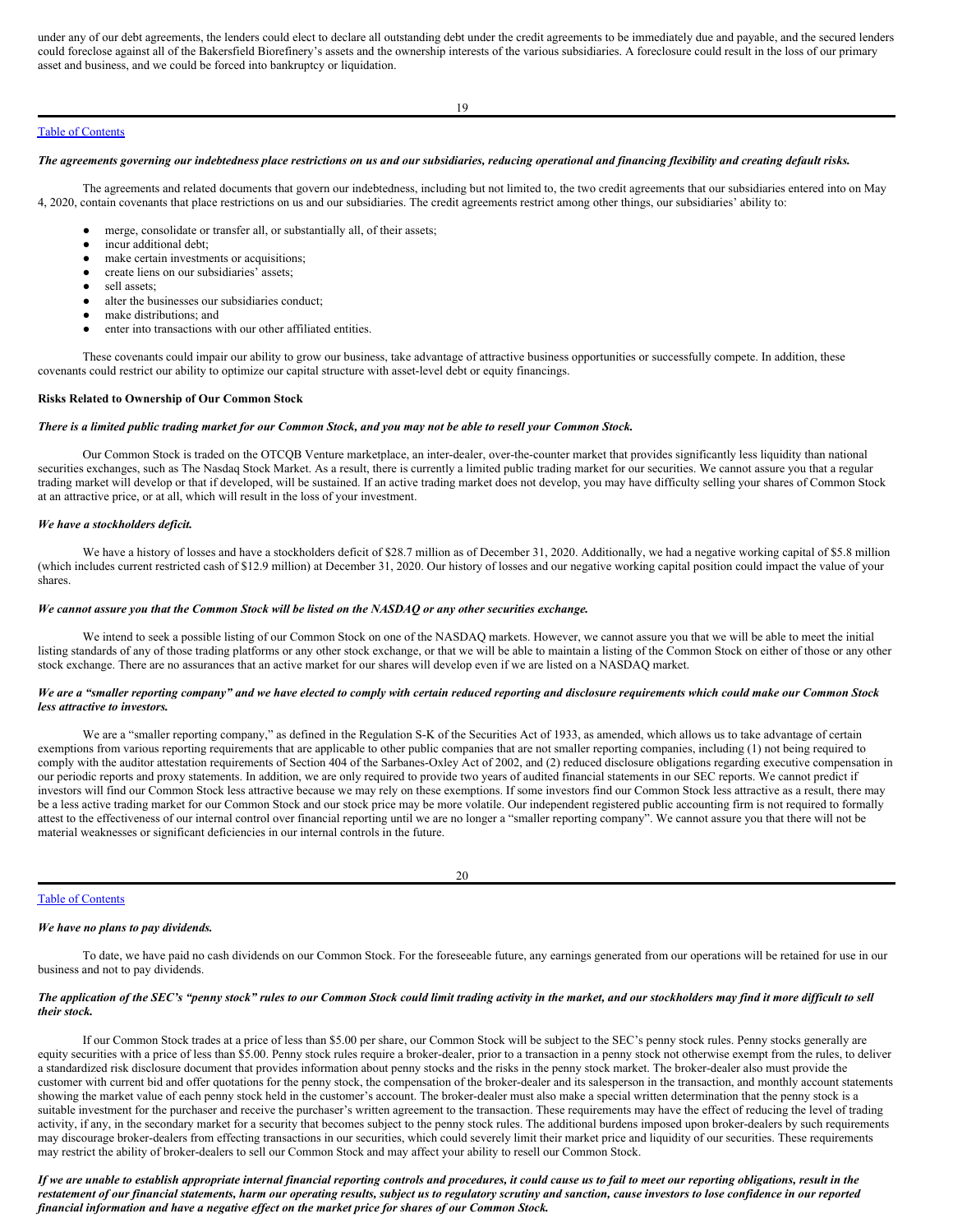under any of our debt agreements, the lenders could elect to declare all outstanding debt under the credit agreements to be immediately due and payable, and the secured lenders could foreclose against all of the Bakersfield Biorefinery's assets and the ownership interests of the various subsidiaries. A foreclosure could result in the loss of our primary asset and business, and we could be forced into bankruptcy or liquidation.

19

### Table of [Contents](#page-0-0)

#### The agreements governing our indebtedness place restrictions on us and our subsidiaries, reducing operational and financing flexibility and creating default risks.

The agreements and related documents that govern our indebtedness, including but not limited to, the two credit agreements that our subsidiaries entered into on May 4, 2020, contain covenants that place restrictions on us and our subsidiaries. The credit agreements restrict among other things, our subsidiaries' ability to:

- merge, consolidate or transfer all, or substantially all, of their assets;
- incur additional debt:
- make certain investments or acquisitions;
- create liens on our subsidiaries' assets;
- sell assets:
- alter the businesses our subsidiaries conduct;
- make distributions; and
- enter into transactions with our other affiliated entities.

These covenants could impair our ability to grow our business, take advantage of attractive business opportunities or successfully compete. In addition, these covenants could restrict our ability to optimize our capital structure with asset-level debt or equity financings.

#### **Risks Related to Ownership of Our Common Stock**

### There is a limited public trading market for our Common Stock, and you may not be able to resell your Common Stock.

Our Common Stock is traded on the OTCQB Venture marketplace, an inter-dealer, over-the-counter market that provides significantly less liquidity than national securities exchanges, such as The Nasdaq Stock Market. As a result, there is currently a limited public trading market for our securities. We cannot assure you that a regular trading market will develop or that if developed, will be sustained. If an active trading market does not develop, you may have difficulty selling your shares of Common Stock at an attractive price, or at all, which will result in the loss of your investment.

#### *We have a stockholders deficit.*

We have a history of losses and have a stockholders deficit of \$28.7 million as of December 31, 2020. Additionally, we had a negative working capital of \$5.8 million (which includes current restricted cash of \$12.9 million) at December 31, 2020. Our history of losses and our negative working capital position could impact the value of your shares.

### We cannot assure you that the Common Stock will be listed on the NASDAQ or any other securities exchange.

We intend to seek a possible listing of our Common Stock on one of the NASDAQ markets. However, we cannot assure you that we will be able to meet the initial listing standards of any of those trading platforms or any other stock exchange, or that we will be able to maintain a listing of the Common Stock on either of those or any other stock exchange. There are no assurances that an active market for our shares will develop even if we are listed on a NASDAQ market.

#### We are a "smaller reporting company" and we have elected to comply with certain reduced reporting and disclosure requirements which could make our Common Stock *less attractive to investors.*

We are a "smaller reporting company," as defined in the Regulation S-K of the Securities Act of 1933, as amended, which allows us to take advantage of certain exemptions from various reporting requirements that are applicable to other public companies that are not smaller reporting companies, including (1) not being required to comply with the auditor attestation requirements of Section 404 of the Sarbanes-Oxley Act of 2002, and (2) reduced disclosure obligations regarding executive compensation in our periodic reports and proxy statements. In addition, we are only required to provide two years of audited financial statements in our SEC reports. We cannot predict if investors will find our Common Stock less attractive because we may rely on these exemptions. If some investors find our Common Stock less attractive as a result, there may be a less active trading market for our Common Stock and our stock price may be more volatile. Our independent registered public accounting firm is not required to formally attest to the effectiveness of our internal control over financial reporting until we are no longer a "smaller reporting company". We cannot assure you that there will not be material weaknesses or significant deficiencies in our internal controls in the future.

Table of [Contents](#page-0-0)

### 20

#### *We have no plans to pay dividends.*

To date, we have paid no cash dividends on our Common Stock. For the foreseeable future, any earnings generated from our operations will be retained for use in our business and not to pay dividends.

### The application of the SEC's "penny stock" rules to our Common Stock could limit trading activity in the market, and our stockholders may find it more difficult to sell *their stock.*

If our Common Stock trades at a price of less than \$5.00 per share, our Common Stock will be subject to the SEC's penny stock rules. Penny stocks generally are equity securities with a price of less than \$5.00. Penny stock rules require a broker-dealer, prior to a transaction in a penny stock not otherwise exempt from the rules, to deliver a standardized risk disclosure document that provides information about penny stocks and the risks in the penny stock market. The broker-dealer also must provide the customer with current bid and offer quotations for the penny stock, the compensation of the broker-dealer and its salesperson in the transaction, and monthly account statements showing the market value of each penny stock held in the customer's account. The broker-dealer must also make a special written determination that the penny stock is a suitable investment for the purchaser and receive the purchaser's written agreement to the transaction. These requirements may have the effect of reducing the level of trading activity, if any, in the secondary market for a security that becomes subject to the penny stock rules. The additional burdens imposed upon broker-dealers by such requirements may discourage broker-dealers from effecting transactions in our securities, which could severely limit their market price and liquidity of our securities. These requirements may restrict the ability of broker-dealers to sell our Common Stock and may affect your ability to resell our Common Stock.

If we are unable to establish appropriate internal financial reporting controls and procedures, it could cause us to fail to meet our reporting obligations, result in the restatement of our financial statements, harm our operating results, subject us to regulatory scrutiny and sanction, cause investors to lose confidence in our reported financial information and have a negative effect on the market price for shares of our Common Stock.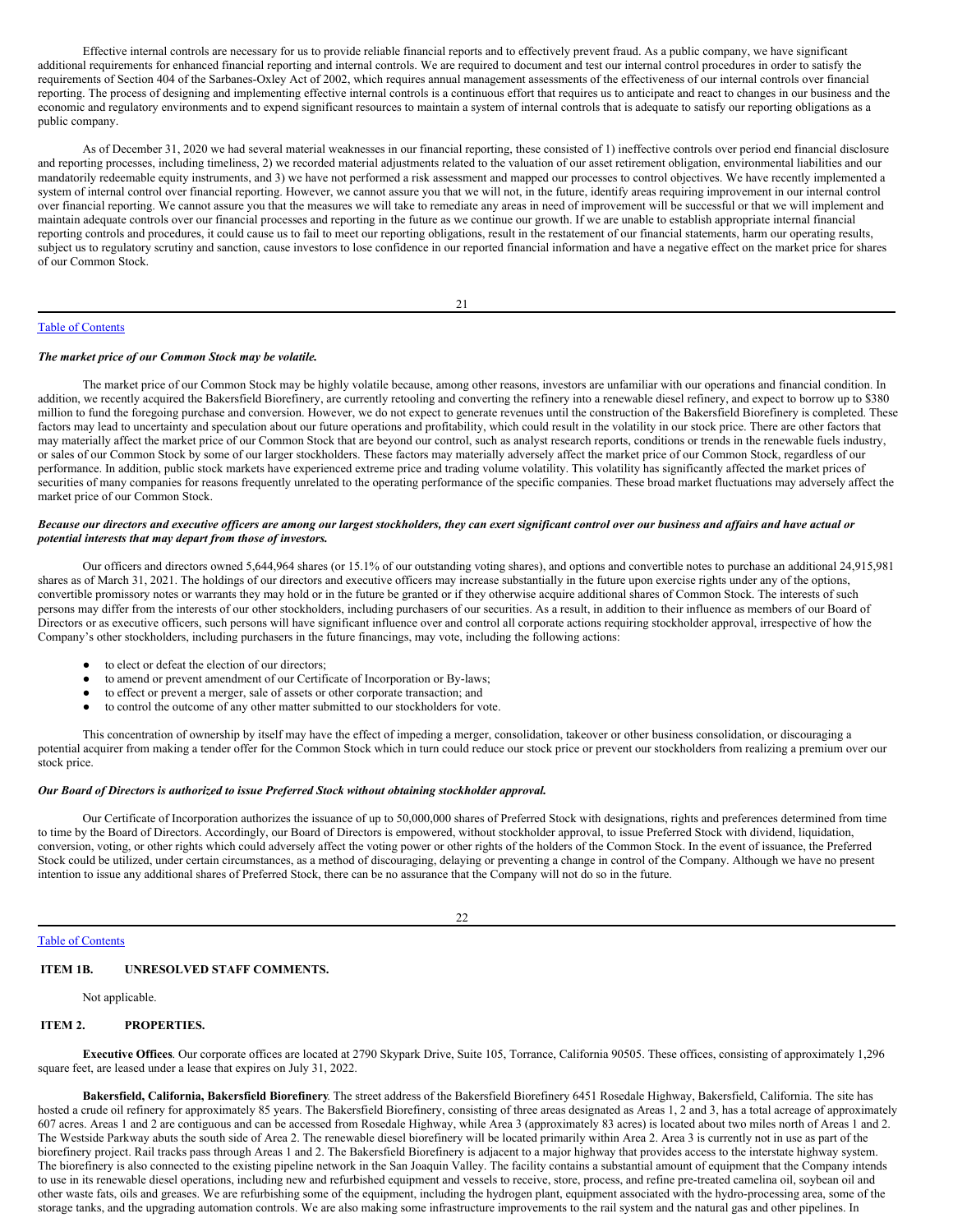Effective internal controls are necessary for us to provide reliable financial reports and to effectively prevent fraud. As a public company, we have significant additional requirements for enhanced financial reporting and internal controls. We are required to document and test our internal control procedures in order to satisfy the requirements of Section 404 of the Sarbanes-Oxley Act of 2002, which requires annual management assessments of the effectiveness of our internal controls over financial reporting. The process of designing and implementing effective internal controls is a continuous effort that requires us to anticipate and react to changes in our business and the economic and regulatory environments and to expend significant resources to maintain a system of internal controls that is adequate to satisfy our reporting obligations as a public company.

As of December 31, 2020 we had several material weaknesses in our financial reporting, these consisted of 1) ineffective controls over period end financial disclosure and reporting processes, including timeliness, 2) we recorded material adjustments related to the valuation of our asset retirement obligation, environmental liabilities and our mandatorily redeemable equity instruments, and 3) we have not performed a risk assessment and mapped our processes to control objectives. We have recently implemented a system of internal control over financial reporting. However, we cannot assure you that we will not, in the future, identify areas requiring improvement in our internal control over financial reporting. We cannot assure you that the measures we will take to remediate any areas in need of improvement will be successful or that we will implement and maintain adequate controls over our financial processes and reporting in the future as we continue our growth. If we are unable to establish appropriate internal financial reporting controls and procedures, it could cause us to fail to meet our reporting obligations, result in the restatement of our financial statements, harm our operating results, subject us to regulatory scrutiny and sanction, cause investors to lose confidence in our reported financial information and have a negative effect on the market price for shares of our Common Stock.

21

### Table of [Contents](#page-0-0)

### *The market price of our Common Stock may be volatile.*

The market price of our Common Stock may be highly volatile because, among other reasons, investors are unfamiliar with our operations and financial condition. In addition, we recently acquired the Bakersfield Biorefinery, are currently retooling and converting the refinery into a renewable diesel refinery, and expect to borrow up to \$380 million to fund the foregoing purchase and conversion. However, we do not expect to generate revenues until the construction of the Bakersfield Biorefinery is completed. These factors may lead to uncertainty and speculation about our future operations and profitability, which could result in the volatility in our stock price. There are other factors that may materially affect the market price of our Common Stock that are beyond our control, such as analyst research reports, conditions or trends in the renewable fuels industry, or sales of our Common Stock by some of our larger stockholders. These factors may materially adversely affect the market price of our Common Stock, regardless of our performance. In addition, public stock markets have experienced extreme price and trading volume volatility. This volatility has significantly affected the market prices of securities of many companies for reasons frequently unrelated to the operating performance of the specific companies. These broad market fluctuations may adversely affect the market price of our Common Stock.

### Because our directors and executive officers are among our largest stockholders, they can exert significant control over our business and affairs and have actual or *potential interests that may depart from those of investors.*

Our officers and directors owned 5,644,964 shares (or 15.1% of our outstanding voting shares), and options and convertible notes to purchase an additional 24,915,981 shares as of March 31, 2021. The holdings of our directors and executive officers may increase substantially in the future upon exercise rights under any of the options, convertible promissory notes or warrants they may hold or in the future be granted or if they otherwise acquire additional shares of Common Stock. The interests of such persons may differ from the interests of our other stockholders, including purchasers of our securities. As a result, in addition to their influence as members of our Board of Directors or as executive officers, such persons will have significant influence over and control all corporate actions requiring stockholder approval, irrespective of how the Company's other stockholders, including purchasers in the future financings, may vote, including the following actions:

- to elect or defeat the election of our directors;
- to amend or prevent amendment of our Certificate of Incorporation or By-laws;
- to effect or prevent a merger, sale of assets or other corporate transaction; and
- to control the outcome of any other matter submitted to our stockholders for vote.

This concentration of ownership by itself may have the effect of impeding a merger, consolidation, takeover or other business consolidation, or discouraging a potential acquirer from making a tender offer for the Common Stock which in turn could reduce our stock price or prevent our stockholders from realizing a premium over our stock price.

#### *Our Board of Directors is authorized to issue Preferred Stock without obtaining stockholder approval.*

Our Certificate of Incorporation authorizes the issuance of up to 50,000,000 shares of Preferred Stock with designations, rights and preferences determined from time to time by the Board of Directors. Accordingly, our Board of Directors is empowered, without stockholder approval, to issue Preferred Stock with dividend, liquidation, conversion, voting, or other rights which could adversely affect the voting power or other rights of the holders of the Common Stock. In the event of issuance, the Preferred Stock could be utilized, under certain circumstances, as a method of discouraging, delaying or preventing a change in control of the Company. Although we have no present intention to issue any additional shares of Preferred Stock, there can be no assurance that the Company will not do so in the future.

### 22

### Table of [Contents](#page-0-0)

### <span id="page-12-0"></span>**ITEM 1B. UNRESOLVED STAFF COMMENTS.**

Not applicable.

### <span id="page-12-1"></span>**ITEM 2. PROPERTIES.**

**Executive Offices**. Our corporate offices are located at 2790 Skypark Drive, Suite 105, Torrance, California 90505. These offices, consisting of approximately 1,296 square feet, are leased under a lease that expires on July 31, 2022.

**Bakersfield, California, Bakersfield Biorefinery**. The street address of the Bakersfield Biorefinery 6451 Rosedale Highway, Bakersfield, California. The site has hosted a crude oil refinery for approximately 85 years. The Bakersfield Biorefinery, consisting of three areas designated as Areas 1, 2 and 3, has a total acreage of approximately 607 acres. Areas 1 and 2 are contiguous and can be accessed from Rosedale Highway, while Area 3 (approximately 83 acres) is located about two miles north of Areas 1 and 2. The Westside Parkway abuts the south side of Area 2. The renewable diesel biorefinery will be located primarily within Area 2. Area 3 is currently not in use as part of the biorefinery project. Rail tracks pass through Areas 1 and 2. The Bakersfield Biorefinery is adjacent to a major highway that provides access to the interstate highway system. The biorefinery is also connected to the existing pipeline network in the San Joaquin Valley. The facility contains a substantial amount of equipment that the Company intends to use in its renewable diesel operations, including new and refurbished equipment and vessels to receive, store, process, and refine pre-treated camelina oil, soybean oil and other waste fats, oils and greases. We are refurbishing some of the equipment, including the hydrogen plant, equipment associated with the hydro-processing area, some of the storage tanks, and the upgrading automation controls. We are also making some infrastructure improvements to the rail system and the natural gas and other pipelines. In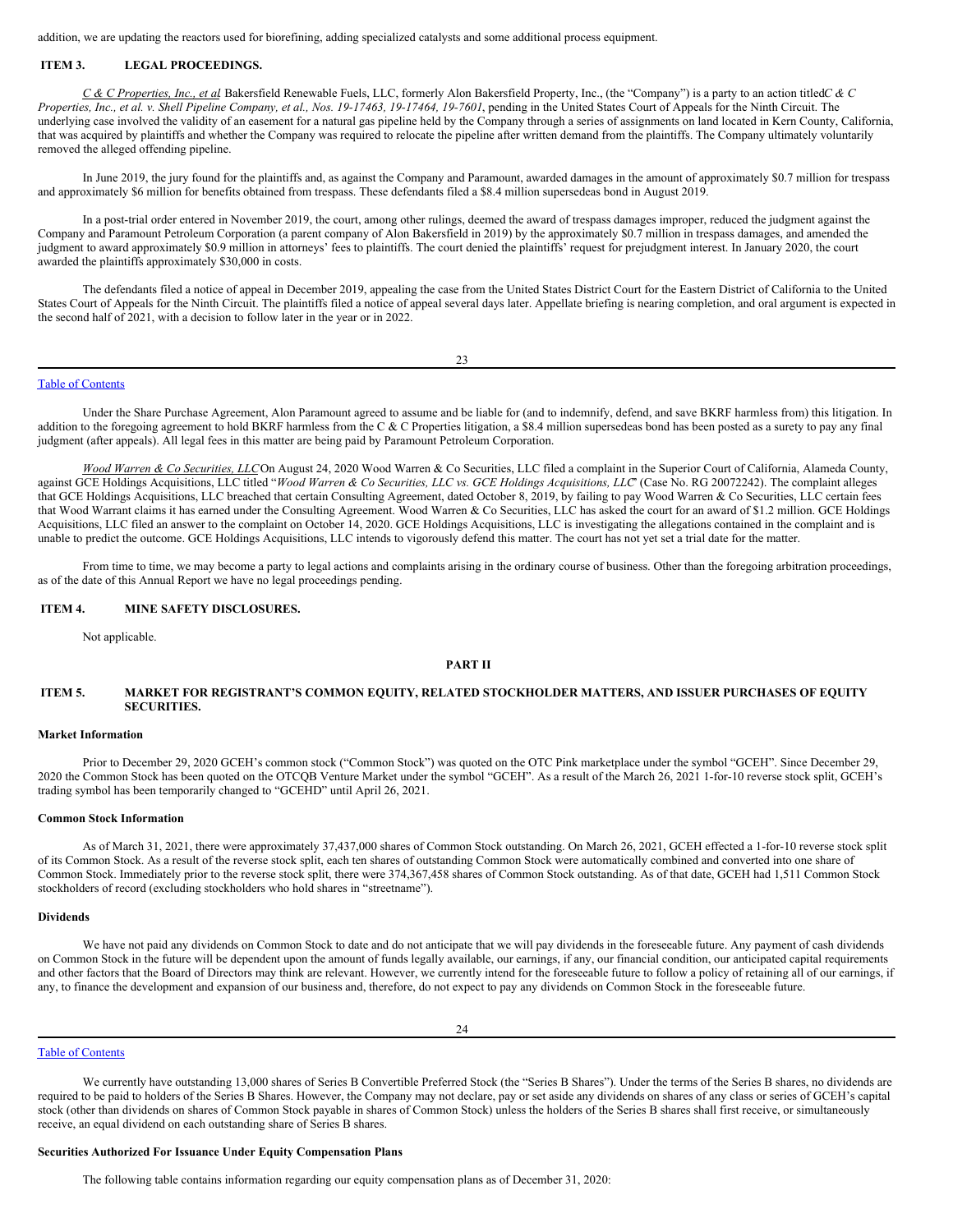addition, we are updating the reactors used for biorefining, adding specialized catalysts and some additional process equipment.

### <span id="page-13-0"></span>**ITEM 3. LEGAL PROCEEDINGS.**

C & C Properties, Inc., et al. Bakersfield Renewable Fuels, LLC, formerly Alon Bakersfield Property, Inc., (the "Company") is a party to an action titledC & C Properties, Inc., et al. v. Shell Pipeline Company, et al., Nos. 19-17463, 19-17464, 19-7601, pending in the United States Court of Appeals for the Ninth Circuit. The underlying case involved the validity of an easement for a natural gas pipeline held by the Company through a series of assignments on land located in Kern County, California, that was acquired by plaintiffs and whether the Company was required to relocate the pipeline after written demand from the plaintiffs. The Company ultimately voluntarily removed the alleged offending pipeline.

In June 2019, the jury found for the plaintiffs and, as against the Company and Paramount, awarded damages in the amount of approximately \$0.7 million for trespass and approximately \$6 million for benefits obtained from trespass. These defendants filed a \$8.4 million supersedeas bond in August 2019.

In a post-trial order entered in November 2019, the court, among other rulings, deemed the award of trespass damages improper, reduced the judgment against the Company and Paramount Petroleum Corporation (a parent company of Alon Bakersfield in 2019) by the approximately \$0.7 million in trespass damages, and amended the judgment to award approximately \$0.9 million in attorneys' fees to plaintiffs. The court denied the plaintiffs' request for prejudgment interest. In January 2020, the court awarded the plaintiffs approximately \$30,000 in costs.

The defendants filed a notice of appeal in December 2019, appealing the case from the United States District Court for the Eastern District of California to the United States Court of Appeals for the Ninth Circuit. The plaintiffs filed a notice of appeal several days later. Appellate briefing is nearing completion, and oral argument is expected in the second half of 2021, with a decision to follow later in the year or in 2022.

 $23$ 

### Table of [Contents](#page-0-0)

Under the Share Purchase Agreement, Alon Paramount agreed to assume and be liable for (and to indemnify, defend, and save BKRF harmless from) this litigation. In addition to the foregoing agreement to hold BKRF harmless from the C  $&$  C Properties litigation, a \$8.4 million supersedeas bond has been posted as a surety to pay any final judgment (after appeals). All legal fees in this matter are being paid by Paramount Petroleum Corporation.

*Wood Warren & Co Securities, LLC*On August 24, 2020 Wood Warren & Co Securities, LLC filed a complaint in the Superior Court of California, Alameda County, against GCE Holdings Acquisitions, LLC titled "Wood Warren & Co Securities, LLC vs. GCE Holdings Acquisitions, LLC' (Case No. RG 20072242). The complaint alleges that GCE Holdings Acquisitions, LLC breached that certain Consulting Agreement, dated October 8, 2019, by failing to pay Wood Warren & Co Securities, LLC certain fees that Wood Warrant claims it has earned under the Consulting Agreement. Wood Warren & Co Securities, LLC has asked the court for an award of \$1.2 million. GCE Holdings Acquisitions, LLC filed an answer to the complaint on October 14, 2020. GCE Holdings Acquisitions, LLC is investigating the allegations contained in the complaint and is unable to predict the outcome. GCE Holdings Acquisitions, LLC intends to vigorously defend this matter. The court has not yet set a trial date for the matter.

From time to time, we may become a party to legal actions and complaints arising in the ordinary course of business. Other than the foregoing arbitration proceedings, as of the date of this Annual Report we have no legal proceedings pending.

### <span id="page-13-1"></span>**ITEM 4. MINE SAFETY DISCLOSURES.**

Not applicable.

#### <span id="page-13-2"></span>**PART II**

### <span id="page-13-3"></span>**ITEM 5. MARKET FOR REGISTRANT'S COMMON EQUITY, RELATED STOCKHOLDER MATTERS, AND ISSUER PURCHASES OF EQUITY SECURITIES.**

#### **Market Information**

Prior to December 29, 2020 GCEH's common stock ("Common Stock") was quoted on the OTC Pink marketplace under the symbol "GCEH". Since December 29, 2020 the Common Stock has been quoted on the OTCQB Venture Market under the symbol "GCEH". As a result of the March 26, 2021 1-for-10 reverse stock split, GCEH's trading symbol has been temporarily changed to "GCEHD" until April 26, 2021.

### **Common Stock Information**

As of March 31, 2021, there were approximately 37,437,000 shares of Common Stock outstanding. On March 26, 2021, GCEH effected a 1-for-10 reverse stock split of its Common Stock. As a result of the reverse stock split, each ten shares of outstanding Common Stock were automatically combined and converted into one share of Common Stock. Immediately prior to the reverse stock split, there were 374,367,458 shares of Common Stock outstanding. As of that date, GCEH had 1,511 Common Stock stockholders of record (excluding stockholders who hold shares in "streetname").

### **Dividends**

We have not paid any dividends on Common Stock to date and do not anticipate that we will pay dividends in the foreseeable future. Any payment of cash dividends on Common Stock in the future will be dependent upon the amount of funds legally available, our earnings, if any, our financial condition, our anticipated capital requirements and other factors that the Board of Directors may think are relevant. However, we currently intend for the foreseeable future to follow a policy of retaining all of our earnings, if any, to finance the development and expansion of our business and, therefore, do not expect to pay any dividends on Common Stock in the foreseeable future.

24

#### Table of [Contents](#page-0-0)

We currently have outstanding 13,000 shares of Series B Convertible Preferred Stock (the "Series B Shares"). Under the terms of the Series B shares, no dividends are required to be paid to holders of the Series B Shares. However, the Company may not declare, pay or set aside any dividends on shares of any class or series of GCEH's capital stock (other than dividends on shares of Common Stock payable in shares of Common Stock) unless the holders of the Series B shares shall first receive, or simultaneously receive, an equal dividend on each outstanding share of Series B shares.

#### **Securities Authorized For Issuance Under Equity Compensation Plans**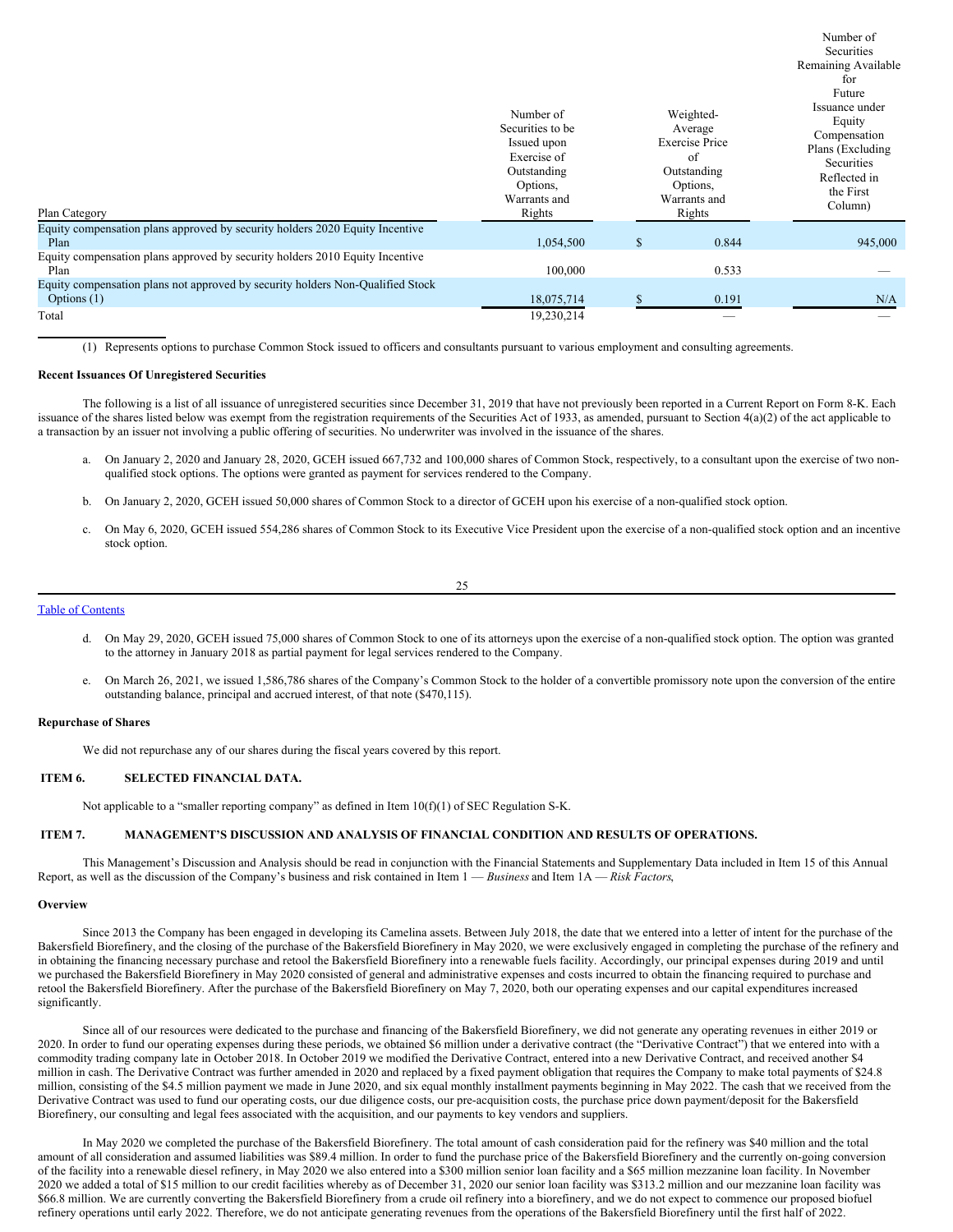| Plan Category                                                                                          | Number of<br>Securities to be<br>Issued upon<br>Exercise of<br>Outstanding<br>Options,<br>Warrants and<br>Rights |               | Weighted-<br>Average<br><b>Exercise Price</b><br>of<br>Outstanding<br>Options,<br>Warrants and<br>Rights | Securities<br>Remaining Available<br>for<br>Future<br>Issuance under<br>Equity<br>Compensation<br>Plans (Excluding)<br>Securities<br>Reflected in<br>the First<br>Column) |
|--------------------------------------------------------------------------------------------------------|------------------------------------------------------------------------------------------------------------------|---------------|----------------------------------------------------------------------------------------------------------|---------------------------------------------------------------------------------------------------------------------------------------------------------------------------|
| Equity compensation plans approved by security holders 2020 Equity Incentive<br>Plan                   | 1,054,500                                                                                                        | <sup>\$</sup> | 0.844                                                                                                    | 945,000                                                                                                                                                                   |
| Equity compensation plans approved by security holders 2010 Equity Incentive<br>Plan                   | 100,000                                                                                                          |               | 0.533                                                                                                    |                                                                                                                                                                           |
| Equity compensation plans not approved by security holders Non-Qualified Stock<br>Options (1)<br>Total | 18,075,714<br>19,230,214                                                                                         |               | 0.191                                                                                                    | N/A                                                                                                                                                                       |

Number of

(1) Represents options to purchase Common Stock issued to officers and consultants pursuant to various employment and consulting agreements.

### **Recent Issuances Of Unregistered Securities**

The following is a list of all issuance of unregistered securities since December 31, 2019 that have not previously been reported in a Current Report on Form 8-K. Each issuance of the shares listed below was exempt from the registration requirements of the Securities Act of 1933, as amended, pursuant to Section 4(a)(2) of the act applicable to a transaction by an issuer not involving a public offering of securities. No underwriter was involved in the issuance of the shares.

- On January 2, 2020 and January 28, 2020, GCEH issued 667,732 and 100,000 shares of Common Stock, respectively, to a consultant upon the exercise of two nonqualified stock options. The options were granted as payment for services rendered to the Company.
- b. On January 2, 2020, GCEH issued 50,000 shares of Common Stock to a director of GCEH upon his exercise of a non-qualified stock option.
- c. On May 6, 2020, GCEH issued 554,286 shares of Common Stock to its Executive Vice President upon the exercise of a non-qualified stock option and an incentive stock option.

| ×<br>×,<br>I |              |
|--------------|--------------|
|              | ۰.<br>v<br>v |

### Table of [Contents](#page-0-0)

- d. On May 29, 2020, GCEH issued 75,000 shares of Common Stock to one of its attorneys upon the exercise of a non-qualified stock option. The option was granted to the attorney in January 2018 as partial payment for legal services rendered to the Company.
- e. On March 26, 2021, we issued 1,586,786 shares of the Company's Common Stock to the holder of a convertible promissory note upon the conversion of the entire outstanding balance, principal and accrued interest, of that note (\$470,115).

#### **Repurchase of Shares**

We did not repurchase any of our shares during the fiscal years covered by this report.

### <span id="page-14-0"></span>**ITEM 6. SELECTED FINANCIAL DATA.**

Not applicable to a "smaller reporting company" as defined in Item  $10(f)(1)$  of SEC Regulation S-K.

### <span id="page-14-1"></span>**ITEM 7. MANAGEMENT'S DISCUSSION AND ANALYSIS OF FINANCIAL CONDITION AND RESULTS OF OPERATIONS.**

This Management's Discussion and Analysis should be read in conjunction with the Financial Statements and Supplementary Data included in Item 15 of this Annual Report, as well as the discussion of the Company's business and risk contained in Item 1 — *Business* and Item 1A — *Risk Factors*,

### **Overview**

Since 2013 the Company has been engaged in developing its Camelina assets. Between July 2018, the date that we entered into a letter of intent for the purchase of the Bakersfield Biorefinery, and the closing of the purchase of the Bakersfield Biorefinery in May 2020, we were exclusively engaged in completing the purchase of the refinery and in obtaining the financing necessary purchase and retool the Bakersfield Biorefinery into a renewable fuels facility. Accordingly, our principal expenses during 2019 and until we purchased the Bakersfield Biorefinery in May 2020 consisted of general and administrative expenses and costs incurred to obtain the financing required to purchase and retool the Bakersfield Biorefinery. After the purchase of the Bakersfield Biorefinery on May 7, 2020, both our operating expenses and our capital expenditures increased significantly.

Since all of our resources were dedicated to the purchase and financing of the Bakersfield Biorefinery, we did not generate any operating revenues in either 2019 or 2020. In order to fund our operating expenses during these periods, we obtained \$6 million under a derivative contract (the "Derivative Contract") that we entered into with a commodity trading company late in October 2018. In October 2019 we modified the Derivative Contract, entered into a new Derivative Contract, and received another \$4 million in cash. The Derivative Contract was further amended in 2020 and replaced by a fixed payment obligation that requires the Company to make total payments of \$24.8 million, consisting of the \$4.5 million payment we made in June 2020, and six equal monthly installment payments beginning in May 2022. The cash that we received from the Derivative Contract was used to fund our operating costs, our due diligence costs, our pre-acquisition costs, the purchase price down payment/deposit for the Bakersfield Biorefinery, our consulting and legal fees associated with the acquisition, and our payments to key vendors and suppliers.

In May 2020 we completed the purchase of the Bakersfield Biorefinery. The total amount of cash consideration paid for the refinery was \$40 million and the total amount of all consideration and assumed liabilities was \$89.4 million. In order to fund the purchase price of the Bakersfield Biorefinery and the currently on-going conversion of the facility into a renewable diesel refinery, in May 2020 we also entered into a \$300 million senior loan facility and a \$65 million mezzanine loan facility. In November 2020 we added a total of \$15 million to our credit facilities whereby as of December 31, 2020 our senior loan facility was \$313.2 million and our mezzanine loan facility was \$66.8 million. We are currently converting the Bakersfield Biorefinery from a crude oil refinery into a biorefinery, and we do not expect to commence our proposed biofuel refinery operations until early 2022. Therefore, we do not anticipate generating revenues from the operations of the Bakersfield Biorefinery until the first half of 2022.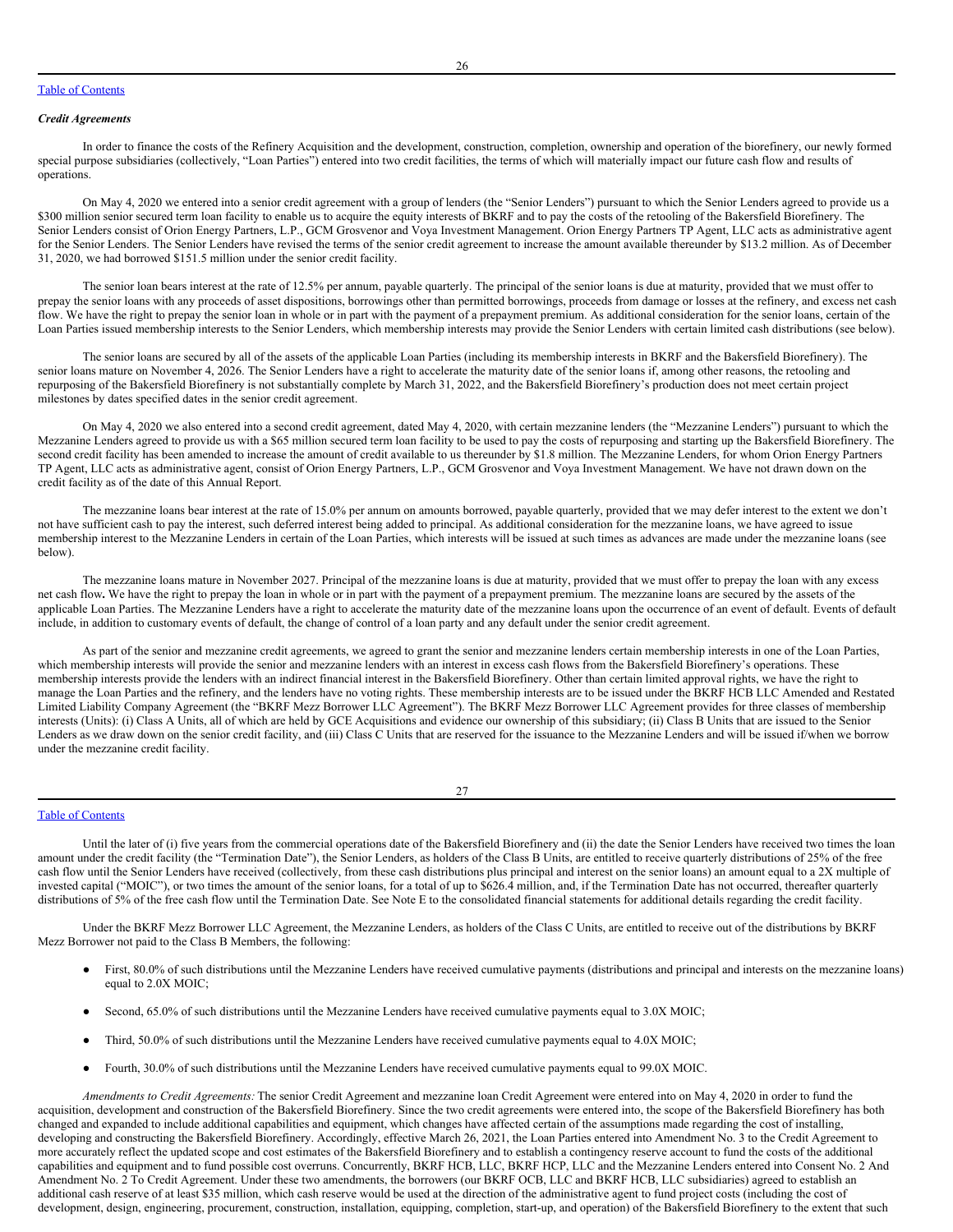### Table of [Contents](#page-0-0)

### *Credit Agreements*

In order to finance the costs of the Refinery Acquisition and the development, construction, completion, ownership and operation of the biorefinery, our newly formed special purpose subsidiaries (collectively, "Loan Parties") entered into two credit facilities, the terms of which will materially impact our future cash flow and results of operations.

On May 4, 2020 we entered into a senior credit agreement with a group of lenders (the "Senior Lenders") pursuant to which the Senior Lenders agreed to provide us a \$300 million senior secured term loan facility to enable us to acquire the equity interests of BKRF and to pay the costs of the retooling of the Bakersfield Biorefinery. The Senior Lenders consist of Orion Energy Partners, L.P., GCM Grosvenor and Voya Investment Management. Orion Energy Partners TP Agent, LLC acts as administrative agent for the Senior Lenders. The Senior Lenders have revised the terms of the senior credit agreement to increase the amount available thereunder by \$13.2 million. As of December 31, 2020, we had borrowed \$151.5 million under the senior credit facility.

The senior loan bears interest at the rate of 12.5% per annum, payable quarterly. The principal of the senior loans is due at maturity, provided that we must offer to prepay the senior loans with any proceeds of asset dispositions, borrowings other than permitted borrowings, proceeds from damage or losses at the refinery, and excess net cash flow. We have the right to prepay the senior loan in whole or in part with the payment of a prepayment premium. As additional consideration for the senior loans, certain of the Loan Parties issued membership interests to the Senior Lenders, which membership interests may provide the Senior Lenders with certain limited cash distributions (see below).

The senior loans are secured by all of the assets of the applicable Loan Parties (including its membership interests in BKRF and the Bakersfield Biorefinery). The senior loans mature on November 4, 2026. The Senior Lenders have a right to accelerate the maturity date of the senior loans if, among other reasons, the retooling and repurposing of the Bakersfield Biorefinery is not substantially complete by March 31, 2022, and the Bakersfield Biorefinery's production does not meet certain project milestones by dates specified dates in the senior credit agreement.

On May 4, 2020 we also entered into a second credit agreement, dated May 4, 2020, with certain mezzanine lenders (the "Mezzanine Lenders") pursuant to which the Mezzanine Lenders agreed to provide us with a \$65 million secured term loan facility to be used to pay the costs of repurposing and starting up the Bakersfield Biorefinery. The second credit facility has been amended to increase the amount of credit available to us thereunder by \$1.8 million. The Mezzanine Lenders, for whom Orion Energy Partners TP Agent, LLC acts as administrative agent, consist of Orion Energy Partners, L.P., GCM Grosvenor and Voya Investment Management. We have not drawn down on the credit facility as of the date of this Annual Report.

The mezzanine loans bear interest at the rate of 15.0% per annum on amounts borrowed, payable quarterly, provided that we may defer interest to the extent we don't not have sufficient cash to pay the interest, such deferred interest being added to principal. As additional consideration for the mezzanine loans, we have agreed to issue membership interest to the Mezzanine Lenders in certain of the Loan Parties, which interests will be issued at such times as advances are made under the mezzanine loans (see below).

The mezzanine loans mature in November 2027. Principal of the mezzanine loans is due at maturity, provided that we must offer to prepay the loan with any excess net cash flow**.** We have the right to prepay the loan in whole or in part with the payment of a prepayment premium. The mezzanine loans are secured by the assets of the applicable Loan Parties. The Mezzanine Lenders have a right to accelerate the maturity date of the mezzanine loans upon the occurrence of an event of default. Events of default include, in addition to customary events of default, the change of control of a loan party and any default under the senior credit agreement.

As part of the senior and mezzanine credit agreements, we agreed to grant the senior and mezzanine lenders certain membership interests in one of the Loan Parties, which membership interests will provide the senior and mezzanine lenders with an interest in excess cash flows from the Bakersfield Biorefinery's operations. These membership interests provide the lenders with an indirect financial interest in the Bakersfield Biorefinery. Other than certain limited approval rights, we have the right to manage the Loan Parties and the refinery, and the lenders have no voting rights. These membership interests are to be issued under the BKRF HCB LLC Amended and Restated Limited Liability Company Agreement (the "BKRF Mezz Borrower LLC Agreement"). The BKRF Mezz Borrower LLC Agreement provides for three classes of membership interests (Units): (i) Class A Units, all of which are held by GCE Acquisitions and evidence our ownership of this subsidiary; (ii) Class B Units that are issued to the Senior Lenders as we draw down on the senior credit facility, and (iii) Class C Units that are reserved for the issuance to the Mezzanine Lenders and will be issued if/when we borrow under the mezzanine credit facility.

### Table of [Contents](#page-0-0)

Until the later of (i) five years from the commercial operations date of the Bakersfield Biorefinery and (ii) the date the Senior Lenders have received two times the loan amount under the credit facility (the "Termination Date"), the Senior Lenders, as holders of the Class B Units, are entitled to receive quarterly distributions of 25% of the free cash flow until the Senior Lenders have received (collectively, from these cash distributions plus principal and interest on the senior loans) an amount equal to a 2X multiple of invested capital ("MOIC"), or two times the amount of the senior loans, for a total of up to \$626.4 million, and, if the Termination Date has not occurred, thereafter quarterly distributions of 5% of the free cash flow until the Termination Date. See Note E to the consolidated financial statements for additional details regarding the credit facility.

Under the BKRF Mezz Borrower LLC Agreement, the Mezzanine Lenders, as holders of the Class C Units, are entitled to receive out of the distributions by BKRF Mezz Borrower not paid to the Class B Members, the following:

- First, 80.0% of such distributions until the Mezzanine Lenders have received cumulative payments (distributions and principal and interests on the mezzanine loans) equal to 2.0X MOIC;
- Second, 65.0% of such distributions until the Mezzanine Lenders have received cumulative payments equal to 3.0X MOIC;
- Third, 50.0% of such distributions until the Mezzanine Lenders have received cumulative payments equal to 4.0X MOIC;
- Fourth, 30.0% of such distributions until the Mezzanine Lenders have received cumulative payments equal to 99.0X MOIC.

*Amendments to Credit Agreements:* The senior Credit Agreement and mezzanine loan Credit Agreement were entered into on May 4, 2020 in order to fund the acquisition, development and construction of the Bakersfield Biorefinery. Since the two credit agreements were entered into, the scope of the Bakersfield Biorefinery has both changed and expanded to include additional capabilities and equipment, which changes have affected certain of the assumptions made regarding the cost of installing, developing and constructing the Bakersfield Biorefinery. Accordingly, effective March 26, 2021, the Loan Parties entered into Amendment No. 3 to the Credit Agreement to more accurately reflect the updated scope and cost estimates of the Bakersfield Biorefinery and to establish a contingency reserve account to fund the costs of the additional capabilities and equipment and to fund possible cost overruns. Concurrently, BKRF HCB, LLC, BKRF HCP, LLC and the Mezzanine Lenders entered into Consent No. 2 And Amendment No. 2 To Credit Agreement. Under these two amendments, the borrowers (our BKRF OCB, LLC and BKRF HCB, LLC subsidiaries) agreed to establish an additional cash reserve of at least \$35 million, which cash reserve would be used at the direction of the administrative agent to fund project costs (including the cost of development, design, engineering, procurement, construction, installation, equipping, completion, start-up, and operation) of the Bakersfield Biorefinery to the extent that such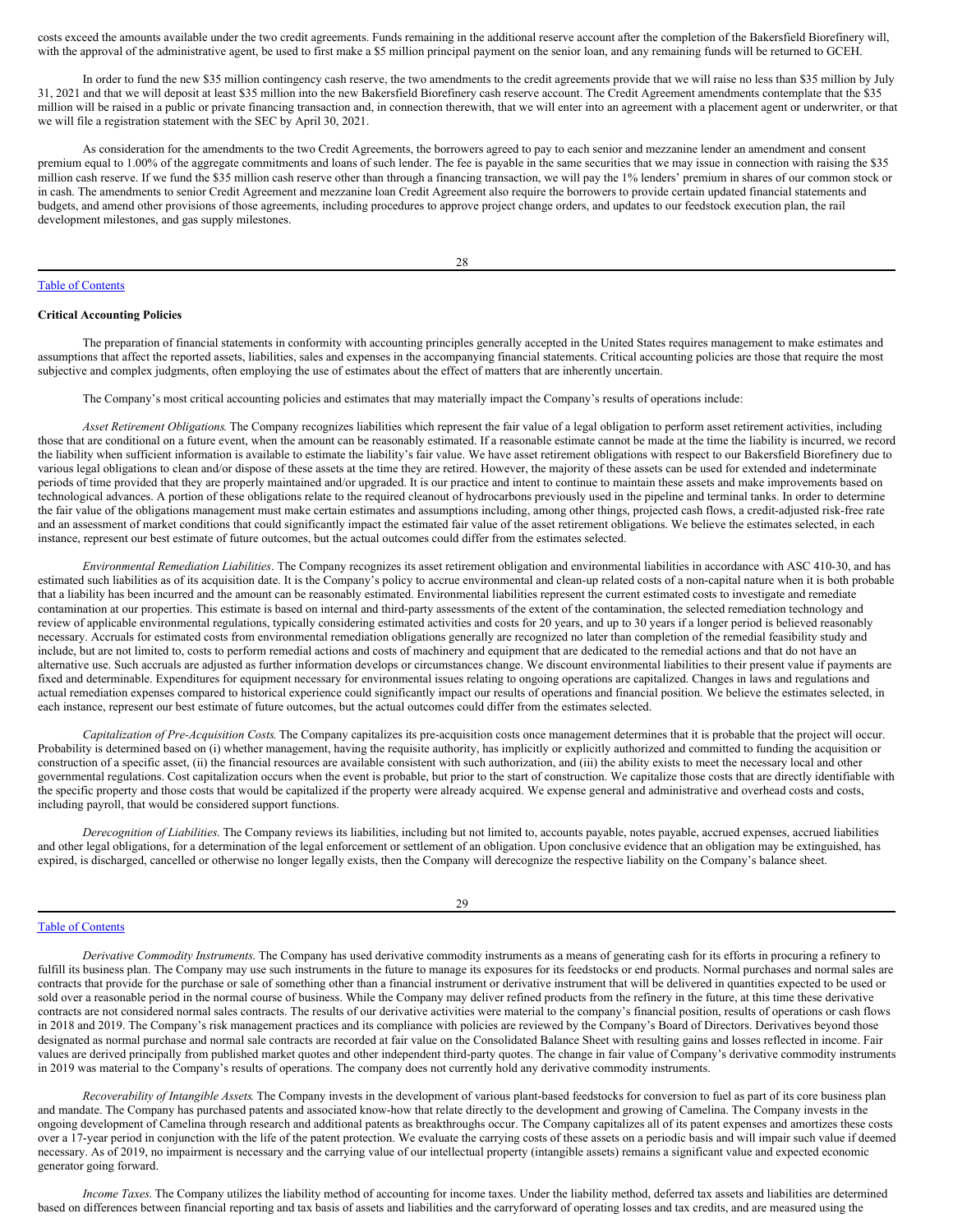costs exceed the amounts available under the two credit agreements. Funds remaining in the additional reserve account after the completion of the Bakersfield Biorefinery will, with the approval of the administrative agent, be used to first make a \$5 million principal payment on the senior loan, and any remaining funds will be returned to GCEH.

In order to fund the new \$35 million contingency cash reserve, the two amendments to the credit agreements provide that we will raise no less than \$35 million by July 31, 2021 and that we will deposit at least \$35 million into the new Bakersfield Biorefinery cash reserve account. The Credit Agreement amendments contemplate that the \$35 million will be raised in a public or private financing transaction and, in connection therewith, that we will enter into an agreement with a placement agent or underwriter, or that we will file a registration statement with the SEC by April 30, 2021.

As consideration for the amendments to the two Credit Agreements, the borrowers agreed to pay to each senior and mezzanine lender an amendment and consent premium equal to 1.00% of the aggregate commitments and loans of such lender. The fee is payable in the same securities that we may issue in connection with raising the \$35 million cash reserve. If we fund the \$35 million cash reserve other than through a financing transaction, we will pay the 1% lenders' premium in shares of our common stock or in cash. The amendments to senior Credit Agreement and mezzanine loan Credit Agreement also require the borrowers to provide certain updated financial statements and budgets, and amend other provisions of those agreements, including procedures to approve project change orders, and updates to our feedstock execution plan, the rail development milestones, and gas supply milestones.

28

### Table of [Contents](#page-0-0)

### **Critical Accounting Policies**

The preparation of financial statements in conformity with accounting principles generally accepted in the United States requires management to make estimates and assumptions that affect the reported assets, liabilities, sales and expenses in the accompanying financial statements. Critical accounting policies are those that require the most subjective and complex judgments, often employing the use of estimates about the effect of matters that are inherently uncertain.

The Company's most critical accounting policies and estimates that may materially impact the Company's results of operations include:

*Asset Retirement Obligations*. The Company recognizes liabilities which represent the fair value of a legal obligation to perform asset retirement activities, including those that are conditional on a future event, when the amount can be reasonably estimated. If a reasonable estimate cannot be made at the time the liability is incurred, we record the liability when sufficient information is available to estimate the liability's fair value. We have asset retirement obligations with respect to our Bakersfield Biorefinery due to various legal obligations to clean and/or dispose of these assets at the time they are retired. However, the majority of these assets can be used for extended and indeterminate periods of time provided that they are properly maintained and/or upgraded. It is our practice and intent to continue to maintain these assets and make improvements based on technological advances. A portion of these obligations relate to the required cleanout of hydrocarbons previously used in the pipeline and terminal tanks. In order to determine the fair value of the obligations management must make certain estimates and assumptions including, among other things, projected cash flows, a credit-adjusted risk-free rate and an assessment of market conditions that could significantly impact the estimated fair value of the asset retirement obligations. We believe the estimates selected, in each instance, represent our best estimate of future outcomes, but the actual outcomes could differ from the estimates selected.

*Environmental Remediation Liabilities*. The Company recognizes its asset retirement obligation and environmental liabilities in accordance with ASC 410-30, and has estimated such liabilities as of its acquisition date. It is the Company's policy to accrue environmental and clean-up related costs of a non-capital nature when it is both probable that a liability has been incurred and the amount can be reasonably estimated. Environmental liabilities represent the current estimated costs to investigate and remediate contamination at our properties. This estimate is based on internal and third-party assessments of the extent of the contamination, the selected remediation technology and review of applicable environmental regulations, typically considering estimated activities and costs for 20 years, and up to 30 years if a longer period is believed reasonably necessary. Accruals for estimated costs from environmental remediation obligations generally are recognized no later than completion of the remedial feasibility study and include, but are not limited to, costs to perform remedial actions and costs of machinery and equipment that are dedicated to the remedial actions and that do not have an alternative use. Such accruals are adjusted as further information develops or circumstances change. We discount environmental liabilities to their present value if payments are fixed and determinable. Expenditures for equipment necessary for environmental issues relating to ongoing operations are capitalized. Changes in laws and regulations and actual remediation expenses compared to historical experience could significantly impact our results of operations and financial position. We believe the estimates selected, in each instance, represent our best estimate of future outcomes, but the actual outcomes could differ from the estimates selected.

*Capitalization of Pre-Acquisition Costs*. The Company capitalizes its pre-acquisition costs once management determines that it is probable that the project will occur. Probability is determined based on (i) whether management, having the requisite authority, has implicitly or explicitly authorized and committed to funding the acquisition or construction of a specific asset, (ii) the financial resources are available consistent with such authorization, and (iii) the ability exists to meet the necessary local and other governmental regulations. Cost capitalization occurs when the event is probable, but prior to the start of construction. We capitalize those costs that are directly identifiable with the specific property and those costs that would be capitalized if the property were already acquired. We expense general and administrative and overhead costs and costs, including payroll, that would be considered support functions.

*Derecognition of Liabilities*. The Company reviews its liabilities, including but not limited to, accounts payable, notes payable, accrued expenses, accrued liabilities and other legal obligations, for a determination of the legal enforcement or settlement of an obligation. Upon conclusive evidence that an obligation may be extinguished, has expired, is discharged, cancelled or otherwise no longer legally exists, then the Company will derecognize the respective liability on the Company's balance sheet.

#### 29

### Table of [Contents](#page-0-0)

*Derivative Commodity Instruments*. The Company has used derivative commodity instruments as a means of generating cash for its efforts in procuring a refinery to fulfill its business plan. The Company may use such instruments in the future to manage its exposures for its feedstocks or end products. Normal purchases and normal sales are contracts that provide for the purchase or sale of something other than a financial instrument or derivative instrument that will be delivered in quantities expected to be used or sold over a reasonable period in the normal course of business. While the Company may deliver refined products from the refinery in the future, at this time these derivative contracts are not considered normal sales contracts. The results of our derivative activities were material to the company's financial position, results of operations or cash flows in 2018 and 2019. The Company's risk management practices and its compliance with policies are reviewed by the Company's Board of Directors. Derivatives beyond those designated as normal purchase and normal sale contracts are recorded at fair value on the Consolidated Balance Sheet with resulting gains and losses reflected in income. Fair values are derived principally from published market quotes and other independent third-party quotes. The change in fair value of Company's derivative commodity instruments in 2019 was material to the Company's results of operations. The company does not currently hold any derivative commodity instruments.

*Recoverability of Intangible Assets*. The Company invests in the development of various plant-based feedstocks for conversion to fuel as part of its core business plan and mandate. The Company has purchased patents and associated know-how that relate directly to the development and growing of Camelina. The Company invests in the ongoing development of Camelina through research and additional patents as breakthroughs occur. The Company capitalizes all of its patent expenses and amortizes these costs over a 17-year period in conjunction with the life of the patent protection. We evaluate the carrying costs of these assets on a periodic basis and will impair such value if deemed necessary. As of 2019, no impairment is necessary and the carrying value of our intellectual property (intangible assets) remains a significant value and expected economic generator going forward.

*Income Taxes*. The Company utilizes the liability method of accounting for income taxes. Under the liability method, deferred tax assets and liabilities are determined based on differences between financial reporting and tax basis of assets and liabilities and the carryforward of operating losses and tax credits, and are measured using the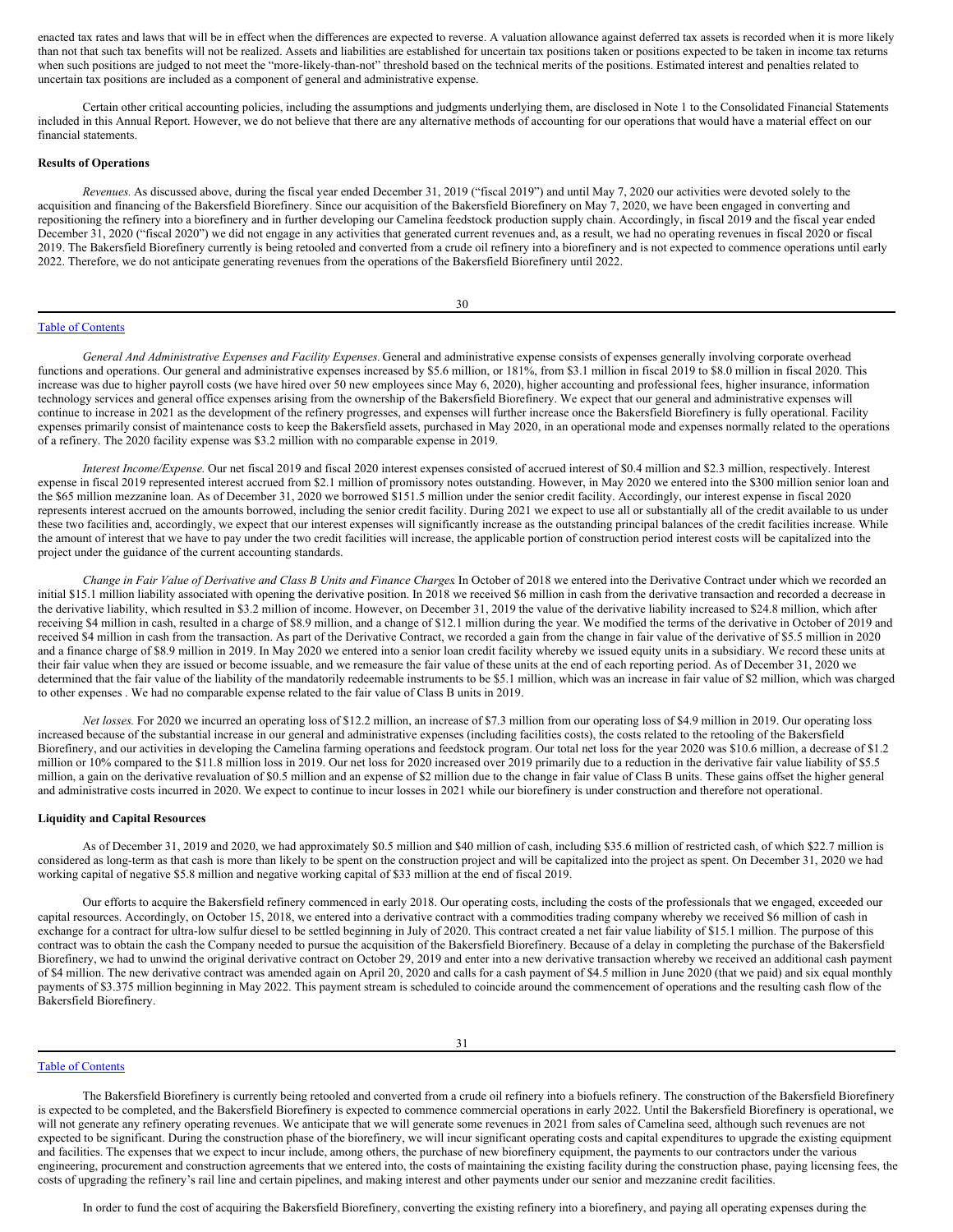enacted tax rates and laws that will be in effect when the differences are expected to reverse. A valuation allowance against deferred tax assets is recorded when it is more likely than not that such tax benefits will not be realized. Assets and liabilities are established for uncertain tax positions taken or positions expected to be taken in income tax returns when such positions are judged to not meet the "more-likely-than-not" threshold based on the technical merits of the positions. Estimated interest and penalties related to uncertain tax positions are included as a component of general and administrative expense.

Certain other critical accounting policies, including the assumptions and judgments underlying them, are disclosed in Note 1 to the Consolidated Financial Statements included in this Annual Report. However, we do not believe that there are any alternative methods of accounting for our operations that would have a material effect on our financial statements.

#### **Results of Operations**

*Revenues.* As discussed above, during the fiscal year ended December 31, 2019 ("fiscal 2019") and until May 7, 2020 our activities were devoted solely to the acquisition and financing of the Bakersfield Biorefinery. Since our acquisition of the Bakersfield Biorefinery on May 7, 2020, we have been engaged in converting and repositioning the refinery into a biorefinery and in further developing our Camelina feedstock production supply chain. Accordingly, in fiscal 2019 and the fiscal year ended December 31, 2020 ("fiscal 2020") we did not engage in any activities that generated current revenues and, as a result, we had no operating revenues in fiscal 2020 or fiscal 2019. The Bakersfield Biorefinery currently is being retooled and converted from a crude oil refinery into a biorefinery and is not expected to commence operations until early 2022. Therefore, we do not anticipate generating revenues from the operations of the Bakersfield Biorefinery until 2022.

| ۰,<br>I<br>- | ۰.<br>$\sim$ |  |
|--------------|--------------|--|

#### Table of [Contents](#page-0-0)

*General And Administrative Expenses and Facility Expenses.* General and administrative expense consists of expenses generally involving corporate overhead functions and operations. Our general and administrative expenses increased by \$5.6 million, or 181%, from \$3.1 million in fiscal 2019 to \$8.0 million in fiscal 2020. This increase was due to higher payroll costs (we have hired over 50 new employees since May 6, 2020), higher accounting and professional fees, higher insurance, information technology services and general office expenses arising from the ownership of the Bakersfield Biorefinery. We expect that our general and administrative expenses will continue to increase in 2021 as the development of the refinery progresses, and expenses will further increase once the Bakersfield Biorefinery is fully operational. Facility expenses primarily consist of maintenance costs to keep the Bakersfield assets, purchased in May 2020, in an operational mode and expenses normally related to the operations of a refinery. The 2020 facility expense was \$3.2 million with no comparable expense in 2019.

*Interest Income/Expense.* Our net fiscal 2019 and fiscal 2020 interest expenses consisted of accrued interest of \$0.4 million and \$2.3 million, respectively. Interest expense in fiscal 2019 represented interest accrued from \$2.1 million of promissory notes outstanding. However, in May 2020 we entered into the \$300 million senior loan and the \$65 million mezzanine loan. As of December 31, 2020 we borrowed \$151.5 million under the senior credit facility. Accordingly, our interest expense in fiscal 2020 represents interest accrued on the amounts borrowed, including the senior credit facility. During 2021 we expect to use all or substantially all of the credit available to us under these two facilities and, accordingly, we expect that our interest expenses will significantly increase as the outstanding principal balances of the credit facilities increase. While the amount of interest that we have to pay under the two credit facilities will increase, the applicable portion of construction period interest costs will be capitalized into the project under the guidance of the current accounting standards.

Change in Fair Value of Derivative and Class B Units and Finance Charges In October of 2018 we entered into the Derivative Contract under which we recorded an initial \$15.1 million liability associated with opening the derivative position. In 2018 we received \$6 million in cash from the derivative transaction and recorded a decrease in the derivative liability, which resulted in \$3.2 million of income. However, on December 31, 2019 the value of the derivative liability increased to \$24.8 million, which after receiving \$4 million in cash, resulted in a charge of \$8.9 million, and a change of \$12.1 million during the year. We modified the terms of the derivative in October of 2019 and received \$4 million in cash from the transaction. As part of the Derivative Contract, we recorded a gain from the change in fair value of the derivative of \$5.5 million in 2020 and a finance charge of \$8.9 million in 2019. In May 2020 we entered into a senior loan credit facility whereby we issued equity units in a subsidiary. We record these units at their fair value when they are issued or become issuable, and we remeasure the fair value of these units at the end of each reporting period. As of December 31, 2020 we determined that the fair value of the liability of the mandatorily redeemable instruments to be \$5.1 million, which was an increase in fair value of \$2 million, which was charged to other expenses . We had no comparable expense related to the fair value of Class B units in 2019.

*Net losses.* For 2020 we incurred an operating loss of \$12.2 million, an increase of \$7.3 million from our operating loss of \$4.9 million in 2019. Our operating loss increased because of the substantial increase in our general and administrative expenses (including facilities costs), the costs related to the retooling of the Bakersfield Biorefinery, and our activities in developing the Camelina farming operations and feedstock program. Our total net loss for the year 2020 was \$10.6 million, a decrease of \$1.2 million or 10% compared to the \$11.8 million loss in 2019. Our net loss for 2020 increased over 2019 primarily due to a reduction in the derivative fair value liability of \$5.5 million, a gain on the derivative revaluation of \$0.5 million and an expense of \$2 million due to the change in fair value of Class B units. These gains offset the higher general and administrative costs incurred in 2020. We expect to continue to incur losses in 2021 while our biorefinery is under construction and therefore not operational.

### **Liquidity and Capital Resources**

As of December 31, 2019 and 2020, we had approximately \$0.5 million and \$40 million of cash, including \$35.6 million of restricted cash, of which \$22.7 million is considered as long-term as that cash is more than likely to be spent on the construction project and will be capitalized into the project as spent. On December 31, 2020 we had working capital of negative \$5.8 million and negative working capital of \$33 million at the end of fiscal 2019.

Our efforts to acquire the Bakersfield refinery commenced in early 2018. Our operating costs, including the costs of the professionals that we engaged, exceeded our capital resources. Accordingly, on October 15, 2018, we entered into a derivative contract with a commodities trading company whereby we received \$6 million of cash in exchange for a contract for ultra-low sulfur diesel to be settled beginning in July of 2020. This contract created a net fair value liability of \$15.1 million. The purpose of this contract was to obtain the cash the Company needed to pursue the acquisition of the Bakersfield Biorefinery. Because of a delay in completing the purchase of the Bakersfield Biorefinery, we had to unwind the original derivative contract on October 29, 2019 and enter into a new derivative transaction whereby we received an additional cash payment of \$4 million. The new derivative contract was amended again on April 20, 2020 and calls for a cash payment of \$4.5 million in June 2020 (that we paid) and six equal monthly payments of \$3.375 million beginning in May 2022. This payment stream is scheduled to coincide around the commencement of operations and the resulting cash flow of the Bakersfield Biorefinery.

31

### Table of [Contents](#page-0-0)

The Bakersfield Biorefinery is currently being retooled and converted from a crude oil refinery into a biofuels refinery. The construction of the Bakersfield Biorefinery is expected to be completed, and the Bakersfield Biorefinery is expected to commence commercial operations in early 2022. Until the Bakersfield Biorefinery is operational, we will not generate any refinery operating revenues. We anticipate that we will generate some revenues in 2021 from sales of Camelina seed, although such revenues are not expected to be significant. During the construction phase of the biorefinery, we will incur significant operating costs and capital expenditures to upgrade the existing equipment and facilities. The expenses that we expect to incur include, among others, the purchase of new biorefinery equipment, the payments to our contractors under the various engineering, procurement and construction agreements that we entered into, the costs of maintaining the existing facility during the construction phase, paying licensing fees, the costs of upgrading the refinery's rail line and certain pipelines, and making interest and other payments under our senior and mezzanine credit facilities.

In order to fund the cost of acquiring the Bakersfield Biorefinery, converting the existing refinery into a biorefinery, and paying all operating expenses during the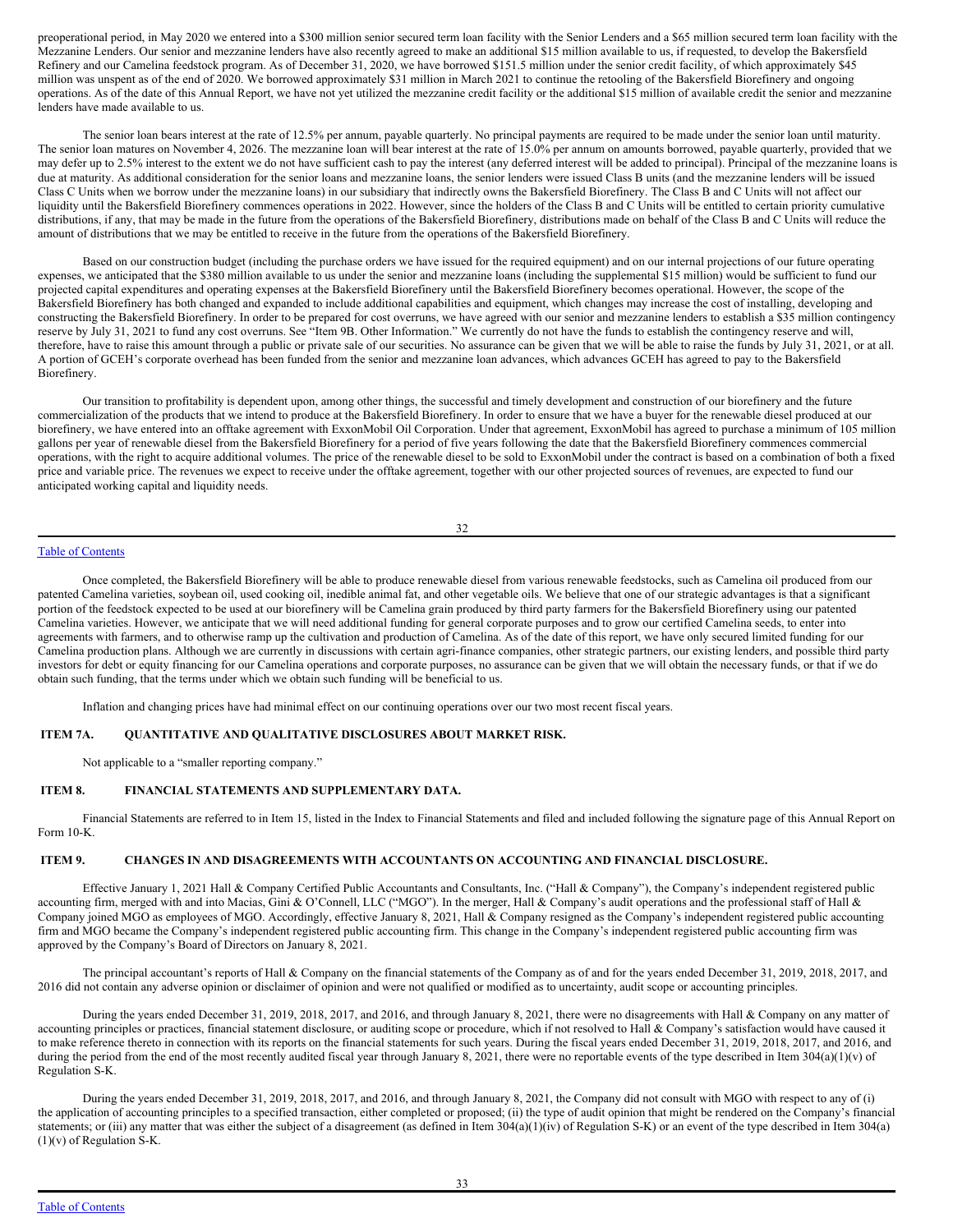preoperational period, in May 2020 we entered into a \$300 million senior secured term loan facility with the Senior Lenders and a \$65 million secured term loan facility with the Mezzanine Lenders. Our senior and mezzanine lenders have also recently agreed to make an additional \$15 million available to us, if requested, to develop the Bakersfield Refinery and our Camelina feedstock program. As of December 31, 2020, we have borrowed \$151.5 million under the senior credit facility, of which approximately \$45 million was unspent as of the end of 2020. We borrowed approximately \$31 million in March 2021 to continue the retooling of the Bakersfield Biorefinery and ongoing operations. As of the date of this Annual Report, we have not yet utilized the mezzanine credit facility or the additional \$15 million of available credit the senior and mezzanine lenders have made available to us.

The senior loan bears interest at the rate of 12.5% per annum, payable quarterly. No principal payments are required to be made under the senior loan until maturity. The senior loan matures on November 4, 2026. The mezzanine loan will bear interest at the rate of 15.0% per annum on amounts borrowed, payable quarterly, provided that we may defer up to 2.5% interest to the extent we do not have sufficient cash to pay the interest (any deferred interest will be added to principal). Principal of the mezzanine loans is due at maturity. As additional consideration for the senior loans and mezzanine loans, the senior lenders were issued Class B units (and the mezzanine lenders will be issued Class C Units when we borrow under the mezzanine loans) in our subsidiary that indirectly owns the Bakersfield Biorefinery. The Class B and C Units will not affect our liquidity until the Bakersfield Biorefinery commences operations in 2022. However, since the holders of the Class B and C Units will be entitled to certain priority cumulative distributions, if any, that may be made in the future from the operations of the Bakersfield Biorefinery, distributions made on behalf of the Class B and C Units will reduce the amount of distributions that we may be entitled to receive in the future from the operations of the Bakersfield Biorefinery.

Based on our construction budget (including the purchase orders we have issued for the required equipment) and on our internal projections of our future operating expenses, we anticipated that the \$380 million available to us under the senior and mezzanine loans (including the supplemental \$15 million) would be sufficient to fund our projected capital expenditures and operating expenses at the Bakersfield Biorefinery until the Bakersfield Biorefinery becomes operational. However, the scope of the Bakersfield Biorefinery has both changed and expanded to include additional capabilities and equipment, which changes may increase the cost of installing, developing and constructing the Bakersfield Biorefinery. In order to be prepared for cost overruns, we have agreed with our senior and mezzanine lenders to establish a \$35 million contingency reserve by July 31, 2021 to fund any cost overruns. See "Item 9B. Other Information." We currently do not have the funds to establish the contingency reserve and will, therefore, have to raise this amount through a public or private sale of our securities. No assurance can be given that we will be able to raise the funds by July 31, 2021, or at all. A portion of GCEH's corporate overhead has been funded from the senior and mezzanine loan advances, which advances GCEH has agreed to pay to the Bakersfield Biorefinery.

Our transition to profitability is dependent upon, among other things, the successful and timely development and construction of our biorefinery and the future commercialization of the products that we intend to produce at the Bakersfield Biorefinery. In order to ensure that we have a buyer for the renewable diesel produced at our biorefinery, we have entered into an offtake agreement with ExxonMobil Oil Corporation. Under that agreement, ExxonMobil has agreed to purchase a minimum of 105 million gallons per year of renewable diesel from the Bakersfield Biorefinery for a period of five years following the date that the Bakersfield Biorefinery commences commercial operations, with the right to acquire additional volumes. The price of the renewable diesel to be sold to ExxonMobil under the contract is based on a combination of both a fixed price and variable price. The revenues we expect to receive under the offtake agreement, together with our other projected sources of revenues, are expected to fund our anticipated working capital and liquidity needs.

|         | v  |
|---------|----|
|         | ۰. |
| I<br>I  |    |
| ×<br>۰. |    |

### Table of [Contents](#page-0-0)

Once completed, the Bakersfield Biorefinery will be able to produce renewable diesel from various renewable feedstocks, such as Camelina oil produced from our patented Camelina varieties, soybean oil, used cooking oil, inedible animal fat, and other vegetable oils. We believe that one of our strategic advantages is that a significant portion of the feedstock expected to be used at our biorefinery will be Camelina grain produced by third party farmers for the Bakersfield Biorefinery using our patented Camelina varieties. However, we anticipate that we will need additional funding for general corporate purposes and to grow our certified Camelina seeds, to enter into agreements with farmers, and to otherwise ramp up the cultivation and production of Camelina. As of the date of this report, we have only secured limited funding for our Camelina production plans. Although we are currently in discussions with certain agri-finance companies, other strategic partners, our existing lenders, and possible third party investors for debt or equity financing for our Camelina operations and corporate purposes, no assurance can be given that we will obtain the necessary funds, or that if we do obtain such funding, that the terms under which we obtain such funding will be beneficial to us.

Inflation and changing prices have had minimal effect on our continuing operations over our two most recent fiscal years.

### <span id="page-18-0"></span>**ITEM 7A. QUANTITATIVE AND QUALITATIVE DISCLOSURES ABOUT MARKET RISK.**

Not applicable to a "smaller reporting company."

### <span id="page-18-1"></span>**ITEM 8. FINANCIAL STATEMENTS AND SUPPLEMENTARY DATA.**

Financial Statements are referred to in Item 15, listed in the Index to Financial Statements and filed and included following the signature page of this Annual Report on Form 10-K.

### <span id="page-18-2"></span>**ITEM 9. CHANGES IN AND DISAGREEMENTS WITH ACCOUNTANTS ON ACCOUNTING AND FINANCIAL DISCLOSURE.**

Effective January 1, 2021 Hall & Company Certified Public Accountants and Consultants, Inc. ("Hall & Company"), the Company's independent registered public accounting firm, merged with and into Macias, Gini & O'Connell, LLC ("MGO"). In the merger, Hall & Company's audit operations and the professional staff of Hall & Company joined MGO as employees of MGO. Accordingly, effective January 8, 2021, Hall  $\&$  Company resigned as the Company's independent registered public accounting firm and MGO became the Company's independent registered public accounting firm. This change in the Company's independent registered public accounting firm was approved by the Company's Board of Directors on January 8, 2021.

The principal accountant's reports of Hall & Company on the financial statements of the Company as of and for the years ended December 31, 2019, 2018, 2017, and 2016 did not contain any adverse opinion or disclaimer of opinion and were not qualified or modified as to uncertainty, audit scope or accounting principles.

During the years ended December 31, 2019, 2018, 2017, and 2016, and through January 8, 2021, there were no disagreements with Hall & Company on any matter of accounting principles or practices, financial statement disclosure, or auditing scope or procedure, which if not resolved to Hall & Company's satisfaction would have caused it to make reference thereto in connection with its reports on the financial statements for such years. During the fiscal years ended December 31, 2019, 2018, 2017, and 2016, and during the period from the end of the most recently audited fiscal year through January 8, 2021, there were no reportable events of the type described in Item  $304(a)(1)(v)$  of Regulation S-K.

During the years ended December 31, 2019, 2018, 2017, and 2016, and through January 8, 2021, the Company did not consult with MGO with respect to any of (i) the application of accounting principles to a specified transaction, either completed or proposed; (ii) the type of audit opinion that might be rendered on the Company's financial statements; or (iii) any matter that was either the subject of a disagreement (as defined in Item 304(a)(1)(iv) of Regulation S-K) or an event of the type described in Item 304(a)  $(1)(v)$  of Regulation S-K.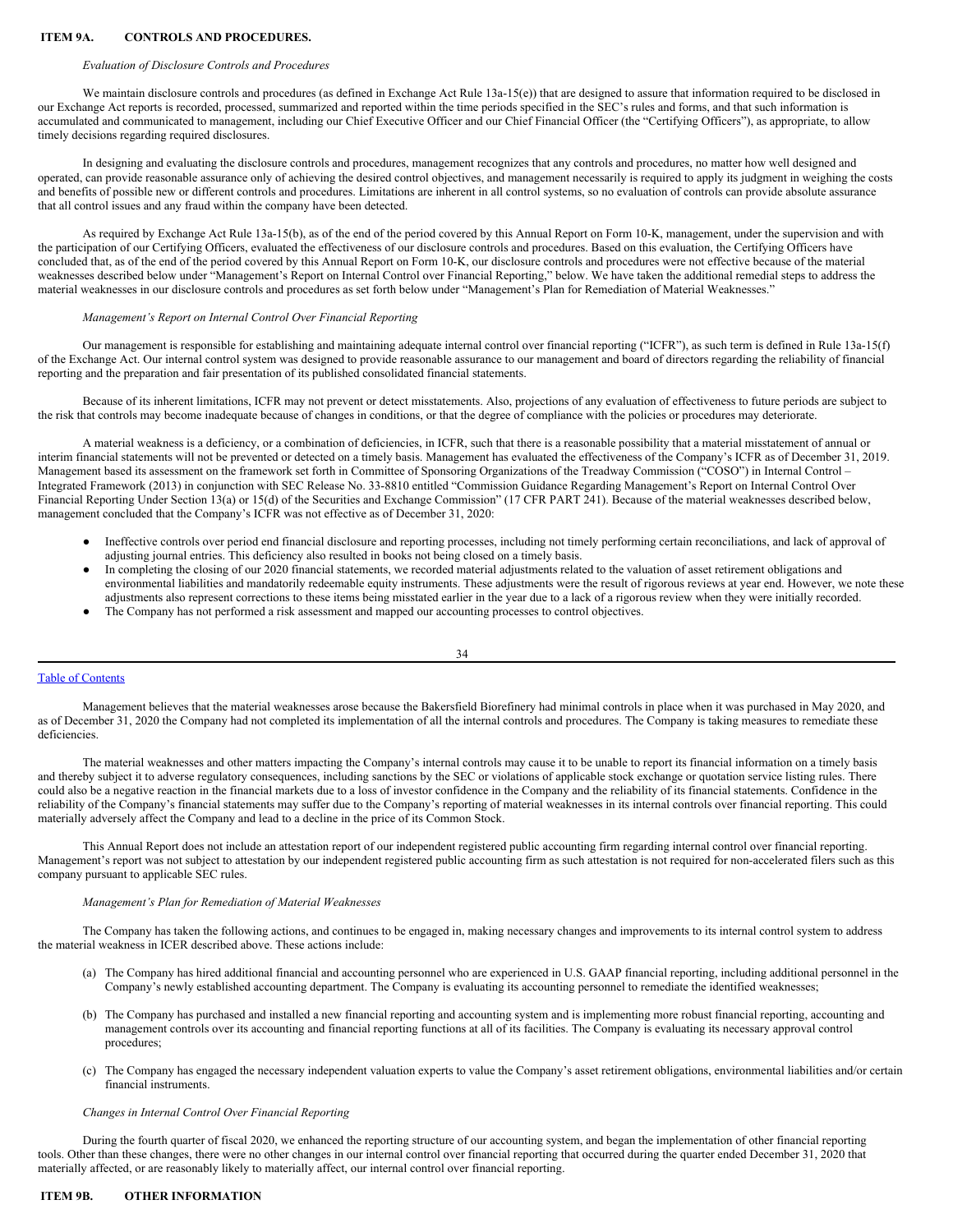### <span id="page-19-0"></span>**ITEM 9A. CONTROLS AND PROCEDURES.**

### *Evaluation of Disclosure Controls and Procedures*

We maintain disclosure controls and procedures (as defined in Exchange Act Rule 13a-15(e)) that are designed to assure that information required to be disclosed in our Exchange Act reports is recorded, processed, summarized and reported within the time periods specified in the SEC's rules and forms, and that such information is accumulated and communicated to management, including our Chief Executive Officer and our Chief Financial Officer (the "Certifying Officers"), as appropriate, to allow timely decisions regarding required disclosures.

In designing and evaluating the disclosure controls and procedures, management recognizes that any controls and procedures, no matter how well designed and operated, can provide reasonable assurance only of achieving the desired control objectives, and management necessarily is required to apply its judgment in weighing the costs and benefits of possible new or different controls and procedures. Limitations are inherent in all control systems, so no evaluation of controls can provide absolute assurance that all control issues and any fraud within the company have been detected.

As required by Exchange Act Rule 13a-15(b), as of the end of the period covered by this Annual Report on Form 10-K, management, under the supervision and with the participation of our Certifying Officers, evaluated the effectiveness of our disclosure controls and procedures. Based on this evaluation, the Certifying Officers have concluded that, as of the end of the period covered by this Annual Report on Form 10-K, our disclosure controls and procedures were not effective because of the material weaknesses described below under "Management's Report on Internal Control over Financial Reporting," below. We have taken the additional remedial steps to address the material weaknesses in our disclosure controls and procedures as set forth below under "Management's Plan for Remediation of Material Weaknesses."

### *Management's Report on Internal Control Over Financial Reporting*

Our management is responsible for establishing and maintaining adequate internal control over financial reporting ("ICFR"), as such term is defined in Rule 13a-15(f) of the Exchange Act. Our internal control system was designed to provide reasonable assurance to our management and board of directors regarding the reliability of financial reporting and the preparation and fair presentation of its published consolidated financial statements.

Because of its inherent limitations, ICFR may not prevent or detect misstatements. Also, projections of any evaluation of effectiveness to future periods are subject to the risk that controls may become inadequate because of changes in conditions, or that the degree of compliance with the policies or procedures may deteriorate.

A material weakness is a deficiency, or a combination of deficiencies, in ICFR, such that there is a reasonable possibility that a material misstatement of annual or interim financial statements will not be prevented or detected on a timely basis. Management has evaluated the effectiveness of the Company's ICFR as of December 31, 2019. Management based its assessment on the framework set forth in Committee of Sponsoring Organizations of the Treadway Commission ("COSO") in Internal Control – Integrated Framework (2013) in conjunction with SEC Release No. 33-8810 entitled "Commission Guidance Regarding Management's Report on Internal Control Over Financial Reporting Under Section 13(a) or 15(d) of the Securities and Exchange Commission" (17 CFR PART 241). Because of the material weaknesses described below, management concluded that the Company's ICFR was not effective as of December 31, 2020:

- Ineffective controls over period end financial disclosure and reporting processes, including not timely performing certain reconciliations, and lack of approval of adjusting journal entries. This deficiency also resulted in books not being closed on a timely basis.
- In completing the closing of our 2020 financial statements, we recorded material adjustments related to the valuation of asset retirement obligations and environmental liabilities and mandatorily redeemable equity instruments. These adjustments were the result of rigorous reviews at year end. However, we note these adjustments also represent corrections to these items being misstated earlier in the year due to a lack of a rigorous review when they were initially recorded.
- The Company has not performed a risk assessment and mapped our accounting processes to control objectives.

#### 34

### Table of [Contents](#page-0-0)

Management believes that the material weaknesses arose because the Bakersfield Biorefinery had minimal controls in place when it was purchased in May 2020, and as of December 31, 2020 the Company had not completed its implementation of all the internal controls and procedures. The Company is taking measures to remediate these deficiencies.

The material weaknesses and other matters impacting the Company's internal controls may cause it to be unable to report its financial information on a timely basis and thereby subject it to adverse regulatory consequences, including sanctions by the SEC or violations of applicable stock exchange or quotation service listing rules. There could also be a negative reaction in the financial markets due to a loss of investor confidence in the Company and the reliability of its financial statements. Confidence in the reliability of the Company's financial statements may suffer due to the Company's reporting of material weaknesses in its internal controls over financial reporting. This could materially adversely affect the Company and lead to a decline in the price of its Common Stock.

This Annual Report does not include an attestation report of our independent registered public accounting firm regarding internal control over financial reporting. Management's report was not subject to attestation by our independent registered public accounting firm as such attestation is not required for non-accelerated filers such as this company pursuant to applicable SEC rules.

### *Management's Plan for Remediation of Material Weaknesses*

The Company has taken the following actions, and continues to be engaged in, making necessary changes and improvements to its internal control system to address the material weakness in ICER described above. These actions include:

- (a) The Company has hired additional financial and accounting personnel who are experienced in U.S. GAAP financial reporting, including additional personnel in the Company's newly established accounting department. The Company is evaluating its accounting personnel to remediate the identified weaknesses;
- (b) The Company has purchased and installed a new financial reporting and accounting system and is implementing more robust financial reporting, accounting and management controls over its accounting and financial reporting functions at all of its facilities. The Company is evaluating its necessary approval control procedures;
- (c) The Company has engaged the necessary independent valuation experts to value the Company's asset retirement obligations, environmental liabilities and/or certain financial instruments.

### *Changes in Internal Control Over Financial Reporting*

<span id="page-19-1"></span>During the fourth quarter of fiscal 2020, we enhanced the reporting structure of our accounting system, and began the implementation of other financial reporting tools. Other than these changes, there were no other changes in our internal control over financial reporting that occurred during the quarter ended December 31, 2020 that materially affected, or are reasonably likely to materially affect, our internal control over financial reporting.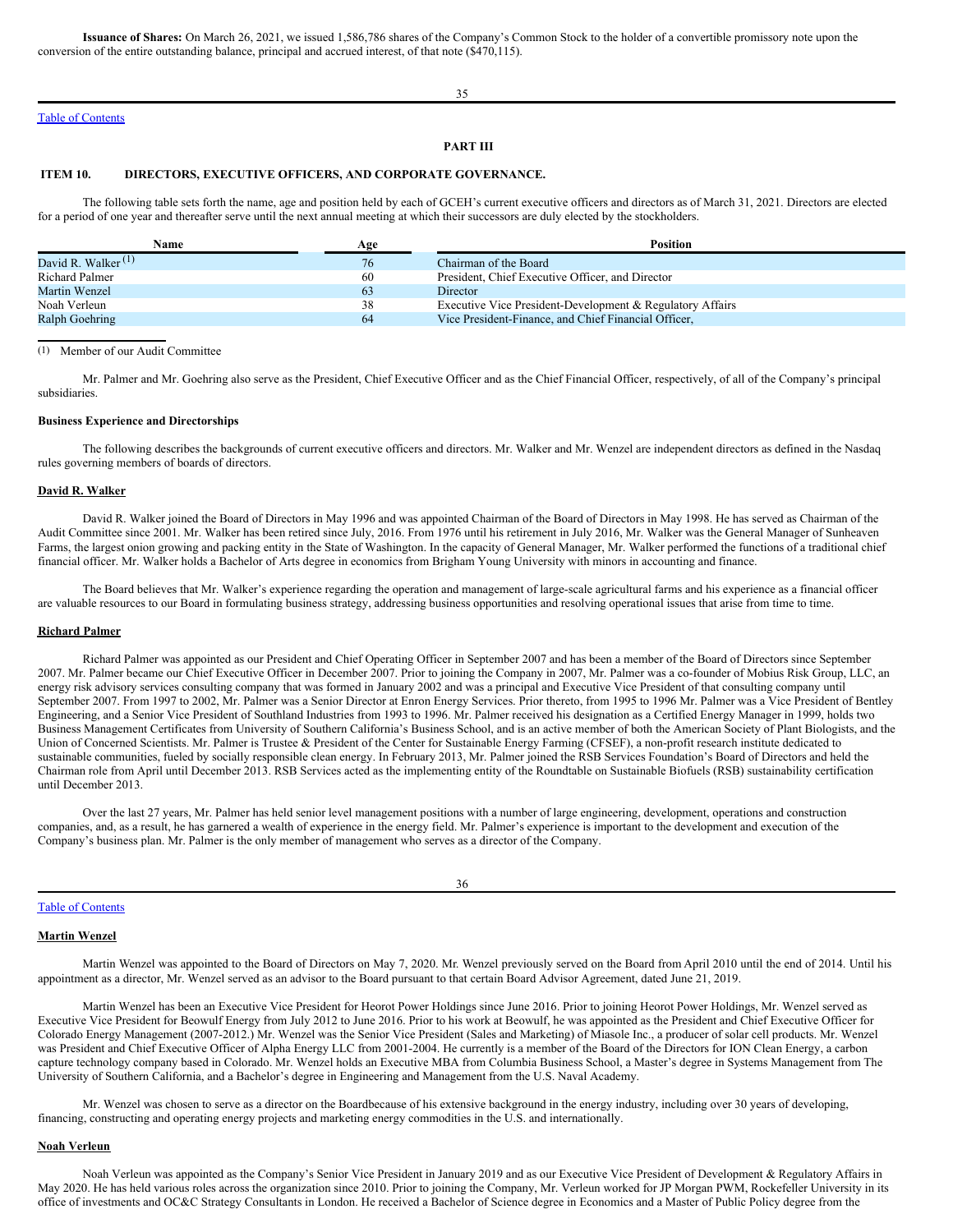**Issuance of Shares:** On March 26, 2021, we issued 1,586,786 shares of the Company's Common Stock to the holder of a convertible promissory note upon the conversion of the entire outstanding balance, principal and accrued interest, of that note (\$470,115).

### Table of [Contents](#page-0-0)

### <span id="page-20-0"></span>**PART III**

35

#### <span id="page-20-1"></span>**ITEM 10. DIRECTORS, EXECUTIVE OFFICERS, AND CORPORATE GOVERNANCE.**

The following table sets forth the name, age and position held by each of GCEH's current executive officers and directors as of March 31, 2021. Directors are elected for a period of one year and thereafter serve until the next annual meeting at which their successors are duly elected by the stockholders.

| Name                  | Age | <b>Position</b>                                           |
|-----------------------|-----|-----------------------------------------------------------|
| David R. Walker $(1)$ | 76  | Chairman of the Board                                     |
| <b>Richard Palmer</b> | 60  | President, Chief Executive Officer, and Director          |
| <b>Martin Wenzel</b>  | 63  | Director                                                  |
| Noah Verleun          | 38  | Executive Vice President-Development & Regulatory Affairs |
| Ralph Goehring        | 64  | Vice President-Finance, and Chief Financial Officer,      |

(1) Member of our Audit Committee

Mr. Palmer and Mr. Goehring also serve as the President, Chief Executive Officer and as the Chief Financial Officer, respectively, of all of the Company's principal subsidiaries.

#### **Business Experience and Directorships**

The following describes the backgrounds of current executive officers and directors. Mr. Walker and Mr. Wenzel are independent directors as defined in the Nasdaq rules governing members of boards of directors.

#### **David R. Walker**

David R. Walker joined the Board of Directors in May 1996 and was appointed Chairman of the Board of Directors in May 1998. He has served as Chairman of the Audit Committee since 2001. Mr. Walker has been retired since July, 2016. From 1976 until his retirement in July 2016, Mr. Walker was the General Manager of Sunheaven Farms, the largest onion growing and packing entity in the State of Washington. In the capacity of General Manager, Mr. Walker performed the functions of a traditional chief financial officer. Mr. Walker holds a Bachelor of Arts degree in economics from Brigham Young University with minors in accounting and finance.

The Board believes that Mr. Walker's experience regarding the operation and management of large-scale agricultural farms and his experience as a financial officer are valuable resources to our Board in formulating business strategy, addressing business opportunities and resolving operational issues that arise from time to time.

#### **Richard Palmer**

Richard Palmer was appointed as our President and Chief Operating Officer in September 2007 and has been a member of the Board of Directors since September 2007. Mr. Palmer became our Chief Executive Officer in December 2007. Prior to joining the Company in 2007, Mr. Palmer was a co-founder of Mobius Risk Group, LLC, an energy risk advisory services consulting company that was formed in January 2002 and was a principal and Executive Vice President of that consulting company until September 2007. From 1997 to 2002, Mr. Palmer was a Senior Director at Enron Energy Services. Prior thereto, from 1995 to 1996 Mr. Palmer was a Vice President of Bentley Engineering, and a Senior Vice President of Southland Industries from 1993 to 1996. Mr. Palmer received his designation as a Certified Energy Manager in 1999, holds two Business Management Certificates from University of Southern California's Business School, and is an active member of both the American Society of Plant Biologists, and the Union of Concerned Scientists. Mr. Palmer is Trustee & President of the Center for Sustainable Energy Farming (CFSEF), a non-profit research institute dedicated to sustainable communities, fueled by socially responsible clean energy. In February 2013, Mr. Palmer joined the RSB Services Foundation's Board of Directors and held the Chairman role from April until December 2013. RSB Services acted as the implementing entity of the Roundtable on Sustainable Biofuels (RSB) sustainability certification until December 2013.

Over the last 27 years, Mr. Palmer has held senior level management positions with a number of large engineering, development, operations and construction companies, and, as a result, he has garnered a wealth of experience in the energy field. Mr. Palmer's experience is important to the development and execution of the Company's business plan. Mr. Palmer is the only member of management who serves as a director of the Company.

#### 36

### Table of [Contents](#page-0-0)

### **Martin Wenzel**

Martin Wenzel was appointed to the Board of Directors on May 7, 2020. Mr. Wenzel previously served on the Board from April 2010 until the end of 2014. Until his appointment as a director, Mr. Wenzel served as an advisor to the Board pursuant to that certain Board Advisor Agreement, dated June 21, 2019.

Martin Wenzel has been an Executive Vice President for Heorot Power Holdings since June 2016. Prior to joining Heorot Power Holdings, Mr. Wenzel served as Executive Vice President for Beowulf Energy from July 2012 to June 2016. Prior to his work at Beowulf, he was appointed as the President and Chief Executive Officer for Colorado Energy Management (2007-2012.) Mr. Wenzel was the Senior Vice President (Sales and Marketing) of Miasole Inc., a producer of solar cell products. Mr. Wenzel was President and Chief Executive Officer of Alpha Energy LLC from 2001-2004. He currently is a member of the Board of the Directors for ION Clean Energy, a carbon capture technology company based in Colorado. Mr. Wenzel holds an Executive MBA from Columbia Business School, a Master's degree in Systems Management from The University of Southern California, and a Bachelor's degree in Engineering and Management from the U.S. Naval Academy.

Mr. Wenzel was chosen to serve as a director on the Boardbecause of his extensive background in the energy industry, including over 30 years of developing, financing, constructing and operating energy projects and marketing energy commodities in the U.S. and internationally.

### **Noah Verleun**

Noah Verleun was appointed as the Company's Senior Vice President in January 2019 and as our Executive Vice President of Development & Regulatory Affairs in May 2020. He has held various roles across the organization since 2010. Prior to joining the Company, Mr. Verleun worked for JP Morgan PWM, Rockefeller University in its office of investments and OC&C Strategy Consultants in London. He received a Bachelor of Science degree in Economics and a Master of Public Policy degree from the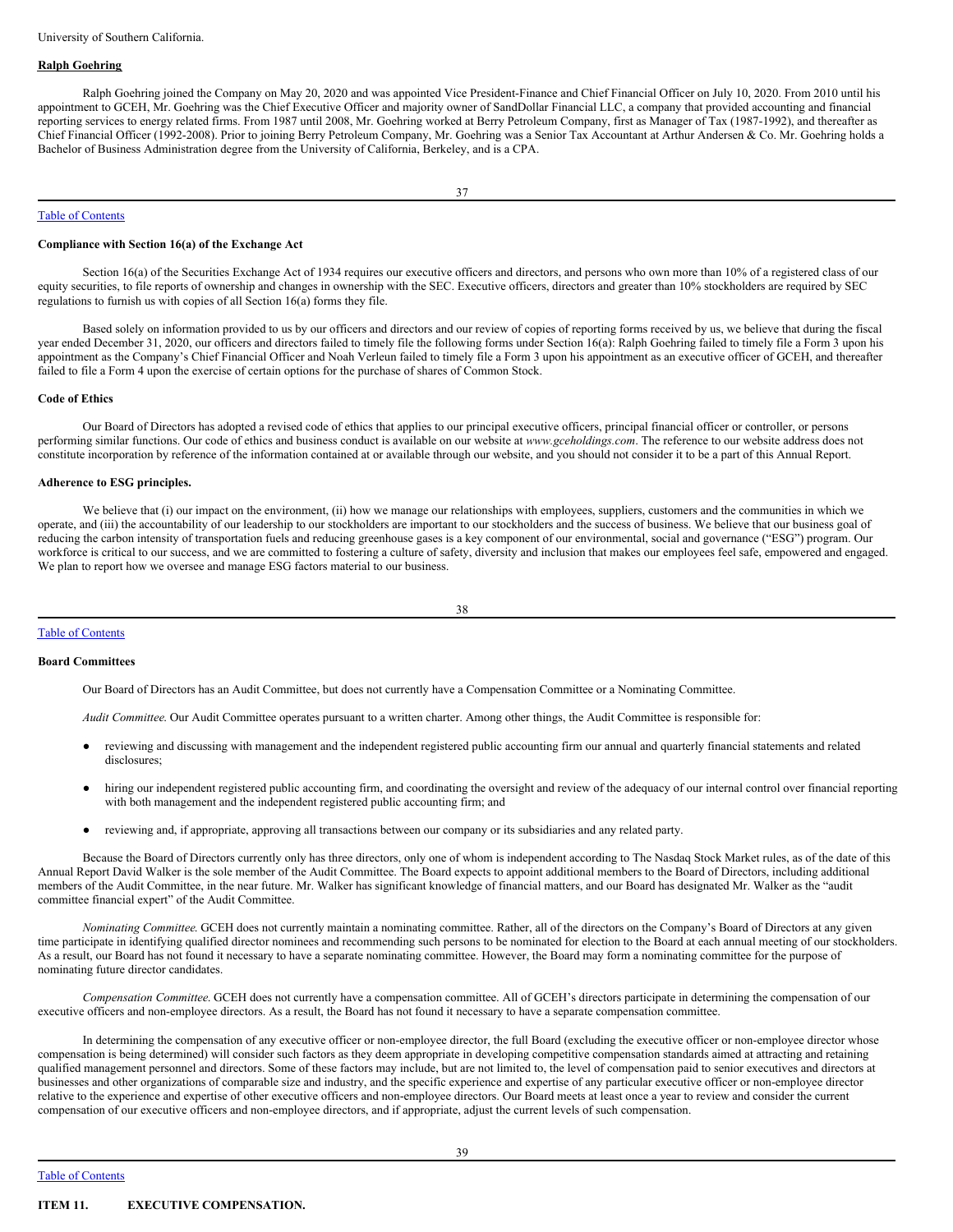### **Ralph Goehring**

Ralph Goehring joined the Company on May 20, 2020 and was appointed Vice President-Finance and Chief Financial Officer on July 10, 2020. From 2010 until his appointment to GCEH, Mr. Goehring was the Chief Executive Officer and majority owner of SandDollar Financial LLC, a company that provided accounting and financial reporting services to energy related firms. From 1987 until 2008, Mr. Goehring worked at Berry Petroleum Company, first as Manager of Tax (1987-1992), and thereafter as Chief Financial Officer (1992-2008). Prior to joining Berry Petroleum Company, Mr. Goehring was a Senior Tax Accountant at Arthur Andersen & Co. Mr. Goehring holds a Bachelor of Business Administration degree from the University of California, Berkeley, and is a CPA.

### Table of [Contents](#page-0-0)

#### **Compliance with Section 16(a) of the Exchange Act**

Section 16(a) of the Securities Exchange Act of 1934 requires our executive officers and directors, and persons who own more than 10% of a registered class of our equity securities, to file reports of ownership and changes in ownership with the SEC. Executive officers, directors and greater than 10% stockholders are required by SEC regulations to furnish us with copies of all Section 16(a) forms they file.

Based solely on information provided to us by our officers and directors and our review of copies of reporting forms received by us, we believe that during the fiscal year ended December 31, 2020, our officers and directors failed to timely file the following forms under Section 16(a): Ralph Goehring failed to timely file a Form 3 upon his appointment as the Company's Chief Financial Officer and Noah Verleun failed to timely file a Form 3 upon his appointment as an executive officer of GCEH, and thereafter failed to file a Form 4 upon the exercise of certain options for the purchase of shares of Common Stock.

#### **Code of Ethics**

Our Board of Directors has adopted a revised code of ethics that applies to our principal executive officers, principal financial officer or controller, or persons performing similar functions. Our code of ethics and business conduct is available on our website at *www.gceholdings.com*. The reference to our website address does not constitute incorporation by reference of the information contained at or available through our website, and you should not consider it to be a part of this Annual Report.

#### **Adherence to ESG principles.**

We believe that (i) our impact on the environment, (ii) how we manage our relationships with employees, suppliers, customers and the communities in which we operate, and (iii) the accountability of our leadership to our stockholders are important to our stockholders and the success of business. We believe that our business goal of reducing the carbon intensity of transportation fuels and reducing greenhouse gases is a key component of our environmental, social and governance ("ESG") program. Our workforce is critical to our success, and we are committed to fostering a culture of safety, diversity and inclusion that makes our employees feel safe, empowered and engaged. We plan to report how we oversee and manage ESG factors material to our business.

$$
^{38}
$$

### Table of [Contents](#page-0-0)

#### **Board Committees**

Our Board of Directors has an Audit Committee, but does not currently have a Compensation Committee or a Nominating Committee.

*Audit Committee*. Our Audit Committee operates pursuant to a written charter. Among other things, the Audit Committee is responsible for:

- reviewing and discussing with management and the independent registered public accounting firm our annual and quarterly financial statements and related disclosures;
- hiring our independent registered public accounting firm, and coordinating the oversight and review of the adequacy of our internal control over financial reporting with both management and the independent registered public accounting firm; and
- reviewing and, if appropriate, approving all transactions between our company or its subsidiaries and any related party.

Because the Board of Directors currently only has three directors, only one of whom is independent according to The Nasdaq Stock Market rules, as of the date of this Annual Report David Walker is the sole member of the Audit Committee. The Board expects to appoint additional members to the Board of Directors, including additional members of the Audit Committee, in the near future. Mr. Walker has significant knowledge of financial matters, and our Board has designated Mr. Walker as the "audit committee financial expert" of the Audit Committee.

*Nominating Committee*. GCEH does not currently maintain a nominating committee. Rather, all of the directors on the Company's Board of Directors at any given time participate in identifying qualified director nominees and recommending such persons to be nominated for election to the Board at each annual meeting of our stockholders. As a result, our Board has not found it necessary to have a separate nominating committee. However, the Board may form a nominating committee for the purpose of nominating future director candidates.

*Compensation Committee*. GCEH does not currently have a compensation committee. All of GCEH's directors participate in determining the compensation of our executive officers and non-employee directors. As a result, the Board has not found it necessary to have a separate compensation committee.

<span id="page-21-0"></span>In determining the compensation of any executive officer or non-employee director, the full Board (excluding the executive officer or non-employee director whose compensation is being determined) will consider such factors as they deem appropriate in developing competitive compensation standards aimed at attracting and retaining qualified management personnel and directors. Some of these factors may include, but are not limited to, the level of compensation paid to senior executives and directors at businesses and other organizations of comparable size and industry, and the specific experience and expertise of any particular executive officer or non-employee director relative to the experience and expertise of other executive officers and non-employee directors. Our Board meets at least once a year to review and consider the current compensation of our executive officers and non-employee directors, and if appropriate, adjust the current levels of such compensation.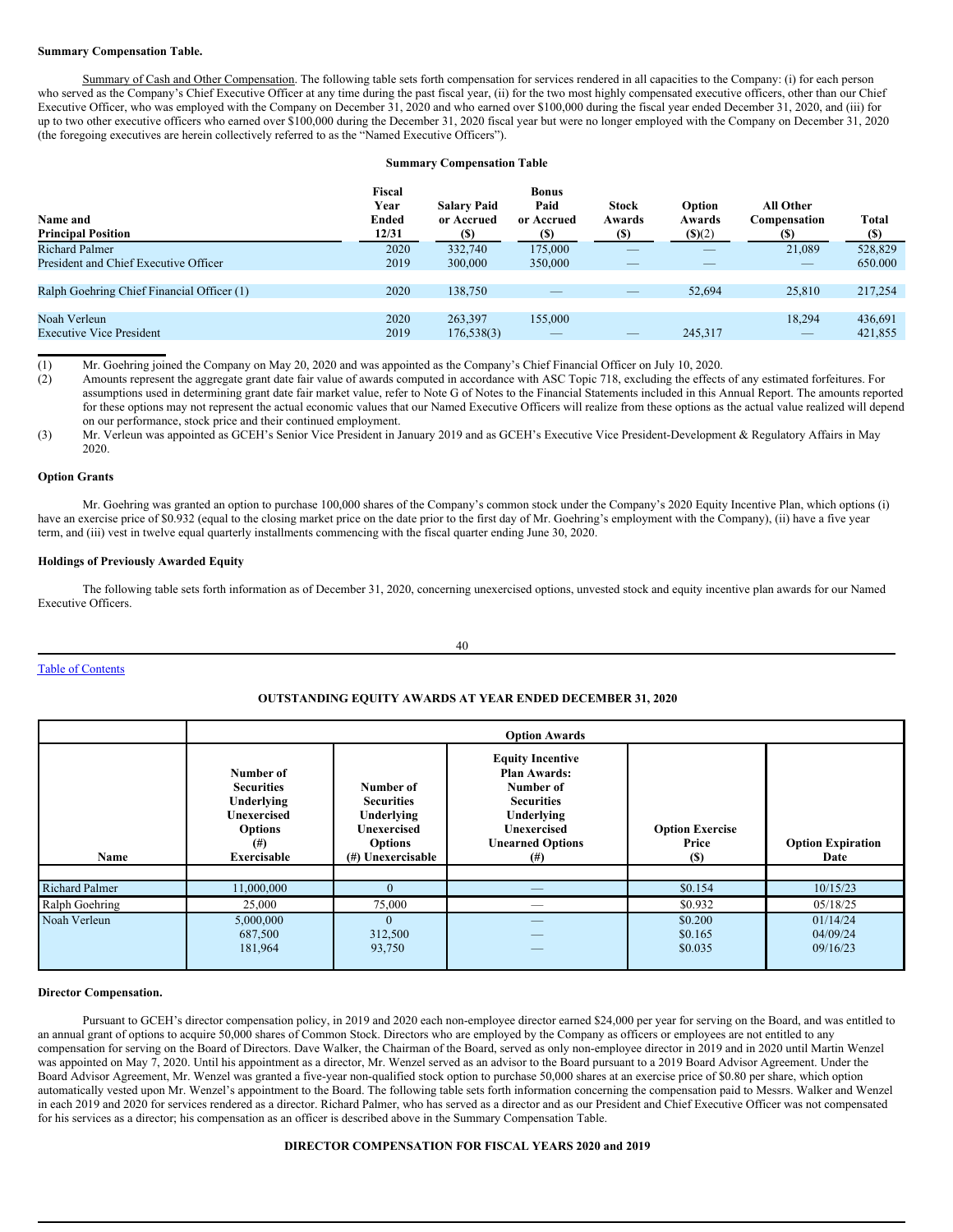### **Summary Compensation Table.**

Summary of Cash and Other Compensation. The following table sets forth compensation for services rendered in all capacities to the Company: (i) for each person who served as the Company's Chief Executive Officer at any time during the past fiscal year, (ii) for the two most highly compensated executive officers, other than our Chief Executive Officer, who was employed with the Company on December 31, 2020 and who earned over \$100,000 during the fiscal year ended December 31, 2020, and (iii) for up to two other executive officers who earned over \$100,000 during the December 31, 2020 fiscal year but were no longer employed with the Company on December 31, 2020 (the foregoing executives are herein collectively referred to as the "Named Executive Officers").

### **Summary Compensation Table**

| Name and<br><b>Principal Position</b>      | Fiscal<br>Year<br><b>Ended</b><br>12/31 | <b>Salary Paid</b><br>or Accrued<br>(S) | <b>Bonus</b><br>Paid<br>or Accrued | <b>Stock</b><br>Awards<br>(\$) | Option<br>Awards<br>$($ (\$)(2)) | All Other<br>Compensation<br>(S) | <b>Total</b><br><b>(\$)</b> |
|--------------------------------------------|-----------------------------------------|-----------------------------------------|------------------------------------|--------------------------------|----------------------------------|----------------------------------|-----------------------------|
| <b>Richard Palmer</b>                      | 2020                                    | 332,740                                 | 175,000                            | _                              |                                  | 21,089                           | 528,829                     |
| President and Chief Executive Officer      | 2019                                    | 300,000                                 | 350,000                            | _                              |                                  | $\overline{\phantom{a}}$         | 650.000                     |
|                                            |                                         |                                         |                                    |                                |                                  |                                  |                             |
| Ralph Goehring Chief Financial Officer (1) | 2020                                    | 138,750                                 |                                    |                                | 52.694                           | 25,810                           | 217,254                     |
|                                            |                                         |                                         |                                    |                                |                                  |                                  |                             |
| Noah Verleun                               | 2020                                    | 263,397                                 | 155,000                            |                                |                                  | 18.294                           | 436,691                     |
| <b>Executive Vice President</b>            | 2019                                    | 176,538(3)                              | $\overline{\phantom{a}}$           |                                | 245,317                          |                                  | 421,855                     |

(1) Mr. Goehring joined the Company on May 20, 2020 and was appointed as the Company's Chief Financial Officer on July 10, 2020. Amounts represent the aggregate grant date fair value of awards computed in accordance with ASC Topic 718, excluding the effects of any estimated forfeitures. For assumptions used in determining grant date fair market value, refer to Note G of Notes to the Financial Statements included in this Annual Report. The amounts reported for these options may not represent the actual economic values that our Named Executive Officers will realize from these options as the actual value realized will depend on our performance, stock price and their continued employment.

(3) Mr. Verleun was appointed as GCEH's Senior Vice President in January 2019 and as GCEH's Executive Vice President-Development & Regulatory Affairs in May 2020.

### **Option Grants**

Mr. Goehring was granted an option to purchase 100,000 shares of the Company's common stock under the Company's 2020 Equity Incentive Plan, which options (i) have an exercise price of \$0.932 (equal to the closing market price on the date prior to the first day of Mr. Goehring's employment with the Company), (ii) have a five year term, and (iii) vest in twelve equal quarterly installments commencing with the fiscal quarter ending June 30, 2020.

### **Holdings of Previously Awarded Equity**

The following table sets forth information as of December 31, 2020, concerning unexercised options, unvested stock and equity incentive plan awards for our Named Executive Officers.

#### 40

Table of [Contents](#page-0-0)

### **OUTSTANDING EQUITY AWARDS AT YEAR ENDED DECEMBER 31, 2020**

|                       |                                                                                                                        |                                                                                                           | <b>Option Awards</b>                                                                                                                                        |                                        |                                  |
|-----------------------|------------------------------------------------------------------------------------------------------------------------|-----------------------------------------------------------------------------------------------------------|-------------------------------------------------------------------------------------------------------------------------------------------------------------|----------------------------------------|----------------------------------|
| Name                  | Number of<br><b>Securities</b><br>Underlying<br><b>Unexercised</b><br><b>Options</b><br>$^{(#)}$<br><b>Exercisable</b> | Number of<br><b>Securities</b><br>Underlying<br><b>Unexercised</b><br><b>Options</b><br>(#) Unexercisable | <b>Equity Incentive</b><br><b>Plan Awards:</b><br>Number of<br><b>Securities</b><br>Underlying<br><b>Unexercised</b><br><b>Unearned Options</b><br>$^{(#)}$ | <b>Option Exercise</b><br>Price<br>(S) | <b>Option Expiration</b><br>Date |
|                       |                                                                                                                        |                                                                                                           |                                                                                                                                                             |                                        |                                  |
| <b>Richard Palmer</b> | 11,000,000                                                                                                             | $\theta$                                                                                                  |                                                                                                                                                             | \$0.154                                | 10/15/23                         |
| Ralph Goehring        | 25,000                                                                                                                 | 75,000                                                                                                    |                                                                                                                                                             | \$0.932                                | 05/18/25                         |
| Noah Verleun          | 5,000,000<br>687,500<br>181,964                                                                                        | $\Omega$<br>312,500<br>93,750                                                                             |                                                                                                                                                             | \$0.200<br>\$0.165<br>\$0.035          | 01/14/24<br>04/09/24<br>09/16/23 |

#### **Director Compensation.**

Pursuant to GCEH's director compensation policy, in 2019 and 2020 each non-employee director earned \$24,000 per year for serving on the Board, and was entitled to an annual grant of options to acquire 50,000 shares of Common Stock. Directors who are employed by the Company as officers or employees are not entitled to any compensation for serving on the Board of Directors. Dave Walker, the Chairman of the Board, served as only non-employee director in 2019 and in 2020 until Martin Wenzel was appointed on May 7, 2020. Until his appointment as a director, Mr. Wenzel served as an advisor to the Board pursuant to a 2019 Board Advisor Agreement. Under the Board Advisor Agreement, Mr. Wenzel was granted a five-year non-qualified stock option to purchase 50,000 shares at an exercise price of \$0.80 per share, which option automatically vested upon Mr. Wenzel's appointment to the Board. The following table sets forth information concerning the compensation paid to Messrs. Walker and Wenzel in each 2019 and 2020 for services rendered as a director. Richard Palmer, who has served as a director and as our President and Chief Executive Officer was not compensated for his services as a director; his compensation as an officer is described above in the Summary Compensation Table.

### **DIRECTOR COMPENSATION FOR FISCAL YEARS 2020 and 2019**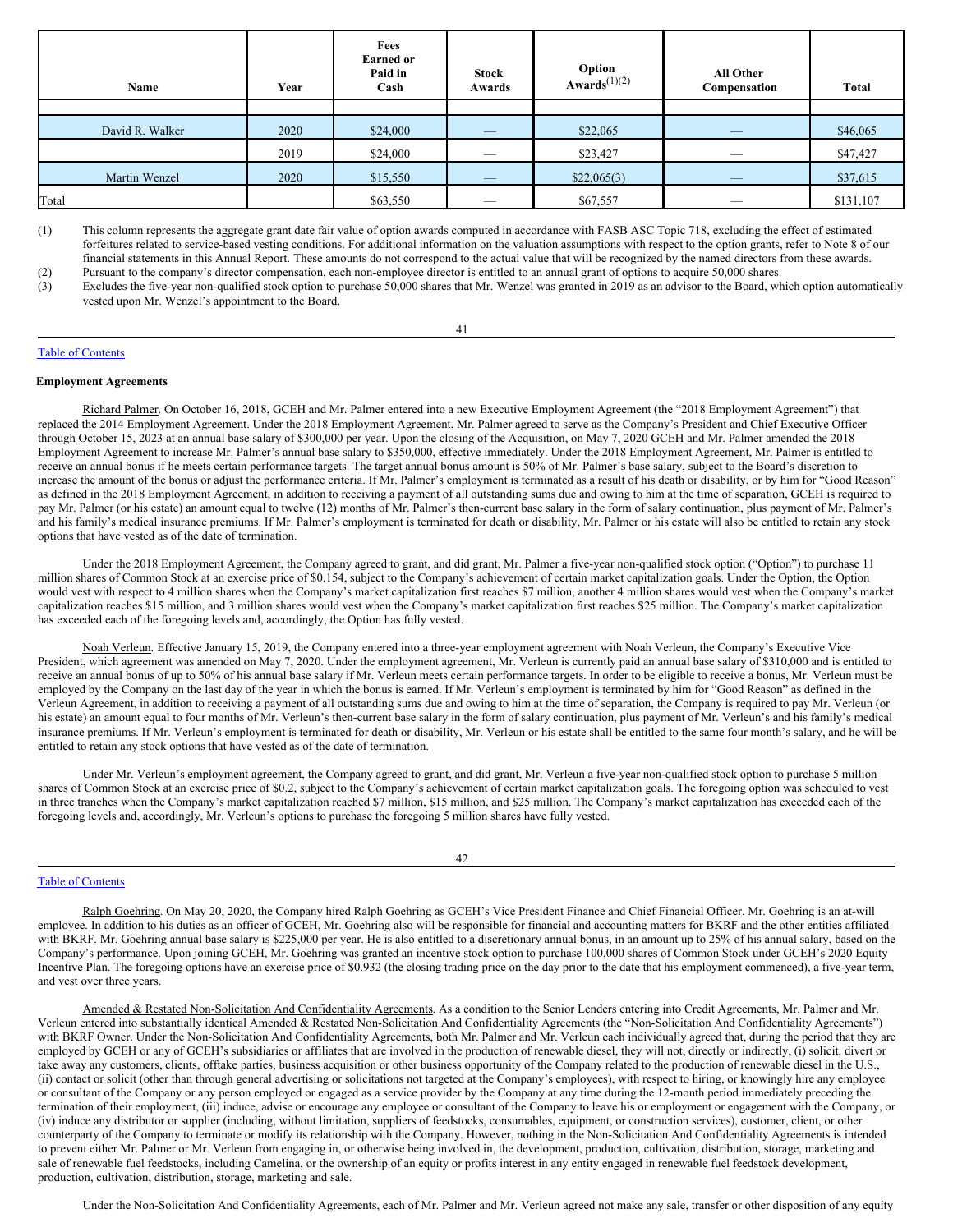| Name            | Year | Fees<br><b>Earned or</b><br>Paid in<br>Cash | <b>Stock</b><br>Awards | Option<br>Awards $(1)(2)$ | All Other<br>Compensation | <b>Total</b> |
|-----------------|------|---------------------------------------------|------------------------|---------------------------|---------------------------|--------------|
|                 |      |                                             |                        |                           |                           |              |
| David R. Walker | 2020 | \$24,000                                    | _                      | \$22,065                  |                           | \$46,065     |
|                 | 2019 | \$24,000                                    | $-$                    | \$23,427                  | _                         | \$47,427     |
| Martin Wenzel   | 2020 | \$15,550                                    | $-$                    | \$22,065(3)               |                           | \$37,615     |
| Total           |      | \$63,550                                    |                        | \$67,557                  |                           | \$131,107    |

(1) This column represents the aggregate grant date fair value of option awards computed in accordance with FASB ASC Topic 718, excluding the effect of estimated forfeitures related to service-based vesting conditions. For additional information on the valuation assumptions with respect to the option grants, refer to Note 8 of our financial statements in this Annual Report. These amounts do not correspond to the actual value that will be recognized by the named directors from these awards. (2) Pursuant to the company's director compensation, each non-employee director is entitled to an annual grant of options to acquire 50,000 shares.

(3) Excludes the five-year non-qualified stock option to purchase 50,000 shares that Mr. Wenzel was granted in 2019 as an advisor to the Board, which option automatically vested upon Mr. Wenzel's appointment to the Board.

#### 41

### Table of [Contents](#page-0-0)

### **Employment Agreements**

Richard Palmer. On October 16, 2018, GCEH and Mr. Palmer entered into a new Executive Employment Agreement (the "2018 Employment Agreement") that replaced the 2014 Employment Agreement. Under the 2018 Employment Agreement, Mr. Palmer agreed to serve as the Company's President and Chief Executive Officer through October 15, 2023 at an annual base salary of \$300,000 per year. Upon the closing of the Acquisition, on May 7, 2020 GCEH and Mr. Palmer amended the 2018 Employment Agreement to increase Mr. Palmer's annual base salary to \$350,000, effective immediately. Under the 2018 Employment Agreement, Mr. Palmer is entitled to receive an annual bonus if he meets certain performance targets. The target annual bonus amount is 50% of Mr. Palmer's base salary, subject to the Board's discretion to increase the amount of the bonus or adjust the performance criteria. If Mr. Palmer's employment is terminated as a result of his death or disability, or by him for "Good Reason" as defined in the 2018 Employment Agreement, in addition to receiving a payment of all outstanding sums due and owing to him at the time of separation, GCEH is required to pay Mr. Palmer (or his estate) an amount equal to twelve (12) months of Mr. Palmer's then-current base salary in the form of salary continuation, plus payment of Mr. Palmer's and his family's medical insurance premiums. If Mr. Palmer's employment is terminated for death or disability, Mr. Palmer or his estate will also be entitled to retain any stock options that have vested as of the date of termination.

Under the 2018 Employment Agreement, the Company agreed to grant, and did grant, Mr. Palmer a five-year non-qualified stock option ("Option") to purchase 11 million shares of Common Stock at an exercise price of \$0.154, subject to the Company's achievement of certain market capitalization goals. Under the Option, the Option would vest with respect to 4 million shares when the Company's market capitalization first reaches \$7 million, another 4 million shares would vest when the Company's market capitalization reaches \$15 million, and 3 million shares would vest when the Company's market capitalization first reaches \$25 million. The Company's market capitalization has exceeded each of the foregoing levels and, accordingly, the Option has fully vested.

Noah Verleun. Effective January 15, 2019, the Company entered into a three-year employment agreement with Noah Verleun, the Company's Executive Vice President, which agreement was amended on May 7, 2020. Under the employment agreement, Mr. Verleun is currently paid an annual base salary of \$310,000 and is entitled to receive an annual bonus of up to 50% of his annual base salary if Mr. Verleun meets certain performance targets. In order to be eligible to receive a bonus, Mr. Verleun must be employed by the Company on the last day of the year in which the bonus is earned. If Mr. Verleun's employment is terminated by him for "Good Reason" as defined in the Verleun Agreement, in addition to receiving a payment of all outstanding sums due and owing to him at the time of separation, the Company is required to pay Mr. Verleun (or his estate) an amount equal to four months of Mr. Verleun's then-current base salary in the form of salary continuation, plus payment of Mr. Verleun's and his family's medical insurance premiums. If Mr. Verleun's employment is terminated for death or disability, Mr. Verleun or his estate shall be entitled to the same four month's salary, and he will be entitled to retain any stock options that have vested as of the date of termination.

Under Mr. Verleun's employment agreement, the Company agreed to grant, and did grant, Mr. Verleun a five-year non-qualified stock option to purchase 5 million shares of Common Stock at an exercise price of \$0.2, subject to the Company's achievement of certain market capitalization goals. The foregoing option was scheduled to vest in three tranches when the Company's market capitalization reached \$7 million, \$15 million, and \$25 million. The Company's market capitalization has exceeded each of the foregoing levels and, accordingly, Mr. Verleun's options to purchase the foregoing 5 million shares have fully vested.

42

### Table of [Contents](#page-0-0)

Ralph Goehring. On May 20, 2020, the Company hired Ralph Goehring as GCEH's Vice President Finance and Chief Financial Officer. Mr. Goehring is an at-will employee. In addition to his duties as an officer of GCEH, Mr. Goehring also will be responsible for financial and accounting matters for BKRF and the other entities affiliated with BKRF. Mr. Goehring annual base salary is \$225,000 per year. He is also entitled to a discretionary annual bonus, in an amount up to 25% of his annual salary, based on the Company's performance. Upon joining GCEH, Mr. Goehring was granted an incentive stock option to purchase 100,000 shares of Common Stock under GCEH's 2020 Equity Incentive Plan. The foregoing options have an exercise price of \$0.932 (the closing trading price on the day prior to the date that his employment commenced), a five-year term, and vest over three years.

Amended & Restated Non-Solicitation And Confidentiality Agreements. As a condition to the Senior Lenders entering into Credit Agreements, Mr. Palmer and Mr. Verleun entered into substantially identical Amended & Restated Non-Solicitation And Confidentiality Agreements (the "Non-Solicitation And Confidentiality Agreements") with BKRF Owner. Under the Non-Solicitation And Confidentiality Agreements, both Mr. Palmer and Mr. Verleun each individually agreed that, during the period that they are employed by GCEH or any of GCEH's subsidiaries or affiliates that are involved in the production of renewable diesel, they will not, directly or indirectly, (i) solicit, divert or take away any customers, clients, offtake parties, business acquisition or other business opportunity of the Company related to the production of renewable diesel in the U.S., (ii) contact or solicit (other than through general advertising or solicitations not targeted at the Company's employees), with respect to hiring, or knowingly hire any employee or consultant of the Company or any person employed or engaged as a service provider by the Company at any time during the 12-month period immediately preceding the termination of their employment, (iii) induce, advise or encourage any employee or consultant of the Company to leave his or employment or engagement with the Company, or (iv) induce any distributor or supplier (including, without limitation, suppliers of feedstocks, consumables, equipment, or construction services), customer, client, or other counterparty of the Company to terminate or modify its relationship with the Company. However, nothing in the Non-Solicitation And Confidentiality Agreements is intended to prevent either Mr. Palmer or Mr. Verleun from engaging in, or otherwise being involved in, the development, production, cultivation, distribution, storage, marketing and sale of renewable fuel feedstocks, including Camelina, or the ownership of an equity or profits interest in any entity engaged in renewable fuel feedstock development, production, cultivation, distribution, storage, marketing and sale.

Under the Non-Solicitation And Confidentiality Agreements, each of Mr. Palmer and Mr. Verleun agreed not make any sale, transfer or other disposition of any equity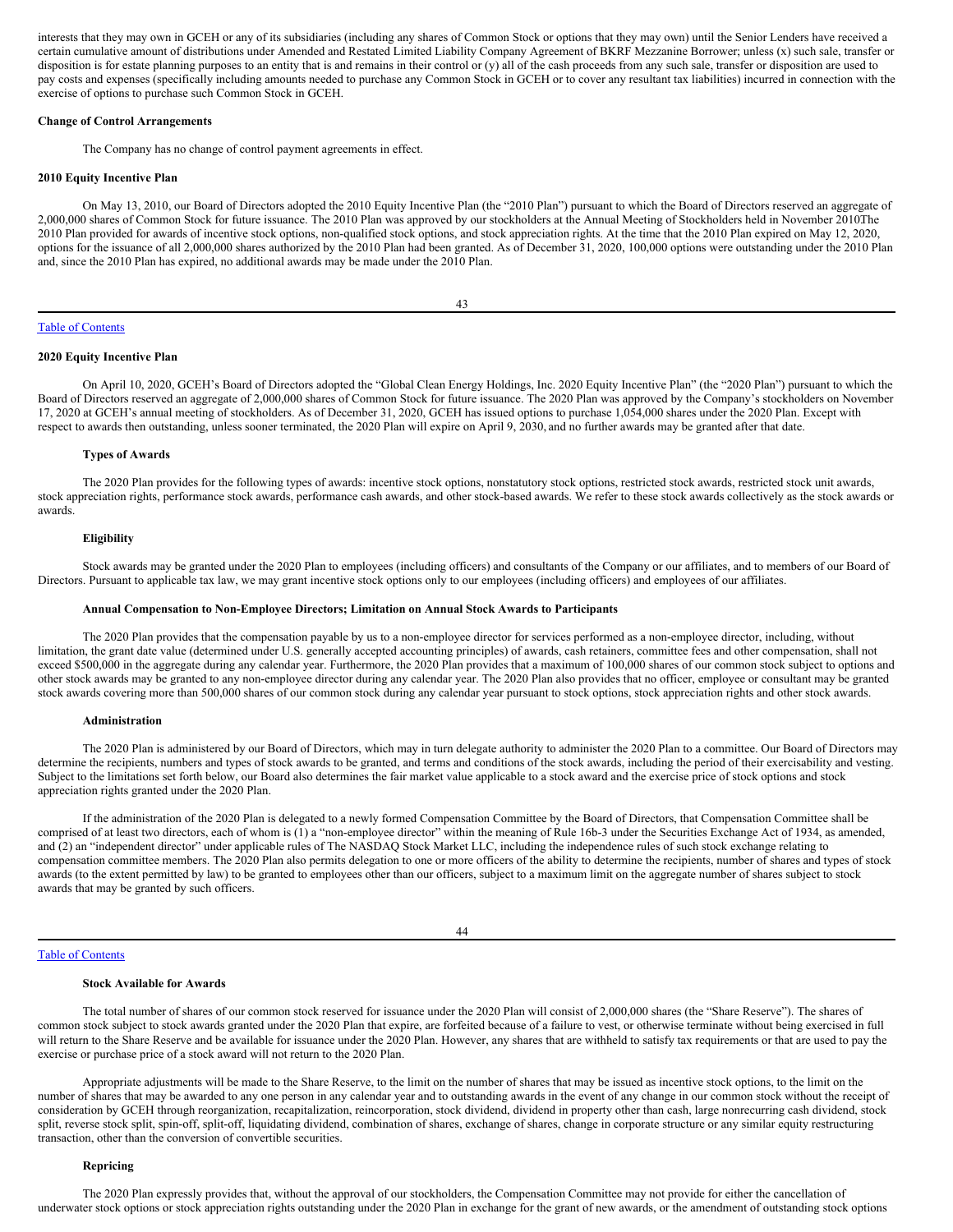interests that they may own in GCEH or any of its subsidiaries (including any shares of Common Stock or options that they may own) until the Senior Lenders have received a certain cumulative amount of distributions under Amended and Restated Limited Liability Company Agreement of BKRF Mezzanine Borrower; unless (x) such sale, transfer or disposition is for estate planning purposes to an entity that is and remains in their control or (y) all of the cash proceeds from any such sale, transfer or disposition are used to pay costs and expenses (specifically including amounts needed to purchase any Common Stock in GCEH or to cover any resultant tax liabilities) incurred in connection with the exercise of options to purchase such Common Stock in GCEH.

#### **Change of Control Arrangements**

The Company has no change of control payment agreements in effect.

### **2010 Equity Incentive Plan**

On May 13, 2010, our Board of Directors adopted the 2010 Equity Incentive Plan (the "2010 Plan") pursuant to which the Board of Directors reserved an aggregate of 2,000,000 shares of Common Stock for future issuance. The 2010 Plan was approved by our stockholders at the Annual Meeting of Stockholders held in November 2010.The 2010 Plan provided for awards of incentive stock options, non-qualified stock options, and stock appreciation rights. At the time that the 2010 Plan expired on May 12, 2020, options for the issuance of all 2,000,000 shares authorized by the 2010 Plan had been granted. As of December 31, 2020, 100,000 options were outstanding under the 2010 Plan and, since the 2010 Plan has expired, no additional awards may be made under the 2010 Plan.

#### Table of [Contents](#page-0-0)

### **2020 Equity Incentive Plan**

On April 10, 2020, GCEH's Board of Directors adopted the "Global Clean Energy Holdings, Inc. 2020 Equity Incentive Plan" (the "2020 Plan") pursuant to which the Board of Directors reserved an aggregate of 2,000,000 shares of Common Stock for future issuance. The 2020 Plan was approved by the Company's stockholders on November 17, 2020 at GCEH's annual meeting of stockholders. As of December 31, 2020, GCEH has issued options to purchase 1,054,000 shares under the 2020 Plan. Except with respect to awards then outstanding, unless sooner terminated, the 2020 Plan will expire on April 9, 2030, and no further awards may be granted after that date.

### **Types of Awards**

The 2020 Plan provides for the following types of awards: incentive stock options, nonstatutory stock options, restricted stock awards, restricted stock unit awards, stock appreciation rights, performance stock awards, performance cash awards, and other stock-based awards. We refer to these stock awards collectively as the stock awards or awards.

### **Eligibility**

Stock awards may be granted under the 2020 Plan to employees (including officers) and consultants of the Company or our affiliates, and to members of our Board of Directors. Pursuant to applicable tax law, we may grant incentive stock options only to our employees (including officers) and employees of our affiliates.

### **Annual Compensation to Non-Employee Directors; Limitation on Annual Stock Awards to Participants**

The 2020 Plan provides that the compensation payable by us to a non-employee director for services performed as a non-employee director, including, without limitation, the grant date value (determined under U.S. generally accepted accounting principles) of awards, cash retainers, committee fees and other compensation, shall not exceed \$500,000 in the aggregate during any calendar year. Furthermore, the 2020 Plan provides that a maximum of 100,000 shares of our common stock subject to options and other stock awards may be granted to any non-employee director during any calendar year. The 2020 Plan also provides that no officer, employee or consultant may be granted stock awards covering more than 500,000 shares of our common stock during any calendar year pursuant to stock options, stock appreciation rights and other stock awards.

#### **Administration**

The 2020 Plan is administered by our Board of Directors, which may in turn delegate authority to administer the 2020 Plan to a committee. Our Board of Directors may determine the recipients, numbers and types of stock awards to be granted, and terms and conditions of the stock awards, including the period of their exercisability and vesting. Subject to the limitations set forth below, our Board also determines the fair market value applicable to a stock award and the exercise price of stock options and stock appreciation rights granted under the 2020 Plan.

If the administration of the 2020 Plan is delegated to a newly formed Compensation Committee by the Board of Directors, that Compensation Committee shall be comprised of at least two directors, each of whom is  $(1)$  a "non-employee director" within the meaning of Rule 16b-3 under the Securities Exchange Act of 1934, as amended, and (2) an "independent director" under applicable rules of The NASDAQ Stock Market LLC, including the independence rules of such stock exchange relating to compensation committee members. The 2020 Plan also permits delegation to one or more officers of the ability to determine the recipients, number of shares and types of stock awards (to the extent permitted by law) to be granted to employees other than our officers, subject to a maximum limit on the aggregate number of shares subject to stock awards that may be granted by such officers.

44

#### Table of [Contents](#page-0-0)

#### **Stock Available for Awards**

The total number of shares of our common stock reserved for issuance under the 2020 Plan will consist of 2,000,000 shares (the "Share Reserve"). The shares of common stock subject to stock awards granted under the 2020 Plan that expire, are forfeited because of a failure to vest, or otherwise terminate without being exercised in full will return to the Share Reserve and be available for issuance under the 2020 Plan. However, any shares that are withheld to satisfy tax requirements or that are used to pay the exercise or purchase price of a stock award will not return to the 2020 Plan.

Appropriate adjustments will be made to the Share Reserve, to the limit on the number of shares that may be issued as incentive stock options, to the limit on the number of shares that may be awarded to any one person in any calendar year and to outstanding awards in the event of any change in our common stock without the receipt of consideration by GCEH through reorganization, recapitalization, reincorporation, stock dividend, dividend in property other than cash, large nonrecurring cash dividend, stock split, reverse stock split, spin-off, split-off, liquidating dividend, combination of shares, exchange of shares, change in corporate structure or any similar equity restructuring transaction, other than the conversion of convertible securities.

#### **Repricing**

The 2020 Plan expressly provides that, without the approval of our stockholders, the Compensation Committee may not provide for either the cancellation of underwater stock options or stock appreciation rights outstanding under the 2020 Plan in exchange for the grant of new awards, or the amendment of outstanding stock options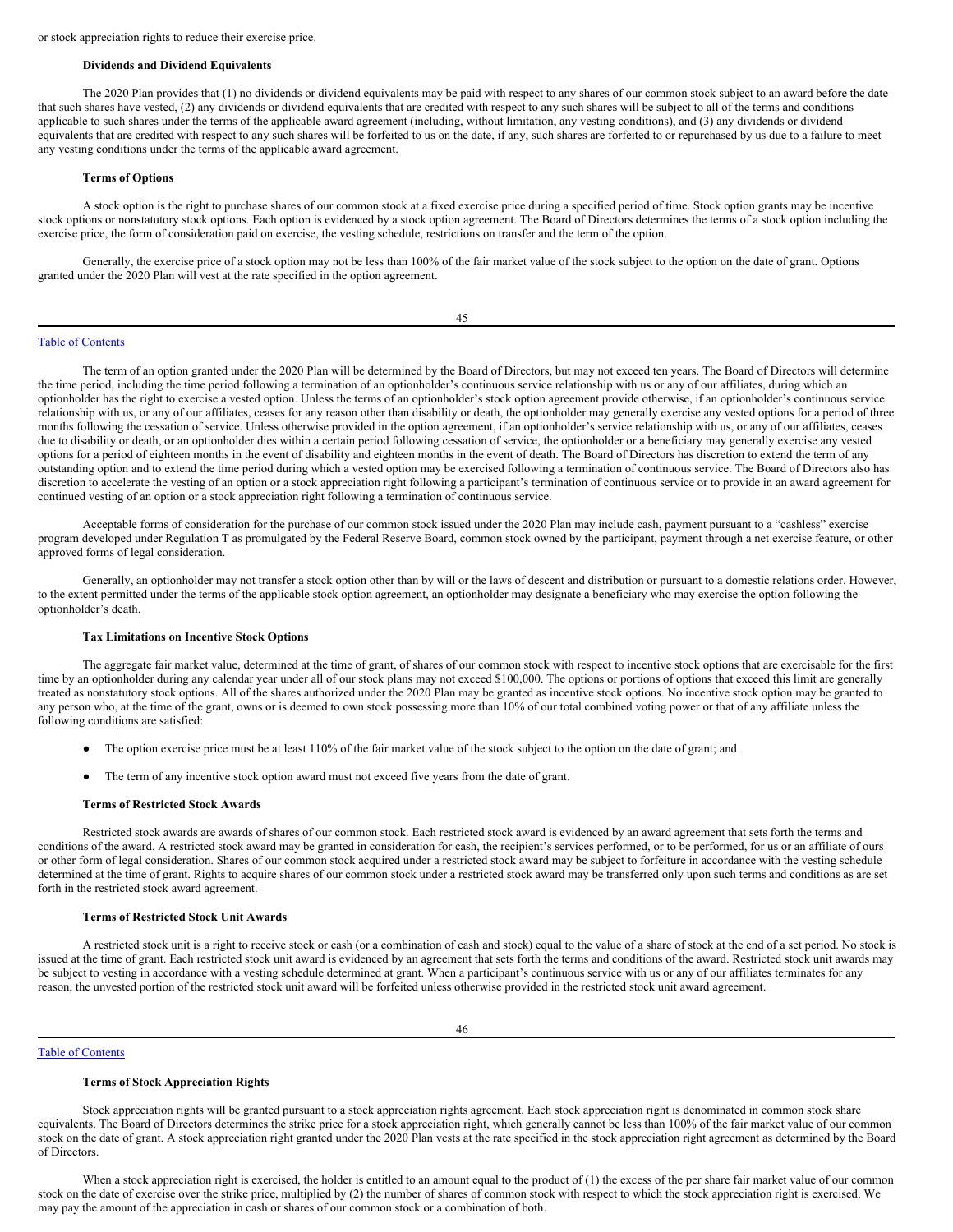### **Dividends and Dividend Equivalents**

The 2020 Plan provides that (1) no dividends or dividend equivalents may be paid with respect to any shares of our common stock subject to an award before the date that such shares have vested, (2) any dividends or dividend equivalents that are credited with respect to any such shares will be subject to all of the terms and conditions applicable to such shares under the terms of the applicable award agreement (including, without limitation, any vesting conditions), and (3) any dividends or dividend equivalents that are credited with respect to any such shares will be forfeited to us on the date, if any, such shares are forfeited to or repurchased by us due to a failure to meet any vesting conditions under the terms of the applicable award agreement.

### **Terms of Options**

A stock option is the right to purchase shares of our common stock at a fixed exercise price during a specified period of time. Stock option grants may be incentive stock options or nonstatutory stock options. Each option is evidenced by a stock option agreement. The Board of Directors determines the terms of a stock option including the exercise price, the form of consideration paid on exercise, the vesting schedule, restrictions on transfer and the term of the option.

Generally, the exercise price of a stock option may not be less than 100% of the fair market value of the stock subject to the option on the date of grant. Options granted under the 2020 Plan will vest at the rate specified in the option agreement.

| ٦ |         |  |
|---|---------|--|
|   | ۰.<br>× |  |

### Table of [Contents](#page-0-0)

The term of an option granted under the 2020 Plan will be determined by the Board of Directors, but may not exceed ten years. The Board of Directors will determine the time period, including the time period following a termination of an optionholder's continuous service relationship with us or any of our affiliates, during which an optionholder has the right to exercise a vested option. Unless the terms of an optionholder's stock option agreement provide otherwise, if an optionholder's continuous service relationship with us, or any of our affiliates, ceases for any reason other than disability or death, the optionholder may generally exercise any vested options for a period of three months following the cessation of service. Unless otherwise provided in the option agreement, if an optionholder's service relationship with us, or any of our affiliates, ceases due to disability or death, or an optionholder dies within a certain period following cessation of service, the optionholder or a beneficiary may generally exercise any vested options for a period of eighteen months in the event of disability and eighteen months in the event of death. The Board of Directors has discretion to extend the term of any outstanding option and to extend the time period during which a vested option may be exercised following a termination of continuous service. The Board of Directors also has discretion to accelerate the vesting of an option or a stock appreciation right following a participant's termination of continuous service or to provide in an award agreement for continued vesting of an option or a stock appreciation right following a termination of continuous service.

Acceptable forms of consideration for the purchase of our common stock issued under the 2020 Plan may include cash, payment pursuant to a "cashless" exercise program developed under Regulation T as promulgated by the Federal Reserve Board, common stock owned by the participant, payment through a net exercise feature, or other approved forms of legal consideration.

Generally, an optionholder may not transfer a stock option other than by will or the laws of descent and distribution or pursuant to a domestic relations order. However, to the extent permitted under the terms of the applicable stock option agreement, an optionholder may designate a beneficiary who may exercise the option following the optionholder's death.

### **Tax Limitations on Incentive Stock Options**

The aggregate fair market value, determined at the time of grant, of shares of our common stock with respect to incentive stock options that are exercisable for the first time by an optionholder during any calendar year under all of our stock plans may not exceed \$100,000. The options or portions of options that exceed this limit are generally treated as nonstatutory stock options. All of the shares authorized under the 2020 Plan may be granted as incentive stock options. No incentive stock option may be granted to any person who, at the time of the grant, owns or is deemed to own stock possessing more than 10% of our total combined voting power or that of any affiliate unless the following conditions are satisfied:

- The option exercise price must be at least 110% of the fair market value of the stock subject to the option on the date of grant; and
- The term of any incentive stock option award must not exceed five years from the date of grant.

### **Terms of Restricted Stock Awards**

Restricted stock awards are awards of shares of our common stock. Each restricted stock award is evidenced by an award agreement that sets forth the terms and conditions of the award. A restricted stock award may be granted in consideration for cash, the recipient's services performed, or to be performed, for us or an affiliate of ours or other form of legal consideration. Shares of our common stock acquired under a restricted stock award may be subject to forfeiture in accordance with the vesting schedule determined at the time of grant. Rights to acquire shares of our common stock under a restricted stock award may be transferred only upon such terms and conditions as are set forth in the restricted stock award agreement.

### **Terms of Restricted Stock Unit Awards**

A restricted stock unit is a right to receive stock or cash (or a combination of cash and stock) equal to the value of a share of stock at the end of a set period. No stock is issued at the time of grant. Each restricted stock unit award is evidenced by an agreement that sets forth the terms and conditions of the award. Restricted stock unit awards may be subject to vesting in accordance with a vesting schedule determined at grant. When a participant's continuous service with us or any of our affiliates terminates for any reason, the unvested portion of the restricted stock unit award will be forfeited unless otherwise provided in the restricted stock unit award agreement.

46

Table of [Contents](#page-0-0)

### **Terms of Stock Appreciation Rights**

Stock appreciation rights will be granted pursuant to a stock appreciation rights agreement. Each stock appreciation right is denominated in common stock share equivalents. The Board of Directors determines the strike price for a stock appreciation right, which generally cannot be less than 100% of the fair market value of our common stock on the date of grant. A stock appreciation right granted under the 2020 Plan vests at the rate specified in the stock appreciation right agreement as determined by the Board of Directors.

When a stock appreciation right is exercised, the holder is entitled to an amount equal to the product of (1) the excess of the per share fair market value of our common stock on the date of exercise over the strike price, multiplied by (2) the number of shares of common stock with respect to which the stock appreciation right is exercised. We may pay the amount of the appreciation in cash or shares of our common stock or a combination of both.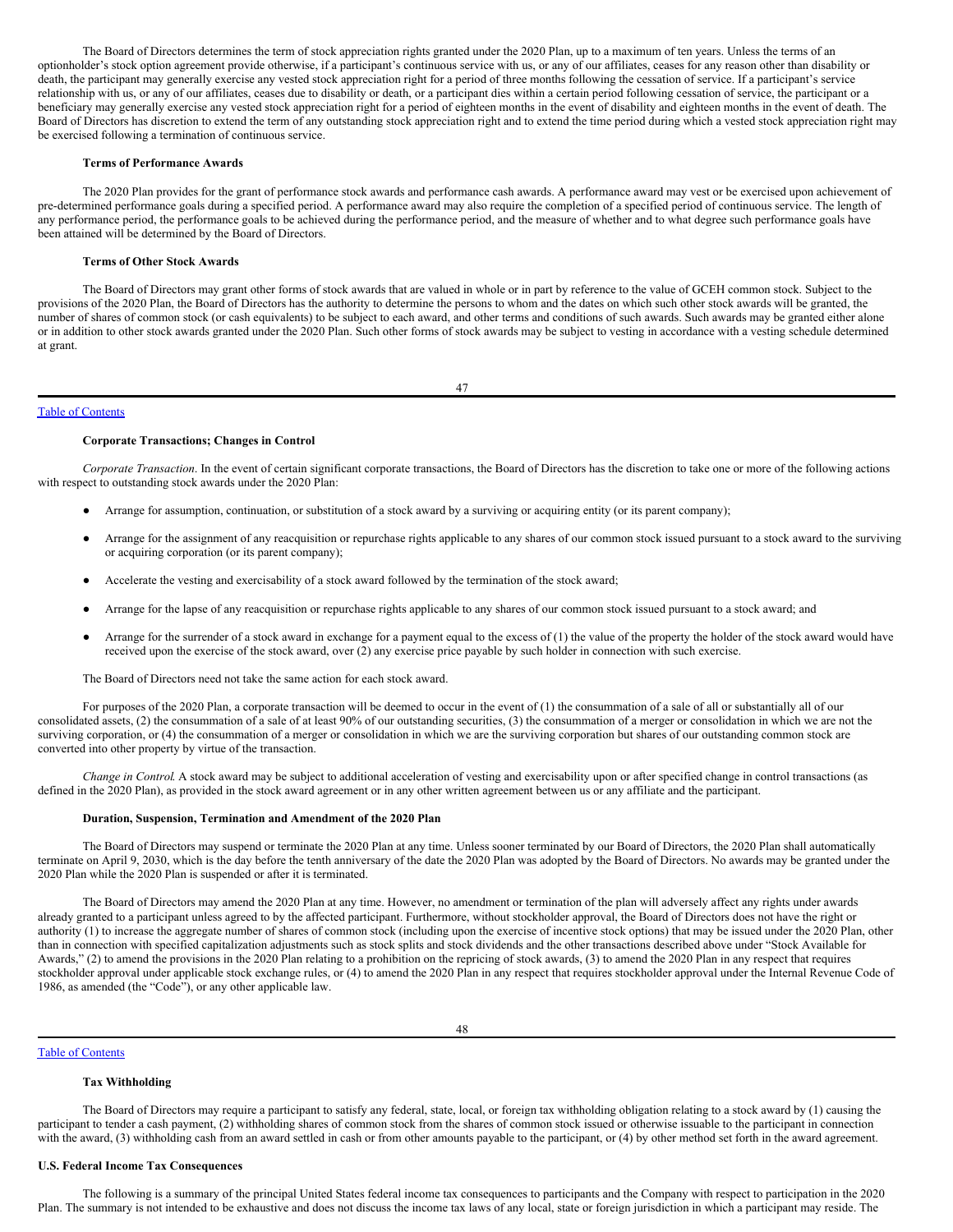The Board of Directors determines the term of stock appreciation rights granted under the 2020 Plan, up to a maximum of ten years. Unless the terms of an optionholder's stock option agreement provide otherwise, if a participant's continuous service with us, or any of our affiliates, ceases for any reason other than disability or death, the participant may generally exercise any vested stock appreciation right for a period of three months following the cessation of service. If a participant's service relationship with us, or any of our affiliates, ceases due to disability or death, or a participant dies within a certain period following cessation of service, the participant or a beneficiary may generally exercise any vested stock appreciation right for a period of eighteen months in the event of disability and eighteen months in the event of death. The Board of Directors has discretion to extend the term of any outstanding stock appreciation right and to extend the time period during which a vested stock appreciation right may be exercised following a termination of continuous service.

#### **Terms of Performance Awards**

The 2020 Plan provides for the grant of performance stock awards and performance cash awards. A performance award may vest or be exercised upon achievement of pre-determined performance goals during a specified period. A performance award may also require the completion of a specified period of continuous service. The length of any performance period, the performance goals to be achieved during the performance period, and the measure of whether and to what degree such performance goals have been attained will be determined by the Board of Directors.

#### **Terms of Other Stock Awards**

The Board of Directors may grant other forms of stock awards that are valued in whole or in part by reference to the value of GCEH common stock. Subject to the provisions of the 2020 Plan, the Board of Directors has the authority to determine the persons to whom and the dates on which such other stock awards will be granted, the number of shares of common stock (or cash equivalents) to be subject to each award, and other terms and conditions of such awards. Such awards may be granted either alone or in addition to other stock awards granted under the 2020 Plan. Such other forms of stock awards may be subject to vesting in accordance with a vesting schedule determined at grant.

47

### Table of [Contents](#page-0-0)

#### **Corporate Transactions; Changes in Control**

*Corporate Transaction*. In the event of certain significant corporate transactions, the Board of Directors has the discretion to take one or more of the following actions with respect to outstanding stock awards under the 2020 Plan:

- Arrange for assumption, continuation, or substitution of a stock award by a surviving or acquiring entity (or its parent company);
- Arrange for the assignment of any reacquisition or repurchase rights applicable to any shares of our common stock issued pursuant to a stock award to the surviving or acquiring corporation (or its parent company);
- Accelerate the vesting and exercisability of a stock award followed by the termination of the stock award;
- Arrange for the lapse of any reacquisition or repurchase rights applicable to any shares of our common stock issued pursuant to a stock award; and
- Arrange for the surrender of a stock award in exchange for a payment equal to the excess of (1) the value of the property the holder of the stock award would have received upon the exercise of the stock award, over (2) any exercise price payable by such holder in connection with such exercise.

The Board of Directors need not take the same action for each stock award.

For purposes of the 2020 Plan, a corporate transaction will be deemed to occur in the event of  $(1)$  the consummation of a sale of all or substantially all of our consolidated assets, (2) the consummation of a sale of at least 90% of our outstanding securities, (3) the consummation of a merger or consolidation in which we are not the surviving corporation, or (4) the consummation of a merger or consolidation in which we are the surviving corporation but shares of our outstanding common stock are converted into other property by virtue of the transaction.

*Change in Control.* A stock award may be subject to additional acceleration of vesting and exercisability upon or after specified change in control transactions (as defined in the 2020 Plan), as provided in the stock award agreement or in any other written agreement between us or any affiliate and the participant.

### **Duration, Suspension, Termination and Amendment of the 2020 Plan**

The Board of Directors may suspend or terminate the 2020 Plan at any time. Unless sooner terminated by our Board of Directors, the 2020 Plan shall automatically terminate on April 9, 2030, which is the day before the tenth anniversary of the date the 2020 Plan was adopted by the Board of Directors. No awards may be granted under the 2020 Plan while the 2020 Plan is suspended or after it is terminated.

The Board of Directors may amend the 2020 Plan at any time. However, no amendment or termination of the plan will adversely affect any rights under awards already granted to a participant unless agreed to by the affected participant. Furthermore, without stockholder approval, the Board of Directors does not have the right or authority (1) to increase the aggregate number of shares of common stock (including upon the exercise of incentive stock options) that may be issued under the 2020 Plan, other than in connection with specified capitalization adjustments such as stock splits and stock dividends and the other transactions described above under "Stock Available for Awards," (2) to amend the provisions in the 2020 Plan relating to a prohibition on the repricing of stock awards, (3) to amend the 2020 Plan in any respect that requires stockholder approval under applicable stock exchange rules, or (4) to amend the 2020 Plan in any respect that requires stockholder approval under the Internal Revenue Code of 1986, as amended (the "Code"), or any other applicable law.

48

Table of [Contents](#page-0-0)

### **Tax Withholding**

The Board of Directors may require a participant to satisfy any federal, state, local, or foreign tax withholding obligation relating to a stock award by (1) causing the participant to tender a cash payment, (2) withholding shares of common stock from the shares of common stock issued or otherwise issuable to the participant in connection with the award, (3) withholding cash from an award settled in cash or from other amounts payable to the participant, or (4) by other method set forth in the award agreement.

#### **U.S. Federal Income Tax Consequences**

The following is a summary of the principal United States federal income tax consequences to participants and the Company with respect to participation in the 2020 Plan. The summary is not intended to be exhaustive and does not discuss the income tax laws of any local, state or foreign jurisdiction in which a participant may reside. The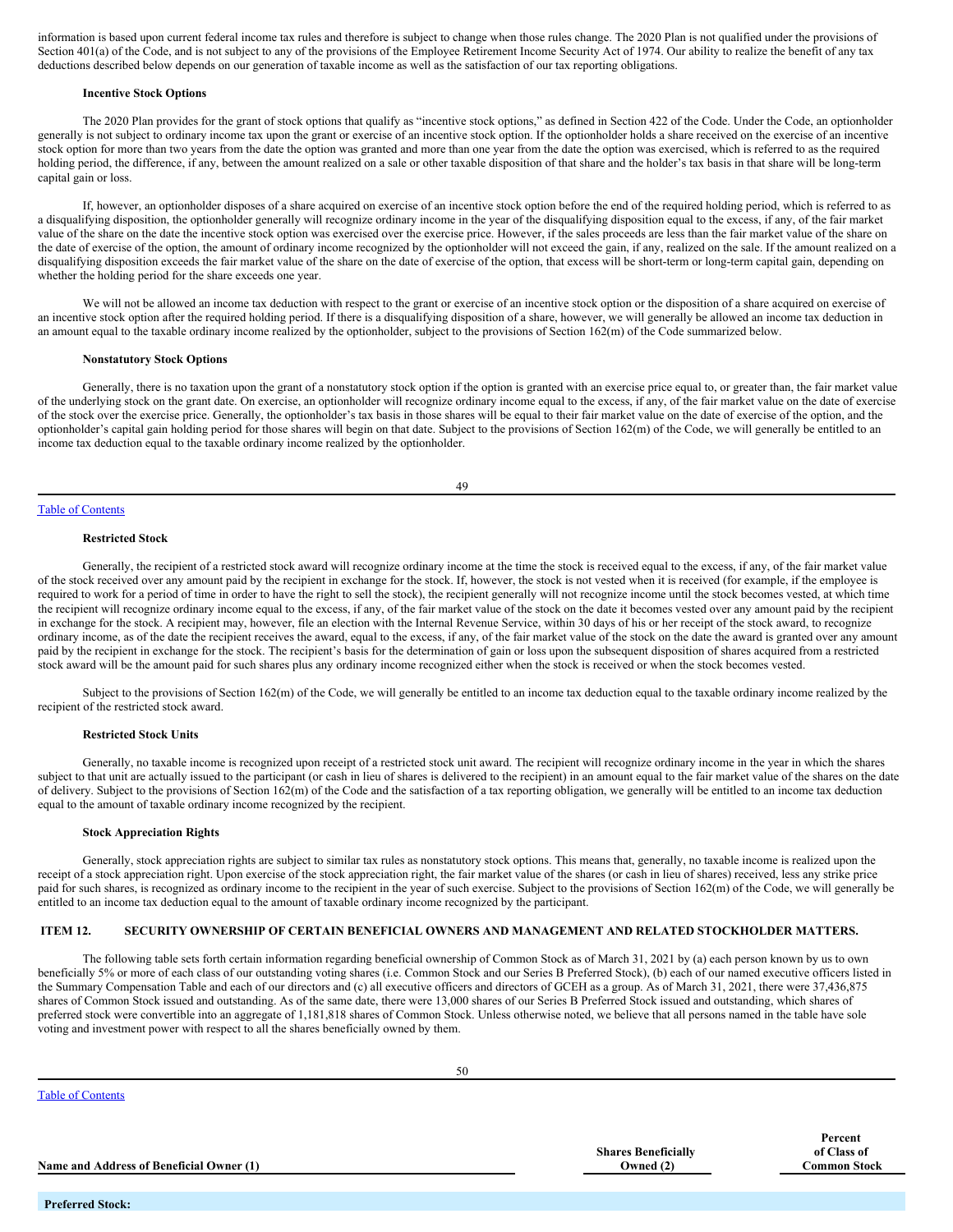information is based upon current federal income tax rules and therefore is subject to change when those rules change. The 2020 Plan is not qualified under the provisions of Section 401(a) of the Code, and is not subject to any of the provisions of the Employee Retirement Income Security Act of 1974. Our ability to realize the benefit of any tax deductions described below depends on our generation of taxable income as well as the satisfaction of our tax reporting obligations.

### **Incentive Stock Options**

The 2020 Plan provides for the grant of stock options that qualify as "incentive stock options," as defined in Section 422 of the Code. Under the Code, an optionholder generally is not subject to ordinary income tax upon the grant or exercise of an incentive stock option. If the optionholder holds a share received on the exercise of an incentive stock option for more than two years from the date the option was granted and more than one year from the date the option was exercised, which is referred to as the required holding period, the difference, if any, between the amount realized on a sale or other taxable disposition of that share and the holder's tax basis in that share will be long-term capital gain or loss.

If, however, an optionholder disposes of a share acquired on exercise of an incentive stock option before the end of the required holding period, which is referred to as a disqualifying disposition, the optionholder generally will recognize ordinary income in the year of the disqualifying disposition equal to the excess, if any, of the fair market value of the share on the date the incentive stock option was exercised over the exercise price. However, if the sales proceeds are less than the fair market value of the share on the date of exercise of the option, the amount of ordinary income recognized by the optionholder will not exceed the gain, if any, realized on the sale. If the amount realized on a disqualifying disposition exceeds the fair market value of the share on the date of exercise of the option, that excess will be short-term or long-term capital gain, depending on whether the holding period for the share exceeds one year.

We will not be allowed an income tax deduction with respect to the grant or exercise of an incentive stock option or the disposition of a share acquired on exercise of an incentive stock option after the required holding period. If there is a disqualifying disposition of a share, however, we will generally be allowed an income tax deduction in an amount equal to the taxable ordinary income realized by the optionholder, subject to the provisions of Section 162(m) of the Code summarized below.

#### **Nonstatutory Stock Options**

Generally, there is no taxation upon the grant of a nonstatutory stock option if the option is granted with an exercise price equal to, or greater than, the fair market value of the underlying stock on the grant date. On exercise, an optionholder will recognize ordinary income equal to the excess, if any, of the fair market value on the date of exercise of the stock over the exercise price. Generally, the optionholder's tax basis in those shares will be equal to their fair market value on the date of exercise of the option, and the optionholder's capital gain holding period for those shares will begin on that date. Subject to the provisions of Section 162(m) of the Code, we will generally be entitled to an income tax deduction equal to the taxable ordinary income realized by the optionholder.

| ٦ | ×<br>۰.<br>۰,<br>٧ |
|---|--------------------|

#### Table of [Contents](#page-0-0)

### **Restricted Stock**

Generally, the recipient of a restricted stock award will recognize ordinary income at the time the stock is received equal to the excess, if any, of the fair market value of the stock received over any amount paid by the recipient in exchange for the stock. If, however, the stock is not vested when it is received (for example, if the employee is required to work for a period of time in order to have the right to sell the stock), the recipient generally will not recognize income until the stock becomes vested, at which time the recipient will recognize ordinary income equal to the excess, if any, of the fair market value of the stock on the date it becomes vested over any amount paid by the recipient in exchange for the stock. A recipient may, however, file an election with the Internal Revenue Service, within 30 days of his or her receipt of the stock award, to recognize ordinary income, as of the date the recipient receives the award, equal to the excess, if any, of the fair market value of the stock on the date the award is granted over any amount paid by the recipient in exchange for the stock. The recipient's basis for the determination of gain or loss upon the subsequent disposition of shares acquired from a restricted stock award will be the amount paid for such shares plus any ordinary income recognized either when the stock is received or when the stock becomes vested.

Subject to the provisions of Section 162(m) of the Code, we will generally be entitled to an income tax deduction equal to the taxable ordinary income realized by the recipient of the restricted stock award.

### **Restricted Stock Units**

Generally, no taxable income is recognized upon receipt of a restricted stock unit award. The recipient will recognize ordinary income in the year in which the shares subject to that unit are actually issued to the participant (or cash in lieu of shares is delivered to the recipient) in an amount equal to the fair market value of the shares on the date of delivery. Subject to the provisions of Section 162(m) of the Code and the satisfaction of a tax reporting obligation, we generally will be entitled to an income tax deduction equal to the amount of taxable ordinary income recognized by the recipient.

#### **Stock Appreciation Rights**

Generally, stock appreciation rights are subject to similar tax rules as nonstatutory stock options. This means that, generally, no taxable income is realized upon the receipt of a stock appreciation right. Upon exercise of the stock appreciation right, the fair market value of the shares (or cash in lieu of shares) received, less any strike price paid for such shares, is recognized as ordinary income to the recipient in the year of such exercise. Subject to the provisions of Section 162(m) of the Code, we will generally be entitled to an income tax deduction equal to the amount of taxable ordinary income recognized by the participant.

### <span id="page-27-0"></span>**ITEM 12. SECURITY OWNERSHIP OF CERTAIN BENEFICIAL OWNERS AND MANAGEMENT AND RELATED STOCKHOLDER MATTERS.**

The following table sets forth certain information regarding beneficial ownership of Common Stock as of March 31, 2021 by (a) each person known by us to own beneficially 5% or more of each class of our outstanding voting shares (i.e. Common Stock and our Series B Preferred Stock), (b) each of our named executive officers listed in the Summary Compensation Table and each of our directors and (c) all executive officers and directors of GCEH as a group. As of March 31, 2021, there were 37,436,875 shares of Common Stock issued and outstanding. As of the same date, there were 13,000 shares of our Series B Preferred Stock issued and outstanding, which shares of preferred stock were convertible into an aggregate of 1,181,818 shares of Common Stock. Unless otherwise noted, we believe that all persons named in the table have sole voting and investment power with respect to all the shares beneficially owned by them.

|                   | 51. |
|-------------------|-----|
| Table of Contents |     |
|                   |     |

**Name and Address of Beneficial Owner (1)**

**Shares Beneficially Owned (2)**

**Percent of Class of Common Stock**

**Preferred Stock:**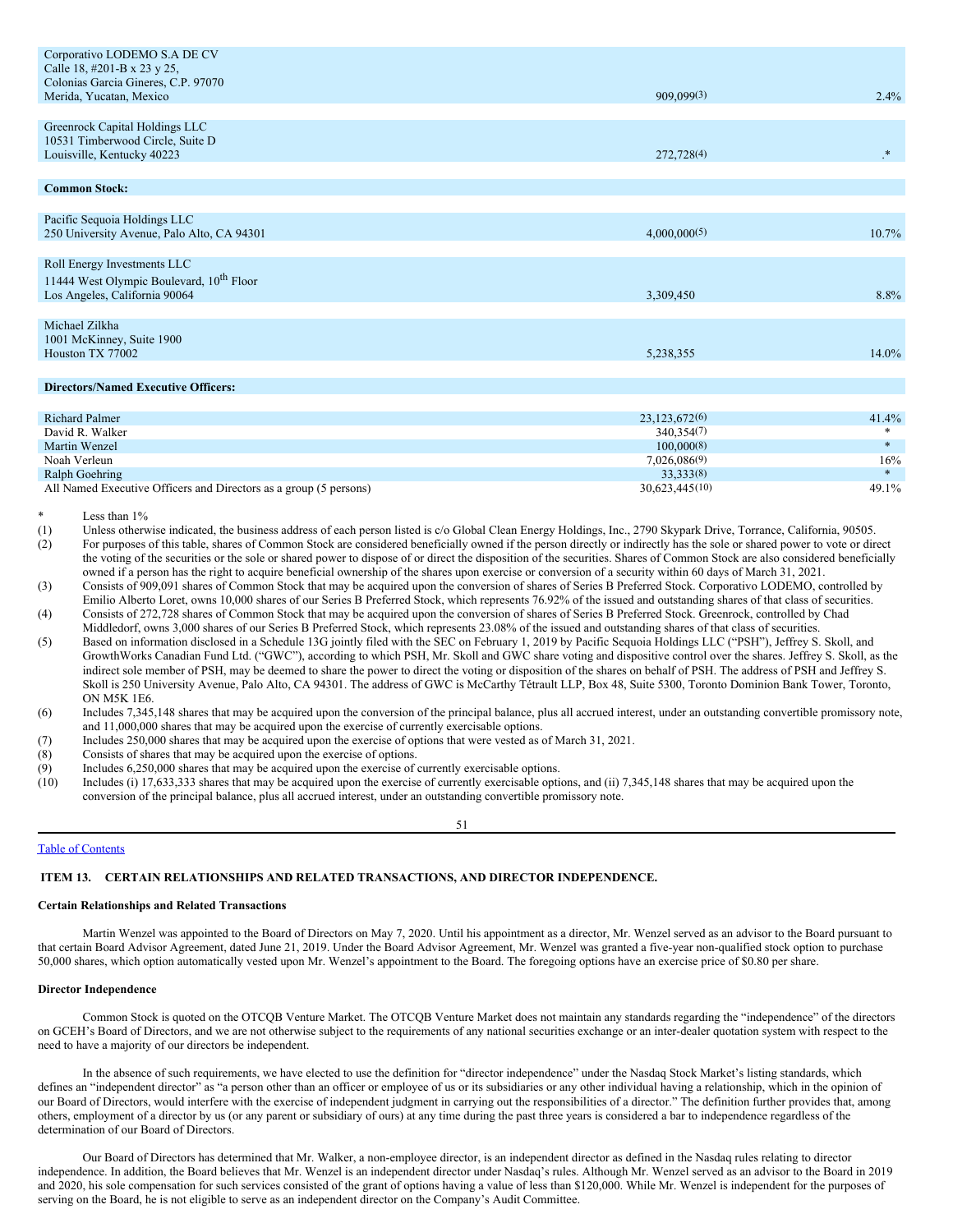| Corporativo LODEMO S.A DE CV                                      |                 |        |
|-------------------------------------------------------------------|-----------------|--------|
| Calle 18, #201-B x 23 y 25,                                       |                 |        |
| Colonias Garcia Gineres, C.P. 97070                               |                 | 2.4%   |
| Merida, Yucatan, Mexico                                           | 909,099(3)      |        |
| Greenrock Capital Holdings LLC                                    |                 |        |
| 10531 Timberwood Circle, Suite D                                  |                 |        |
| Louisville, Kentucky 40223                                        | 272,728(4)      | $\ast$ |
|                                                                   |                 |        |
| <b>Common Stock:</b>                                              |                 |        |
|                                                                   |                 |        |
| Pacific Sequoia Holdings LLC                                      |                 |        |
| 250 University Avenue, Palo Alto, CA 94301                        | 4,000,000(5)    | 10.7%  |
|                                                                   |                 |        |
| Roll Energy Investments LLC                                       |                 |        |
| 11444 West Olympic Boulevard, 10 <sup>th</sup> Floor              |                 |        |
| Los Angeles, California 90064                                     | 3,309,450       | 8.8%   |
|                                                                   |                 |        |
| Michael Zilkha                                                    |                 |        |
| 1001 McKinney, Suite 1900                                         |                 |        |
| Houston TX 77002                                                  | 5,238,355       | 14.0%  |
|                                                                   |                 |        |
| <b>Directors/Named Executive Officers:</b>                        |                 |        |
|                                                                   |                 |        |
| <b>Richard Palmer</b>                                             | 23, 123, 672(6) | 41.4%  |
| David R. Walker                                                   | 340,354(7)      | $\ast$ |
| Martin Wenzel                                                     | 100,000(8)      | $*$    |
| Noah Verleun                                                      | 7,026,086(9)    | 16%    |
| Ralph Goehring                                                    | 33,333(8)       | $*$    |
| All Named Executive Officers and Directors as a group (5 persons) | 30,623,445(10)  | 49.1%  |

\* Less than  $1\%$ <br>(1) Unless other Unless otherwise indicated, the business address of each person listed is c/o Global Clean Energy Holdings, Inc., 2790 Skypark Drive, Torrance, California, 90505. (2) For purposes of this table, shares of Common Stock are considered beneficially owned if the person directly or indirectly has the sole or shared power to vote or direct the voting of the securities or the sole or shared power to dispose of or direct the disposition of the securities. Shares of Common Stock are also considered beneficially owned if a person has the right to acquire beneficial ownership of the shares upon exercise or conversion of a security within 60 days of March 31, 2021.

(3) Consists of 909,091 shares of Common Stock that may be acquired upon the conversion of shares of Series B Preferred Stock. Corporativo LODEMO, controlled by Emilio Alberto Loret, owns 10,000 shares of our Series B Preferred Stock, which represents 76.92% of the issued and outstanding shares of that class of securities.

(4) Consists of 272,728 shares of Common Stock that may be acquired upon the conversion of shares of Series B Preferred Stock. Greenrock, controlled by Chad Middledorf, owns 3,000 shares of our Series B Preferred Stock, which represents 23.08% of the issued and outstanding shares of that class of securities.

(5) Based on information disclosed in a Schedule 13G jointly filed with the SEC on February 1, 2019 by Pacific Sequoia Holdings LLC ("PSH"), Jeffrey S. Skoll, and GrowthWorks Canadian Fund Ltd. ("GWC"), according to which PSH, Mr. Skoll and GWC share voting and dispositive control over the shares. Jeffrey S. Skoll, as the indirect sole member of PSH, may be deemed to share the power to direct the voting or disposition of the shares on behalf of PSH. The address of PSH and Jeffrey S. Skoll is 250 University Avenue, Palo Alto, CA 94301. The address of GWC is McCarthy Tétrault LLP, Box 48, Suite 5300, Toronto Dominion Bank Tower, Toronto, ON M5K 1E6.

(6) Includes 7,345,148 shares that may be acquired upon the conversion of the principal balance, plus all accrued interest, under an outstanding convertible promissory note, and 11,000,000 shares that may be acquired upon the exercise of currently exercisable options.

(7) Includes 250,000 shares that may be acquired upon the exercise of options that were vested as of March 31, 2021.

(8) Consists of shares that may be acquired upon the exercise of options.<br>(9) Includes 6,250,000 shares that may be acquired upon the exercise of

Includes 6,250,000 shares that may be acquired upon the exercise of currently exercisable options.

(10) Includes (i) 17,633,333 shares that may be acquired upon the exercise of currently exercisable options, and (ii) 7,345,148 shares that may be acquired upon the conversion of the principal balance, plus all accrued interest, under an outstanding convertible promissory note.

Table of [Contents](#page-0-0)

<span id="page-28-0"></span>**ITEM 13. CERTAIN RELATIONSHIPS AND RELATED TRANSACTIONS, AND DIRECTOR INDEPENDENCE.**

### **Certain Relationships and Related Transactions**

Martin Wenzel was appointed to the Board of Directors on May 7, 2020. Until his appointment as a director, Mr. Wenzel served as an advisor to the Board pursuant to that certain Board Advisor Agreement, dated June 21, 2019. Under the Board Advisor Agreement, Mr. Wenzel was granted a five-year non-qualified stock option to purchase 50,000 shares, which option automatically vested upon Mr. Wenzel's appointment to the Board. The foregoing options have an exercise price of \$0.80 per share.

### **Director Independence**

Common Stock is quoted on the OTCQB Venture Market. The OTCQB Venture Market does not maintain any standards regarding the "independence" of the directors on GCEH's Board of Directors, and we are not otherwise subject to the requirements of any national securities exchange or an inter-dealer quotation system with respect to the need to have a majority of our directors be independent.

In the absence of such requirements, we have elected to use the definition for "director independence" under the Nasdaq Stock Market's listing standards, which defines an "independent director" as "a person other than an officer or employee of us or its subsidiaries or any other individual having a relationship, which in the opinion of our Board of Directors, would interfere with the exercise of independent judgment in carrying out the responsibilities of a director." The definition further provides that, among others, employment of a director by us (or any parent or subsidiary of ours) at any time during the past three years is considered a bar to independence regardless of the determination of our Board of Directors.

Our Board of Directors has determined that Mr. Walker, a non-employee director, is an independent director as defined in the Nasdaq rules relating to director independence. In addition, the Board believes that Mr. Wenzel is an independent director under Nasdaq's rules. Although Mr. Wenzel served as an advisor to the Board in 2019 and 2020, his sole compensation for such services consisted of the grant of options having a value of less than \$120,000. While Mr. Wenzel is independent for the purposes of serving on the Board, he is not eligible to serve as an independent director on the Company's Audit Committee.

51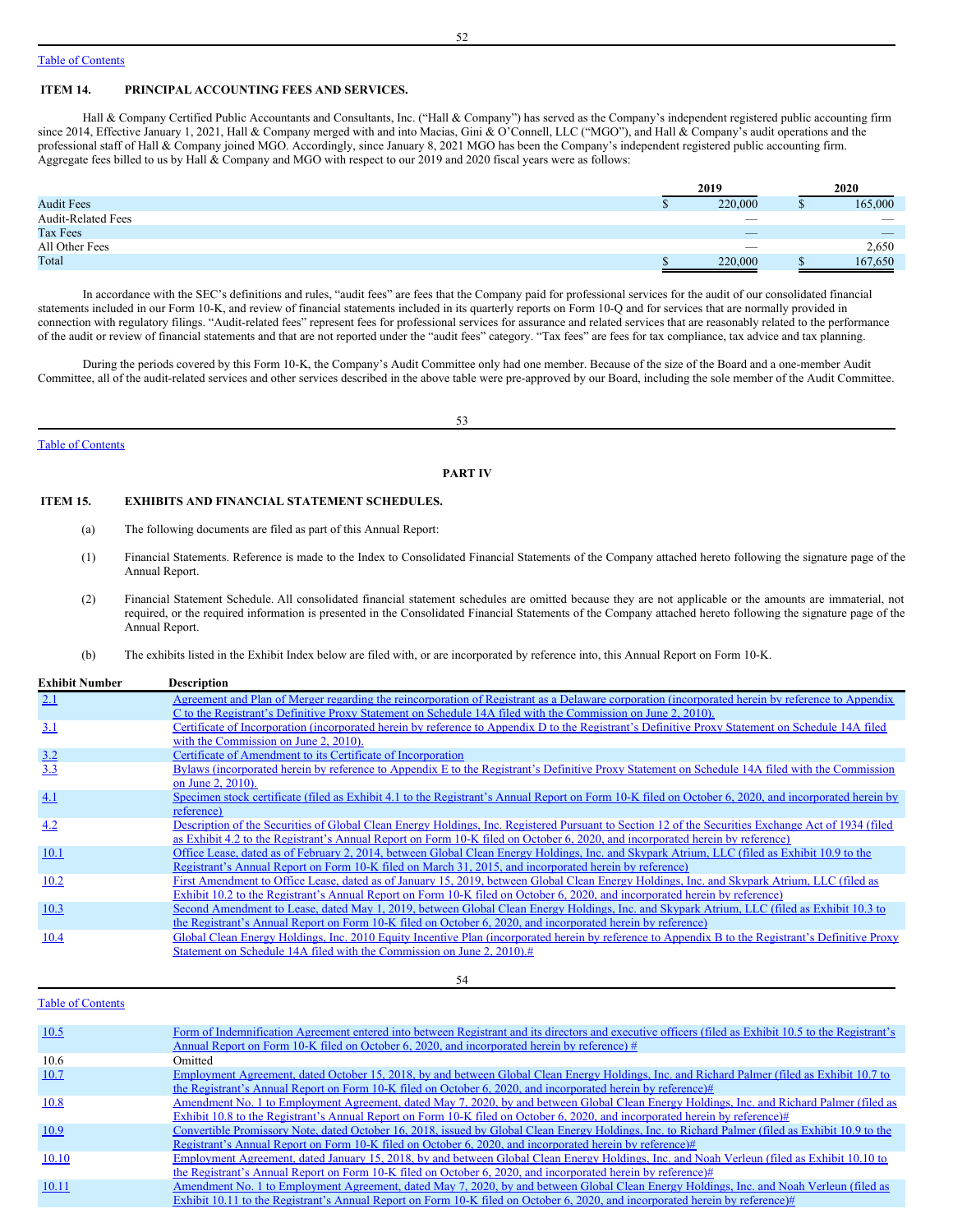### Table of [Contents](#page-0-0)

### <span id="page-29-0"></span>**ITEM 14. PRINCIPAL ACCOUNTING FEES AND SERVICES.**

Hall & Company Certified Public Accountants and Consultants, Inc. ("Hall & Company") has served as the Company's independent registered public accounting firm since 2014, Effective January 1, 2021, Hall & Company merged with and into Macias, Gini & O'Connell, LLC ("MGO"), and Hall & Company's audit operations and the professional staff of Hall & Company joined MGO. Accordingly, since January 8, 2021 MGO has been the Company's independent registered public accounting firm. Aggregate fees billed to us by Hall & Company and MGO with respect to our 2019 and 2020 fiscal years were as follows:

|                           | 2019 |                                   |  | 2020                     |  |
|---------------------------|------|-----------------------------------|--|--------------------------|--|
| <b>Audit Fees</b>         |      | 220,000                           |  | 165,000                  |  |
| <b>Audit-Related Fees</b> |      |                                   |  | $\overline{\phantom{a}}$ |  |
| Tax Fees                  |      | $\hspace{1.0cm} \overbrace{ }^{}$ |  | $-$                      |  |
| All Other Fees            |      | $\overline{\phantom{a}}$          |  | 2,650                    |  |
| Total                     |      | 220,000                           |  | 167,650                  |  |

In accordance with the SEC's definitions and rules, "audit fees" are fees that the Company paid for professional services for the audit of our consolidated financial statements included in our Form 10-K, and review of financial statements included in its quarterly reports on Form 10-Q and for services that are normally provided in connection with regulatory filings. "Audit-related fees" represent fees for professional services for assurance and related services that are reasonably related to the performance of the audit or review of financial statements and that are not reported under the "audit fees" category. "Tax fees" are fees for tax compliance, tax advice and tax planning.

During the periods covered by this Form 10-K, the Company's Audit Committee only had one member. Because of the size of the Board and a one-member Audit Committee, all of the audit-related services and other services described in the above table were pre-approved by our Board, including the sole member of the Audit Committee.

Table of [Contents](#page-0-0)

### 53

### <span id="page-29-1"></span>**PART IV**

#### <span id="page-29-2"></span>**ITEM 15. EXHIBITS AND FINANCIAL STATEMENT SCHEDULES.**

- (a) The following documents are filed as part of this Annual Report:
- (1) Financial Statements. Reference is made to the Index to Consolidated Financial Statements of the Company attached hereto following the signature page of the Annual Report.
- (2) Financial Statement Schedule. All consolidated financial statement schedules are omitted because they are not applicable or the amounts are immaterial, not required, or the required information is presented in the Consolidated Financial Statements of the Company attached hereto following the signature page of the Annual Report.
- (b) The exhibits listed in the Exhibit Index below are filed with, or are incorporated by reference into, this Annual Report on Form 10-K.

| <b>Exhibit Number</b> | <b>Description</b>                                                                                                                                   |
|-----------------------|------------------------------------------------------------------------------------------------------------------------------------------------------|
| 2.1                   | Agreement and Plan of Merger regarding the reincorporation of Registrant as a Delaware corporation (incorporated herein by reference to Appendix     |
|                       | C to the Registrant's Definitive Proxy Statement on Schedule 14A filed with the Commission on June 2, 2010).                                         |
| 3.1                   | Certificate of Incorporation (incorporated herein by reference to Appendix D to the Registrant's Definitive Proxy Statement on Schedule 14A filed    |
|                       | with the Commission on June 2, 2010).                                                                                                                |
| 3.2                   | Certificate of Amendment to its Certificate of Incorporation                                                                                         |
| 3.3                   | Bylaws (incorporated herein by reference to Appendix E to the Registrant's Definitive Proxy Statement on Schedule 14A filed with the Commission      |
|                       | on June 2, 2010).                                                                                                                                    |
| 4.1                   | Specimen stock certificate (filed as Exhibit 4.1 to the Registrant's Annual Report on Form 10-K filed on October 6, 2020, and incorporated herein by |
|                       | reference)                                                                                                                                           |
| 4.2                   | Description of the Securities of Global Clean Energy Holdings, Inc. Registered Pursuant to Section 12 of the Securities Exchange Act of 1934 (filed  |
|                       | as Exhibit 4.2 to the Registrant's Annual Report on Form 10-K filed on October 6, 2020, and incorporated herein by reference)                        |
| <b>10.1</b>           | Office Lease, dated as of February 2, 2014, between Global Clean Energy Holdings, Inc. and Skypark Atrium, LLC (filed as Exhibit 10.9 to the         |
|                       | Registrant's Annual Report on Form 10-K filed on March 31, 2015, and incorporated herein by reference)                                               |
| 10.2                  | First Amendment to Office Lease, dated as of January 15, 2019, between Global Clean Energy Holdings, Inc. and Skypark Atrium, LLC (filed as          |
|                       | Exhibit 10.2 to the Registrant's Annual Report on Form 10-K filed on October 6, 2020, and incorporated herein by reference)                          |
| 10.3                  | Second Amendment to Lease, dated May 1, 2019, between Global Clean Energy Holdings, Inc. and Skypark Atrium, LLC (filed as Exhibit 10.3 to           |
|                       | the Registrant's Annual Report on Form 10-K filed on October 6, 2020, and incorporated herein by reference)                                          |
| 10.4                  | Global Clean Energy Holdings, Inc. 2010 Equity Incentive Plan (incorporated herein by reference to Appendix B to the Registrant's Definitive Proxy   |
|                       | Statement on Schedule 14A filed with the Commission on June 2, 2010).#                                                                               |

Table of [Contents](#page-0-0)

| 10.5  | Form of Indemnification Agreement entered into between Registrant and its directors and executive officers (filed as Exhibit 10.5 to the Registrant's |
|-------|-------------------------------------------------------------------------------------------------------------------------------------------------------|
|       | Annual Report on Form 10-K filed on October 6, 2020, and incorporated herein by reference) #                                                          |
| 10.6  | Omitted                                                                                                                                               |
| 10.7  | Employment Agreement, dated October 15, 2018, by and between Global Clean Energy Holdings, Inc. and Richard Palmer (filed as Exhibit 10.7 to          |
|       | the Registrant's Annual Report on Form 10-K filed on October 6, 2020, and incorporated herein by reference)#                                          |
| 10.8  | Amendment No. 1 to Employment Agreement, dated May 7, 2020, by and between Global Clean Energy Holdings, Inc. and Richard Palmer (filed as            |
|       | Exhibit 10.8 to the Registrant's Annual Report on Form 10-K filed on October 6, 2020, and incorporated herein by reference)#                          |
| 10.9  | Convertible Promissory Note, dated October 16, 2018, issued by Global Clean Energy Holdings, Inc. to Richard Palmer (filed as Exhibit 10.9 to the     |
|       | Registrant's Annual Report on Form 10-K filed on October 6, 2020, and incorporated herein by reference)#                                              |
| 10.10 | Employment Agreement, dated January 15, 2018, by and between Global Clean Energy Holdings, Inc. and Noah Verleun (filed as Exhibit 10.10 to           |
|       | the Registrant's Annual Report on Form 10-K filed on October 6, 2020, and incorporated herein by reference)#                                          |
| 10.11 | Amendment No. 1 to Employment Agreement, dated May 7, 2020, by and between Global Clean Energy Holdings, Inc. and Noah Verleun (filed as              |
|       | Exhibit 10.11 to the Registrant's Annual Report on Form 10-K filed on October 6, 2020, and incorporated herein by reference)#                         |

54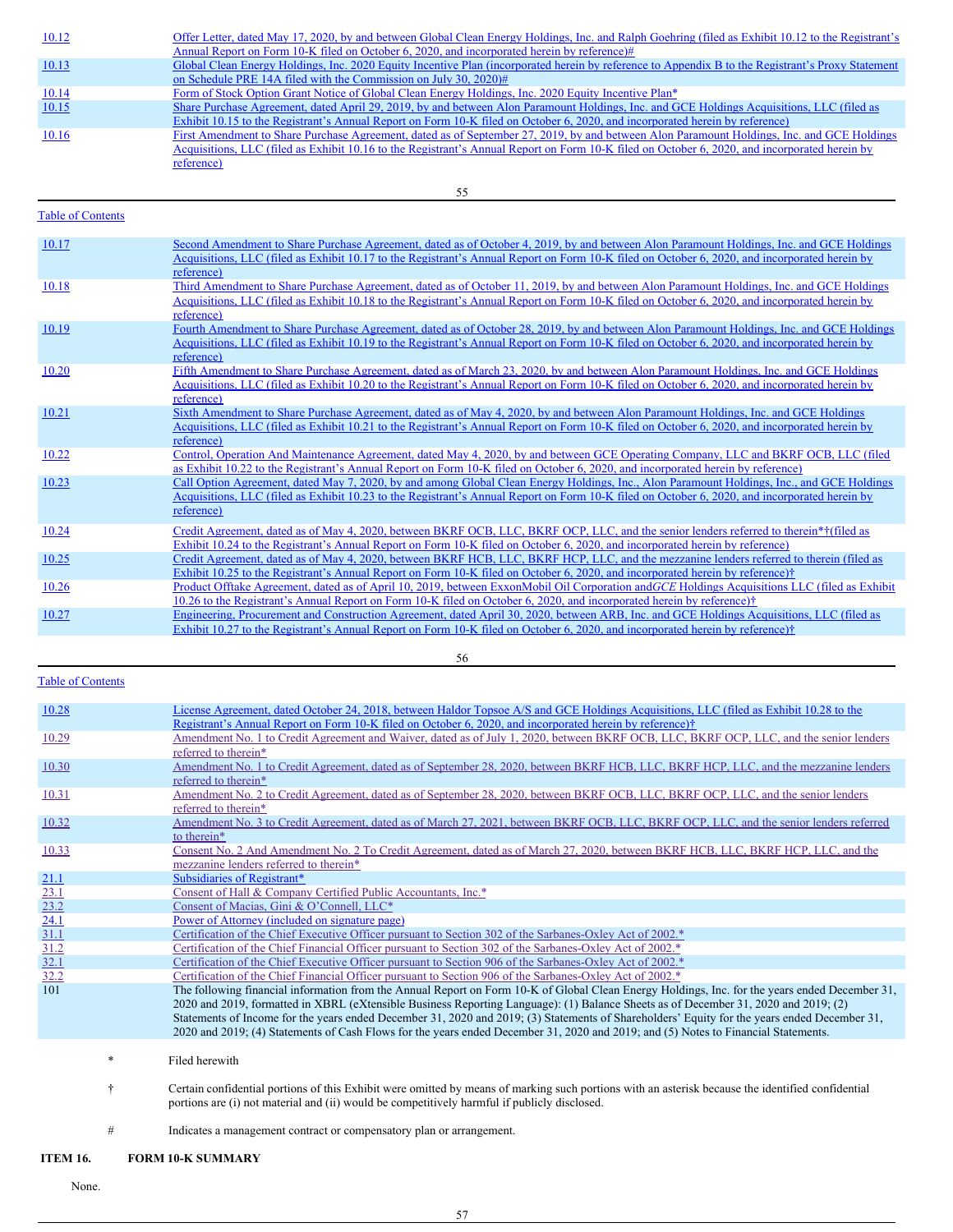| 10.12 | Offer Letter, dated May 17, 2020, by and between Global Clean Energy Holdings, Inc. and Ralph Goehring (filed as Exhibit 10.12 to the Registrant's |
|-------|----------------------------------------------------------------------------------------------------------------------------------------------------|
|       | Annual Report on Form 10-K filed on October 6, 2020, and incorporated herein by reference)#                                                        |
| 10.13 | Global Clean Energy Holdings, Inc. 2020 Equity Incentive Plan (incorporated herein by reference to Appendix B to the Registrant's Proxy Statement  |
|       | on Schedule PRE 14A filed with the Commission on July 30, 2020)#                                                                                   |
| 10.14 | Form of Stock Option Grant Notice of Global Clean Energy Holdings, Inc. 2020 Equity Incentive Plan*                                                |
| 10.15 | Share Purchase Agreement, dated April 29, 2019, by and between Alon Paramount Holdings, Inc. and GCE Holdings Acquisitions, LLC (filed as          |
|       | Exhibit 10.15 to the Registrant's Annual Report on Form 10-K filed on October 6, 2020, and incorporated herein by reference)                       |
| 10.16 | First Amendment to Share Purchase Agreement, dated as of September 27, 2019, by and between Alon Paramount Holdings, Inc. and GCE Holdings         |
|       | Acquisitions, LLC (filed as Exhibit 10.16 to the Registrant's Annual Report on Form 10-K filed on October 6, 2020, and incorporated herein by      |
|       | reference)                                                                                                                                         |

55

### Table of [Contents](#page-0-0)

| 10.17 | Second Amendment to Share Purchase Agreement, dated as of October 4, 2019, by and between Alon Paramount Holdings, Inc. and GCE Holdings<br>Acquisitions, LLC (filed as Exhibit 10.17 to the Registrant's Annual Report on Form 10-K filed on October 6, 2020, and incorporated herein by<br>reference)   |
|-------|-----------------------------------------------------------------------------------------------------------------------------------------------------------------------------------------------------------------------------------------------------------------------------------------------------------|
| 10.18 | Third Amendment to Share Purchase Agreement, dated as of October 11, 2019, by and between Alon Paramount Holdings, Inc. and GCE Holdings<br>Acquisitions, LLC (filed as Exhibit 10.18 to the Registrant's Annual Report on Form 10-K filed on October 6, 2020, and incorporated herein by<br>reference)   |
| 10.19 | Fourth Amendment to Share Purchase Agreement, dated as of October 28, 2019, by and between Alon Paramount Holdings, Inc. and GCE Holdings<br>Acquisitions, LLC (filed as Exhibit 10.19 to the Registrant's Annual Report on Form 10-K filed on October 6, 2020, and incorporated herein by<br>reference)  |
| 10.20 | Fifth Amendment to Share Purchase Agreement, dated as of March 23, 2020, by and between Alon Paramount Holdings, Inc. and GCE Holdings<br>Acquisitions, LLC (filed as Exhibit 10.20 to the Registrant's Annual Report on Form 10-K filed on October 6, 2020, and incorporated herein by<br>reference)     |
| 10.21 | Sixth Amendment to Share Purchase Agreement, dated as of May 4, 2020, by and between Alon Paramount Holdings, Inc. and GCE Holdings<br>Acquisitions, LLC (filed as Exhibit 10.21 to the Registrant's Annual Report on Form 10-K filed on October 6, 2020, and incorporated herein by<br>reference)        |
| 10.22 | Control, Operation And Maintenance Agreement, dated May 4, 2020, by and between GCE Operating Company, LLC and BKRF OCB, LLC (filed<br>as Exhibit 10.22 to the Registrant's Annual Report on Form 10-K filed on October 6, 2020, and incorporated herein by reference)                                    |
| 10.23 | Call Option Agreement, dated May 7, 2020, by and among Global Clean Energy Holdings, Inc., Alon Paramount Holdings, Inc., and GCE Holdings<br>Acquisitions, LLC (filed as Exhibit 10.23 to the Registrant's Annual Report on Form 10-K filed on October 6, 2020, and incorporated herein by<br>reference) |
| 10.24 | Credit Agreement, dated as of May 4, 2020, between BKRF OCB, LLC, BKRF OCP, LLC, and the senior lenders referred to therein*†(filed as<br>Exhibit 10.24 to the Registrant's Annual Report on Form 10-K filed on October 6, 2020, and incorporated herein by reference)                                    |
| 10.25 | Credit Agreement, dated as of May 4, 2020, between BKRF HCB, LLC, BKRF HCP, LLC, and the mezzanine lenders referred to therein (filed as<br>Exhibit 10.25 to the Registrant's Annual Report on Form 10-K filed on October 6, 2020, and incorporated herein by reference) <sup>†</sup>                     |
| 10.26 | Product Offtake Agreement, dated as of April 10, 2019, between ExxonMobil Oil Corporation and GCE Holdings Acquisitions LLC (filed as Exhibit<br>10.26 to the Registrant's Annual Report on Form 10-K filed on October 6, 2020, and incorporated herein by reference) <sup>†</sup>                        |
| 10.27 | Engineering, Procurement and Construction Agreement, dated April 30, 2020, between ARB, Inc. and GCE Holdings Acquisitions, LLC (filed as<br>Exhibit 10.27 to the Registrant's Annual Report on Form 10-K filed on October 6, 2020, and incorporated herein by reference) <sup>†</sup>                    |
|       |                                                                                                                                                                                                                                                                                                           |

## 56

### Table of [Contents](#page-0-0)

| License Agreement, dated October 24, 2018, between Haldor Topsoe A/S and GCE Holdings Acquisitions, LLC (filed as Exhibit 10.28 to the<br>10.28<br>Registrant's Annual Report on Form 10-K filed on October 6, 2020, and incorporated herein by reference) <sup>†</sup> |  |
|-------------------------------------------------------------------------------------------------------------------------------------------------------------------------------------------------------------------------------------------------------------------------|--|
|                                                                                                                                                                                                                                                                         |  |
| Amendment No. 1 to Credit Agreement and Waiver, dated as of July 1, 2020, between BKRF OCB, LLC, BKRF OCP, LLC, and the senior lenders<br>10.29<br>referred to therein*                                                                                                 |  |
| Amendment No. 1 to Credit Agreement, dated as of September 28, 2020, between BKRF HCB, LLC, BKRF HCP, LLC, and the mezzanine lenders<br>10.30                                                                                                                           |  |
| referred to therein*                                                                                                                                                                                                                                                    |  |
| Amendment No. 2 to Credit Agreement, dated as of September 28, 2020, between BKRF OCB, LLC, BKRF OCP, LLC, and the senior lenders<br>10.31                                                                                                                              |  |
| referred to therein*                                                                                                                                                                                                                                                    |  |
| Amendment No. 3 to Credit Agreement, dated as of March 27, 2021, between BKRF OCB, LLC, BKRF OCP, LLC, and the senior lenders referred<br>10.32                                                                                                                         |  |
| to therein*                                                                                                                                                                                                                                                             |  |
| Consent No. 2 And Amendment No. 2 To Credit Agreement, dated as of March 27, 2020, between BKRF HCB, LLC, BKRF HCP, LLC, and the<br>10.33                                                                                                                               |  |
| mezzanine lenders referred to therein*                                                                                                                                                                                                                                  |  |
| Subsidiaries of Registrant*<br><u>21.1</u>                                                                                                                                                                                                                              |  |
| 23.1<br>Consent of Hall & Company Certified Public Accountants, Inc.*                                                                                                                                                                                                   |  |
| 23.2<br>Consent of Macias, Gini & O'Connell, LLC*                                                                                                                                                                                                                       |  |
| 24.1<br>Power of Attorney (included on signature page)                                                                                                                                                                                                                  |  |
| 31.1<br>Certification of the Chief Executive Officer pursuant to Section 302 of the Sarbanes-Oxley Act of 2002.*                                                                                                                                                        |  |
| 31.2<br>Certification of the Chief Financial Officer pursuant to Section 302 of the Sarbanes-Oxley Act of 2002.*                                                                                                                                                        |  |
| 32.1<br>Certification of the Chief Executive Officer pursuant to Section 906 of the Sarbanes-Oxley Act of 2002.*                                                                                                                                                        |  |
| 32.2<br>Certification of the Chief Financial Officer pursuant to Section 906 of the Sarbanes-Oxley Act of 2002.*                                                                                                                                                        |  |
| The following financial information from the Annual Report on Form 10-K of Global Clean Energy Holdings, Inc. for the years ended December 31,<br>101                                                                                                                   |  |
| 2020 and 2019, formatted in XBRL (eXtensible Business Reporting Language): (1) Balance Sheets as of December 31, 2020 and 2019; (2)                                                                                                                                     |  |
| Statements of Income for the years ended December 31, 2020 and 2019; (3) Statements of Shareholders' Equity for the years ended December 31,                                                                                                                            |  |
| 2020 and 2019; (4) Statements of Cash Flows for the years ended December 31, 2020 and 2019; and (5) Notes to Financial Statements.                                                                                                                                      |  |
|                                                                                                                                                                                                                                                                         |  |
| $\ast$<br>Filed herewith                                                                                                                                                                                                                                                |  |
|                                                                                                                                                                                                                                                                         |  |
| ŧ<br>Certain confidential portions of this Exhibit were omitted by means of marking such portions with an asterisk because the identified confidential                                                                                                                  |  |
| portions are (i) not material and (ii) would be competitively harmful if publicly disclosed.                                                                                                                                                                            |  |
|                                                                                                                                                                                                                                                                         |  |
| $\#$<br>Indicates a management contract or compensatory plan or arrangement.                                                                                                                                                                                            |  |
|                                                                                                                                                                                                                                                                         |  |

### <span id="page-30-0"></span>**ITEM 16. FORM 10-K SUMMARY**

None.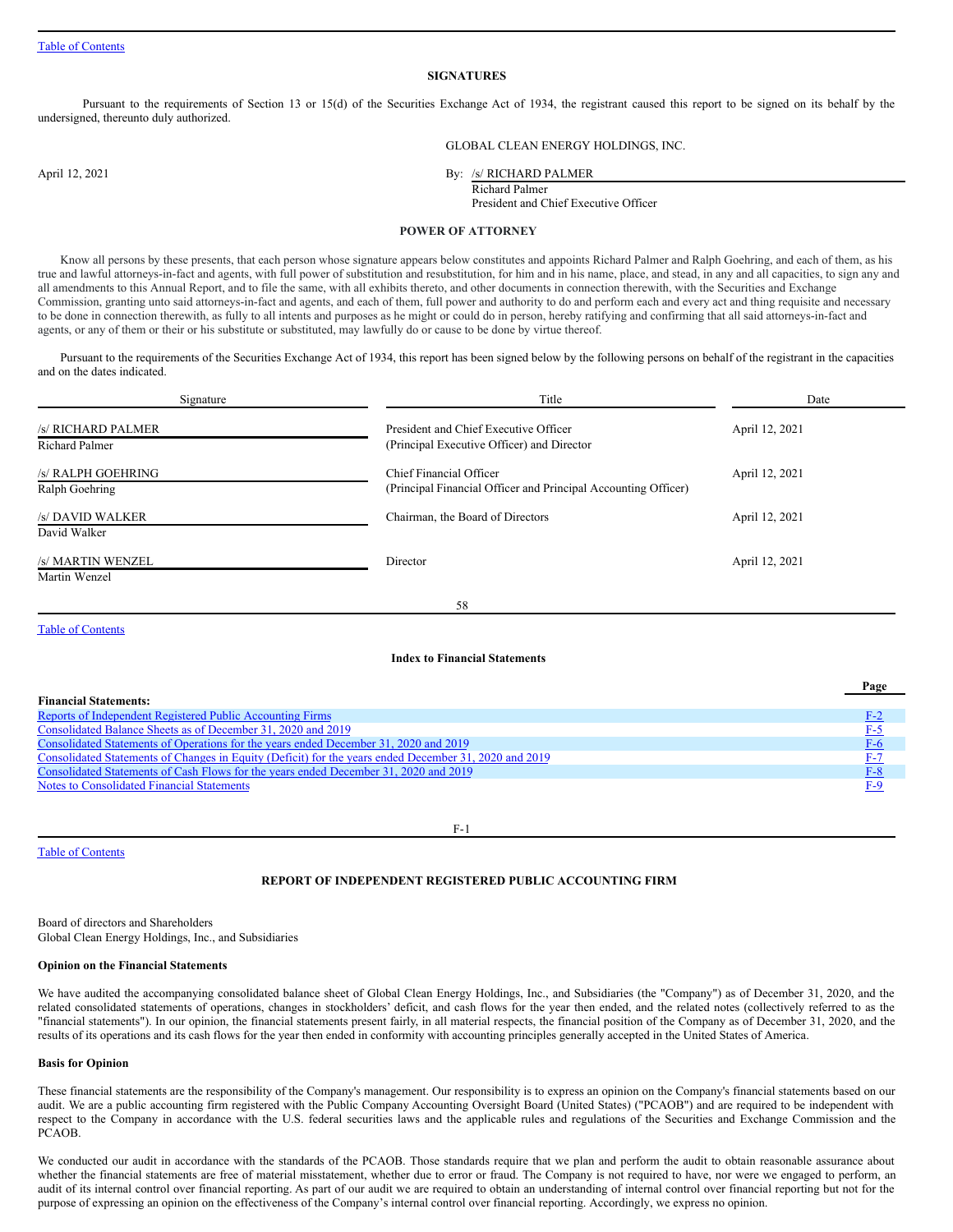### **SIGNATURES**

Pursuant to the requirements of Section 13 or 15(d) of the Securities Exchange Act of 1934, the registrant caused this report to be signed on its behalf by the undersigned, thereunto duly authorized.

GLOBAL CLEAN ENERGY HOLDINGS, INC. April 12, 2021 By: /s/ RICHARD PALMER

Richard Palmer

President and Chief Executive Officer

### <span id="page-31-0"></span>**POWER OF ATTORNEY**

Know all persons by these presents, that each person whose signature appears below constitutes and appoints Richard Palmer and Ralph Goehring, and each of them, as his true and lawful attorneys-in-fact and agents, with full power of substitution and resubstitution, for him and in his name, place, and stead, in any and all capacities, to sign any and all amendments to this Annual Report, and to file the same, with all exhibits thereto, and other documents in connection therewith, with the Securities and Exchange Commission, granting unto said attorneys-in-fact and agents, and each of them, full power and authority to do and perform each and every act and thing requisite and necessary to be done in connection therewith, as fully to all intents and purposes as he might or could do in person, hereby ratifying and confirming that all said attorneys-in-fact and agents, or any of them or their or his substitute or substituted, may lawfully do or cause to be done by virtue thereof.

Pursuant to the requirements of the Securities Exchange Act of 1934, this report has been signed below by the following persons on behalf of the registrant in the capacities and on the dates indicated.

| Signature                                   | Title                                                                                     | Date           |
|---------------------------------------------|-------------------------------------------------------------------------------------------|----------------|
| /s/ RICHARD PALMER<br><b>Richard Palmer</b> | President and Chief Executive Officer<br>(Principal Executive Officer) and Director       | April 12, 2021 |
| /s/ RALPH GOEHRING<br>Ralph Goehring        | Chief Financial Officer<br>(Principal Financial Officer and Principal Accounting Officer) | April 12, 2021 |
| /s/ DAVID WALKER<br>David Walker            | Chairman, the Board of Directors                                                          | April 12, 2021 |
| /s/ MARTIN WENZEL<br>Martin Wenzel          | Director                                                                                  | April 12, 2021 |
|                                             | 58                                                                                        |                |

Table of [Contents](#page-0-0)

Table of [Contents](#page-31-2)

### <span id="page-31-2"></span>**Index to Financial Statements**

|                                                                                                       | Page  |
|-------------------------------------------------------------------------------------------------------|-------|
| <b>Financial Statements:</b>                                                                          |       |
| Reports of Independent Registered Public Accounting Firms                                             | $F-2$ |
| Consolidated Balance Sheets as of December 31, 2020 and 2019                                          | $F-5$ |
| Consolidated Statements of Operations for the years ended December 31, 2020 and 2019                  | $F-6$ |
| Consolidated Statements of Changes in Equity (Deficit) for the years ended December 31, 2020 and 2019 | $F-7$ |
| Consolidated Statements of Cash Flows for the years ended December 31, 2020 and 2019                  | $F-8$ |
| Notes to Consolidated Financial Statements                                                            | $F-9$ |
|                                                                                                       |       |

### <span id="page-31-1"></span>**REPORT OF INDEPENDENT REGISTERED PUBLIC ACCOUNTING FIRM**

F-1

Board of directors and Shareholders Global Clean Energy Holdings, Inc., and Subsidiaries

#### **Opinion on the Financial Statements**

We have audited the accompanying consolidated balance sheet of Global Clean Energy Holdings, Inc., and Subsidiaries (the "Company") as of December 31, 2020, and the related consolidated statements of operations, changes in stockholders' deficit, and cash flows for the year then ended, and the related notes (collectively referred to as the "financial statements"). In our opinion, the financial statements present fairly, in all material respects, the financial position of the Company as of December 31, 2020, and the results of its operations and its cash flows for the year then ended in conformity with accounting principles generally accepted in the United States of America.

### **Basis for Opinion**

These financial statements are the responsibility of the Company's management. Our responsibility is to express an opinion on the Company's financial statements based on our audit. We are a public accounting firm registered with the Public Company Accounting Oversight Board (United States) ("PCAOB") and are required to be independent with respect to the Company in accordance with the U.S. federal securities laws and the applicable rules and regulations of the Securities and Exchange Commission and the PCAOB.

We conducted our audit in accordance with the standards of the PCAOB. Those standards require that we plan and perform the audit to obtain reasonable assurance about whether the financial statements are free of material misstatement, whether due to error or fraud. The Company is not required to have, nor were we engaged to perform, an audit of its internal control over financial reporting. As part of our audit we are required to obtain an understanding of internal control over financial reporting but not for the purpose of expressing an opinion on the effectiveness of the Company's internal control over financial reporting. Accordingly, we express no opinion.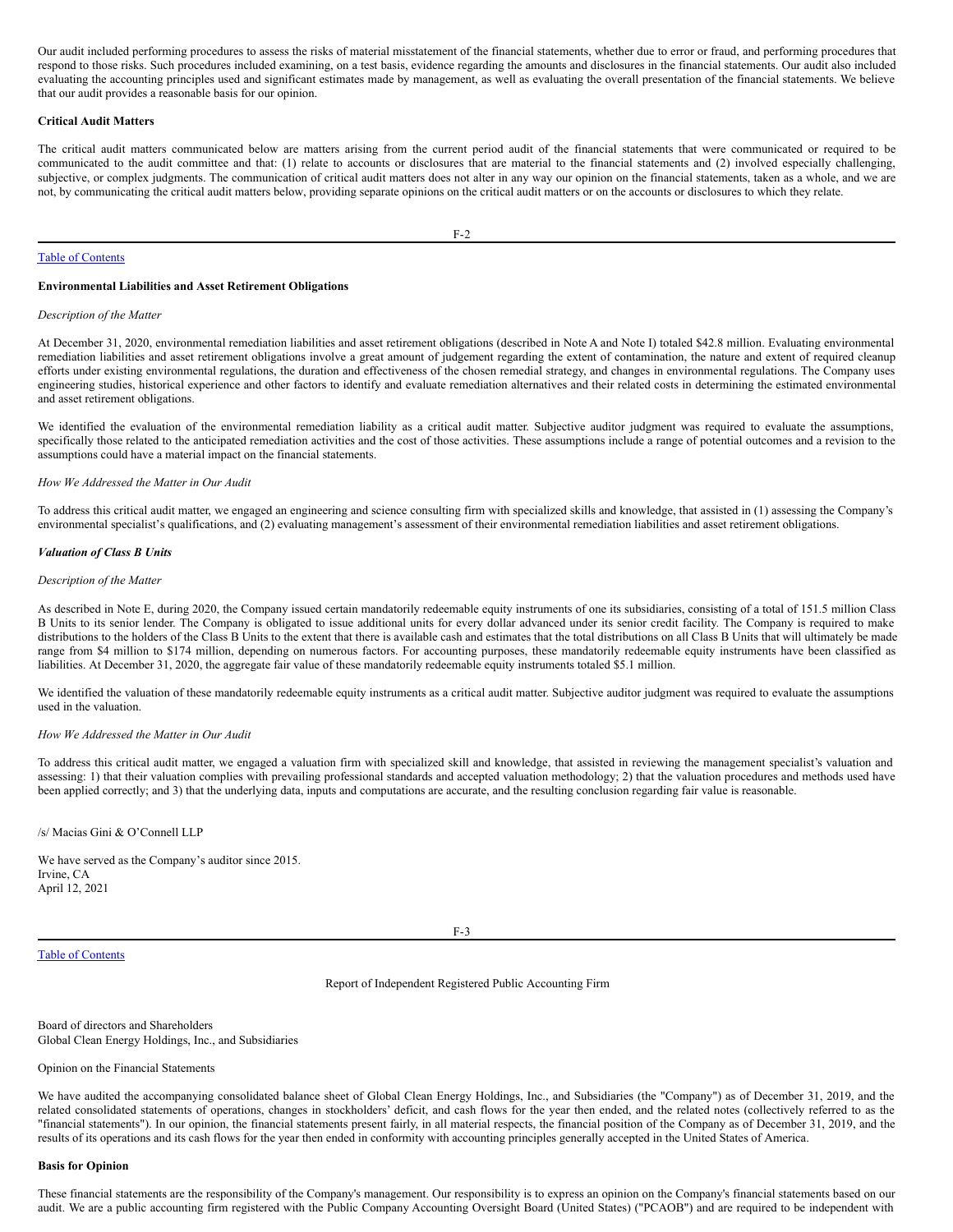Our audit included performing procedures to assess the risks of material misstatement of the financial statements, whether due to error or fraud, and performing procedures that respond to those risks. Such procedures included examining, on a test basis, evidence regarding the amounts and disclosures in the financial statements. Our audit also included evaluating the accounting principles used and significant estimates made by management, as well as evaluating the overall presentation of the financial statements. We believe that our audit provides a reasonable basis for our opinion.

### **Critical Audit Matters**

The critical audit matters communicated below are matters arising from the current period audit of the financial statements that were communicated or required to be communicated to the audit committee and that: (1) relate to accounts or disclosures that are material to the financial statements and (2) involved especially challenging, subjective, or complex judgments. The communication of critical audit matters does not alter in any way our opinion on the financial statements, taken as a whole, and we are not, by communicating the critical audit matters below, providing separate opinions on the critical audit matters or on the accounts or disclosures to which they relate.

### Table of [Contents](#page-31-2)

#### **Environmental Liabilities and Asset Retirement Obligations**

### *Description of the Matter*

At December 31, 2020, environmental remediation liabilities and asset retirement obligations (described in Note A and Note I) totaled \$42.8 million. Evaluating environmental remediation liabilities and asset retirement obligations involve a great amount of judgement regarding the extent of contamination, the nature and extent of required cleanup efforts under existing environmental regulations, the duration and effectiveness of the chosen remedial strategy, and changes in environmental regulations. The Company uses engineering studies, historical experience and other factors to identify and evaluate remediation alternatives and their related costs in determining the estimated environmental and asset retirement obligations.

We identified the evaluation of the environmental remediation liability as a critical audit matter. Subjective auditor judgment was required to evaluate the assumptions, specifically those related to the anticipated remediation activities and the cost of those activities. These assumptions include a range of potential outcomes and a revision to the assumptions could have a material impact on the financial statements.

#### *How We Addressed the Matter in Our Audit*

To address this critical audit matter, we engaged an engineering and science consulting firm with specialized skills and knowledge, that assisted in (1) assessing the Company's environmental specialist's qualifications, and (2) evaluating management's assessment of their environmental remediation liabilities and asset retirement obligations.

#### *Valuation of Class B Units*

### *Description of the Matter*

As described in Note E, during 2020, the Company issued certain mandatorily redeemable equity instruments of one its subsidiaries, consisting of a total of 151.5 million Class B Units to its senior lender. The Company is obligated to issue additional units for every dollar advanced under its senior credit facility. The Company is required to make distributions to the holders of the Class B Units to the extent that there is available cash and estimates that the total distributions on all Class B Units that will ultimately be made range from \$4 million to \$174 million, depending on numerous factors. For accounting purposes, these mandatorily redeemable equity instruments have been classified as liabilities. At December 31, 2020, the aggregate fair value of these mandatorily redeemable equity instruments totaled \$5.1 million.

We identified the valuation of these mandatorily redeemable equity instruments as a critical audit matter. Subjective auditor judgment was required to evaluate the assumptions used in the valuation.

### *How We Addressed the Matter in Our Audit*

To address this critical audit matter, we engaged a valuation firm with specialized skill and knowledge, that assisted in reviewing the management specialist's valuation and assessing: 1) that their valuation complies with prevailing professional standards and accepted valuation methodology; 2) that the valuation procedures and methods used have been applied correctly; and 3) that the underlying data, inputs and computations are accurate, and the resulting conclusion regarding fair value is reasonable.

/s/ Macias Gini & O'Connell LLP

We have served as the Company's auditor since 2015. Irvine, CA April 12, 2021

F-3

Table of [Contents](#page-31-2)

Report of Independent Registered Public Accounting Firm

Board of directors and Shareholders Global Clean Energy Holdings, Inc., and Subsidiaries

Opinion on the Financial Statements

We have audited the accompanying consolidated balance sheet of Global Clean Energy Holdings, Inc., and Subsidiaries (the "Company") as of December 31, 2019, and the related consolidated statements of operations, changes in stockholders' deficit, and cash flows for the year then ended, and the related notes (collectively referred to as the "financial statements"). In our opinion, the financial statements present fairly, in all material respects, the financial position of the Company as of December 31, 2019, and the results of its operations and its cash flows for the year then ended in conformity with accounting principles generally accepted in the United States of America.

#### **Basis for Opinion**

These financial statements are the responsibility of the Company's management. Our responsibility is to express an opinion on the Company's financial statements based on our audit. We are a public accounting firm registered with the Public Company Accounting Oversight Board (United States) ("PCAOB") and are required to be independent with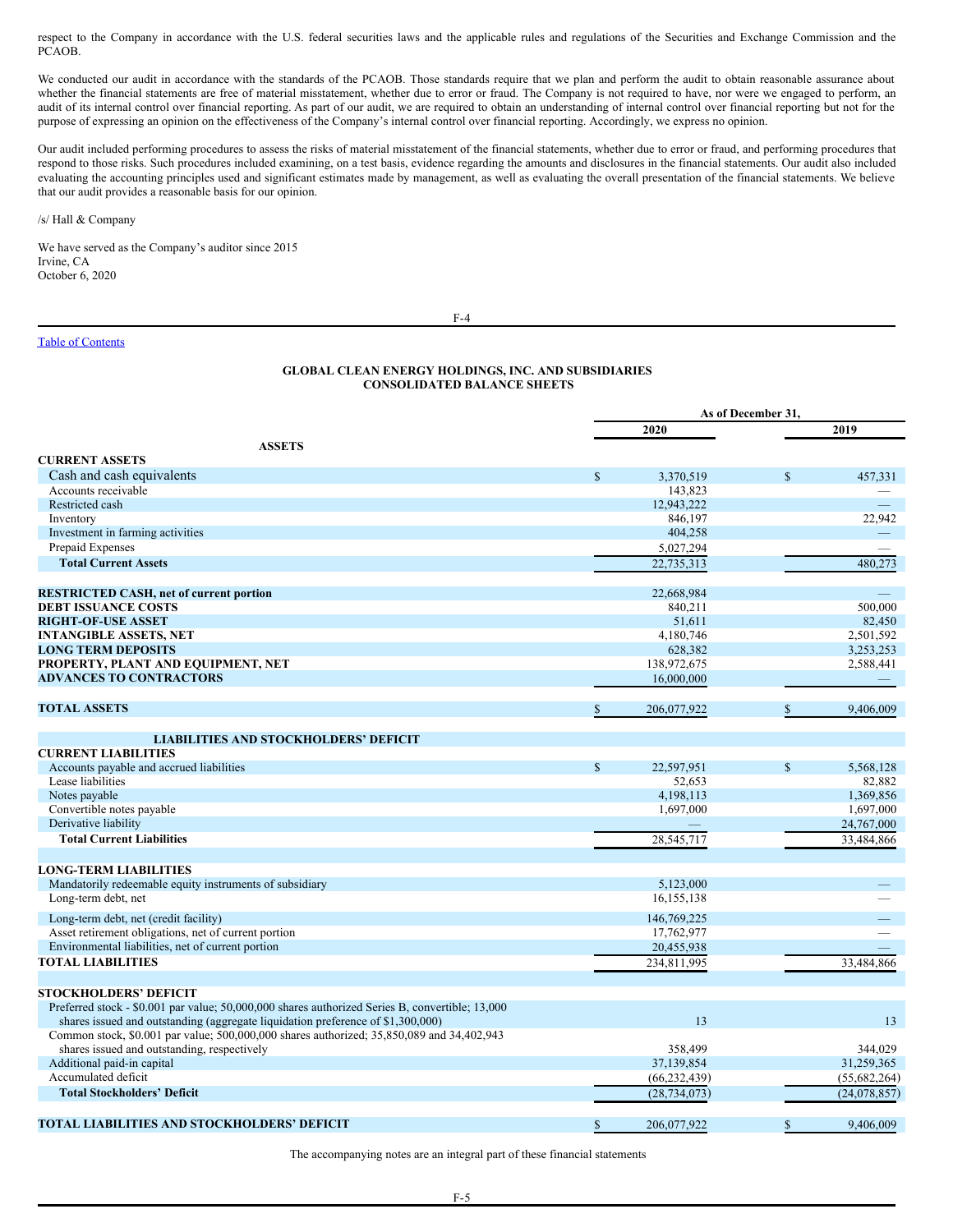respect to the Company in accordance with the U.S. federal securities laws and the applicable rules and regulations of the Securities and Exchange Commission and the PCAOB.

We conducted our audit in accordance with the standards of the PCAOB. Those standards require that we plan and perform the audit to obtain reasonable assurance about whether the financial statements are free of material misstatement, whether due to error or fraud. The Company is not required to have, nor were we engaged to perform, an audit of its internal control over financial reporting. As part of our audit, we are required to obtain an understanding of internal control over financial reporting but not for the purpose of expressing an opinion on the effectiveness of the Company's internal control over financial reporting. Accordingly, we express no opinion.

Our audit included performing procedures to assess the risks of material misstatement of the financial statements, whether due to error or fraud, and performing procedures that respond to those risks. Such procedures included examining, on a test basis, evidence regarding the amounts and disclosures in the financial statements. Our audit also included evaluating the accounting principles used and significant estimates made by management, as well as evaluating the overall presentation of the financial statements. We believe that our audit provides a reasonable basis for our opinion.

/s/ Hall & Company

We have served as the Company's auditor since 2015 Irvine, CA October 6, 2020

### Table of [Contents](#page-31-2)

### <span id="page-33-0"></span>**GLOBAL CLEAN ENERGY HOLDINGS, INC. AND SUBSIDIARIES CONSOLIDATED BALANCE SHEETS**

|                                                                                                 | As of December 31. |                |              |                |
|-------------------------------------------------------------------------------------------------|--------------------|----------------|--------------|----------------|
|                                                                                                 |                    | 2020           |              | 2019           |
| <b>ASSETS</b>                                                                                   |                    |                |              |                |
| <b>CURRENT ASSETS</b>                                                                           |                    |                |              |                |
| Cash and cash equivalents                                                                       | $\mathbf{s}$       | 3,370,519      | $\mathbb{S}$ | 457,331        |
| Accounts receivable                                                                             |                    | 143,823        |              |                |
| Restricted cash                                                                                 |                    | 12,943,222     |              |                |
| Inventory                                                                                       |                    | 846,197        |              | 22,942         |
| Investment in farming activities                                                                |                    | 404,258        |              |                |
| Prepaid Expenses                                                                                |                    | 5,027,294      |              |                |
| <b>Total Current Assets</b>                                                                     |                    | 22,735,313     |              | 480,273        |
|                                                                                                 |                    |                |              |                |
| <b>RESTRICTED CASH, net of current portion</b>                                                  |                    | 22,668,984     |              |                |
| <b>DEBT ISSUANCE COSTS</b>                                                                      |                    | 840,211        |              | 500,000        |
| <b>RIGHT-OF-USE ASSET</b>                                                                       |                    | 51,611         |              | 82,450         |
| <b>INTANGIBLE ASSETS, NET</b>                                                                   |                    | 4,180,746      |              | 2,501,592      |
| <b>LONG TERM DEPOSITS</b>                                                                       |                    | 628,382        |              | 3,253,253      |
| PROPERTY, PLANT AND EQUIPMENT, NET<br><b>ADVANCES TO CONTRACTORS</b>                            |                    | 138,972,675    |              | 2,588,441      |
|                                                                                                 |                    | 16,000,000     |              |                |
| <b>TOTAL ASSETS</b>                                                                             | \$                 | 206,077,922    |              | 9.406.009      |
|                                                                                                 |                    |                |              |                |
| <b>LIABILITIES AND STOCKHOLDERS' DEFICIT</b>                                                    |                    |                |              |                |
| <b>CURRENT LIABILITIES</b>                                                                      |                    |                |              |                |
| Accounts payable and accrued liabilities                                                        | $\mathbf S$        | 22,597,951     | $\mathbf S$  | 5,568,128      |
| Lease liabilities                                                                               |                    | 52.653         |              | 82.882         |
| Notes payable                                                                                   |                    | 4,198,113      |              | 1,369,856      |
| Convertible notes payable                                                                       |                    | 1,697,000      |              | 1,697,000      |
| Derivative liability                                                                            |                    |                |              | 24,767,000     |
| <b>Total Current Liabilities</b>                                                                |                    | 28,545,717     |              | 33,484,866     |
|                                                                                                 |                    |                |              |                |
| <b>LONG-TERM LIABILITIES</b>                                                                    |                    |                |              |                |
| Mandatorily redeemable equity instruments of subsidiary                                         |                    | 5,123,000      |              |                |
| Long-term debt, net                                                                             |                    | 16,155,138     |              |                |
| Long-term debt, net (credit facility)                                                           |                    | 146,769,225    |              |                |
| Asset retirement obligations, net of current portion                                            |                    | 17,762,977     |              |                |
| Environmental liabilities, net of current portion                                               |                    | 20,455,938     |              |                |
| <b>TOTAL LIABILITIES</b>                                                                        |                    | 234,811,995    |              | 33,484,866     |
|                                                                                                 |                    |                |              |                |
| <b>STOCKHOLDERS' DEFICIT</b>                                                                    |                    |                |              |                |
| Preferred stock - \$0.001 par value; 50,000,000 shares authorized Series B, convertible; 13,000 |                    |                |              |                |
| shares issued and outstanding (aggregate liquidation preference of \$1,300,000)                 |                    | 13             |              | 13             |
| Common stock, \$0.001 par value; 500,000,000 shares authorized; 35,850,089 and 34,402,943       |                    |                |              |                |
| shares issued and outstanding, respectively                                                     |                    | 358,499        |              | 344,029        |
| Additional paid-in capital                                                                      |                    | 37,139,854     |              | 31,259,365     |
| Accumulated deficit                                                                             |                    | (66, 232, 439) |              | (55,682,264)   |
| <b>Total Stockholders' Deficit</b>                                                              |                    | (28, 734, 073) |              | (24, 078, 857) |
|                                                                                                 |                    |                |              |                |
| TOTAL LIABILITIES AND STOCKHOLDERS' DEFICIT                                                     | $\mathbf{s}$       | 206,077,922    | \$           | 9.406.009      |

The accompanying notes are an integral part of these financial statements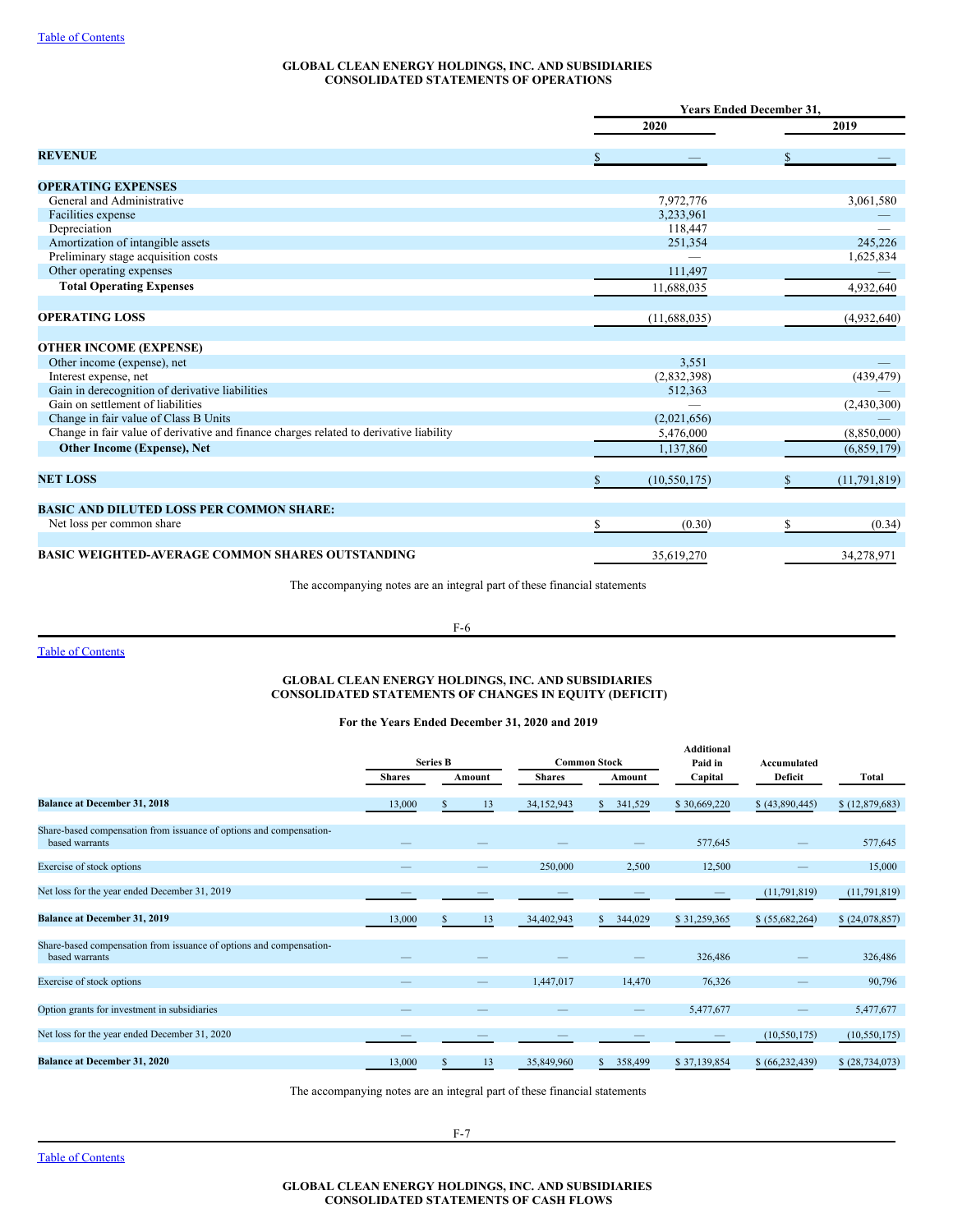### <span id="page-34-0"></span>**GLOBAL CLEAN ENERGY HOLDINGS, INC. AND SUBSIDIARIES CONSOLIDATED STATEMENTS OF OPERATIONS**

|                                                                                        | <b>Years Ended December 31,</b> |   |              |  |
|----------------------------------------------------------------------------------------|---------------------------------|---|--------------|--|
|                                                                                        | 2020                            |   | 2019         |  |
| <b>REVENUE</b>                                                                         | \$                              | S |              |  |
| <b>OPERATING EXPENSES</b>                                                              |                                 |   |              |  |
| General and Administrative                                                             | 7,972,776                       |   | 3,061,580    |  |
| Facilities expense                                                                     | 3,233,961                       |   |              |  |
| Depreciation                                                                           | 118,447                         |   |              |  |
| Amortization of intangible assets                                                      | 251,354                         |   | 245,226      |  |
| Preliminary stage acquisition costs                                                    |                                 |   | 1,625,834    |  |
| Other operating expenses                                                               | 111,497                         |   |              |  |
| <b>Total Operating Expenses</b>                                                        | 11,688,035                      |   | 4,932,640    |  |
| <b>OPERATING LOSS</b>                                                                  | (11,688,035)                    |   | (4,932,640)  |  |
|                                                                                        |                                 |   |              |  |
| <b>OTHER INCOME (EXPENSE)</b>                                                          |                                 |   |              |  |
| Other income (expense), net                                                            | 3,551                           |   |              |  |
| Interest expense, net                                                                  | (2,832,398)                     |   | (439, 479)   |  |
| Gain in derecognition of derivative liabilities                                        | 512,363                         |   |              |  |
| Gain on settlement of liabilities                                                      |                                 |   | (2,430,300)  |  |
| Change in fair value of Class B Units                                                  | (2,021,656)                     |   |              |  |
| Change in fair value of derivative and finance charges related to derivative liability | 5,476,000                       |   | (8,850,000)  |  |
| Other Income (Expense), Net                                                            | 1,137,860                       |   | (6,859,179)  |  |
| <b>NET LOSS</b>                                                                        | \$<br>(10, 550, 175)            |   | (11,791,819) |  |
|                                                                                        |                                 |   |              |  |
| <b>BASIC AND DILUTED LOSS PER COMMON SHARE:</b>                                        |                                 |   |              |  |
| Net loss per common share                                                              | \$<br>(0.30)                    |   | (0.34)       |  |
| <b>BASIC WEIGHTED-AVERAGE COMMON SHARES OUTSTANDING</b>                                | 35,619,270                      |   | 34,278,971   |  |

The accompanying notes are an integral part of these financial statements

Table of [Contents](#page-31-2)

# F-6

### <span id="page-34-1"></span>**GLOBAL CLEAN ENERGY HOLDINGS, INC. AND SUBSIDIARIES CONSOLIDATED STATEMENTS OF CHANGES IN EQUITY (DEFICIT)**

### **For the Years Ended December 31, 2020 and 2019**

|                                                                                       | <b>Series B</b> |  | <b>Common Stock</b> |               | Additional<br>Paid in    | Accumulated        |                  |                   |
|---------------------------------------------------------------------------------------|-----------------|--|---------------------|---------------|--------------------------|--------------------|------------------|-------------------|
|                                                                                       | <b>Shares</b>   |  | Amount              | <b>Shares</b> | Amount                   | Deficit<br>Capital |                  | Total             |
| <b>Balance at December 31, 2018</b>                                                   | 13,000          |  | 13                  | 34,152,943    | 341,529<br>S.            | \$30,669,220       | \$(43,890,445)   | $$$ (12,879,683)  |
| Share-based compensation from issuance of options and compensation-<br>based warrants |                 |  |                     |               |                          | 577,645            |                  | 577,645           |
| Exercise of stock options                                                             |                 |  |                     | 250,000       | 2,500                    | 12,500             |                  | 15,000            |
| Net loss for the year ended December 31, 2019                                         |                 |  |                     |               |                          |                    | (11,791,819)     | (11,791,819)      |
| <b>Balance at December 31, 2019</b>                                                   | 13,000          |  | 13                  | 34,402,943    | 344,029<br><sup>\$</sup> | \$31,259,365       | \$ (55,682,264)  | $$$ (24,078,857)  |
| Share-based compensation from issuance of options and compensation-<br>based warrants |                 |  |                     |               |                          | 326,486            |                  | 326,486           |
| Exercise of stock options                                                             |                 |  |                     | 1,447,017     | 14,470                   | 76,326             |                  | 90,796            |
| Option grants for investment in subsidiaries                                          |                 |  |                     |               |                          | 5,477,677          |                  | 5,477,677         |
| Net loss for the year ended December 31, 2020                                         |                 |  |                     |               |                          |                    | (10, 550, 175)   | (10, 550, 175)    |
| <b>Balance at December 31, 2020</b>                                                   | 13,000          |  | 13                  | 35,849,960    | 358,499<br>£.            | \$37,139,854       | \$(66, 232, 439) | \$ (28, 734, 073) |

The accompanying notes are an integral part of these financial statements

F-7

<span id="page-34-2"></span>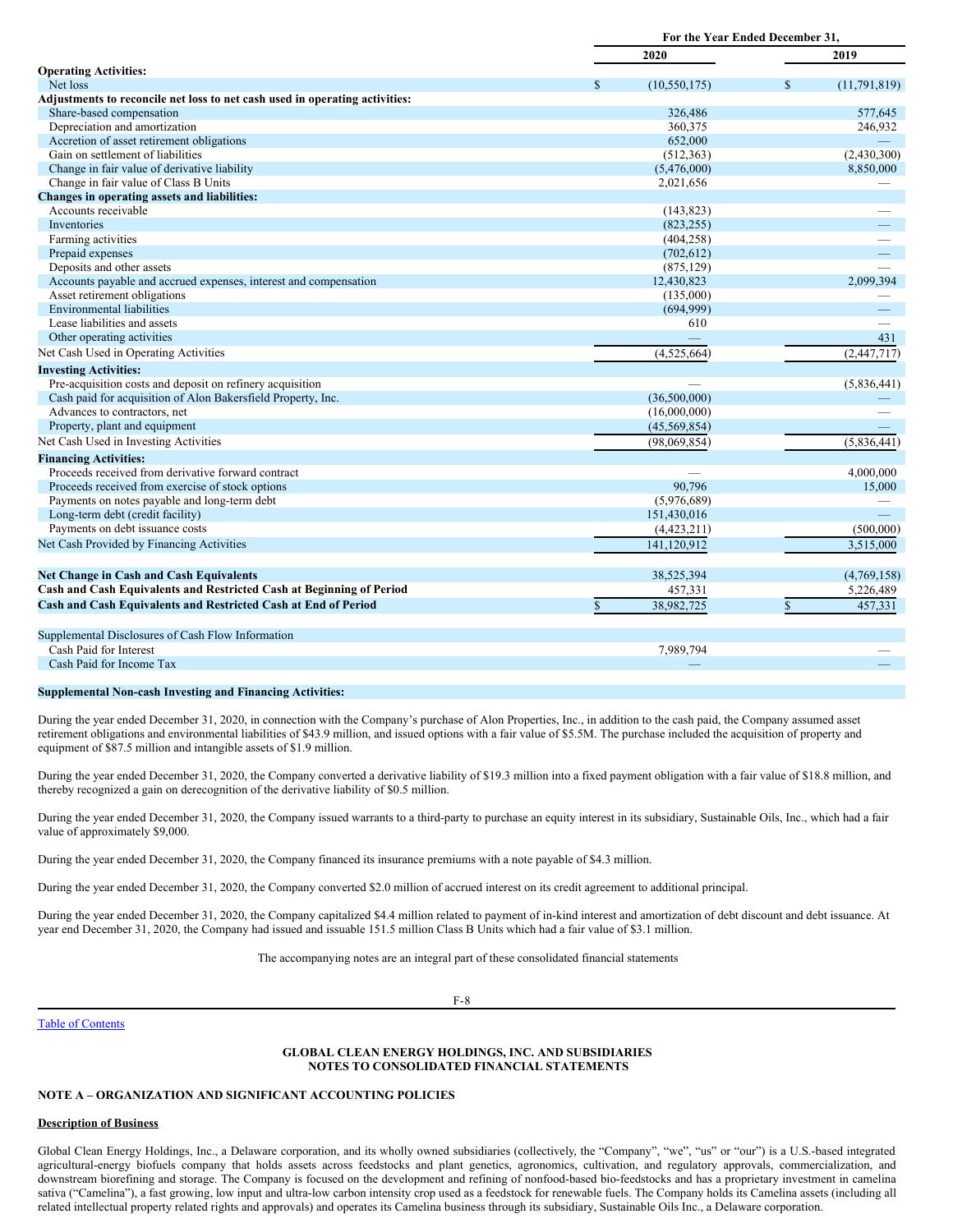|                                                                             | For the Year Ended December 31, |                |               |                |
|-----------------------------------------------------------------------------|---------------------------------|----------------|---------------|----------------|
|                                                                             |                                 | 2020           |               | 2019           |
| <b>Operating Activities:</b>                                                |                                 |                |               |                |
| Net loss                                                                    |                                 | (10, 550, 175) | <sup>\$</sup> | (11, 791, 819) |
| Adjustments to reconcile net loss to net cash used in operating activities: |                                 |                |               |                |
| Share-based compensation                                                    |                                 | 326,486        |               | 577,645        |
| Depreciation and amortization                                               |                                 | 360,375        |               | 246,932        |
| Accretion of asset retirement obligations                                   |                                 | 652,000        |               |                |
| Gain on settlement of liabilities                                           |                                 | (512, 363)     |               | (2,430,300)    |
| Change in fair value of derivative liability                                |                                 | (5,476,000)    |               | 8,850,000      |
| Change in fair value of Class B Units                                       |                                 | 2,021,656      |               |                |
| Changes in operating assets and liabilities:                                |                                 |                |               |                |
| Accounts receivable                                                         |                                 | (143, 823)     |               |                |
| Inventories                                                                 |                                 | (823, 255)     |               |                |
| Farming activities                                                          |                                 | (404, 258)     |               |                |
| Prepaid expenses                                                            |                                 | (702, 612)     |               |                |
| Deposits and other assets                                                   |                                 | (875, 129)     |               |                |
| Accounts payable and accrued expenses, interest and compensation            |                                 | 12,430,823     |               | 2.099.394      |
| Asset retirement obligations                                                |                                 | (135,000)      |               |                |
| <b>Environmental liabilities</b>                                            |                                 | (694,999)      |               |                |
| Lease liabilities and assets                                                |                                 | 610            |               |                |
| Other operating activities                                                  |                                 |                |               | 431            |
| Net Cash Used in Operating Activities                                       |                                 | (4,525,664)    |               | (2,447,717)    |
| <b>Investing Activities:</b>                                                |                                 |                |               |                |
| Pre-acquisition costs and deposit on refinery acquisition                   |                                 |                |               | (5,836,441)    |
| Cash paid for acquisition of Alon Bakersfield Property, Inc.                |                                 | (36,500,000)   |               |                |
| Advances to contractors, net                                                |                                 | (16,000,000)   |               |                |
| Property, plant and equipment                                               |                                 | (45, 569, 854) |               |                |
| Net Cash Used in Investing Activities                                       |                                 | (98,069,854)   |               | (5,836,441)    |
| <b>Financing Activities:</b>                                                |                                 |                |               |                |
| Proceeds received from derivative forward contract                          |                                 |                |               | 4,000,000      |
| Proceeds received from exercise of stock options                            |                                 | 90,796         |               | 15,000         |
| Payments on notes payable and long-term debt                                |                                 | (5,976,689)    |               |                |
| Long-term debt (credit facility)                                            |                                 | 151,430,016    |               |                |
| Payments on debt issuance costs                                             |                                 | (4,423,211)    |               | (500,000)      |
| Net Cash Provided by Financing Activities                                   |                                 | 141,120,912    |               | 3,515,000      |
|                                                                             |                                 |                |               |                |
| <b>Net Change in Cash and Cash Equivalents</b>                              |                                 | 38,525,394     |               | (4,769,158)    |
| Cash and Cash Equivalents and Restricted Cash at Beginning of Period        |                                 | 457,331        |               | 5,226,489      |
| Cash and Cash Equivalents and Restricted Cash at End of Period              | $\mathbb{S}$                    | 38,982,725     | \$            | 457,331        |
|                                                                             |                                 |                |               |                |
| Supplemental Disclosures of Cash Flow Information<br>Cash Paid for Interest |                                 |                |               |                |
| Cash Paid for Income Tax                                                    |                                 | 7,989,794      |               |                |
|                                                                             |                                 |                |               |                |

### **Supplemental Non-cash Investing and Financing Activities:**

During the year ended December 31, 2020, in connection with the Company's purchase of Alon Properties, Inc., in addition to the cash paid, the Company assumed asset retirement obligations and environmental liabilities of \$43.9 million, and issued options with a fair value of \$5.5M. The purchase included the acquisition of property and equipment of \$87.5 million and intangible assets of \$1.9 million.

During the year ended December 31, 2020, the Company converted a derivative liability of \$19.3 million into a fixed payment obligation with a fair value of \$18.8 million, and thereby recognized a gain on derecognition of the derivative liability of \$0.5 million.

During the year ended December 31, 2020, the Company issued warrants to a third-party to purchase an equity interest in its subsidiary, Sustainable Oils, Inc., which had a fair value of approximately \$9,000.

During the year ended December 31, 2020, the Company financed its insurance premiums with a note payable of \$4.3 million.

During the year ended December 31, 2020, the Company converted \$2.0 million of accrued interest on its credit agreement to additional principal.

During the year ended December 31, 2020, the Company capitalized \$4.4 million related to payment of in-kind interest and amortization of debt discount and debt issuance. At year end December 31, 2020, the Company had issued and issuable 151.5 million Class B Units which had a fair value of \$3.1 million.

The accompanying notes are an integral part of these consolidated financial statements

Table of [Contents](#page-31-2)

F-8

### <span id="page-35-0"></span>**GLOBAL CLEAN ENERGY HOLDINGS, INC. AND SUBSIDIARIES NOTES TO CONSOLIDATED FINANCIAL STATEMENTS**

### **NOTE A – ORGANIZATION AND SIGNIFICANT ACCOUNTING POLICIES**

### **Description of Business**

Global Clean Energy Holdings, Inc., a Delaware corporation, and its wholly owned subsidiaries (collectively, the "Company", "we", "us" or "our") is a U.S.-based integrated agricultural-energy biofuels company that holds assets across feedstocks and plant genetics, agronomics, cultivation, and regulatory approvals, commercialization, and downstream biorefining and storage. The Company is focused on the development and refining of nonfood-based bio-feedstocks and has a proprietary investment in camelina sativa ("Camelina"), a fast growing, low input and ultra-low carbon intensity crop used as a feedstock for renewable fuels. The Company holds its Camelina assets (including all related intellectual property related rights and approvals) and operates its Camelina business through its subsidiary, Sustainable Oils Inc., a Delaware corporation.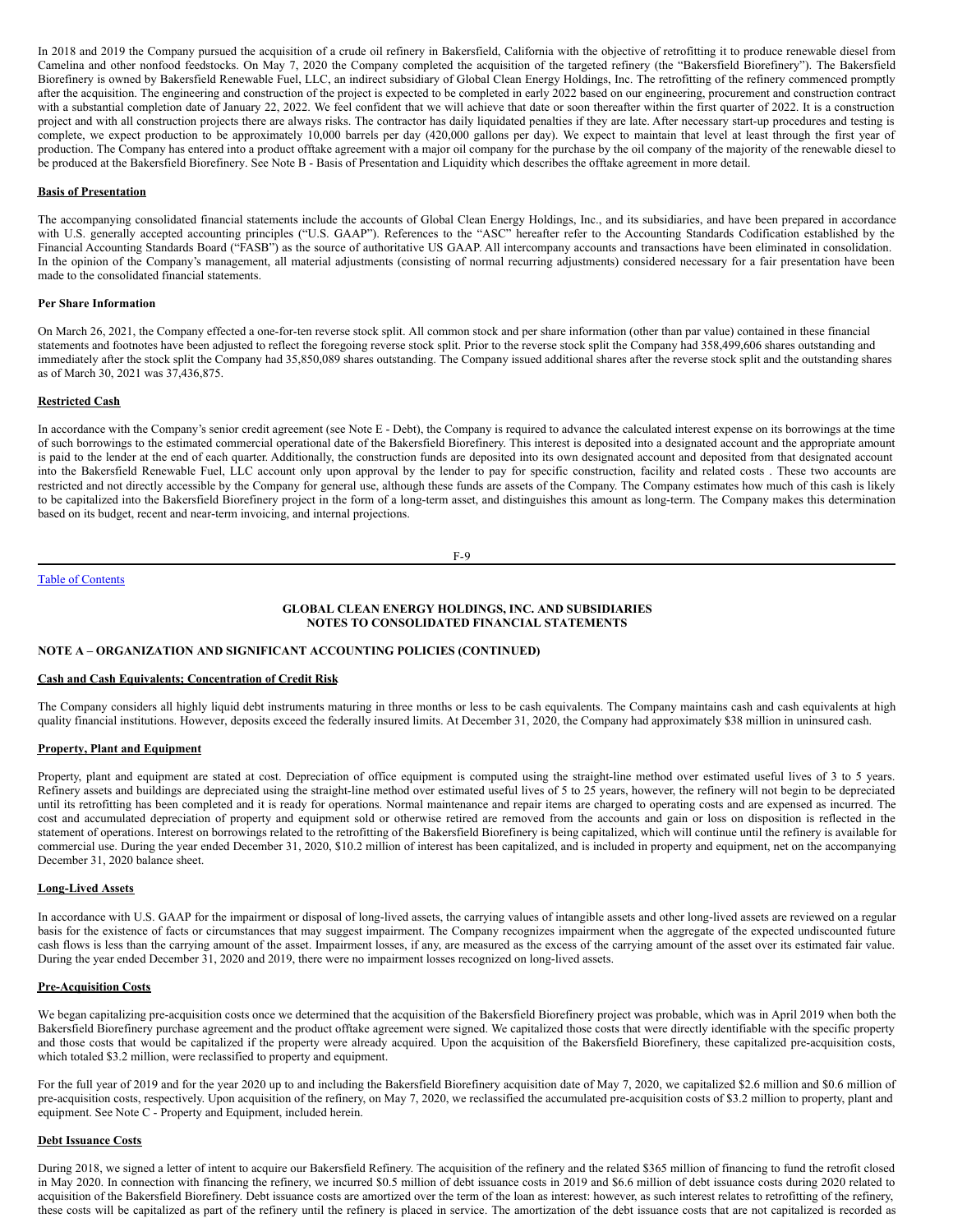In 2018 and 2019 the Company pursued the acquisition of a crude oil refinery in Bakersfield, California with the objective of retrofitting it to produce renewable diesel from Camelina and other nonfood feedstocks. On May 7, 2020 the Company completed the acquisition of the targeted refinery (the "Bakersfield Biorefinery"). The Bakersfield Biorefinery is owned by Bakersfield Renewable Fuel, LLC, an indirect subsidiary of Global Clean Energy Holdings, Inc. The retrofitting of the refinery commenced promptly after the acquisition. The engineering and construction of the project is expected to be completed in early 2022 based on our engineering, procurement and construction contract with a substantial completion date of January 22, 2022. We feel confident that we will achieve that date or soon thereafter within the first quarter of 2022. It is a construction project and with all construction projects there are always risks. The contractor has daily liquidated penalties if they are late. After necessary start-up procedures and testing is complete, we expect production to be approximately 10,000 barrels per day (420,000 gallons per day). We expect to maintain that level at least through the first year of production. The Company has entered into a product offtake agreement with a major oil company for the purchase by the oil company of the majority of the renewable diesel to be produced at the Bakersfield Biorefinery. See Note B - Basis of Presentation and Liquidity which describes the offtake agreement in more detail.

#### **Basis of Presentation**

The accompanying consolidated financial statements include the accounts of Global Clean Energy Holdings, Inc., and its subsidiaries, and have been prepared in accordance with U.S. generally accepted accounting principles ("U.S. GAAP"). References to the "ASC" hereafter refer to the Accounting Standards Codification established by the Financial Accounting Standards Board ("FASB") as the source of authoritative US GAAP. All intercompany accounts and transactions have been eliminated in consolidation. In the opinion of the Company's management, all material adjustments (consisting of normal recurring adjustments) considered necessary for a fair presentation have been made to the consolidated financial statements.

#### **Per Share Information**

On March 26, 2021, the Company effected a one-for-ten reverse stock split. All common stock and per share information (other than par value) contained in these financial statements and footnotes have been adjusted to reflect the foregoing reverse stock split. Prior to the reverse stock split the Company had 358,499,606 shares outstanding and immediately after the stock split the Company had 35,850,089 shares outstanding. The Company issued additional shares after the reverse stock split and the outstanding shares as of March 30, 2021 was 37,436,875.

## **Restricted Cash**

In accordance with the Company's senior credit agreement (see Note E - Debt), the Company is required to advance the calculated interest expense on its borrowings at the time of such borrowings to the estimated commercial operational date of the Bakersfield Biorefinery. This interest is deposited into a designated account and the appropriate amount is paid to the lender at the end of each quarter. Additionally, the construction funds are deposited into its own designated account and deposited from that designated account into the Bakersfield Renewable Fuel, LLC account only upon approval by the lender to pay for specific construction, facility and related costs . These two accounts are restricted and not directly accessible by the Company for general use, although these funds are assets of the Company. The Company estimates how much of this cash is likely to be capitalized into the Bakersfield Biorefinery project in the form of a long-term asset, and distinguishes this amount as long-term. The Company makes this determination based on its budget, recent and near-term invoicing, and internal projections.

F-9

## Table of [Contents](#page-31-0)

## **GLOBAL CLEAN ENERGY HOLDINGS, INC. AND SUBSIDIARIES NOTES TO CONSOLIDATED FINANCIAL STATEMENTS**

## **NOTE A – ORGANIZATION AND SIGNIFICANT ACCOUNTING POLICIES (CONTINUED)**

#### **Cash and Cash Equivalents; Concentration of Credit Risk**

The Company considers all highly liquid debt instruments maturing in three months or less to be cash equivalents. The Company maintains cash and cash equivalents at high quality financial institutions. However, deposits exceed the federally insured limits. At December 31, 2020, the Company had approximately \$38 million in uninsured cash.

#### **Property, Plant and Equipment**

Property, plant and equipment are stated at cost. Depreciation of office equipment is computed using the straight-line method over estimated useful lives of 3 to 5 years. Refinery assets and buildings are depreciated using the straight-line method over estimated useful lives of 5 to 25 years, however, the refinery will not begin to be depreciated until its retrofitting has been completed and it is ready for operations. Normal maintenance and repair items are charged to operating costs and are expensed as incurred. The cost and accumulated depreciation of property and equipment sold or otherwise retired are removed from the accounts and gain or loss on disposition is reflected in the statement of operations. Interest on borrowings related to the retrofitting of the Bakersfield Biorefinery is being capitalized, which will continue until the refinery is available for commercial use. During the year ended December 31, 2020, \$10.2 million of interest has been capitalized, and is included in property and equipment, net on the accompanying December 31, 2020 balance sheet.

#### **Long-Lived Assets**

In accordance with U.S. GAAP for the impairment or disposal of long-lived assets, the carrying values of intangible assets and other long-lived assets are reviewed on a regular basis for the existence of facts or circumstances that may suggest impairment. The Company recognizes impairment when the aggregate of the expected undiscounted future cash flows is less than the carrying amount of the asset. Impairment losses, if any, are measured as the excess of the carrying amount of the asset over its estimated fair value. During the year ended December 31, 2020 and 2019, there were no impairment losses recognized on long-lived assets.

#### **Pre-Acquisition Costs**

We began capitalizing pre-acquisition costs once we determined that the acquisition of the Bakersfield Biorefinery project was probable, which was in April 2019 when both the Bakersfield Biorefinery purchase agreement and the product offtake agreement were signed. We capitalized those costs that were directly identifiable with the specific property and those costs that would be capitalized if the property were already acquired. Upon the acquisition of the Bakersfield Biorefinery, these capitalized pre-acquisition costs, which totaled \$3.2 million, were reclassified to property and equipment.

For the full year of 2019 and for the year 2020 up to and including the Bakersfield Biorefinery acquisition date of May 7, 2020, we capitalized \$2.6 million and \$0.6 million of pre-acquisition costs, respectively. Upon acquisition of the refinery, on May 7, 2020, we reclassified the accumulated pre-acquisition costs of \$3.2 million to property, plant and equipment. See Note C - Property and Equipment, included herein.

#### **Debt Issuance Costs**

During 2018, we signed a letter of intent to acquire our Bakersfield Refinery. The acquisition of the refinery and the related \$365 million of financing to fund the retrofit closed in May 2020. In connection with financing the refinery, we incurred \$0.5 million of debt issuance costs in 2019 and \$6.6 million of debt issuance costs during 2020 related to acquisition of the Bakersfield Biorefinery. Debt issuance costs are amortized over the term of the loan as interest: however, as such interest relates to retrofitting of the refinery, these costs will be capitalized as part of the refinery until the refinery is placed in service. The amortization of the debt issuance costs that are not capitalized is recorded as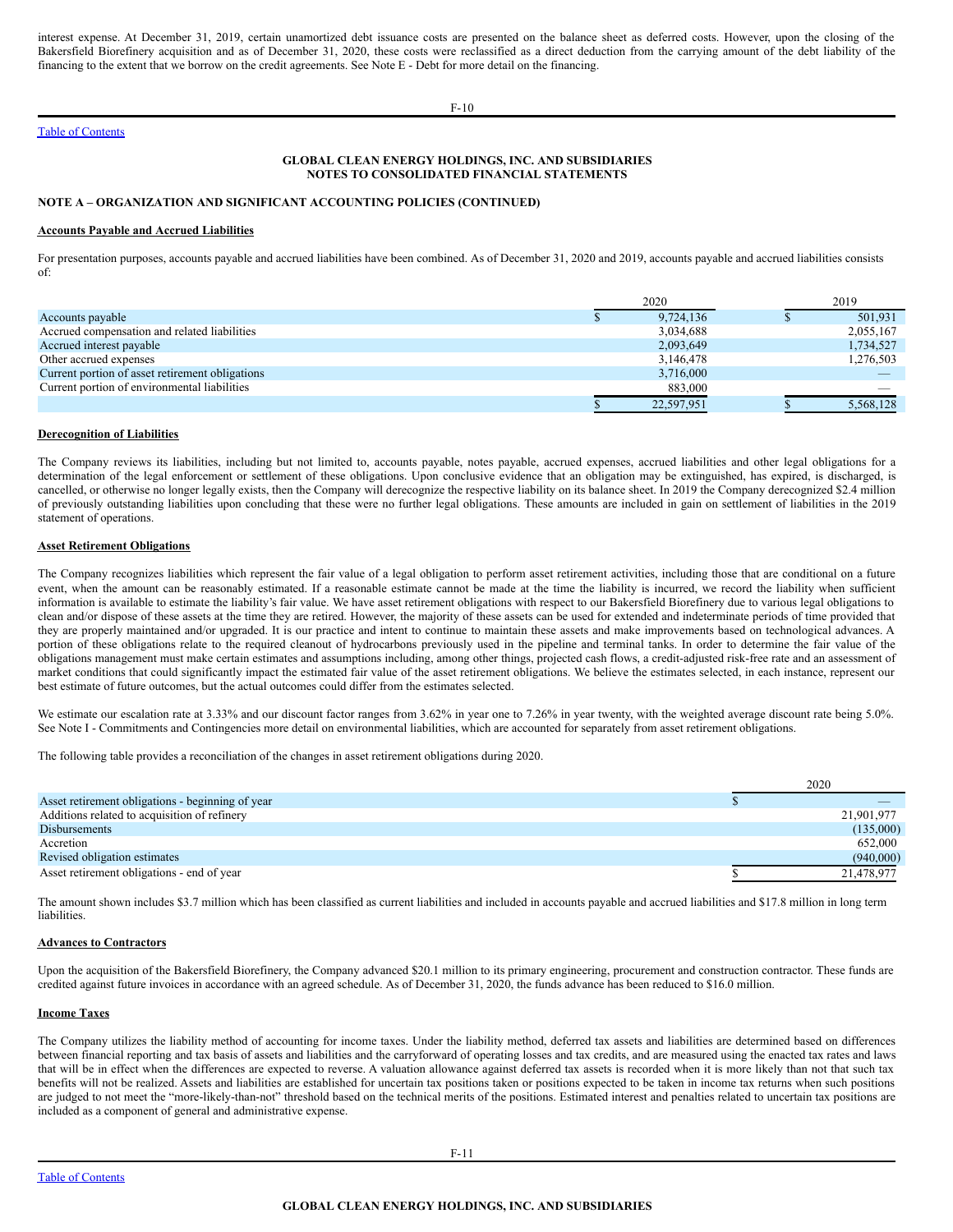interest expense. At December 31, 2019, certain unamortized debt issuance costs are presented on the balance sheet as deferred costs. However, upon the closing of the Bakersfield Biorefinery acquisition and as of December 31, 2020, these costs were reclassified as a direct deduction from the carrying amount of the debt liability of the financing to the extent that we borrow on the credit agreements. See Note E - Debt for more detail on the financing.

Table of [Contents](#page-31-0)

## **GLOBAL CLEAN ENERGY HOLDINGS, INC. AND SUBSIDIARIES NOTES TO CONSOLIDATED FINANCIAL STATEMENTS**

## **NOTE A – ORGANIZATION AND SIGNIFICANT ACCOUNTING POLICIES (CONTINUED)**

## **Accounts Payable and Accrued Liabilities**

For presentation purposes, accounts payable and accrued liabilities have been combined. As of December 31, 2020 and 2019, accounts payable and accrued liabilities consists of:

|                                                 | 2020       |  | 2019 |           |
|-------------------------------------------------|------------|--|------|-----------|
| Accounts payable                                | 9,724,136  |  |      | 501,931   |
| Accrued compensation and related liabilities    | 3,034,688  |  |      | 2,055,167 |
| Accrued interest payable                        | 2,093,649  |  |      | 1,734,527 |
| Other accrued expenses                          | 3,146,478  |  |      | 1,276,503 |
| Current portion of asset retirement obligations | 3,716,000  |  |      |           |
| Current portion of environmental liabilities    | 883,000    |  |      |           |
|                                                 | 22,597,951 |  |      | 5,568,128 |

## **Derecognition of Liabilities**

The Company reviews its liabilities, including but not limited to, accounts payable, notes payable, accrued expenses, accrued liabilities and other legal obligations for a determination of the legal enforcement or settlement of these obligations. Upon conclusive evidence that an obligation may be extinguished, has expired, is discharged, is cancelled, or otherwise no longer legally exists, then the Company will derecognize the respective liability on its balance sheet. In 2019 the Company derecognized \$2.4 million of previously outstanding liabilities upon concluding that these were no further legal obligations. These amounts are included in gain on settlement of liabilities in the 2019 statement of operations.

#### **Asset Retirement Obligations**

The Company recognizes liabilities which represent the fair value of a legal obligation to perform asset retirement activities, including those that are conditional on a future event, when the amount can be reasonably estimated. If a reasonable estimate cannot be made at the time the liability is incurred, we record the liability when sufficient information is available to estimate the liability's fair value. We have asset retirement obligations with respect to our Bakersfield Biorefinery due to various legal obligations to clean and/or dispose of these assets at the time they are retired. However, the majority of these assets can be used for extended and indeterminate periods of time provided that they are properly maintained and/or upgraded. It is our practice and intent to continue to maintain these assets and make improvements based on technological advances. A portion of these obligations relate to the required cleanout of hydrocarbons previously used in the pipeline and terminal tanks. In order to determine the fair value of the obligations management must make certain estimates and assumptions including, among other things, projected cash flows, a credit-adjusted risk-free rate and an assessment of market conditions that could significantly impact the estimated fair value of the asset retirement obligations. We believe the estimates selected, in each instance, represent our best estimate of future outcomes, but the actual outcomes could differ from the estimates selected.

We estimate our escalation rate at 3.33% and our discount factor ranges from 3.62% in year one to 7.26% in year twenty, with the weighted average discount rate being 5.0%. See Note I - Commitments and Contingencies more detail on environmental liabilities, which are accounted for separately from asset retirement obligations.

The following table provides a reconciliation of the changes in asset retirement obligations during 2020.

|                                                  | 2020       |
|--------------------------------------------------|------------|
| Asset retirement obligations - beginning of year |            |
| Additions related to acquisition of refinery     | 21,901,977 |
| <b>Disbursements</b>                             | (135,000)  |
| Accretion                                        | 652,000    |
| Revised obligation estimates                     | (940,000)  |
| Asset retirement obligations - end of year       | 21,478,977 |

The amount shown includes \$3.7 million which has been classified as current liabilities and included in accounts payable and accrued liabilities and \$17.8 million in long term liabilities.

#### **Advances to Contractors**

Upon the acquisition of the Bakersfield Biorefinery, the Company advanced \$20.1 million to its primary engineering, procurement and construction contractor. These funds are credited against future invoices in accordance with an agreed schedule. As of December 31, 2020, the funds advance has been reduced to \$16.0 million.

#### **Income Taxes**

The Company utilizes the liability method of accounting for income taxes. Under the liability method, deferred tax assets and liabilities are determined based on differences between financial reporting and tax basis of assets and liabilities and the carryforward of operating losses and tax credits, and are measured using the enacted tax rates and laws that will be in effect when the differences are expected to reverse. A valuation allowance against deferred tax assets is recorded when it is more likely than not that such tax benefits will not be realized. Assets and liabilities are established for uncertain tax positions taken or positions expected to be taken in income tax returns when such positions are judged to not meet the "more-likely-than-not" threshold based on the technical merits of the positions. Estimated interest and penalties related to uncertain tax positions are included as a component of general and administrative expense.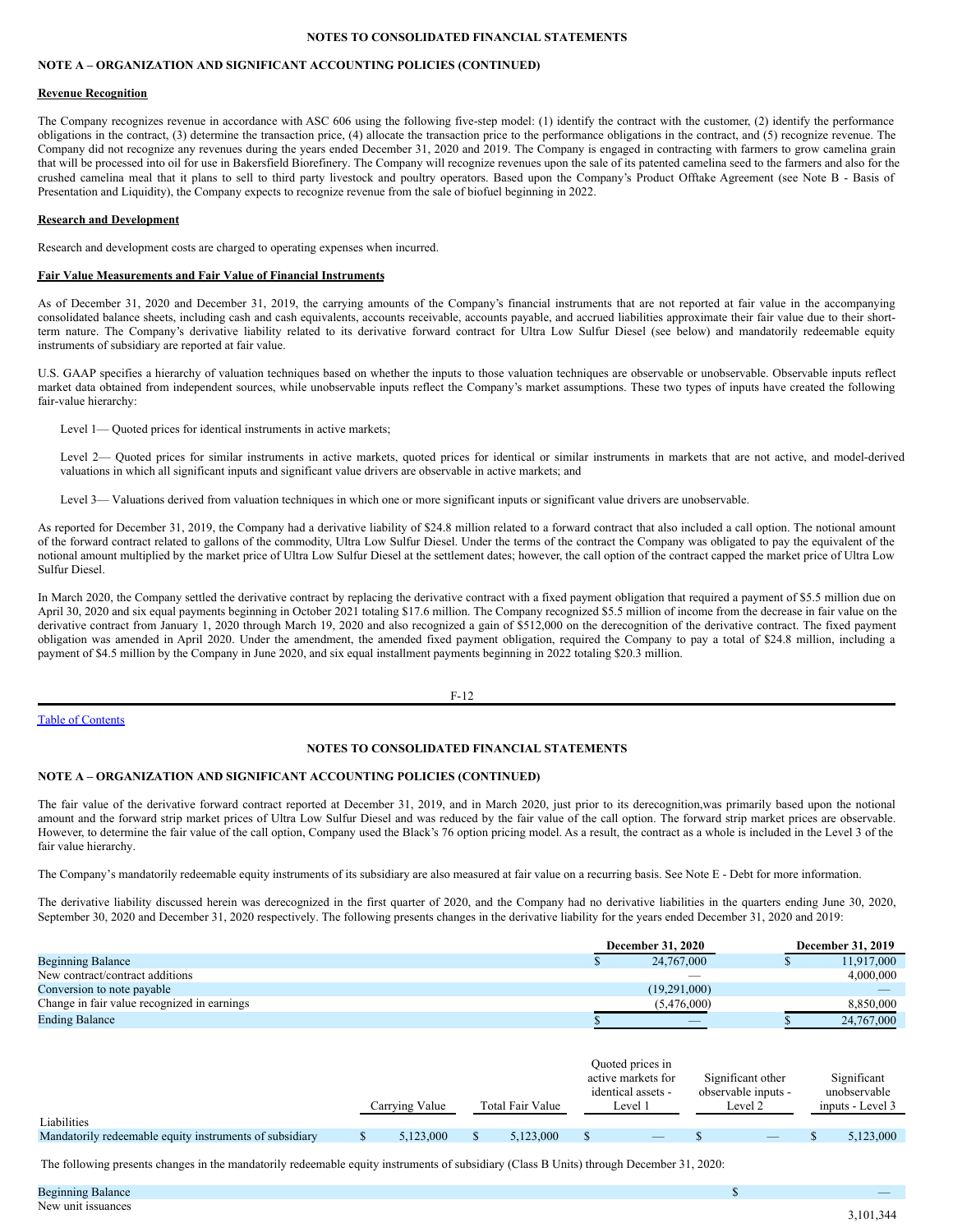## **NOTES TO CONSOLIDATED FINANCIAL STATEMENTS**

# **NOTE A – ORGANIZATION AND SIGNIFICANT ACCOUNTING POLICIES (CONTINUED)**

# **Revenue Recognition**

The Company recognizes revenue in accordance with ASC 606 using the following five-step model: (1) identify the contract with the customer, (2) identify the performance obligations in the contract, (3) determine the transaction price, (4) allocate the transaction price to the performance obligations in the contract, and (5) recognize revenue. The Company did not recognize any revenues during the years ended December 31, 2020 and 2019. The Company is engaged in contracting with farmers to grow camelina grain that will be processed into oil for use in Bakersfield Biorefinery. The Company will recognize revenues upon the sale of its patented camelina seed to the farmers and also for the crushed camelina meal that it plans to sell to third party livestock and poultry operators. Based upon the Company's Product Offtake Agreement (see Note B - Basis of Presentation and Liquidity), the Company expects to recognize revenue from the sale of biofuel beginning in 2022.

#### **Research and Development**

Research and development costs are charged to operating expenses when incurred.

#### **Fair Value Measurements and Fair Value of Financial Instruments**

As of December 31, 2020 and December 31, 2019, the carrying amounts of the Company's financial instruments that are not reported at fair value in the accompanying consolidated balance sheets, including cash and cash equivalents, accounts receivable, accounts payable, and accrued liabilities approximate their fair value due to their shortterm nature. The Company's derivative liability related to its derivative forward contract for Ultra Low Sulfur Diesel (see below) and mandatorily redeemable equity instruments of subsidiary are reported at fair value.

U.S. GAAP specifies a hierarchy of valuation techniques based on whether the inputs to those valuation techniques are observable or unobservable. Observable inputs reflect market data obtained from independent sources, while unobservable inputs reflect the Company's market assumptions. These two types of inputs have created the following fair-value hierarchy:

Level 1— Quoted prices for identical instruments in active markets;

Level 2— Quoted prices for similar instruments in active markets, quoted prices for identical or similar instruments in markets that are not active, and model-derived valuations in which all significant inputs and significant value drivers are observable in active markets; and

Level 3— Valuations derived from valuation techniques in which one or more significant inputs or significant value drivers are unobservable.

As reported for December 31, 2019, the Company had a derivative liability of \$24.8 million related to a forward contract that also included a call option. The notional amount of the forward contract related to gallons of the commodity, Ultra Low Sulfur Diesel. Under the terms of the contract the Company was obligated to pay the equivalent of the notional amount multiplied by the market price of Ultra Low Sulfur Diesel at the settlement dates; however, the call option of the contract capped the market price of Ultra Low Sulfur Diesel.

In March 2020, the Company settled the derivative contract by replacing the derivative contract with a fixed payment obligation that required a payment of \$5.5 million due on April 30, 2020 and six equal payments beginning in October 2021 totaling \$17.6 million. The Company recognized \$5.5 million of income from the decrease in fair value on the derivative contract from January 1, 2020 through March 19, 2020 and also recognized a gain of \$512,000 on the derecognition of the derivative contract. The fixed payment obligation was amended in April 2020. Under the amendment, the amended fixed payment obligation, required the Company to pay a total of \$24.8 million, including a payment of \$4.5 million by the Company in June 2020, and six equal installment payments beginning in 2022 totaling \$20.3 million.

F-12

Table of [Contents](#page-31-0)

## **NOTES TO CONSOLIDATED FINANCIAL STATEMENTS**

## **NOTE A – ORGANIZATION AND SIGNIFICANT ACCOUNTING POLICIES (CONTINUED)**

The fair value of the derivative forward contract reported at December 31, 2019, and in March 2020, just prior to its derecognition,was primarily based upon the notional amount and the forward strip market prices of Ultra Low Sulfur Diesel and was reduced by the fair value of the call option. The forward strip market prices are observable. However, to determine the fair value of the call option, Company used the Black's 76 option pricing model. As a result, the contract as a whole is included in the Level 3 of the fair value hierarchy.

The Company's mandatorily redeemable equity instruments of its subsidiary are also measured at fair value on a recurring basis. See Note E - Debt for more information.

The derivative liability discussed herein was derecognized in the first quarter of 2020, and the Company had no derivative liabilities in the quarters ending June 30, 2020, September 30, 2020 and December 31, 2020 respectively. The following presents changes in the derivative liability for the years ended December 31, 2020 and 2019:

|                                                         |    |                |                  |     | <b>December 31, 2020</b>                                                |                                                     | December 31, 2019                               |
|---------------------------------------------------------|----|----------------|------------------|-----|-------------------------------------------------------------------------|-----------------------------------------------------|-------------------------------------------------|
| <b>Beginning Balance</b>                                |    |                |                  | a.  | 24,767,000                                                              |                                                     | 11,917,000                                      |
| New contract/contract additions                         |    |                |                  |     |                                                                         |                                                     | 4,000,000                                       |
| Conversion to note payable                              |    |                |                  |     | (19,291,000)                                                            |                                                     |                                                 |
| Change in fair value recognized in earnings             |    |                |                  |     | (5,476,000)                                                             |                                                     | 8,850,000                                       |
| <b>Ending Balance</b>                                   |    |                |                  |     |                                                                         |                                                     | 24,767,000                                      |
| Liabilities                                             |    | Carrying Value | Total Fair Value |     | Quoted prices in<br>active markets for<br>identical assets -<br>Level 1 | Significant other<br>observable inputs -<br>Level 2 | Significant<br>unobservable<br>inputs - Level 3 |
| Mandatorily redeemable equity instruments of subsidiary | D. | 5,123,000      | 5.123,000        | \$. |                                                                         |                                                     | 5,123,000                                       |

The following presents changes in the mandatorily redeemable equity instruments of subsidiary (Class B Units) through December 31, 2020: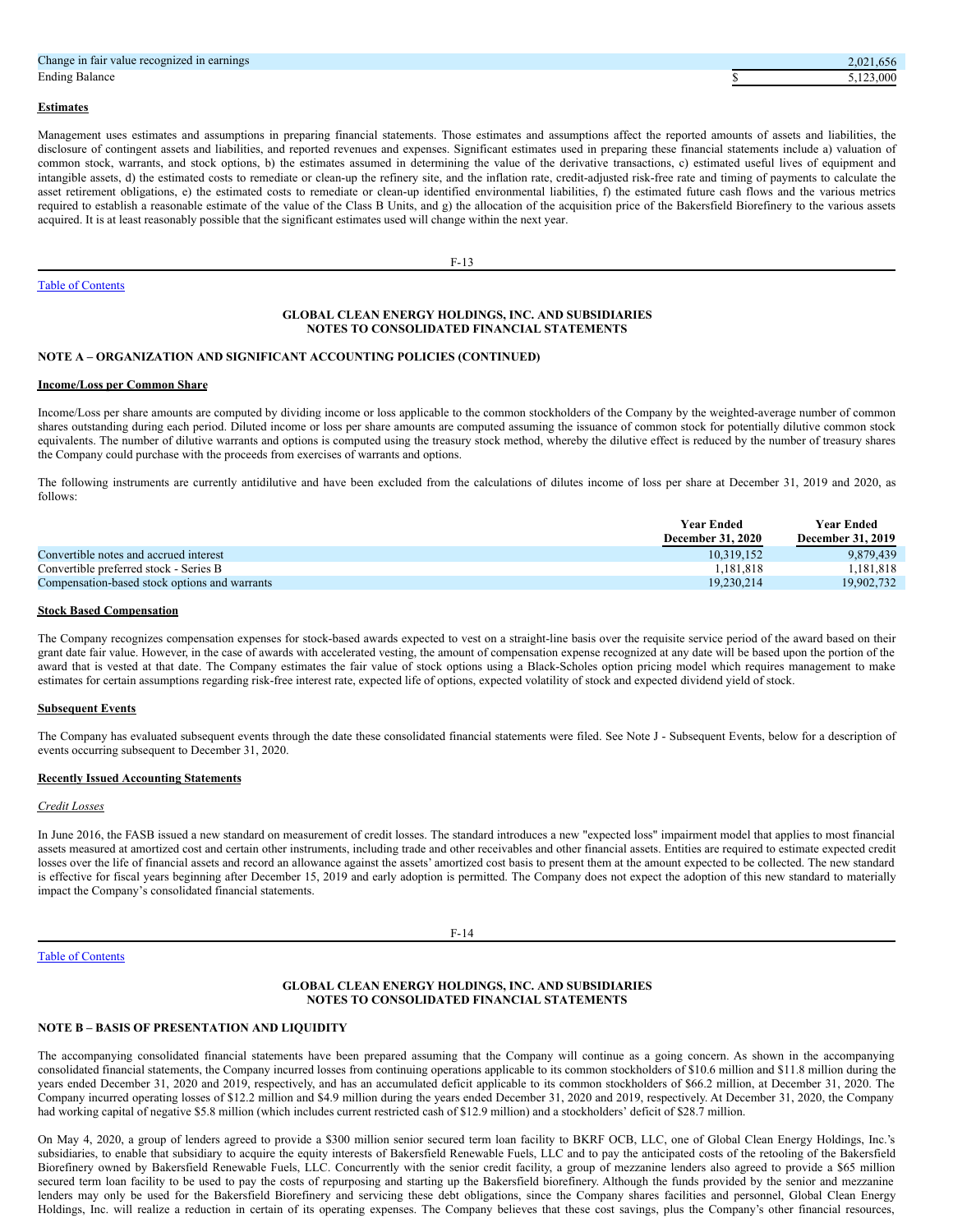| Change in fair value recognized in earnings | 2.02<br>1.656 |
|---------------------------------------------|---------------|
| <b>Ending Balance</b>                       | 3.000         |

## **Estimates**

Table of [Contents](#page-31-0)

Management uses estimates and assumptions in preparing financial statements. Those estimates and assumptions affect the reported amounts of assets and liabilities, the disclosure of contingent assets and liabilities, and reported revenues and expenses. Significant estimates used in preparing these financial statements include a) valuation of common stock, warrants, and stock options, b) the estimates assumed in determining the value of the derivative transactions, c) estimated useful lives of equipment and intangible assets, d) the estimated costs to remediate or clean-up the refinery site, and the inflation rate, credit-adjusted risk-free rate and timing of payments to calculate the asset retirement obligations, e) the estimated costs to remediate or clean-up identified environmental liabilities, f) the estimated future cash flows and the various metrics required to establish a reasonable estimate of the value of the Class B Units, and g) the allocation of the acquisition price of the Bakersfield Biorefinery to the various assets acquired. It is at least reasonably possible that the significant estimates used will change within the next year.

F-13

## **GLOBAL CLEAN ENERGY HOLDINGS, INC. AND SUBSIDIARIES NOTES TO CONSOLIDATED FINANCIAL STATEMENTS**

## **NOTE A – ORGANIZATION AND SIGNIFICANT ACCOUNTING POLICIES (CONTINUED)**

#### **Income/Loss per Common Share**

Income/Loss per share amounts are computed by dividing income or loss applicable to the common stockholders of the Company by the weighted-average number of common shares outstanding during each period. Diluted income or loss per share amounts are computed assuming the issuance of common stock for potentially dilutive common stock equivalents. The number of dilutive warrants and options is computed using the treasury stock method, whereby the dilutive effect is reduced by the number of treasury shares the Company could purchase with the proceeds from exercises of warrants and options.

The following instruments are currently antidilutive and have been excluded from the calculations of dilutes income of loss per share at December 31, 2019 and 2020, as follows:

|                                               | <b>Year Ended</b> | Year Ended        |
|-----------------------------------------------|-------------------|-------------------|
|                                               | December 31, 2020 | December 31, 2019 |
| Convertible notes and accrued interest        | 10.319.152        | 9.879.439         |
| Convertible preferred stock - Series B        | 1.181.818         | .181.818          |
| Compensation-based stock options and warrants | 19.230.214        | 19.902.732        |

#### **Stock Based Compensation**

The Company recognizes compensation expenses for stock-based awards expected to vest on a straight-line basis over the requisite service period of the award based on their grant date fair value. However, in the case of awards with accelerated vesting, the amount of compensation expense recognized at any date will be based upon the portion of the award that is vested at that date. The Company estimates the fair value of stock options using a Black-Scholes option pricing model which requires management to make estimates for certain assumptions regarding risk-free interest rate, expected life of options, expected volatility of stock and expected dividend yield of stock.

#### **Subsequent Events**

The Company has evaluated subsequent events through the date these consolidated financial statements were filed. See Note J - Subsequent Events, below for a description of events occurring subsequent to December 31, 2020.

#### **Recently Issued Accounting Statements**

#### *Credit Losses*

In June 2016, the FASB issued a new standard on measurement of credit losses. The standard introduces a new "expected loss" impairment model that applies to most financial assets measured at amortized cost and certain other instruments, including trade and other receivables and other financial assets. Entities are required to estimate expected credit losses over the life of financial assets and record an allowance against the assets' amortized cost basis to present them at the amount expected to be collected. The new standard is effective for fiscal years beginning after December 15, 2019 and early adoption is permitted. The Company does not expect the adoption of this new standard to materially impact the Company's consolidated financial statements.

F-14

## Table of [Contents](#page-31-0)

## **GLOBAL CLEAN ENERGY HOLDINGS, INC. AND SUBSIDIARIES NOTES TO CONSOLIDATED FINANCIAL STATEMENTS**

## **NOTE B – BASIS OF PRESENTATION AND LIQUIDITY**

The accompanying consolidated financial statements have been prepared assuming that the Company will continue as a going concern. As shown in the accompanying consolidated financial statements, the Company incurred losses from continuing operations applicable to its common stockholders of \$10.6 million and \$11.8 million during the years ended December 31, 2020 and 2019, respectively, and has an accumulated deficit applicable to its common stockholders of \$66.2 million, at December 31, 2020. The Company incurred operating losses of \$12.2 million and \$4.9 million during the years ended December 31, 2020 and 2019, respectively. At December 31, 2020, the Company had working capital of negative \$5.8 million (which includes current restricted cash of \$12.9 million) and a stockholders' deficit of \$28.7 million.

On May 4, 2020, a group of lenders agreed to provide a \$300 million senior secured term loan facility to BKRF OCB, LLC, one of Global Clean Energy Holdings, Inc.'s subsidiaries, to enable that subsidiary to acquire the equity interests of Bakersfield Renewable Fuels, LLC and to pay the anticipated costs of the retooling of the Bakersfield Biorefinery owned by Bakersfield Renewable Fuels, LLC. Concurrently with the senior credit facility, a group of mezzanine lenders also agreed to provide a \$65 million secured term loan facility to be used to pay the costs of repurposing and starting up the Bakersfield biorefinery. Although the funds provided by the senior and mezzanine lenders may only be used for the Bakersfield Biorefinery and servicing these debt obligations, since the Company shares facilities and personnel, Global Clean Energy Holdings, Inc. will realize a reduction in certain of its operating expenses. The Company believes that these cost savings, plus the Company's other financial resources,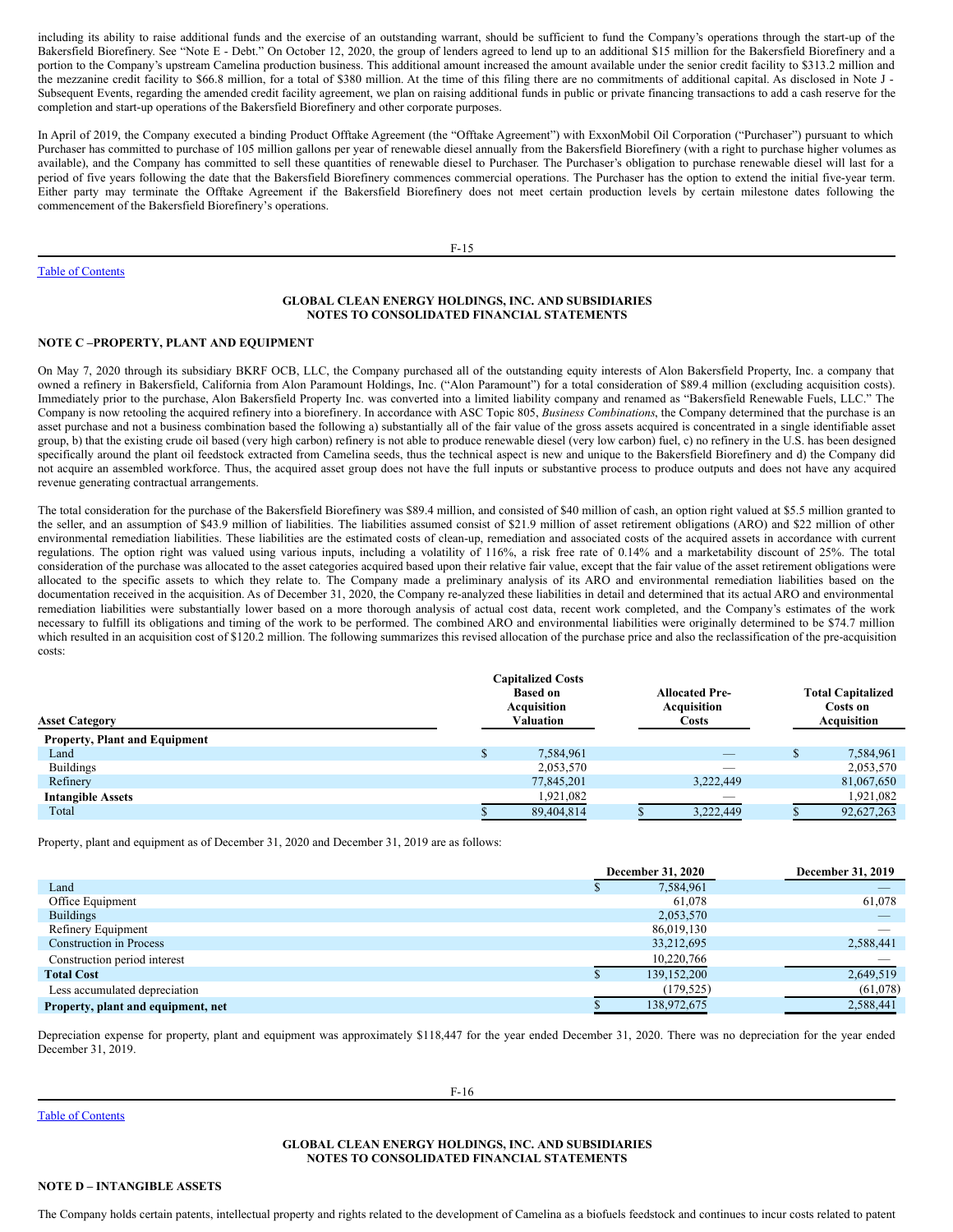including its ability to raise additional funds and the exercise of an outstanding warrant, should be sufficient to fund the Company's operations through the start-up of the Bakersfield Biorefinery. See "Note E - Debt." On October 12, 2020, the group of lenders agreed to lend up to an additional \$15 million for the Bakersfield Biorefinery and a portion to the Company's upstream Camelina production business. This additional amount increased the amount available under the senior credit facility to \$313.2 million and the mezzanine credit facility to \$66.8 million, for a total of \$380 million. At the time of this filing there are no commitments of additional capital. As disclosed in Note J -Subsequent Events, regarding the amended credit facility agreement, we plan on raising additional funds in public or private financing transactions to add a cash reserve for the completion and start-up operations of the Bakersfield Biorefinery and other corporate purposes.

In April of 2019, the Company executed a binding Product Offtake Agreement (the "Offtake Agreement") with ExxonMobil Oil Corporation ("Purchaser") pursuant to which Purchaser has committed to purchase of 105 million gallons per year of renewable diesel annually from the Bakersfield Biorefinery (with a right to purchase higher volumes as available), and the Company has committed to sell these quantities of renewable diesel to Purchaser. The Purchaser's obligation to purchase renewable diesel will last for a period of five years following the date that the Bakersfield Biorefinery commences commercial operations. The Purchaser has the option to extend the initial five-year term. Either party may terminate the Offtake Agreement if the Bakersfield Biorefinery does not meet certain production levels by certain milestone dates following the commencement of the Bakersfield Biorefinery's operations.

F-15

Table of [Contents](#page-31-0)

## **GLOBAL CLEAN ENERGY HOLDINGS, INC. AND SUBSIDIARIES NOTES TO CONSOLIDATED FINANCIAL STATEMENTS**

## **NOTE C –PROPERTY, PLANT AND EQUIPMENT**

On May 7, 2020 through its subsidiary BKRF OCB, LLC, the Company purchased all of the outstanding equity interests of Alon Bakersfield Property, Inc. a company that owned a refinery in Bakersfield, California from Alon Paramount Holdings, Inc. ("Alon Paramount") for a total consideration of \$89.4 million (excluding acquisition costs). Immediately prior to the purchase, Alon Bakersfield Property Inc. was converted into a limited liability company and renamed as "Bakersfield Renewable Fuels, LLC." The Company is now retooling the acquired refinery into a biorefinery. In accordance with ASC Topic 805, *Business Combinations*, the Company determined that the purchase is an asset purchase and not a business combination based the following a) substantially all of the fair value of the gross assets acquired is concentrated in a single identifiable asset group, b) that the existing crude oil based (very high carbon) refinery is not able to produce renewable diesel (very low carbon) fuel, c) no refinery in the U.S. has been designed specifically around the plant oil feedstock extracted from Camelina seeds, thus the technical aspect is new and unique to the Bakersfield Biorefinery and d) the Company did not acquire an assembled workforce. Thus, the acquired asset group does not have the full inputs or substantive process to produce outputs and does not have any acquired revenue generating contractual arrangements.

The total consideration for the purchase of the Bakersfield Biorefinery was \$89.4 million, and consisted of \$40 million of cash, an option right valued at \$5.5 million granted to the seller, and an assumption of \$43.9 million of liabilities. The liabilities assumed consist of \$21.9 million of asset retirement obligations (ARO) and \$22 million of other environmental remediation liabilities. These liabilities are the estimated costs of clean-up, remediation and associated costs of the acquired assets in accordance with current regulations. The option right was valued using various inputs, including a volatility of 116%, a risk free rate of 0.14% and a marketability discount of 25%. The total consideration of the purchase was allocated to the asset categories acquired based upon their relative fair value, except that the fair value of the asset retirement obligations were allocated to the specific assets to which they relate to. The Company made a preliminary analysis of its ARO and environmental remediation liabilities based on the documentation received in the acquisition. As of December 31, 2020, the Company re-analyzed these liabilities in detail and determined that its actual ARO and environmental remediation liabilities were substantially lower based on a more thorough analysis of actual cost data, recent work completed, and the Company's estimates of the work necessary to fulfill its obligations and timing of the work to be performed. The combined ARO and environmental liabilities were originally determined to be \$74.7 million which resulted in an acquisition cost of \$120.2 million. The following summarizes this revised allocation of the purchase price and also the reclassification of the pre-acquisition costs:

| <b>Asset Category</b>                |  | <b>Capitalized Costs</b><br><b>Based on</b><br>Acquisition<br>Valuation | <b>Allocated Pre-</b><br>Acquisition<br><b>Costs</b> |                          | <b>Total Capitalized</b><br>Costs on<br><b>Acquisition</b> |            |  |
|--------------------------------------|--|-------------------------------------------------------------------------|------------------------------------------------------|--------------------------|------------------------------------------------------------|------------|--|
| <b>Property, Plant and Equipment</b> |  |                                                                         |                                                      |                          |                                                            |            |  |
| Land                                 |  | 7,584,961                                                               |                                                      |                          |                                                            | 7,584,961  |  |
| <b>Buildings</b>                     |  | 2,053,570                                                               |                                                      | _                        |                                                            | 2,053,570  |  |
| Refinery                             |  | 77,845,201                                                              |                                                      | 3,222,449                |                                                            | 81,067,650 |  |
| <b>Intangible Assets</b>             |  | 1,921,082                                                               |                                                      | $\overline{\phantom{a}}$ |                                                            | 1,921,082  |  |
| Total                                |  | 89,404,814                                                              |                                                      | 3,222,449                |                                                            | 92,627,263 |  |

Property, plant and equipment as of December 31, 2020 and December 31, 2019 are as follows:

|                                    | <b>December 31, 2020</b> | December 31, 2019        |
|------------------------------------|--------------------------|--------------------------|
| Land                               | 7,584,961                |                          |
| Office Equipment                   | 61,078                   | 61,078                   |
| <b>Buildings</b>                   | 2,053,570                |                          |
| Refinery Equipment                 | 86,019,130               | $\overline{\phantom{a}}$ |
| <b>Construction in Process</b>     | 33,212,695               | 2,588,441                |
| Construction period interest       | 10,220,766               |                          |
| <b>Total Cost</b>                  | 139, 152, 200            | 2,649,519                |
| Less accumulated depreciation      | (179, 525)               | (61,078)                 |
| Property, plant and equipment, net | 138,972,675              | 2,588,441                |

Depreciation expense for property, plant and equipment was approximately \$118,447 for the year ended December 31, 2020. There was no depreciation for the year ended December 31, 2019.

Table of [Contents](#page-31-0)

F-16

**GLOBAL CLEAN ENERGY HOLDINGS, INC. AND SUBSIDIARIES NOTES TO CONSOLIDATED FINANCIAL STATEMENTS**

#### **NOTE D – INTANGIBLE ASSETS**

The Company holds certain patents, intellectual property and rights related to the development of Camelina as a biofuels feedstock and continues to incur costs related to patent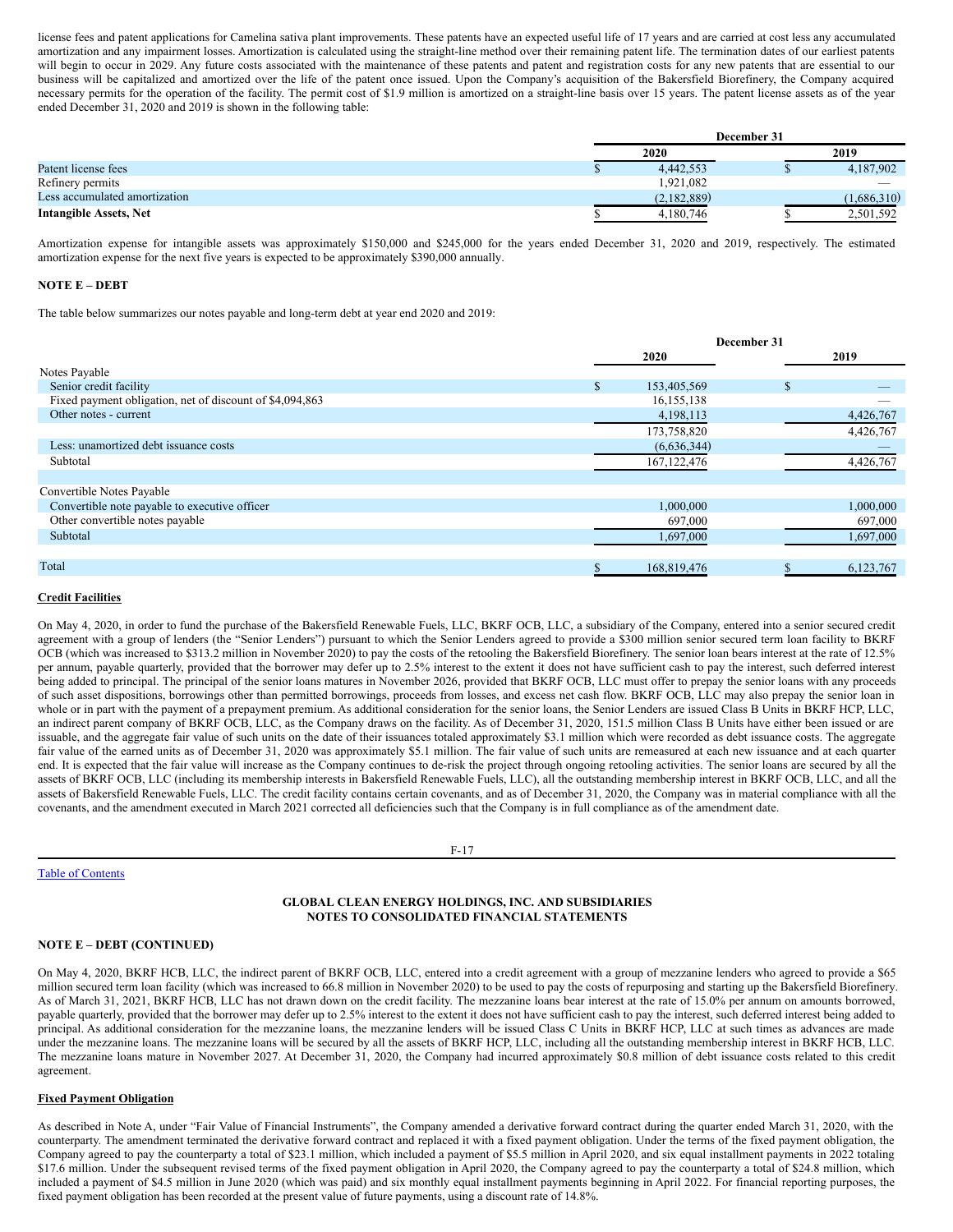license fees and patent applications for Camelina sativa plant improvements. These patents have an expected useful life of 17 years and are carried at cost less any accumulated amortization and any impairment losses. Amortization is calculated using the straight-line method over their remaining patent life. The termination dates of our earliest patents will begin to occur in 2029. Any future costs associated with the maintenance of these patents and patent and registration costs for any new patents that are essential to our business will be capitalized and amortized over the life of the patent once issued. Upon the Company's acquisition of the Bakersfield Biorefinery, the Company acquired necessary permits for the operation of the facility. The permit cost of \$1.9 million is amortized on a straight-line basis over 15 years. The patent license assets as of the year ended December 31, 2020 and 2019 is shown in the following table:

|                               | December 31 |             |  |      |                          |
|-------------------------------|-------------|-------------|--|------|--------------------------|
|                               | 2020        |             |  | 2019 |                          |
| Patent license fees           |             | 4,442,553   |  |      | 4,187,902                |
| Refinery permits              |             | 1,921,082   |  |      | $\overline{\phantom{a}}$ |
| Less accumulated amortization |             | (2,182,889) |  |      | (1,686,310)              |
| <b>Intangible Assets, Net</b> |             | 4.180.746   |  |      | 2.501.592                |

Amortization expense for intangible assets was approximately \$150,000 and \$245,000 for the years ended December 31, 2020 and 2019, respectively. The estimated amortization expense for the next five years is expected to be approximately \$390,000 annually.

## **NOTE E – DEBT**

The table below summarizes our notes payable and long-term debt at year end 2020 and 2019:

|                                                          | December 31       |     |           |  |
|----------------------------------------------------------|-------------------|-----|-----------|--|
|                                                          | 2020              |     | 2019      |  |
| Notes Payable                                            |                   |     |           |  |
| Senior credit facility                                   | \$<br>153,405,569 | \$. |           |  |
| Fixed payment obligation, net of discount of \$4,094,863 | 16, 155, 138      |     |           |  |
| Other notes - current                                    | 4,198,113         |     | 4,426,767 |  |
|                                                          | 173,758,820       |     | 4,426,767 |  |
| Less: unamortized debt issuance costs                    | (6,636,344)       |     |           |  |
| Subtotal                                                 | 167, 122, 476     |     | 4,426,767 |  |
| Convertible Notes Payable                                |                   |     |           |  |
| Convertible note payable to executive officer            | 1,000,000         |     | 1,000,000 |  |
| Other convertible notes payable                          | 697,000           |     | 697,000   |  |
| Subtotal                                                 | 1,697,000         |     | 1,697,000 |  |
| Total                                                    | 168,819,476       |     | 6,123,767 |  |
|                                                          |                   |     |           |  |

## **Credit Facilities**

On May 4, 2020, in order to fund the purchase of the Bakersfield Renewable Fuels, LLC, BKRF OCB, LLC, a subsidiary of the Company, entered into a senior secured credit agreement with a group of lenders (the "Senior Lenders") pursuant to which the Senior Lenders agreed to provide a \$300 million senior secured term loan facility to BKRF OCB (which was increased to \$313.2 million in November 2020) to pay the costs of the retooling the Bakersfield Biorefinery. The senior loan bears interest at the rate of 12.5% per annum, payable quarterly, provided that the borrower may defer up to 2.5% interest to the extent it does not have sufficient cash to pay the interest, such deferred interest being added to principal. The principal of the senior loans matures in November 2026, provided that BKRF OCB, LLC must offer to prepay the senior loans with any proceeds of such asset dispositions, borrowings other than permitted borrowings, proceeds from losses, and excess net cash flow. BKRF OCB, LLC may also prepay the senior loan in whole or in part with the payment of a prepayment premium. As additional consideration for the senior loans, the Senior Lenders are issued Class B Units in BKRF HCP, LLC, an indirect parent company of BKRF OCB, LLC, as the Company draws on the facility. As of December 31, 2020, 151.5 million Class B Units have either been issued or are issuable, and the aggregate fair value of such units on the date of their issuances totaled approximately \$3.1 million which were recorded as debt issuance costs. The aggregate fair value of the earned units as of December 31, 2020 was approximately \$5.1 million. The fair value of such units are remeasured at each new issuance and at each quarter end. It is expected that the fair value will increase as the Company continues to de-risk the project through ongoing retooling activities. The senior loans are secured by all the assets of BKRF OCB, LLC (including its membership interests in Bakersfield Renewable Fuels, LLC), all the outstanding membership interest in BKRF OCB, LLC, and all the assets of Bakersfield Renewable Fuels, LLC. The credit facility contains certain covenants, and as of December 31, 2020, the Company was in material compliance with all the covenants, and the amendment executed in March 2021 corrected all deficiencies such that the Company is in full compliance as of the amendment date.

Table of [Contents](#page-31-0)

F-17

## **GLOBAL CLEAN ENERGY HOLDINGS, INC. AND SUBSIDIARIES NOTES TO CONSOLIDATED FINANCIAL STATEMENTS**

## **NOTE E – DEBT (CONTINUED)**

On May 4, 2020, BKRF HCB, LLC, the indirect parent of BKRF OCB, LLC, entered into a credit agreement with a group of mezzanine lenders who agreed to provide a \$65 million secured term loan facility (which was increased to 66.8 million in November 2020) to be used to pay the costs of repurposing and starting up the Bakersfield Biorefinery. As of March 31, 2021, BKRF HCB, LLC has not drawn down on the credit facility. The mezzanine loans bear interest at the rate of 15.0% per annum on amounts borrowed, payable quarterly, provided that the borrower may defer up to 2.5% interest to the extent it does not have sufficient cash to pay the interest, such deferred interest being added to principal. As additional consideration for the mezzanine loans, the mezzanine lenders will be issued Class C Units in BKRF HCP, LLC at such times as advances are made under the mezzanine loans. The mezzanine loans will be secured by all the assets of BKRF HCP, LLC, including all the outstanding membership interest in BKRF HCB, LLC. The mezzanine loans mature in November 2027. At December 31, 2020, the Company had incurred approximately \$0.8 million of debt issuance costs related to this credit agreement.

## **Fixed Payment Obligation**

As described in Note A, under "Fair Value of Financial Instruments", the Company amended a derivative forward contract during the quarter ended March 31, 2020, with the counterparty. The amendment terminated the derivative forward contract and replaced it with a fixed payment obligation. Under the terms of the fixed payment obligation, the Company agreed to pay the counterparty a total of \$23.1 million, which included a payment of \$5.5 million in April 2020, and six equal installment payments in 2022 totaling \$17.6 million. Under the subsequent revised terms of the fixed payment obligation in April 2020, the Company agreed to pay the counterparty a total of \$24.8 million, which included a payment of \$4.5 million in June 2020 (which was paid) and six monthly equal installment payments beginning in April 2022. For financial reporting purposes, the fixed payment obligation has been recorded at the present value of future payments, using a discount rate of 14.8%.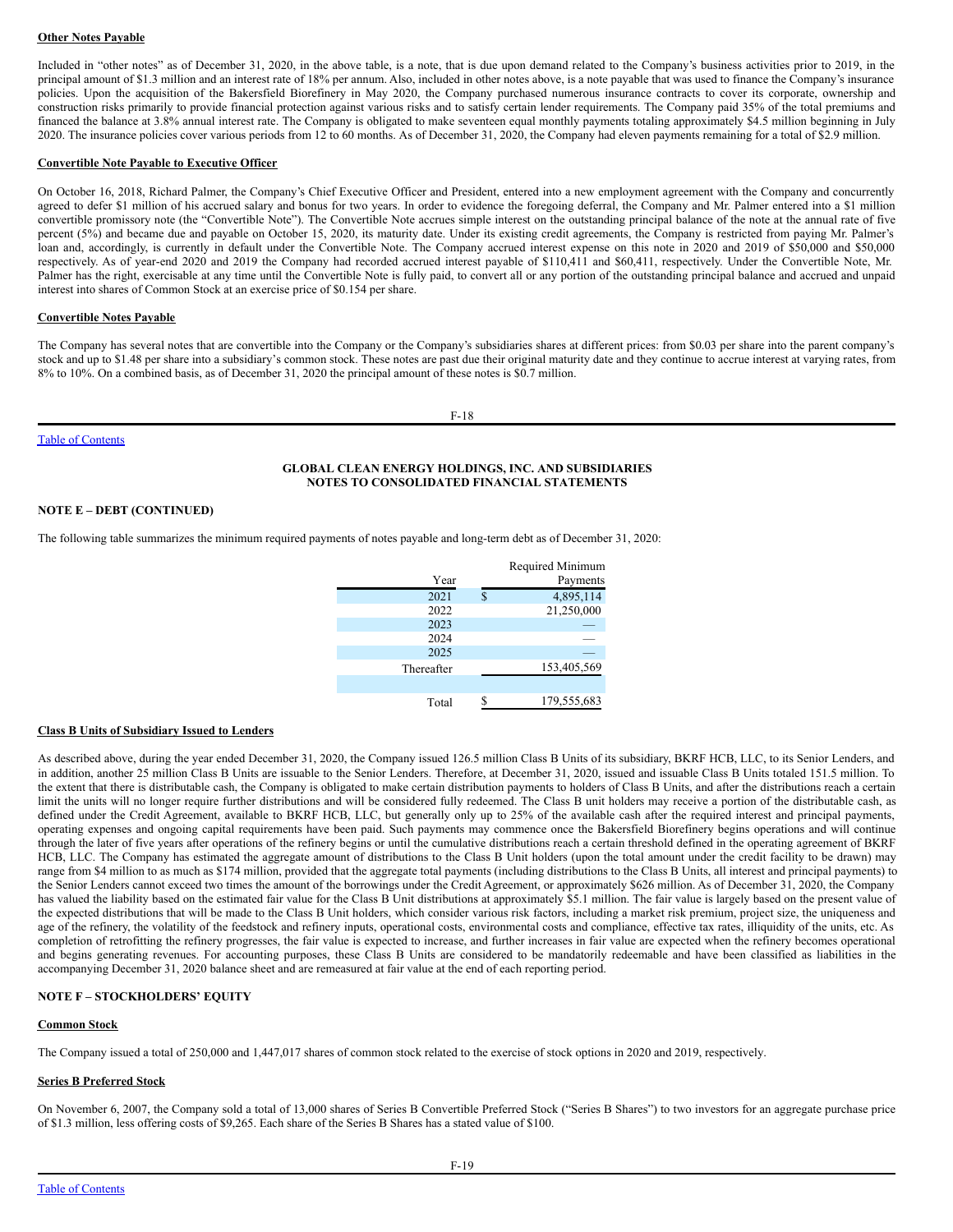## **Other Notes Payable**

Included in "other notes" as of December 31, 2020, in the above table, is a note, that is due upon demand related to the Company's business activities prior to 2019, in the principal amount of \$1.3 million and an interest rate of 18% per annum. Also, included in other notes above, is a note payable that was used to finance the Company's insurance policies. Upon the acquisition of the Bakersfield Biorefinery in May 2020, the Company purchased numerous insurance contracts to cover its corporate, ownership and construction risks primarily to provide financial protection against various risks and to satisfy certain lender requirements. The Company paid 35% of the total premiums and financed the balance at 3.8% annual interest rate. The Company is obligated to make seventeen equal monthly payments totaling approximately \$4.5 million beginning in July 2020. The insurance policies cover various periods from 12 to 60 months. As of December 31, 2020, the Company had eleven payments remaining for a total of \$2.9 million.

## **Convertible Note Payable to Executive Officer**

On October 16, 2018, Richard Palmer, the Company's Chief Executive Officer and President, entered into a new employment agreement with the Company and concurrently agreed to defer \$1 million of his accrued salary and bonus for two years. In order to evidence the foregoing deferral, the Company and Mr. Palmer entered into a \$1 million convertible promissory note (the "Convertible Note"). The Convertible Note accrues simple interest on the outstanding principal balance of the note at the annual rate of five percent (5%) and became due and payable on October 15, 2020, its maturity date. Under its existing credit agreements, the Company is restricted from paying Mr. Palmer's loan and, accordingly, is currently in default under the Convertible Note. The Company accrued interest expense on this note in 2020 and 2019 of \$50,000 and \$50,000 respectively. As of year-end 2020 and 2019 the Company had recorded accrued interest payable of \$110,411 and \$60,411, respectively. Under the Convertible Note, Mr. Palmer has the right, exercisable at any time until the Convertible Note is fully paid, to convert all or any portion of the outstanding principal balance and accrued and unpaid interest into shares of Common Stock at an exercise price of \$0.154 per share.

## **Convertible Notes Payable**

Table of [Contents](#page-31-0)

The Company has several notes that are convertible into the Company or the Company's subsidiaries shares at different prices: from \$0.03 per share into the parent company's stock and up to \$1.48 per share into a subsidiary's common stock. These notes are past due their original maturity date and they continue to accrue interest at varying rates, from 8% to 10%. On a combined basis, as of December 31, 2020 the principal amount of these notes is \$0.7 million.

F-18

# **GLOBAL CLEAN ENERGY HOLDINGS, INC. AND SUBSIDIARIES NOTES TO CONSOLIDATED FINANCIAL STATEMENTS**

## **NOTE E – DEBT (CONTINUED)**

The following table summarizes the minimum required payments of notes payable and long-term debt as of December 31, 2020:

|            | Required Minimum |
|------------|------------------|
| Year       | Payments         |
| 2021       | \$<br>4,895,114  |
| 2022       | 21,250,000       |
| 2023       |                  |
| 2024       |                  |
| 2025       |                  |
| Thereafter | 153,405,569      |
|            |                  |
| Total      | 179,555,683      |

## **Class B Units of Subsidiary Issued to Lenders**

As described above, during the year ended December 31, 2020, the Company issued 126.5 million Class B Units of its subsidiary, BKRF HCB, LLC, to its Senior Lenders, and in addition, another 25 million Class B Units are issuable to the Senior Lenders. Therefore, at December 31, 2020, issued and issuable Class B Units totaled 151.5 million. To the extent that there is distributable cash, the Company is obligated to make certain distribution payments to holders of Class B Units, and after the distributions reach a certain limit the units will no longer require further distributions and will be considered fully redeemed. The Class B unit holders may receive a portion of the distributable cash, as defined under the Credit Agreement, available to BKRF HCB, LLC, but generally only up to 25% of the available cash after the required interest and principal payments, operating expenses and ongoing capital requirements have been paid. Such payments may commence once the Bakersfield Biorefinery begins operations and will continue through the later of five years after operations of the refinery begins or until the cumulative distributions reach a certain threshold defined in the operating agreement of BKRF HCB, LLC. The Company has estimated the aggregate amount of distributions to the Class B Unit holders (upon the total amount under the credit facility to be drawn) may range from \$4 million to as much as \$174 million, provided that the aggregate total payments (including distributions to the Class B Units, all interest and principal payments) to the Senior Lenders cannot exceed two times the amount of the borrowings under the Credit Agreement, or approximately \$626 million. As of December 31, 2020, the Company has valued the liability based on the estimated fair value for the Class B Unit distributions at approximately \$5.1 million. The fair value is largely based on the present value of the expected distributions that will be made to the Class B Unit holders, which consider various risk factors, including a market risk premium, project size, the uniqueness and age of the refinery, the volatility of the feedstock and refinery inputs, operational costs, environmental costs and compliance, effective tax rates, illiquidity of the units, etc. As completion of retrofitting the refinery progresses, the fair value is expected to increase, and further increases in fair value are expected when the refinery becomes operational and begins generating revenues. For accounting purposes, these Class B Units are considered to be mandatorily redeemable and have been classified as liabilities in the accompanying December 31, 2020 balance sheet and are remeasured at fair value at the end of each reporting period.

## **NOTE F – STOCKHOLDERS' EQUITY**

## **Common Stock**

The Company issued a total of 250,000 and 1,447,017 shares of common stock related to the exercise of stock options in 2020 and 2019, respectively.

## **Series B Preferred Stock**

On November 6, 2007, the Company sold a total of 13,000 shares of Series B Convertible Preferred Stock ("Series B Shares") to two investors for an aggregate purchase price of \$1.3 million, less offering costs of \$9,265. Each share of the Series B Shares has a stated value of \$100.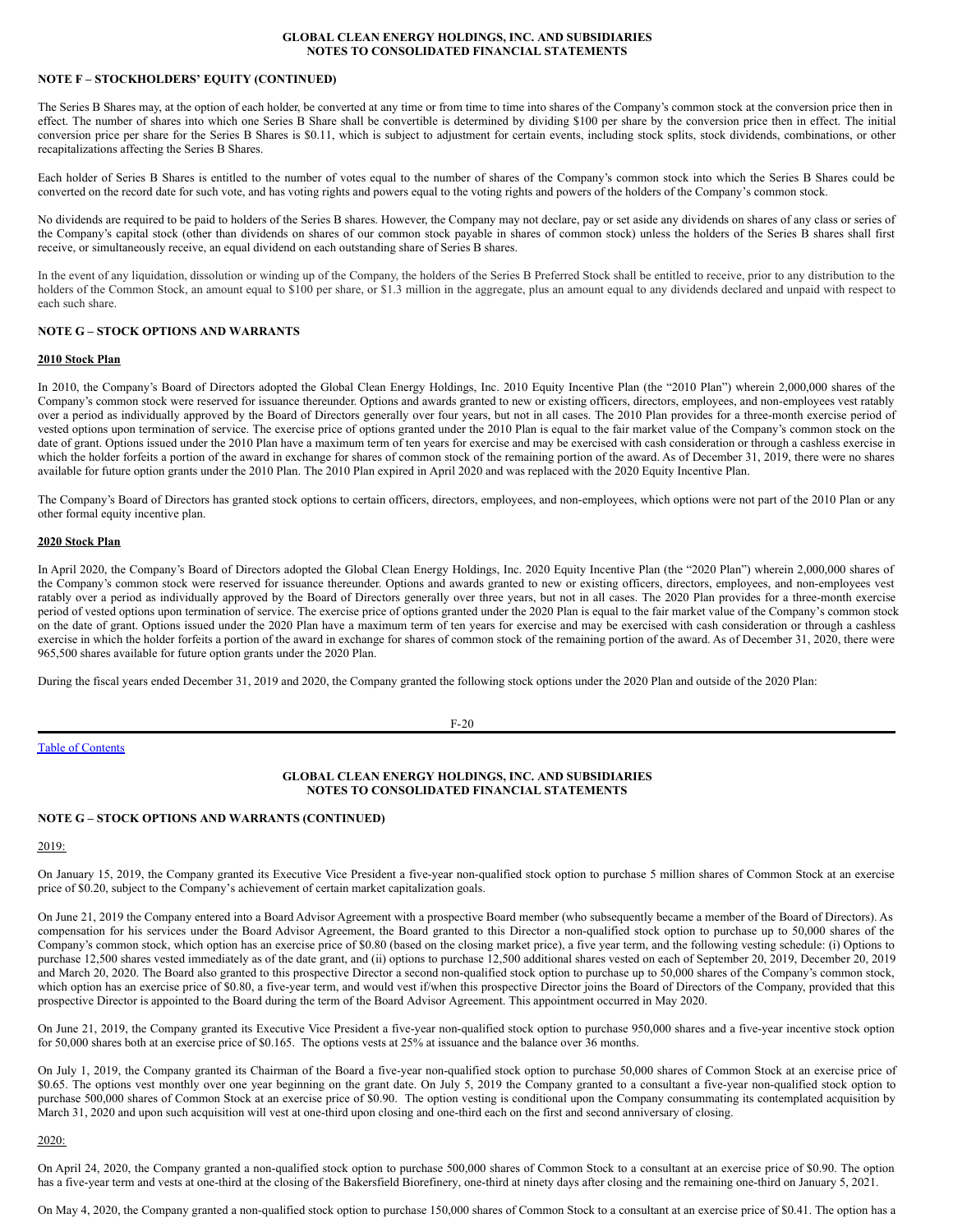#### **GLOBAL CLEAN ENERGY HOLDINGS, INC. AND SUBSIDIARIES NOTES TO CONSOLIDATED FINANCIAL STATEMENTS**

#### **NOTE F – STOCKHOLDERS' EQUITY (CONTINUED)**

The Series B Shares may, at the option of each holder, be converted at any time or from time to time into shares of the Company's common stock at the conversion price then in effect. The number of shares into which one Series B Share shall be convertible is determined by dividing \$100 per share by the conversion price then in effect. The initial conversion price per share for the Series B Shares is \$0.11, which is subject to adjustment for certain events, including stock splits, stock dividends, combinations, or other recapitalizations affecting the Series B Shares.

Each holder of Series B Shares is entitled to the number of votes equal to the number of shares of the Company's common stock into which the Series B Shares could be converted on the record date for such vote, and has voting rights and powers equal to the voting rights and powers of the holders of the Company's common stock.

No dividends are required to be paid to holders of the Series B shares. However, the Company may not declare, pay or set aside any dividends on shares of any class or series of the Company's capital stock (other than dividends on shares of our common stock payable in shares of common stock) unless the holders of the Series B shares shall first receive, or simultaneously receive, an equal dividend on each outstanding share of Series B shares.

In the event of any liquidation, dissolution or winding up of the Company, the holders of the Series B Preferred Stock shall be entitled to receive, prior to any distribution to the holders of the Common Stock, an amount equal to \$100 per share, or \$1.3 million in the aggregate, plus an amount equal to any dividends declared and unpaid with respect to each such share.

## **NOTE G – STOCK OPTIONS AND WARRANTS**

#### **2010 Stock Plan**

In 2010, the Company's Board of Directors adopted the Global Clean Energy Holdings, Inc. 2010 Equity Incentive Plan (the "2010 Plan") wherein 2,000,000 shares of the Company's common stock were reserved for issuance thereunder. Options and awards granted to new or existing officers, directors, employees, and non-employees vest ratably over a period as individually approved by the Board of Directors generally over four years, but not in all cases. The 2010 Plan provides for a three-month exercise period of vested options upon termination of service. The exercise price of options granted under the 2010 Plan is equal to the fair market value of the Company's common stock on the date of grant. Options issued under the 2010 Plan have a maximum term of ten years for exercise and may be exercised with cash consideration or through a cashless exercise in which the holder forfeits a portion of the award in exchange for shares of common stock of the remaining portion of the award. As of December 31, 2019, there were no shares available for future option grants under the 2010 Plan. The 2010 Plan expired in April 2020 and was replaced with the 2020 Equity Incentive Plan.

The Company's Board of Directors has granted stock options to certain officers, directors, employees, and non-employees, which options were not part of the 2010 Plan or any other formal equity incentive plan.

#### **2020 Stock Plan**

In April 2020, the Company's Board of Directors adopted the Global Clean Energy Holdings, Inc. 2020 Equity Incentive Plan (the "2020 Plan") wherein 2,000,000 shares of the Company's common stock were reserved for issuance thereunder. Options and awards granted to new or existing officers, directors, employees, and non-employees vest ratably over a period as individually approved by the Board of Directors generally over three years, but not in all cases. The 2020 Plan provides for a three-month exercise period of vested options upon termination of service. The exercise price of options granted under the 2020 Plan is equal to the fair market value of the Company's common stock on the date of grant. Options issued under the 2020 Plan have a maximum term of ten years for exercise and may be exercised with cash consideration or through a cashless exercise in which the holder forfeits a portion of the award in exchange for shares of common stock of the remaining portion of the award. As of December 31, 2020, there were 965,500 shares available for future option grants under the 2020 Plan.

During the fiscal years ended December 31, 2019 and 2020, the Company granted the following stock options under the 2020 Plan and outside of the 2020 Plan:

F-20

Table of [Contents](#page-31-0)

## **GLOBAL CLEAN ENERGY HOLDINGS, INC. AND SUBSIDIARIES NOTES TO CONSOLIDATED FINANCIAL STATEMENTS**

## **NOTE G – STOCK OPTIONS AND WARRANTS (CONTINUED)**

## 2019:

On January 15, 2019, the Company granted its Executive Vice President a five-year non-qualified stock option to purchase 5 million shares of Common Stock at an exercise price of \$0.20, subject to the Company's achievement of certain market capitalization goals.

On June 21, 2019 the Company entered into a Board Advisor Agreement with a prospective Board member (who subsequently became a member of the Board of Directors). As compensation for his services under the Board Advisor Agreement, the Board granted to this Director a non-qualified stock option to purchase up to 50,000 shares of the Company's common stock, which option has an exercise price of \$0.80 (based on the closing market price), a five year term, and the following vesting schedule: (i) Options to purchase 12,500 shares vested immediately as of the date grant, and (ii) options to purchase 12,500 additional shares vested on each of September 20, 2019, December 20, 2019 and March 20, 2020. The Board also granted to this prospective Director a second non-qualified stock option to purchase up to 50,000 shares of the Company's common stock, which option has an exercise price of \$0.80, a five-year term, and would vest if/when this prospective Director joins the Board of Directors of the Company, provided that this prospective Director is appointed to the Board during the term of the Board Advisor Agreement. This appointment occurred in May 2020.

On June 21, 2019, the Company granted its Executive Vice President a five-year non-qualified stock option to purchase 950,000 shares and a five-year incentive stock option for 50,000 shares both at an exercise price of \$0.165. The options vests at 25% at issuance and the balance over 36 months.

On July 1, 2019, the Company granted its Chairman of the Board a five-year non-qualified stock option to purchase 50,000 shares of Common Stock at an exercise price of \$0.65. The options vest monthly over one year beginning on the grant date. On July 5, 2019 the Company granted to a consultant a five-year non-qualified stock option to purchase 500,000 shares of Common Stock at an exercise price of \$0.90. The option vesting is conditional upon the Company consummating its contemplated acquisition by March 31, 2020 and upon such acquisition will vest at one-third upon closing and one-third each on the first and second anniversary of closing.

#### 2020:

On April 24, 2020, the Company granted a non-qualified stock option to purchase 500,000 shares of Common Stock to a consultant at an exercise price of \$0.90. The option has a five-year term and vests at one-third at the closing of the Bakersfield Biorefinery, one-third at ninety days after closing and the remaining one-third on January 5, 2021.

On May 4, 2020, the Company granted a non-qualified stock option to purchase 150,000 shares of Common Stock to a consultant at an exercise price of \$0.41. The option has a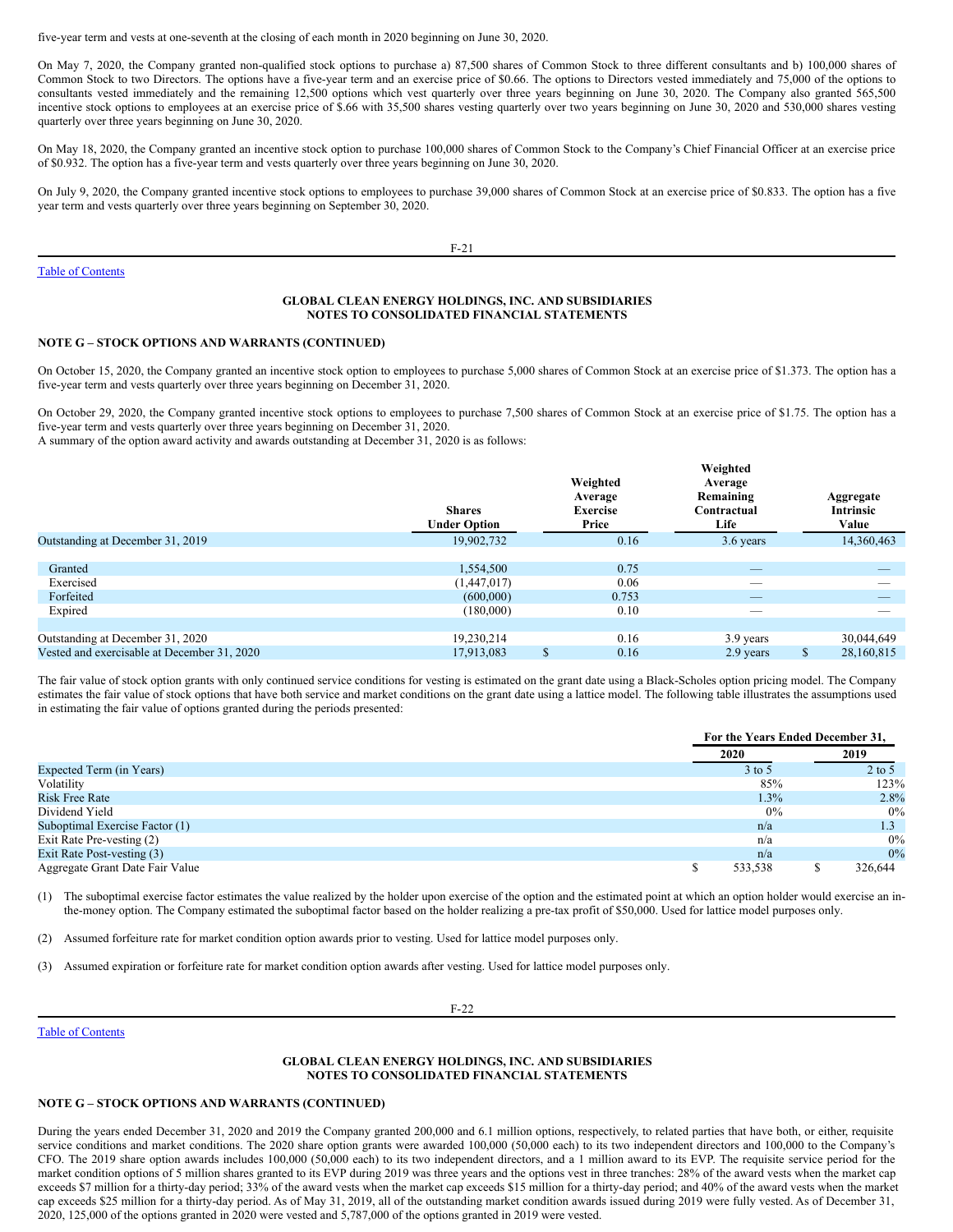five-year term and vests at one-seventh at the closing of each month in 2020 beginning on June 30, 2020.

On May 7, 2020, the Company granted non-qualified stock options to purchase a) 87,500 shares of Common Stock to three different consultants and b) 100,000 shares of Common Stock to two Directors. The options have a five-year term and an exercise price of \$0.66. The options to Directors vested immediately and 75,000 of the options to consultants vested immediately and the remaining 12,500 options which vest quarterly over three years beginning on June 30, 2020. The Company also granted 565,500 incentive stock options to employees at an exercise price of \$.66 with 35,500 shares vesting quarterly over two years beginning on June 30, 2020 and 530,000 shares vesting quarterly over three years beginning on June 30, 2020.

On May 18, 2020, the Company granted an incentive stock option to purchase 100,000 shares of Common Stock to the Company's Chief Financial Officer at an exercise price of \$0.932. The option has a five-year term and vests quarterly over three years beginning on June 30, 2020.

On July 9, 2020, the Company granted incentive stock options to employees to purchase 39,000 shares of Common Stock at an exercise price of \$0.833. The option has a five year term and vests quarterly over three years beginning on September 30, 2020.

Table of [Contents](#page-31-0)

F-21

## **GLOBAL CLEAN ENERGY HOLDINGS, INC. AND SUBSIDIARIES NOTES TO CONSOLIDATED FINANCIAL STATEMENTS**

#### **NOTE G – STOCK OPTIONS AND WARRANTS (CONTINUED)**

On October 15, 2020, the Company granted an incentive stock option to employees to purchase 5,000 shares of Common Stock at an exercise price of \$1.373. The option has a five-year term and vests quarterly over three years beginning on December 31, 2020.

On October 29, 2020, the Company granted incentive stock options to employees to purchase 7,500 shares of Common Stock at an exercise price of \$1.75. The option has a five-year term and vests quarterly over three years beginning on December 31, 2020.

A summary of the option award activity and awards outstanding at December 31, 2020 is as follows:

|                                             | <b>Shares</b><br><b>Under Option</b> | Weighted<br>Average<br><b>Exercise</b><br>Price | Weighted<br>Average<br>Remaining<br>Contractual<br>Life | Aggregate<br><b>Intrinsic</b><br>Value |
|---------------------------------------------|--------------------------------------|-------------------------------------------------|---------------------------------------------------------|----------------------------------------|
| Outstanding at December 31, 2019            | 19,902,732                           | 0.16                                            | 3.6 years                                               | 14,360,463                             |
| Granted                                     | 1,554,500                            | 0.75                                            | $\overline{\phantom{a}}$                                |                                        |
| Exercised                                   | (1,447,017)                          | 0.06                                            | _                                                       |                                        |
| Forfeited                                   | (600,000)                            | 0.753                                           | $-$                                                     |                                        |
| Expired                                     | (180,000)                            | 0.10                                            | __                                                      |                                        |
|                                             |                                      |                                                 |                                                         |                                        |
| Outstanding at December 31, 2020            | 19,230,214                           | 0.16                                            | 3.9 years                                               | 30,044,649                             |
| Vested and exercisable at December 31, 2020 | 17.913.083                           | \$<br>0.16                                      | 2.9 years                                               | \$<br>28,160,815                       |

The fair value of stock option grants with only continued service conditions for vesting is estimated on the grant date using a Black-Scholes option pricing model. The Company estimates the fair value of stock options that have both service and market conditions on the grant date using a lattice model. The following table illustrates the assumptions used in estimating the fair value of options granted during the periods presented:

|                                 |         | For the Years Ended December 31, |          |  |  |
|---------------------------------|---------|----------------------------------|----------|--|--|
|                                 | 2020    |                                  | 2019     |  |  |
| Expected Term (in Years)        | 3 to 5  |                                  | $2$ to 5 |  |  |
| Volatility                      |         | 85%                              | 123%     |  |  |
| <b>Risk Free Rate</b>           |         | 1.3%                             | 2.8%     |  |  |
| Dividend Yield                  |         | $0\%$                            | $0\%$    |  |  |
| Suboptimal Exercise Factor (1)  | n/a     |                                  | 1.3      |  |  |
| Exit Rate Pre-vesting (2)       | n/a     |                                  | 0%       |  |  |
| Exit Rate Post-vesting (3)      | n/a     |                                  | 0%       |  |  |
| Aggregate Grant Date Fair Value | 533,538 |                                  | 326,644  |  |  |

(1) The suboptimal exercise factor estimates the value realized by the holder upon exercise of the option and the estimated point at which an option holder would exercise an inthe-money option. The Company estimated the suboptimal factor based on the holder realizing a pre-tax profit of \$50,000. Used for lattice model purposes only.

(2) Assumed forfeiture rate for market condition option awards prior to vesting. Used for lattice model purposes only.

(3) Assumed expiration or forfeiture rate for market condition option awards after vesting. Used for lattice model purposes only.

Table of [Contents](#page-31-0)

## **GLOBAL CLEAN ENERGY HOLDINGS, INC. AND SUBSIDIARIES NOTES TO CONSOLIDATED FINANCIAL STATEMENTS**

F-22

## **NOTE G – STOCK OPTIONS AND WARRANTS (CONTINUED)**

During the years ended December 31, 2020 and 2019 the Company granted 200,000 and 6.1 million options, respectively, to related parties that have both, or either, requisite service conditions and market conditions. The 2020 share option grants were awarded 100,000 (50,000 each) to its two independent directors and 100,000 to the Company's CFO. The 2019 share option awards includes 100,000 (50,000 each) to its two independent directors, and a 1 million award to its EVP. The requisite service period for the market condition options of 5 million shares granted to its EVP during 2019 was three years and the options vest in three tranches: 28% of the award vests when the market cap exceeds \$7 million for a thirty-day period; 33% of the award vests when the market cap exceeds \$15 million for a thirty-day period; and 40% of the award vests when the market cap exceeds \$25 million for a thirty-day period. As of May 31, 2019, all of the outstanding market condition awards issued during 2019 were fully vested. As of December 31, 2020, 125,000 of the options granted in 2020 were vested and 5,787,000 of the options granted in 2019 were vested.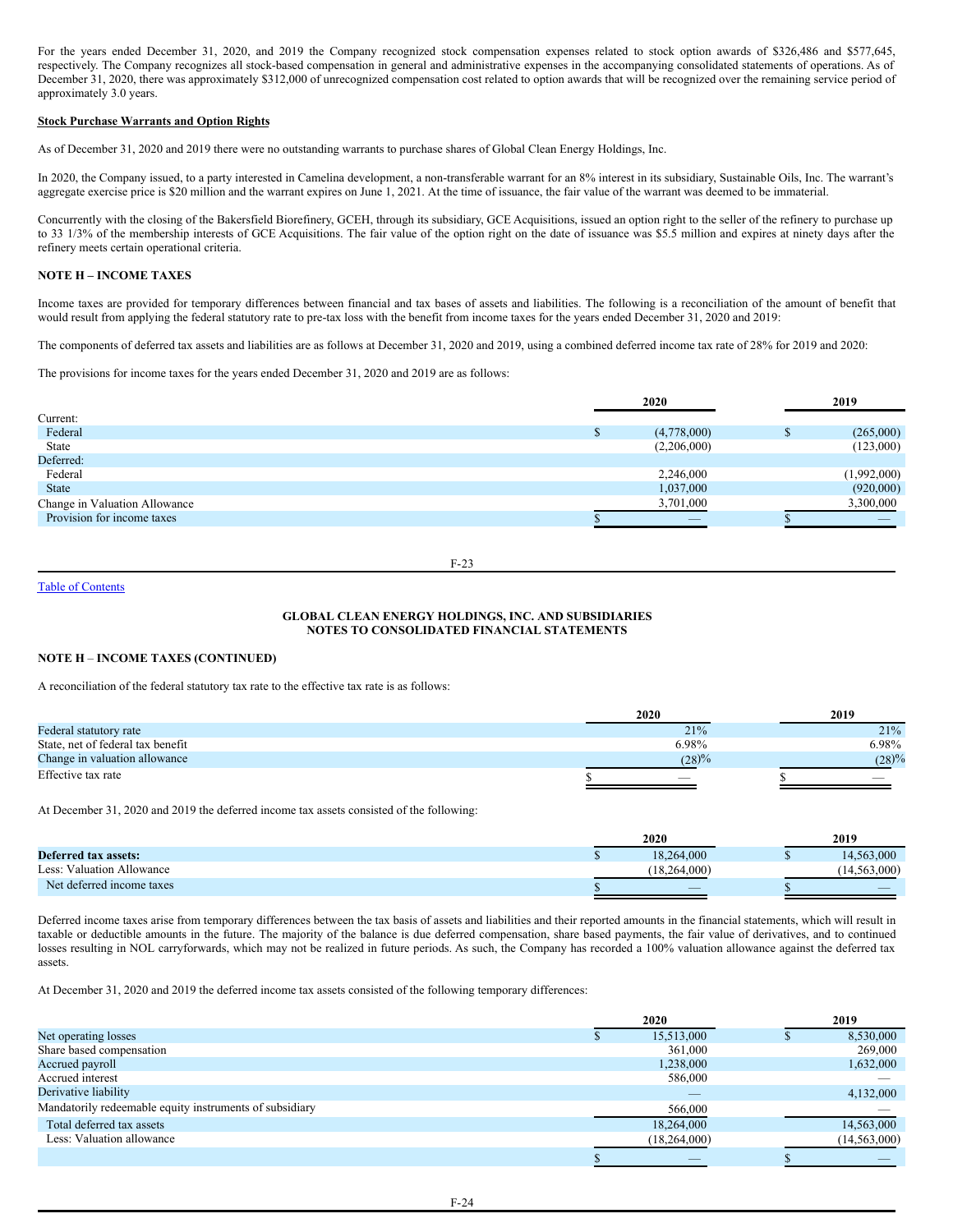For the years ended December 31, 2020, and 2019 the Company recognized stock compensation expenses related to stock option awards of \$326,486 and \$577,645, respectively. The Company recognizes all stock-based compensation in general and administrative expenses in the accompanying consolidated statements of operations. As of December 31, 2020, there was approximately \$312,000 of unrecognized compensation cost related to option awards that will be recognized over the remaining service period of approximately 3.0 years.

## **Stock Purchase Warrants and Option Rights**

As of December 31, 2020 and 2019 there were no outstanding warrants to purchase shares of Global Clean Energy Holdings, Inc.

In 2020, the Company issued, to a party interested in Camelina development, a non-transferable warrant for an 8% interest in its subsidiary, Sustainable Oils, Inc. The warrant's aggregate exercise price is \$20 million and the warrant expires on June 1, 2021. At the time of issuance, the fair value of the warrant was deemed to be immaterial.

Concurrently with the closing of the Bakersfield Biorefinery, GCEH, through its subsidiary, GCE Acquisitions, issued an option right to the seller of the refinery to purchase up to 33 1/3% of the membership interests of GCE Acquisitions. The fair value of the option right on the date of issuance was \$5.5 million and expires at ninety days after the refinery meets certain operational criteria.

## **NOTE H – INCOME TAXES**

Income taxes are provided for temporary differences between financial and tax bases of assets and liabilities. The following is a reconciliation of the amount of benefit that would result from applying the federal statutory rate to pre-tax loss with the benefit from income taxes for the years ended December 31, 2020 and 2019:

The components of deferred tax assets and liabilities are as follows at December 31, 2020 and 2019, using a combined deferred income tax rate of 28% for 2019 and 2020:

The provisions for income taxes for the years ended December 31, 2020 and 2019 are as follows:

|                               |               | 2020        | 2019        |
|-------------------------------|---------------|-------------|-------------|
| Current:                      |               |             |             |
| Federal                       | <sup>\$</sup> | (4,778,000) | (265,000)   |
| State                         |               | (2,206,000) | (123,000)   |
| Deferred:                     |               |             |             |
| Federal                       |               | 2,246,000   | (1,992,000) |
| <b>State</b>                  |               | 1,037,000   | (920,000)   |
| Change in Valuation Allowance |               | 3,701,000   | 3,300,000   |
| Provision for income taxes    |               |             |             |
|                               |               |             |             |

F-23

Table of [Contents](#page-31-0)

## **GLOBAL CLEAN ENERGY HOLDINGS, INC. AND SUBSIDIARIES NOTES TO CONSOLIDATED FINANCIAL STATEMENTS**

## **NOTE H** – **INCOME TAXES (CONTINUED)**

A reconciliation of the federal statutory tax rate to the effective tax rate is as follows:

|                                   | 2020     | 2019     |
|-----------------------------------|----------|----------|
| Federal statutory rate            | 21%      | 21%      |
| State, net of federal tax benefit | 6.98%    | 6.98%    |
| Change in valuation allowance     | $(28)\%$ | $(28)\%$ |
| Effective tax rate                | _        |          |

At December 31, 2020 and 2019 the deferred income tax assets consisted of the following:

|                             |  | 2020                     |  | 2019      |
|-----------------------------|--|--------------------------|--|-----------|
| <b>Deferred tax assets:</b> |  | 18.264.000               |  | 4.563.000 |
| Less: Valuation Allowance   |  | (18.264.000)             |  | 4.563,000 |
| Net deferred income taxes   |  | $\overline{\phantom{a}}$ |  |           |

Deferred income taxes arise from temporary differences between the tax basis of assets and liabilities and their reported amounts in the financial statements, which will result in taxable or deductible amounts in the future. The majority of the balance is due deferred compensation, share based payments, the fair value of derivatives, and to continued losses resulting in NOL carryforwards, which may not be realized in future periods. As such, the Company has recorded a 100% valuation allowance against the deferred tax assets.

At December 31, 2020 and 2019 the deferred income tax assets consisted of the following temporary differences:

|                                                         | 2020                     | 2019           |
|---------------------------------------------------------|--------------------------|----------------|
| Net operating losses                                    | 15,513,000               | 8,530,000      |
| Share based compensation                                | 361,000                  | 269,000        |
| Accrued payroll                                         | 1,238,000                | 1,632,000      |
| Accrued interest                                        | 586,000                  |                |
| Derivative liability                                    | $\overline{\phantom{a}}$ | 4,132,000      |
| Mandatorily redeemable equity instruments of subsidiary | 566,000                  |                |
| Total deferred tax assets                               | 18,264,000               | 14,563,000     |
| Less: Valuation allowance                               | (18, 264, 000)           | (14, 563, 000) |
|                                                         |                          |                |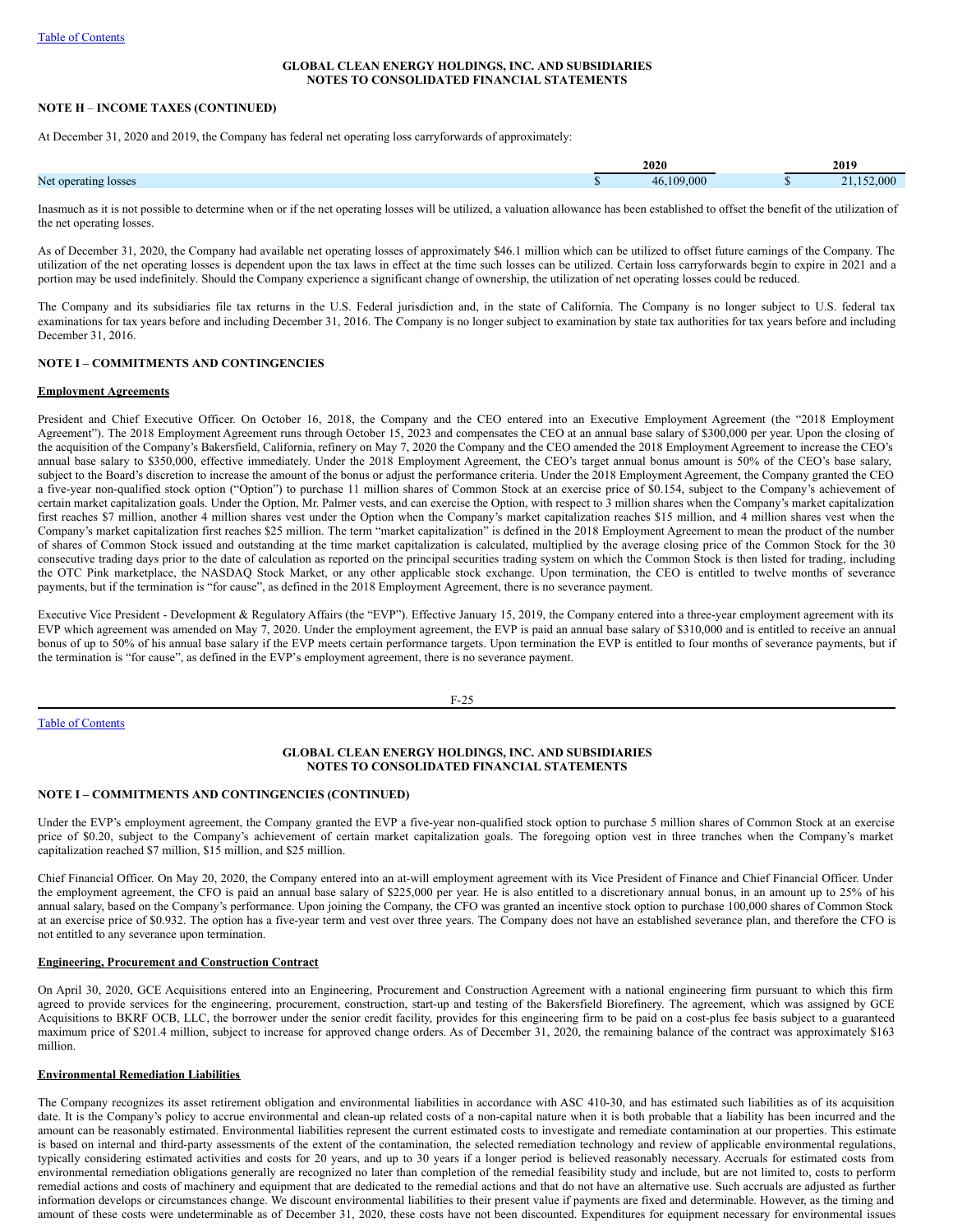## **GLOBAL CLEAN ENERGY HOLDINGS, INC. AND SUBSIDIARIES NOTES TO CONSOLIDATED FINANCIAL STATEMENTS**

## **NOTE H** – **INCOME TAXES (CONTINUED)**

At December 31, 2020 and 2019, the Company has federal net operating loss carryforwards of approximately:

|                              | 2020                      |  | 2019   |  |
|------------------------------|---------------------------|--|--------|--|
| Net op.<br>eratıng<br>losses | 109,000<br>4 <sub>b</sub> |  | 52.000 |  |

Inasmuch as it is not possible to determine when or if the net operating losses will be utilized, a valuation allowance has been established to offset the benefit of the utilization of the net operating losses.

As of December 31, 2020, the Company had available net operating losses of approximately \$46.1 million which can be utilized to offset future earnings of the Company. The utilization of the net operating losses is dependent upon the tax laws in effect at the time such losses can be utilized. Certain loss carryforwards begin to expire in 2021 and a portion may be used indefinitely. Should the Company experience a significant change of ownership, the utilization of net operating losses could be reduced.

The Company and its subsidiaries file tax returns in the U.S. Federal jurisdiction and, in the state of California. The Company is no longer subject to U.S. federal tax examinations for tax years before and including December 31, 2016. The Company is no longer subject to examination by state tax authorities for tax years before and including December 31, 2016.

#### **NOTE I – COMMITMENTS AND CONTINGENCIES**

#### **Employment Agreements**

President and Chief Executive Officer. On October 16, 2018, the Company and the CEO entered into an Executive Employment Agreement (the "2018 Employment Agreement"). The 2018 Employment Agreement runs through October 15, 2023 and compensates the CEO at an annual base salary of \$300,000 per year. Upon the closing of the acquisition of the Company's Bakersfield, California, refinery on May 7, 2020 the Company and the CEO amended the 2018 Employment Agreement to increase the CEO's annual base salary to \$350,000, effective immediately. Under the 2018 Employment Agreement, the CEO's target annual bonus amount is 50% of the CEO's base salary, subject to the Board's discretion to increase the amount of the bonus or adjust the performance criteria. Under the 2018 Employment Agreement, the Company granted the CEO a five-year non-qualified stock option ("Option") to purchase 11 million shares of Common Stock at an exercise price of \$0.154, subject to the Company's achievement of certain market capitalization goals. Under the Option, Mr. Palmer vests, and can exercise the Option, with respect to 3 million shares when the Company's market capitalization first reaches \$7 million, another 4 million shares vest under the Option when the Company's market capitalization reaches \$15 million, and 4 million shares vest when the Company's market capitalization first reaches \$25 million. The term "market capitalization" is defined in the 2018 Employment Agreement to mean the product of the number of shares of Common Stock issued and outstanding at the time market capitalization is calculated, multiplied by the average closing price of the Common Stock for the 30 consecutive trading days prior to the date of calculation as reported on the principal securities trading system on which the Common Stock is then listed for trading, including the OTC Pink marketplace, the NASDAQ Stock Market, or any other applicable stock exchange. Upon termination, the CEO is entitled to twelve months of severance payments, but if the termination is "for cause", as defined in the 2018 Employment Agreement, there is no severance payment.

Executive Vice President - Development & Regulatory Affairs (the "EVP"). Effective January 15, 2019, the Company entered into a three-year employment agreement with its EVP which agreement was amended on May 7, 2020. Under the employment agreement, the EVP is paid an annual base salary of \$310,000 and is entitled to receive an annual bonus of up to 50% of his annual base salary if the EVP meets certain performance targets. Upon termination the EVP is entitled to four months of severance payments, but if the termination is "for cause", as defined in the EVP's employment agreement, there is no severance payment.

F-25

#### Table of [Contents](#page-31-0)

## **GLOBAL CLEAN ENERGY HOLDINGS, INC. AND SUBSIDIARIES NOTES TO CONSOLIDATED FINANCIAL STATEMENTS**

## **NOTE I – COMMITMENTS AND CONTINGENCIES (CONTINUED)**

Under the EVP's employment agreement, the Company granted the EVP a five-year non-qualified stock option to purchase 5 million shares of Common Stock at an exercise price of \$0.20, subject to the Company's achievement of certain market capitalization goals. The foregoing option vest in three tranches when the Company's market capitalization reached \$7 million, \$15 million, and \$25 million.

Chief Financial Officer. On May 20, 2020, the Company entered into an at-will employment agreement with its Vice President of Finance and Chief Financial Officer. Under the employment agreement, the CFO is paid an annual base salary of \$225,000 per year. He is also entitled to a discretionary annual bonus, in an amount up to 25% of his annual salary, based on the Company's performance. Upon joining the Company, the CFO was granted an incentive stock option to purchase 100,000 shares of Common Stock at an exercise price of \$0.932. The option has a five-year term and vest over three years. The Company does not have an established severance plan, and therefore the CFO is not entitled to any severance upon termination.

#### **Engineering, Procurement and Construction Contract**

On April 30, 2020, GCE Acquisitions entered into an Engineering, Procurement and Construction Agreement with a national engineering firm pursuant to which this firm agreed to provide services for the engineering, procurement, construction, start-up and testing of the Bakersfield Biorefinery. The agreement, which was assigned by GCE Acquisitions to BKRF OCB, LLC, the borrower under the senior credit facility, provides for this engineering firm to be paid on a cost-plus fee basis subject to a guaranteed maximum price of \$201.4 million, subject to increase for approved change orders. As of December 31, 2020, the remaining balance of the contract was approximately \$163 million.

#### **Environmental Remediation Liabilities**

The Company recognizes its asset retirement obligation and environmental liabilities in accordance with ASC 410-30, and has estimated such liabilities as of its acquisition date. It is the Company's policy to accrue environmental and clean-up related costs of a non-capital nature when it is both probable that a liability has been incurred and the amount can be reasonably estimated. Environmental liabilities represent the current estimated costs to investigate and remediate contamination at our properties. This estimate is based on internal and third-party assessments of the extent of the contamination, the selected remediation technology and review of applicable environmental regulations, typically considering estimated activities and costs for 20 years, and up to 30 years if a longer period is believed reasonably necessary. Accruals for estimated costs from environmental remediation obligations generally are recognized no later than completion of the remedial feasibility study and include, but are not limited to, costs to perform remedial actions and costs of machinery and equipment that are dedicated to the remedial actions and that do not have an alternative use. Such accruals are adjusted as further information develops or circumstances change. We discount environmental liabilities to their present value if payments are fixed and determinable. However, as the timing and amount of these costs were undeterminable as of December 31, 2020, these costs have not been discounted. Expenditures for equipment necessary for environmental issues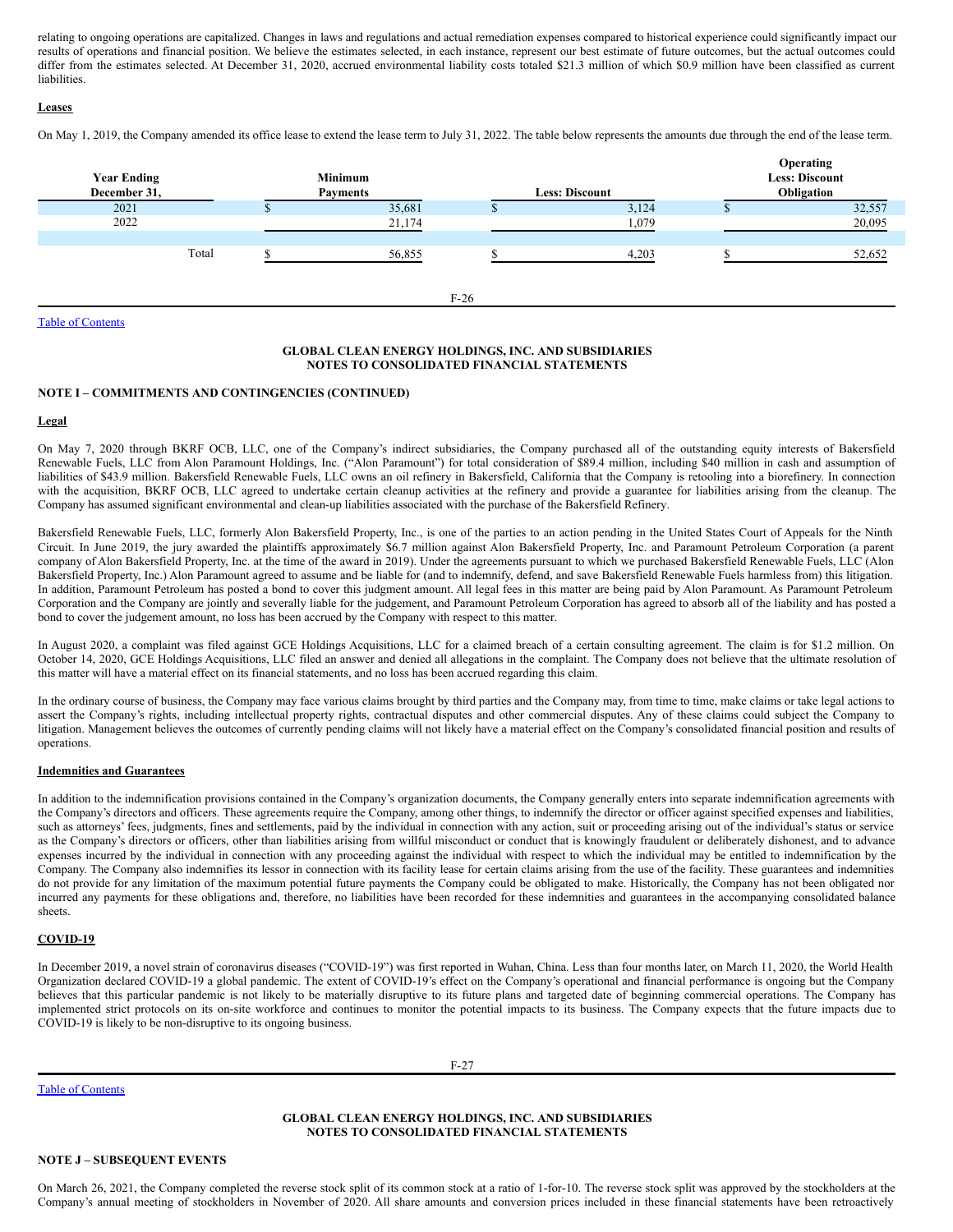relating to ongoing operations are capitalized. Changes in laws and regulations and actual remediation expenses compared to historical experience could significantly impact our results of operations and financial position. We believe the estimates selected, in each instance, represent our best estimate of future outcomes, but the actual outcomes could differ from the estimates selected. At December 31, 2020, accrued environmental liability costs totaled \$21.3 million of which \$0.9 million have been classified as current liabilities.

## **Leases**

On May 1, 2019, the Company amended its office lease to extend the lease term to July 31, 2022. The table below represents the amounts due through the end of the lease term.



Table of [Contents](#page-31-0)

## **GLOBAL CLEAN ENERGY HOLDINGS, INC. AND SUBSIDIARIES NOTES TO CONSOLIDATED FINANCIAL STATEMENTS**

## **NOTE I – COMMITMENTS AND CONTINGENCIES (CONTINUED)**

## **Legal**

On May 7, 2020 through BKRF OCB, LLC, one of the Company's indirect subsidiaries, the Company purchased all of the outstanding equity interests of Bakersfield Renewable Fuels, LLC from Alon Paramount Holdings, Inc. ("Alon Paramount") for total consideration of \$89.4 million, including \$40 million in cash and assumption of liabilities of \$43.9 million. Bakersfield Renewable Fuels, LLC owns an oil refinery in Bakersfield, California that the Company is retooling into a biorefinery. In connection with the acquisition, BKRF OCB, LLC agreed to undertake certain cleanup activities at the refinery and provide a guarantee for liabilities arising from the cleanup. The Company has assumed significant environmental and clean-up liabilities associated with the purchase of the Bakersfield Refinery.

Bakersfield Renewable Fuels, LLC, formerly Alon Bakersfield Property, Inc., is one of the parties to an action pending in the United States Court of Appeals for the Ninth Circuit. In June 2019, the jury awarded the plaintiffs approximately \$6.7 million against Alon Bakersfield Property, Inc. and Paramount Petroleum Corporation (a parent company of Alon Bakersfield Property, Inc. at the time of the award in 2019). Under the agreements pursuant to which we purchased Bakersfield Renewable Fuels, LLC (Alon Bakersfield Property, Inc.) Alon Paramount agreed to assume and be liable for (and to indemnify, defend, and save Bakersfield Renewable Fuels harmless from) this litigation. In addition, Paramount Petroleum has posted a bond to cover this judgment amount. All legal fees in this matter are being paid by Alon Paramount. As Paramount Petroleum Corporation and the Company are jointly and severally liable for the judgement, and Paramount Petroleum Corporation has agreed to absorb all of the liability and has posted a bond to cover the judgement amount, no loss has been accrued by the Company with respect to this matter.

In August 2020, a complaint was filed against GCE Holdings Acquisitions, LLC for a claimed breach of a certain consulting agreement. The claim is for \$1.2 million. On October 14, 2020, GCE Holdings Acquisitions, LLC filed an answer and denied all allegations in the complaint. The Company does not believe that the ultimate resolution of this matter will have a material effect on its financial statements, and no loss has been accrued regarding this claim.

In the ordinary course of business, the Company may face various claims brought by third parties and the Company may, from time to time, make claims or take legal actions to assert the Company's rights, including intellectual property rights, contractual disputes and other commercial disputes. Any of these claims could subject the Company to litigation. Management believes the outcomes of currently pending claims will not likely have a material effect on the Company's consolidated financial position and results of operations.

## **Indemnities and Guarantees**

In addition to the indemnification provisions contained in the Company's organization documents, the Company generally enters into separate indemnification agreements with the Company's directors and officers. These agreements require the Company, among other things, to indemnify the director or officer against specified expenses and liabilities, such as attorneys' fees, judgments, fines and settlements, paid by the individual in connection with any action, suit or proceeding arising out of the individual's status or service as the Company's directors or officers, other than liabilities arising from willful misconduct or conduct that is knowingly fraudulent or deliberately dishonest, and to advance expenses incurred by the individual in connection with any proceeding against the individual with respect to which the individual may be entitled to indemnification by the Company. The Company also indemnifies its lessor in connection with its facility lease for certain claims arising from the use of the facility. These guarantees and indemnities do not provide for any limitation of the maximum potential future payments the Company could be obligated to make. Historically, the Company has not been obligated nor incurred any payments for these obligations and, therefore, no liabilities have been recorded for these indemnities and guarantees in the accompanying consolidated balance sheets.

## **COVID-19**

In December 2019, a novel strain of coronavirus diseases ("COVID-19") was first reported in Wuhan, China. Less than four months later, on March 11, 2020, the World Health Organization declared COVID-19 a global pandemic. The extent of COVID-19's effect on the Company's operational and financial performance is ongoing but the Company believes that this particular pandemic is not likely to be materially disruptive to its future plans and targeted date of beginning commercial operations. The Company has implemented strict protocols on its on-site workforce and continues to monitor the potential impacts to its business. The Company expects that the future impacts due to COVID-19 is likely to be non-disruptive to its ongoing business.

#### Table of [Contents](#page-31-0)

## **GLOBAL CLEAN ENERGY HOLDINGS, INC. AND SUBSIDIARIES NOTES TO CONSOLIDATED FINANCIAL STATEMENTS**

#### **NOTE J – SUBSEQUENT EVENTS**

On March 26, 2021, the Company completed the reverse stock split of its common stock at a ratio of 1-for-10. The reverse stock split was approved by the stockholders at the Company's annual meeting of stockholders in November of 2020. All share amounts and conversion prices included in these financial statements have been retroactively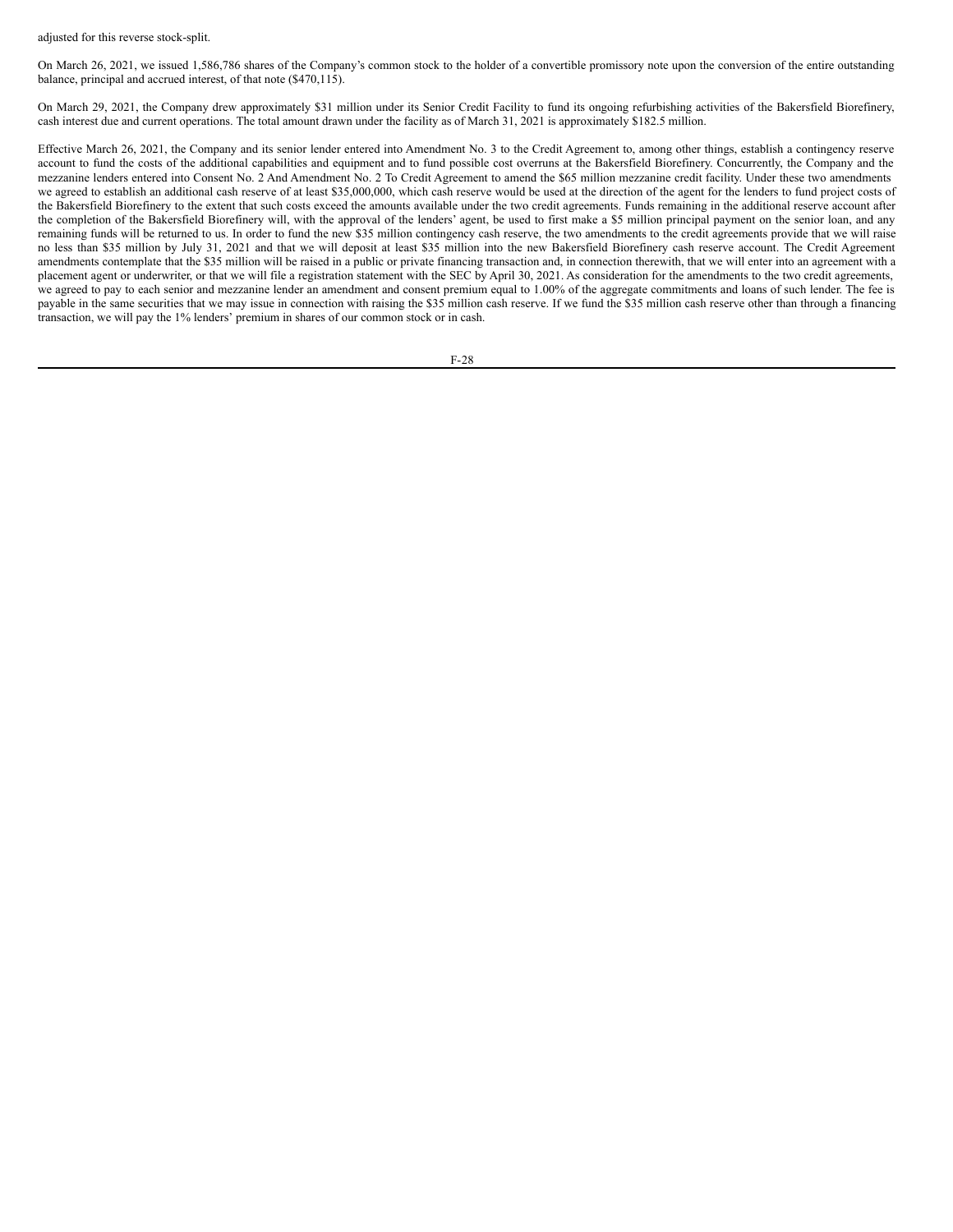adjusted for this reverse stock-split.

On March 26, 2021, we issued 1,586,786 shares of the Company's common stock to the holder of a convertible promissory note upon the conversion of the entire outstanding balance, principal and accrued interest, of that note (\$470,115).

On March 29, 2021, the Company drew approximately \$31 million under its Senior Credit Facility to fund its ongoing refurbishing activities of the Bakersfield Biorefinery, cash interest due and current operations. The total amount drawn under the facility as of March 31, 2021 is approximately \$182.5 million.

Effective March 26, 2021, the Company and its senior lender entered into Amendment No. 3 to the Credit Agreement to, among other things, establish a contingency reserve account to fund the costs of the additional capabilities and equipment and to fund possible cost overruns at the Bakersfield Biorefinery. Concurrently, the Company and the mezzanine lenders entered into Consent No. 2 And Amendment No. 2 To Credit Agreement to amend the \$65 million mezzanine credit facility. Under these two amendments we agreed to establish an additional cash reserve of at least \$35,000,000, which cash reserve would be used at the direction of the agent for the lenders to fund project costs of the Bakersfield Biorefinery to the extent that such costs exceed the amounts available under the two credit agreements. Funds remaining in the additional reserve account after the completion of the Bakersfield Biorefinery will, with the approval of the lenders' agent, be used to first make a \$5 million principal payment on the senior loan, and any remaining funds will be returned to us. In order to fund the new \$35 million contingency cash reserve, the two amendments to the credit agreements provide that we will raise no less than \$35 million by July 31, 2021 and that we will deposit at least \$35 million into the new Bakersfield Biorefinery cash reserve account. The Credit Agreement amendments contemplate that the \$35 million will be raised in a public or private financing transaction and, in connection therewith, that we will enter into an agreement with a placement agent or underwriter, or that we will file a registration statement with the SEC by April 30, 2021. As consideration for the amendments to the two credit agreements, we agreed to pay to each senior and mezzanine lender an amendment and consent premium equal to 1.00% of the aggregate commitments and loans of such lender. The fee is payable in the same securities that we may issue in connection with raising the \$35 million cash reserve. If we fund the \$35 million cash reserve other than through a financing transaction, we will pay the 1% lenders' premium in shares of our common stock or in cash.

F-28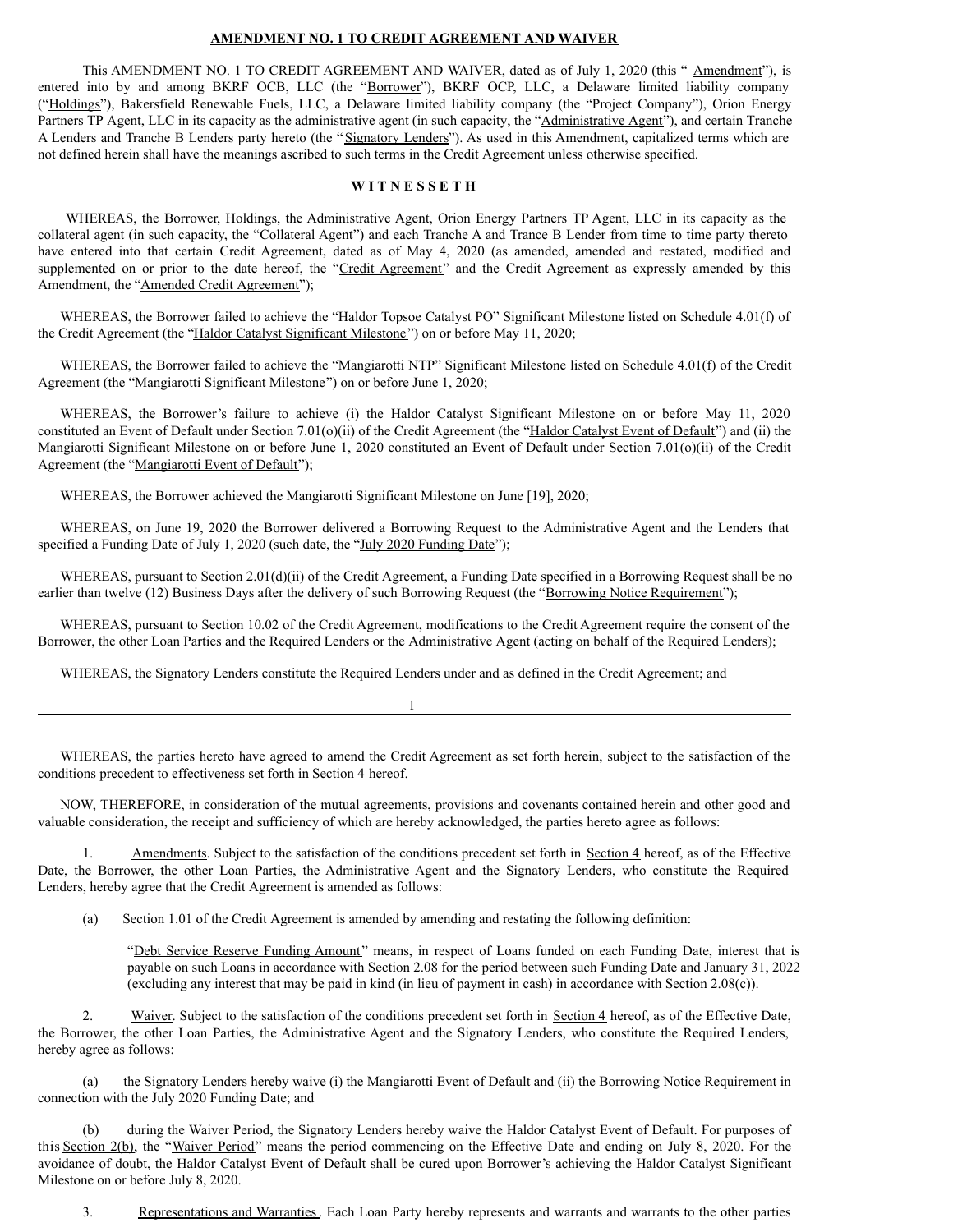## **AMENDMENT NO. 1 TO CREDIT AGREEMENT AND WAIVER**

This AMENDMENT NO. 1 TO CREDIT AGREEMENT AND WAIVER, dated as of July 1, 2020 (this " Amendment"), is entered into by and among BKRF OCB, LLC (the "Borrower"), BKRF OCP, LLC, a Delaware limited liability company ("Holdings"), Bakersfield Renewable Fuels, LLC, a Delaware limited liability company (the "Project Company"), Orion Energy Partners TP Agent, LLC in its capacity as the administrative agent (in such capacity, the "Administrative Agent"), and certain Tranche A Lenders and Tranche B Lenders party hereto (the "Signatory Lenders"). As used in this Amendment, capitalized terms which are not defined herein shall have the meanings ascribed to such terms in the Credit Agreement unless otherwise specified.

## **W I T N E S S E T H**

WHEREAS, the Borrower, Holdings, the Administrative Agent, Orion Energy Partners TP Agent, LLC in its capacity as the collateral agent (in such capacity, the "Collateral Agent") and each Tranche A and Trance B Lender from time to time party thereto have entered into that certain Credit Agreement, dated as of May 4, 2020 (as amended, amended and restated, modified and supplemented on or prior to the date hereof, the "Credit Agreement" and the Credit Agreement as expressly amended by this Amendment, the "Amended Credit Agreement");

WHEREAS, the Borrower failed to achieve the "Haldor Topsoe Catalyst PO" Significant Milestone listed on Schedule 4.01(f) of the Credit Agreement (the "Haldor Catalyst Significant Milestone") on or before May 11, 2020;

WHEREAS, the Borrower failed to achieve the "Mangiarotti NTP" Significant Milestone listed on Schedule 4.01(f) of the Credit Agreement (the "Mangiarotti Significant Milestone") on or before June 1, 2020;

WHEREAS, the Borrower's failure to achieve (i) the Haldor Catalyst Significant Milestone on or before May 11, 2020 constituted an Event of Default under Section 7.01(o)(ii) of the Credit Agreement (the "Haldor Catalyst Event of Default") and (ii) the Mangiarotti Significant Milestone on or before June 1, 2020 constituted an Event of Default under Section 7.01(o)(ii) of the Credit Agreement (the "Mangiarotti Event of Default");

WHEREAS, the Borrower achieved the Mangiarotti Significant Milestone on June [19], 2020;

WHEREAS, on June 19, 2020 the Borrower delivered a Borrowing Request to the Administrative Agent and the Lenders that specified a Funding Date of July 1, 2020 (such date, the "July 2020 Funding Date");

WHEREAS, pursuant to Section 2.01(d)(ii) of the Credit Agreement, a Funding Date specified in a Borrowing Request shall be no earlier than twelve (12) Business Days after the delivery of such Borrowing Request (the "Borrowing Notice Requirement");

WHEREAS, pursuant to Section 10.02 of the Credit Agreement, modifications to the Credit Agreement require the consent of the Borrower, the other Loan Parties and the Required Lenders or the Administrative Agent (acting on behalf of the Required Lenders);

WHEREAS, the Signatory Lenders constitute the Required Lenders under and as defined in the Credit Agreement; and

WHEREAS, the parties hereto have agreed to amend the Credit Agreement as set forth herein, subject to the satisfaction of the conditions precedent to effectiveness set forth in Section 4 hereof.

1

NOW, THEREFORE, in consideration of the mutual agreements, provisions and covenants contained herein and other good and valuable consideration, the receipt and sufficiency of which are hereby acknowledged, the parties hereto agree as follows:

1. Amendments. Subject to the satisfaction of the conditions precedent set forth in Section 4 hereof, as of the Effective Date, the Borrower, the other Loan Parties, the Administrative Agent and the Signatory Lenders, who constitute the Required Lenders, hereby agree that the Credit Agreement is amended as follows:

(a) Section 1.01 of the Credit Agreement is amended by amending and restating the following definition:

"Debt Service Reserve Funding Amount" means, in respect of Loans funded on each Funding Date, interest that is payable on such Loans in accordance with Section 2.08 for the period between such Funding Date and January 31, 2022 (excluding any interest that may be paid in kind (in lieu of payment in cash) in accordance with Section 2.08(c)).

Waiver. Subject to the satisfaction of the conditions precedent set forth in Section 4 hereof, as of the Effective Date, the Borrower, the other Loan Parties, the Administrative Agent and the Signatory Lenders, who constitute the Required Lenders, hereby agree as follows:

(a) the Signatory Lenders hereby waive (i) the Mangiarotti Event of Default and (ii) the Borrowing Notice Requirement in connection with the July 2020 Funding Date; and

(b) during the Waiver Period, the Signatory Lenders hereby waive the Haldor Catalyst Event of Default. For purposes of this Section 2(b), the "Waiver Period" means the period commencing on the Effective Date and ending on July 8, 2020. For the avoidance of doubt, the Haldor Catalyst Event of Default shall be cured upon Borrower's achieving the Haldor Catalyst Significant Milestone on or before July 8, 2020.

3. Representations and Warranties. Each Loan Party hereby represents and warrants and warrants to the other parties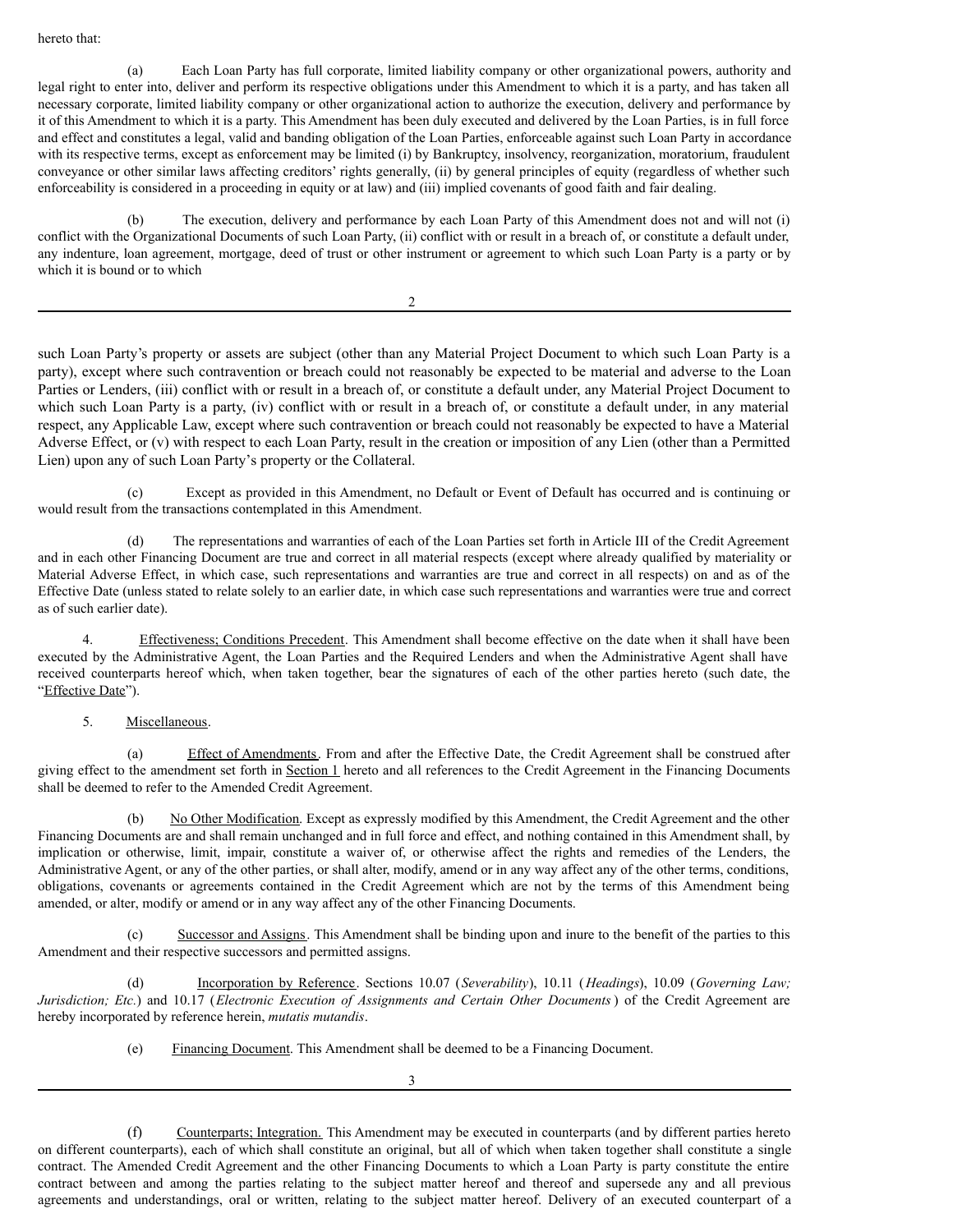hereto that:

(a) Each Loan Party has full corporate, limited liability company or other organizational powers, authority and legal right to enter into, deliver and perform its respective obligations under this Amendment to which it is a party, and has taken all necessary corporate, limited liability company or other organizational action to authorize the execution, delivery and performance by it of this Amendment to which it is a party. This Amendment has been duly executed and delivered by the Loan Parties, is in full force and effect and constitutes a legal, valid and banding obligation of the Loan Parties, enforceable against such Loan Party in accordance with its respective terms, except as enforcement may be limited (i) by Bankruptcy, insolvency, reorganization, moratorium, fraudulent conveyance or other similar laws affecting creditors' rights generally, (ii) by general principles of equity (regardless of whether such enforceability is considered in a proceeding in equity or at law) and (iii) implied covenants of good faith and fair dealing.

The execution, delivery and performance by each Loan Party of this Amendment does not and will not (i) conflict with the Organizational Documents of such Loan Party, (ii) conflict with or result in a breach of, or constitute a default under, any indenture, loan agreement, mortgage, deed of trust or other instrument or agreement to which such Loan Party is a party or by which it is bound or to which

 $\mathcal{L}$ 

such Loan Party's property or assets are subject (other than any Material Project Document to which such Loan Party is a party), except where such contravention or breach could not reasonably be expected to be material and adverse to the Loan Parties or Lenders, (iii) conflict with or result in a breach of, or constitute a default under, any Material Project Document to which such Loan Party is a party, (iv) conflict with or result in a breach of, or constitute a default under, in any material respect, any Applicable Law, except where such contravention or breach could not reasonably be expected to have a Material Adverse Effect, or (v) with respect to each Loan Party, result in the creation or imposition of any Lien (other than a Permitted Lien) upon any of such Loan Party's property or the Collateral.

(c) Except as provided in this Amendment, no Default or Event of Default has occurred and is continuing or would result from the transactions contemplated in this Amendment.

(d) The representations and warranties of each of the Loan Parties set forth in Article III of the Credit Agreement and in each other Financing Document are true and correct in all material respects (except where already qualified by materiality or Material Adverse Effect, in which case, such representations and warranties are true and correct in all respects) on and as of the Effective Date (unless stated to relate solely to an earlier date, in which case such representations and warranties were true and correct as of such earlier date).

4. Effectiveness; Conditions Precedent. This Amendment shall become effective on the date when it shall have been executed by the Administrative Agent, the Loan Parties and the Required Lenders and when the Administrative Agent shall have received counterparts hereof which, when taken together, bear the signatures of each of the other parties hereto (such date, the "Effective Date").

5. Miscellaneous.

(a) Effect of Amendments. From and after the Effective Date, the Credit Agreement shall be construed after giving effect to the amendment set forth in Section 1 hereto and all references to the Credit Agreement in the Financing Documents shall be deemed to refer to the Amended Credit Agreement.

(b) No Other Modification. Except as expressly modified by this Amendment, the Credit Agreement and the other Financing Documents are and shall remain unchanged and in full force and effect, and nothing contained in this Amendment shall, by implication or otherwise, limit, impair, constitute a waiver of, or otherwise affect the rights and remedies of the Lenders, the Administrative Agent, or any of the other parties, or shall alter, modify, amend or in any way affect any of the other terms, conditions, obligations, covenants or agreements contained in the Credit Agreement which are not by the terms of this Amendment being amended, or alter, modify or amend or in any way affect any of the other Financing Documents.

(c) Successor and Assigns. This Amendment shall be binding upon and inure to the benefit of the parties to this Amendment and their respective successors and permitted assigns.

(d) Incorporation by Reference. Sections 10.07 (*Severability*), 10.11 (*Headings*), 10.09 (*Governing Law; Jurisdiction; Etc.*) and 10.17 (*Electronic Execution of Assignments and Certain Other Documents* ) of the Credit Agreement are hereby incorporated by reference herein, *mutatis mutandis*.

(e) Financing Document. This Amendment shall be deemed to be a Financing Document.

3

(f) Counterparts; Integration. This Amendment may be executed in counterparts (and by different parties hereto on different counterparts), each of which shall constitute an original, but all of which when taken together shall constitute a single contract. The Amended Credit Agreement and the other Financing Documents to which a Loan Party is party constitute the entire contract between and among the parties relating to the subject matter hereof and thereof and supersede any and all previous agreements and understandings, oral or written, relating to the subject matter hereof. Delivery of an executed counterpart of a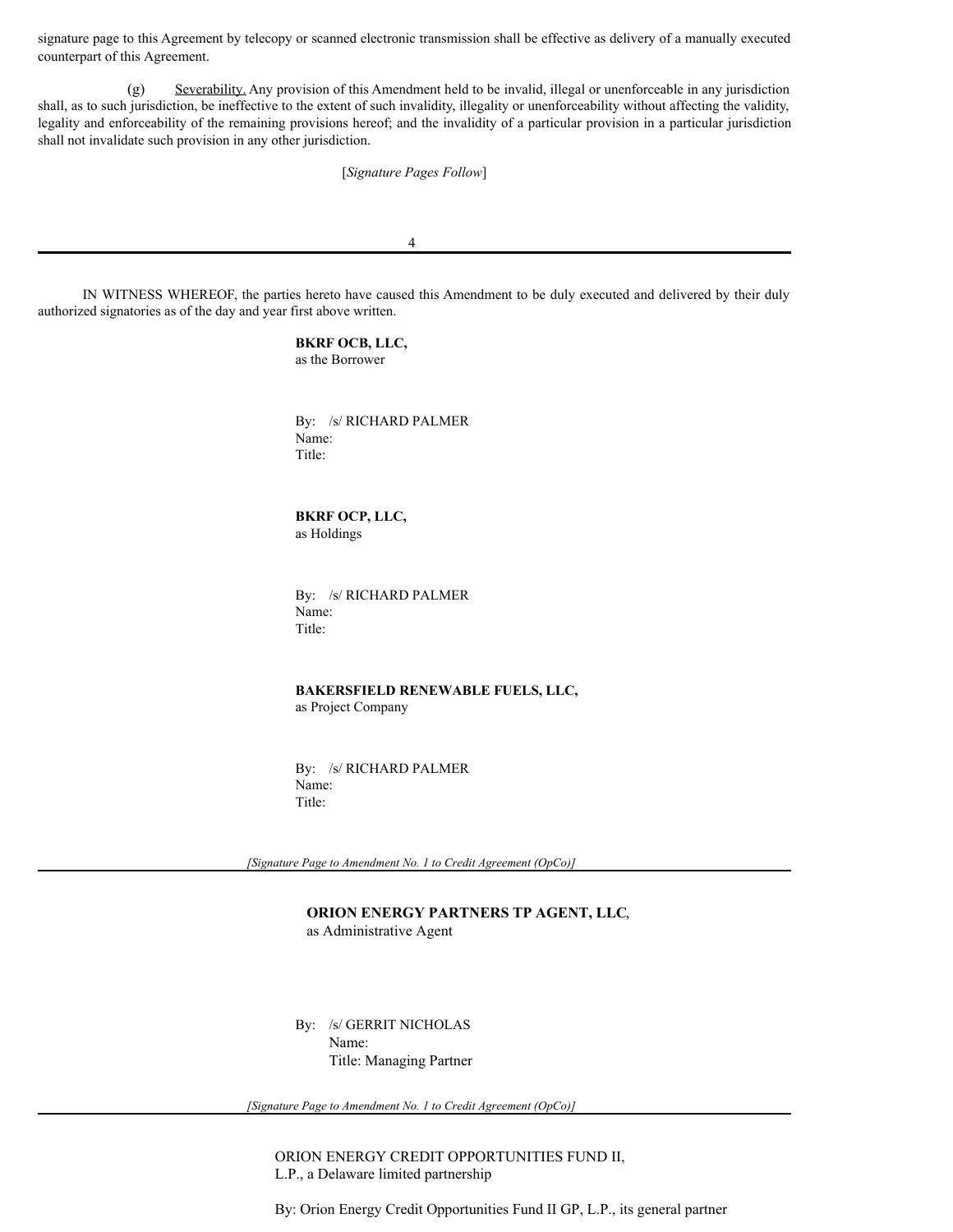signature page to this Agreement by telecopy or scanned electronic transmission shall be effective as delivery of a manually executed counterpart of this Agreement.

 $(g)$  Severability. Any provision of this Amendment held to be invalid, illegal or unenforceable in any jurisdiction shall, as to such jurisdiction, be ineffective to the extent of such invalidity, illegality or unenforceability without affecting the validity, legality and enforceability of the remaining provisions hereof; and the invalidity of a particular provision in a particular jurisdiction shall not invalidate such provision in any other jurisdiction.

[*Signature Pages Follow*]

4

IN WITNESS WHEREOF, the parties hereto have caused this Amendment to be duly executed and delivered by their duly authorized signatories as of the day and year first above written.

## **BKRF OCB, LLC,**

as the Borrower

By: /s/ RICHARD PALMER Name: Title:

# **BKRF OCP, LLC,**

as Holdings

By: /s/ RICHARD PALMER Name: Title:

**BAKERSFIELD RENEWABLE FUELS, LLC,** as Project Company

By: /s/ RICHARD PALMER Name: Title:

*[Signature Page to Amendment No. 1 to Credit Agreement (OpCo)]*

# **ORION ENERGY PARTNERS TP AGENT, LLC**, as Administrative Agent

By: /s/ GERRIT NICHOLAS Name: Title: Managing Partner

*[Signature Page to Amendment No. 1 to Credit Agreement (OpCo)]*

ORION ENERGY CREDIT OPPORTUNITIES FUND II, L.P., a Delaware limited partnership

By: Orion Energy Credit Opportunities Fund II GP, L.P., its general partner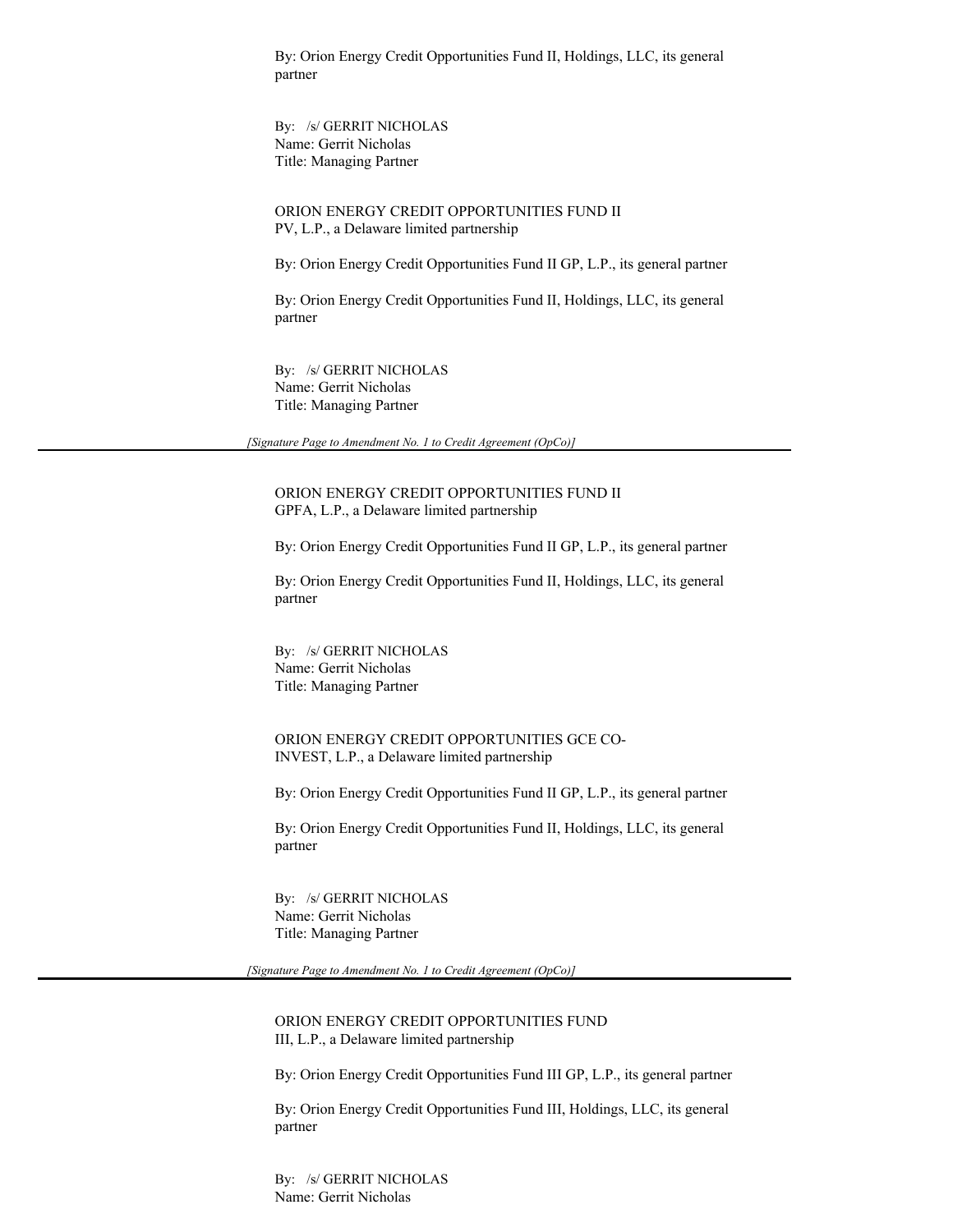By: Orion Energy Credit Opportunities Fund II, Holdings, LLC, its general partner

By: /s/ GERRIT NICHOLAS Name: Gerrit Nicholas Title: Managing Partner

ORION ENERGY CREDIT OPPORTUNITIES FUND II PV, L.P., a Delaware limited partnership

By: Orion Energy Credit Opportunities Fund II GP, L.P., its general partner

By: Orion Energy Credit Opportunities Fund II, Holdings, LLC, its general partner

By: /s/ GERRIT NICHOLAS Name: Gerrit Nicholas Title: Managing Partner

*[Signature Page to Amendment No. 1 to Credit Agreement (OpCo)]*

ORION ENERGY CREDIT OPPORTUNITIES FUND II GPFA, L.P., a Delaware limited partnership

By: Orion Energy Credit Opportunities Fund II GP, L.P., its general partner

By: Orion Energy Credit Opportunities Fund II, Holdings, LLC, its general partner

By: /s/ GERRIT NICHOLAS Name: Gerrit Nicholas Title: Managing Partner

ORION ENERGY CREDIT OPPORTUNITIES GCE CO-INVEST, L.P., a Delaware limited partnership

By: Orion Energy Credit Opportunities Fund II GP, L.P., its general partner

By: Orion Energy Credit Opportunities Fund II, Holdings, LLC, its general partner

By: /s/ GERRIT NICHOLAS Name: Gerrit Nicholas Title: Managing Partner

*[Signature Page to Amendment No. 1 to Credit Agreement (OpCo)]*

ORION ENERGY CREDIT OPPORTUNITIES FUND III, L.P., a Delaware limited partnership

By: Orion Energy Credit Opportunities Fund III GP, L.P., its general partner

By: Orion Energy Credit Opportunities Fund III, Holdings, LLC, its general partner

By: /s/ GERRIT NICHOLAS Name: Gerrit Nicholas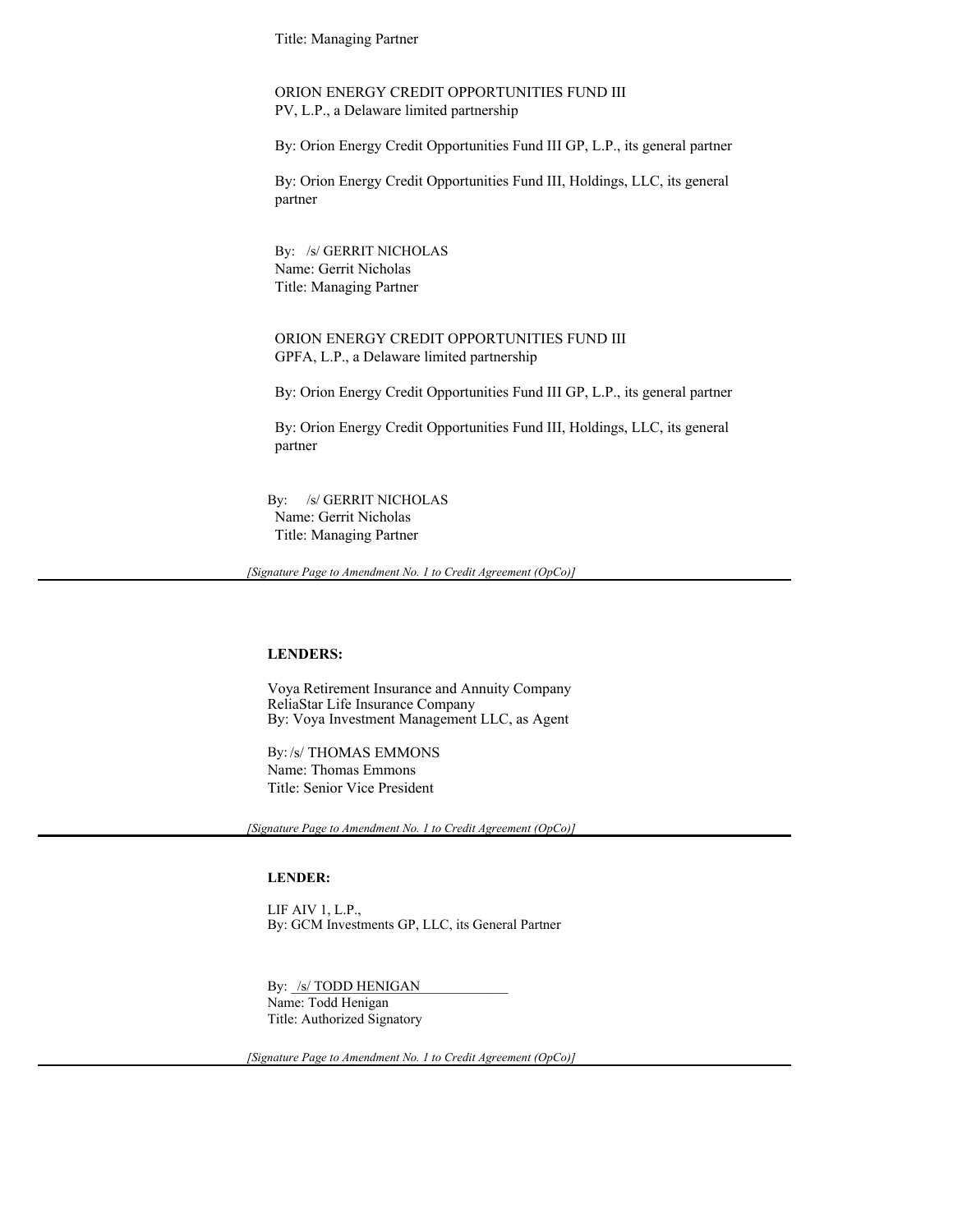Title: Managing Partner

ORION ENERGY CREDIT OPPORTUNITIES FUND III PV, L.P., a Delaware limited partnership

By: Orion Energy Credit Opportunities Fund III GP, L.P., its general partner

By: Orion Energy Credit Opportunities Fund III, Holdings, LLC, its general partner

By: /s/ GERRIT NICHOLAS Name: Gerrit Nicholas Title: Managing Partner

ORION ENERGY CREDIT OPPORTUNITIES FUND III GPFA, L.P., a Delaware limited partnership

By: Orion Energy Credit Opportunities Fund III GP, L.P., its general partner

By: Orion Energy Credit Opportunities Fund III, Holdings, LLC, its general partner

By: /s/ GERRIT NICHOLAS Name: Gerrit Nicholas Title: Managing Partner

*[Signature Page to Amendment No. 1 to Credit Agreement (OpCo)]*

# **LENDERS:**

Voya Retirement Insurance and Annuity Company ReliaStar Life Insurance Company By: Voya Investment Management LLC, as Agent

By: /s/ THOMAS EMMONS Name: Thomas Emmons Title: Senior Vice President

*[Signature Page to Amendment No. 1 to Credit Agreement (OpCo)]*

# **LENDER:**

LIF AIV 1, L.P., By: GCM Investments GP, LLC, its General Partner

By: /s/ TODD HENIGAN Name: Todd Henigan Title: Authorized Signatory

*[Signature Page to Amendment No. 1 to Credit Agreement (OpCo)]*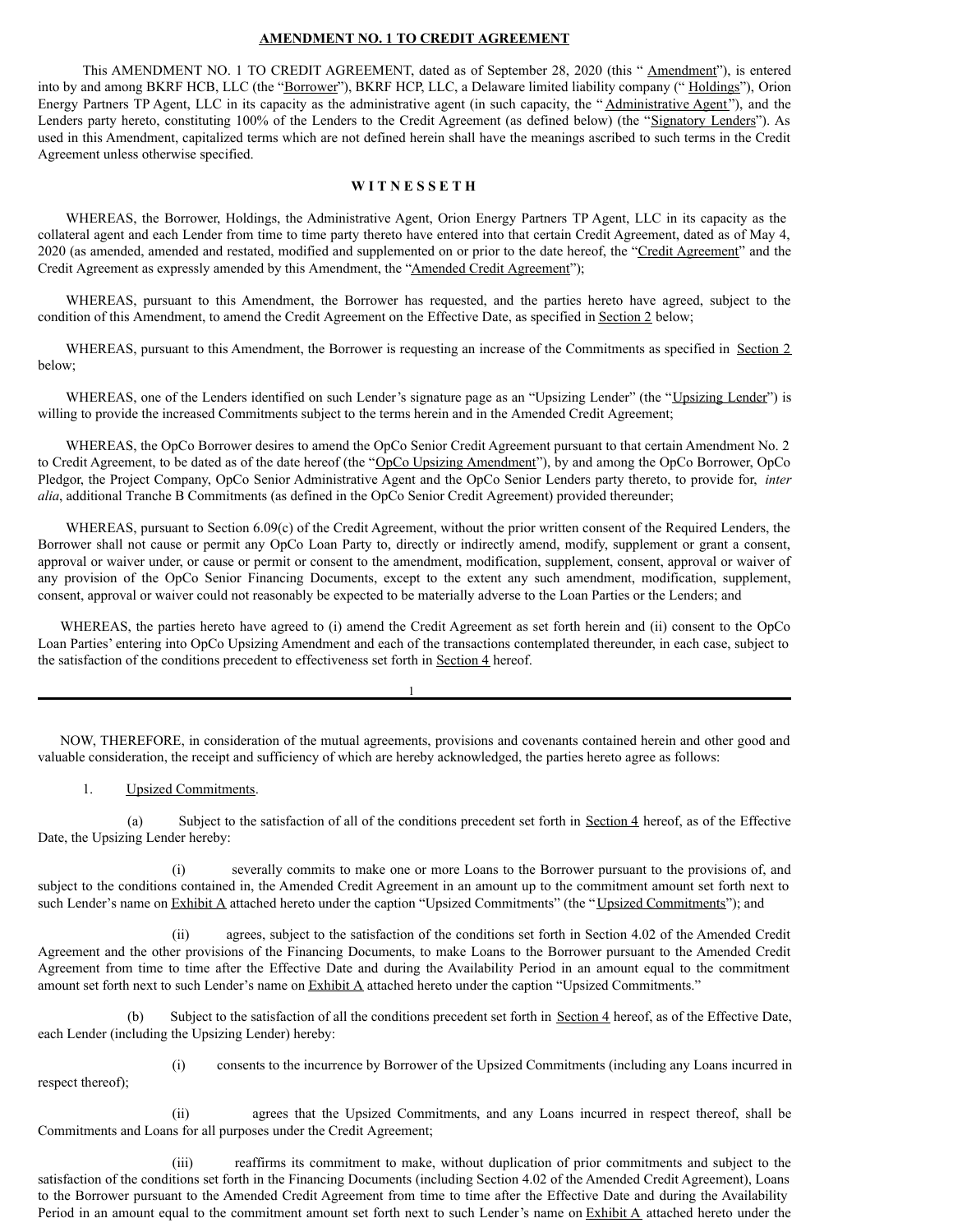## **AMENDMENT NO. 1 TO CREDIT AGREEMENT**

This AMENDMENT NO. 1 TO CREDIT AGREEMENT, dated as of September 28, 2020 (this "Amendment"), is entered into by and among BKRF HCB, LLC (the "Borrower"), BKRF HCP, LLC, a Delaware limited liability company ("Holdings"), Orion Energy Partners TP Agent, LLC in its capacity as the administrative agent (in such capacity, the "Administrative Agent"), and the Lenders party hereto, constituting 100% of the Lenders to the Credit Agreement (as defined below) (the "Signatory Lenders"). As used in this Amendment, capitalized terms which are not defined herein shall have the meanings ascribed to such terms in the Credit Agreement unless otherwise specified.

## **W I T N E S S E T H**

WHEREAS, the Borrower, Holdings, the Administrative Agent, Orion Energy Partners TP Agent, LLC in its capacity as the collateral agent and each Lender from time to time party thereto have entered into that certain Credit Agreement, dated as of May 4, 2020 (as amended, amended and restated, modified and supplemented on or prior to the date hereof, the "Credit Agreement" and the Credit Agreement as expressly amended by this Amendment, the "Amended Credit Agreement");

WHEREAS, pursuant to this Amendment, the Borrower has requested, and the parties hereto have agreed, subject to the condition of this Amendment, to amend the Credit Agreement on the Effective Date, as specified in Section 2 below;

WHEREAS, pursuant to this Amendment, the Borrower is requesting an increase of the Commitments as specified in Section 2 below;

WHEREAS, one of the Lenders identified on such Lender's signature page as an "Upsizing Lender" (the "Upsizing Lender") is willing to provide the increased Commitments subject to the terms herein and in the Amended Credit Agreement;

WHEREAS, the OpCo Borrower desires to amend the OpCo Senior Credit Agreement pursuant to that certain Amendment No. 2 to Credit Agreement, to be dated as of the date hereof (the "OpCo Upsizing Amendment"), by and among the OpCo Borrower, OpCo Pledgor, the Project Company, OpCo Senior Administrative Agent and the OpCo Senior Lenders party thereto, to provide for, *inter alia*, additional Tranche B Commitments (as defined in the OpCo Senior Credit Agreement) provided thereunder;

WHEREAS, pursuant to Section 6.09(c) of the Credit Agreement, without the prior written consent of the Required Lenders, the Borrower shall not cause or permit any OpCo Loan Party to, directly or indirectly amend, modify, supplement or grant a consent, approval or waiver under, or cause or permit or consent to the amendment, modification, supplement, consent, approval or waiver of any provision of the OpCo Senior Financing Documents, except to the extent any such amendment, modification, supplement, consent, approval or waiver could not reasonably be expected to be materially adverse to the Loan Parties or the Lenders; and

WHEREAS, the parties hereto have agreed to (i) amend the Credit Agreement as set forth herein and (ii) consent to the OpCo Loan Parties' entering into OpCo Upsizing Amendment and each of the transactions contemplated thereunder, in each case, subject to the satisfaction of the conditions precedent to effectiveness set forth in Section 4 hereof.

1

NOW, THEREFORE, in consideration of the mutual agreements, provisions and covenants contained herein and other good and valuable consideration, the receipt and sufficiency of which are hereby acknowledged, the parties hereto agree as follows:

1. Upsized Commitments.

(a) Subject to the satisfaction of all of the conditions precedent set forth in Section 4 hereof, as of the Effective Date, the Upsizing Lender hereby:

(i) severally commits to make one or more Loans to the Borrower pursuant to the provisions of, and subject to the conditions contained in, the Amended Credit Agreement in an amount up to the commitment amount set forth next to such Lender's name on Exhibit A attached hereto under the caption "Upsized Commitments" (the "Upsized Commitments"); and

(ii) agrees, subject to the satisfaction of the conditions set forth in Section 4.02 of the Amended Credit Agreement and the other provisions of the Financing Documents, to make Loans to the Borrower pursuant to the Amended Credit Agreement from time to time after the Effective Date and during the Availability Period in an amount equal to the commitment amount set forth next to such Lender's name on Exhibit A attached hereto under the caption "Upsized Commitments."

Subject to the satisfaction of all the conditions precedent set forth in Section 4 hereof, as of the Effective Date, each Lender (including the Upsizing Lender) hereby:

respect thereof);

(i) consents to the incurrence by Borrower of the Upsized Commitments (including any Loans incurred in

(ii) agrees that the Upsized Commitments, and any Loans incurred in respect thereof, shall be Commitments and Loans for all purposes under the Credit Agreement;

(iii) reaffirms its commitment to make, without duplication of prior commitments and subject to the satisfaction of the conditions set forth in the Financing Documents (including Section 4.02 of the Amended Credit Agreement), Loans to the Borrower pursuant to the Amended Credit Agreement from time to time after the Effective Date and during the Availability Period in an amount equal to the commitment amount set forth next to such Lender's name on Exhibit A attached hereto under the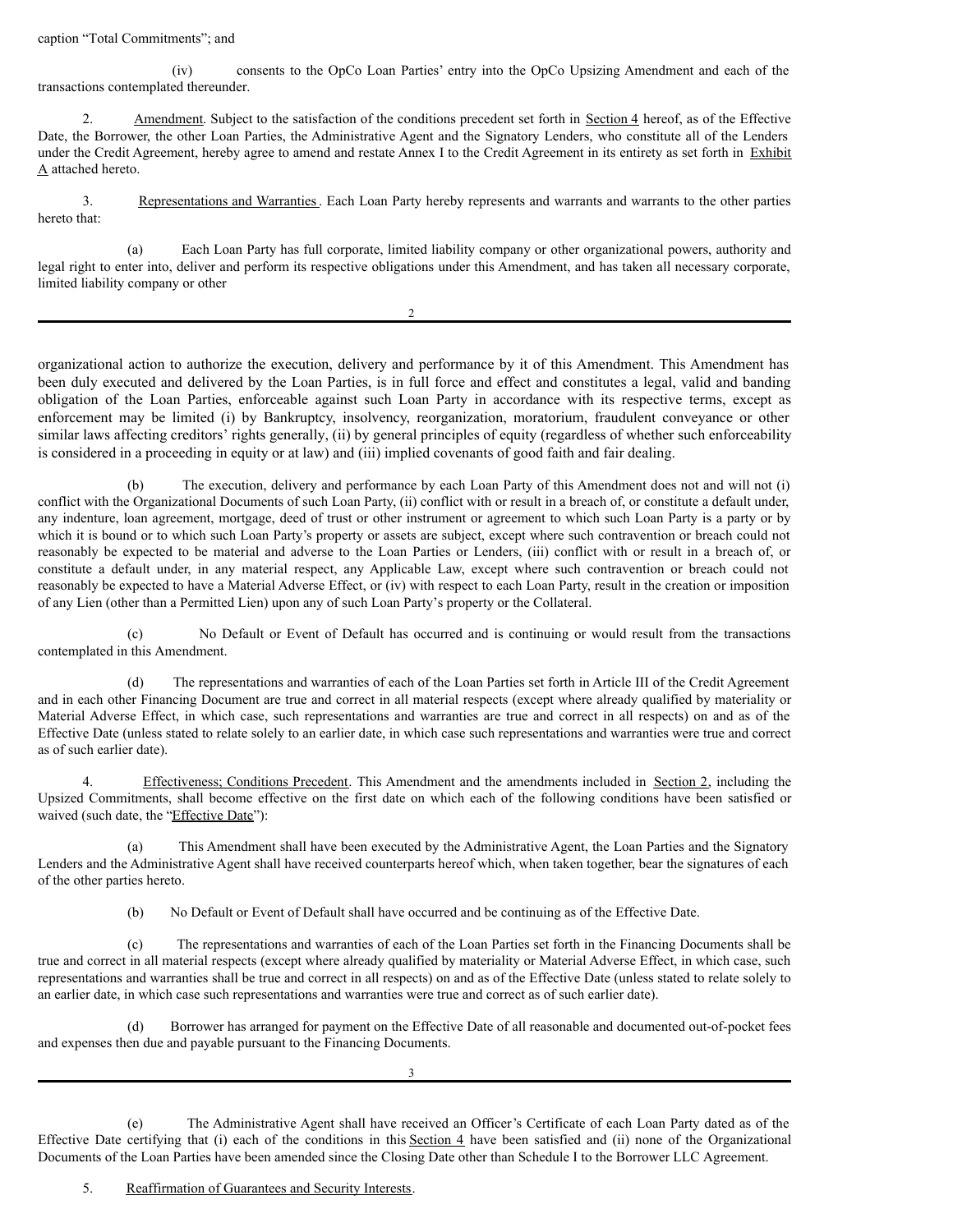caption "Total Commitments"; and

(iv) consents to the OpCo Loan Parties' entry into the OpCo Upsizing Amendment and each of the transactions contemplated thereunder.

2. Amendment. Subject to the satisfaction of the conditions precedent set forth in Section 4 hereof, as of the Effective Date, the Borrower, the other Loan Parties, the Administrative Agent and the Signatory Lenders, who constitute all of the Lenders under the Credit Agreement, hereby agree to amend and restate Annex I to the Credit Agreement in its entirety as set forth in Exhibit A attached hereto.

3. Representations and Warranties. Each Loan Party hereby represents and warrants and warrants to the other parties hereto that:

(a) Each Loan Party has full corporate, limited liability company or other organizational powers, authority and legal right to enter into, deliver and perform its respective obligations under this Amendment, and has taken all necessary corporate, limited liability company or other

 $\mathfrak{Z}$ 

organizational action to authorize the execution, delivery and performance by it of this Amendment. This Amendment has been duly executed and delivered by the Loan Parties, is in full force and effect and constitutes a legal, valid and banding obligation of the Loan Parties, enforceable against such Loan Party in accordance with its respective terms, except as enforcement may be limited (i) by Bankruptcy, insolvency, reorganization, moratorium, fraudulent conveyance or other similar laws affecting creditors' rights generally, (ii) by general principles of equity (regardless of whether such enforceability is considered in a proceeding in equity or at law) and (iii) implied covenants of good faith and fair dealing.

The execution, delivery and performance by each Loan Party of this Amendment does not and will not (i) conflict with the Organizational Documents of such Loan Party, (ii) conflict with or result in a breach of, or constitute a default under, any indenture, loan agreement, mortgage, deed of trust or other instrument or agreement to which such Loan Party is a party or by which it is bound or to which such Loan Party's property or assets are subject, except where such contravention or breach could not reasonably be expected to be material and adverse to the Loan Parties or Lenders, (iii) conflict with or result in a breach of, or constitute a default under, in any material respect, any Applicable Law, except where such contravention or breach could not reasonably be expected to have a Material Adverse Effect, or (iv) with respect to each Loan Party, result in the creation or imposition of any Lien (other than a Permitted Lien) upon any of such Loan Party's property or the Collateral.

(c) No Default or Event of Default has occurred and is continuing or would result from the transactions contemplated in this Amendment.

(d) The representations and warranties of each of the Loan Parties set forth in Article III of the Credit Agreement and in each other Financing Document are true and correct in all material respects (except where already qualified by materiality or Material Adverse Effect, in which case, such representations and warranties are true and correct in all respects) on and as of the Effective Date (unless stated to relate solely to an earlier date, in which case such representations and warranties were true and correct as of such earlier date).

4. Effectiveness; Conditions Precedent. This Amendment and the amendments included in Section 2, including the Upsized Commitments, shall become effective on the first date on which each of the following conditions have been satisfied or waived (such date, the "Effective Date"):

(a) This Amendment shall have been executed by the Administrative Agent, the Loan Parties and the Signatory Lenders and the Administrative Agent shall have received counterparts hereof which, when taken together, bear the signatures of each of the other parties hereto.

(b) No Default or Event of Default shall have occurred and be continuing as of the Effective Date.

(c) The representations and warranties of each of the Loan Parties set forth in the Financing Documents shall be true and correct in all material respects (except where already qualified by materiality or Material Adverse Effect, in which case, such representations and warranties shall be true and correct in all respects) on and as of the Effective Date (unless stated to relate solely to an earlier date, in which case such representations and warranties were true and correct as of such earlier date).

(d) Borrower has arranged for payment on the Effective Date of all reasonable and documented out-of-pocket fees and expenses then due and payable pursuant to the Financing Documents.

3

(e) The Administrative Agent shall have received an Officer's Certificate of each Loan Party dated as of the Effective Date certifying that (i) each of the conditions in this  $Section 4$  have been satisfied and (ii) none of the Organizational Documents of the Loan Parties have been amended since the Closing Date other than Schedule I to the Borrower LLC Agreement.

5. Reaffirmation of Guarantees and Security Interests.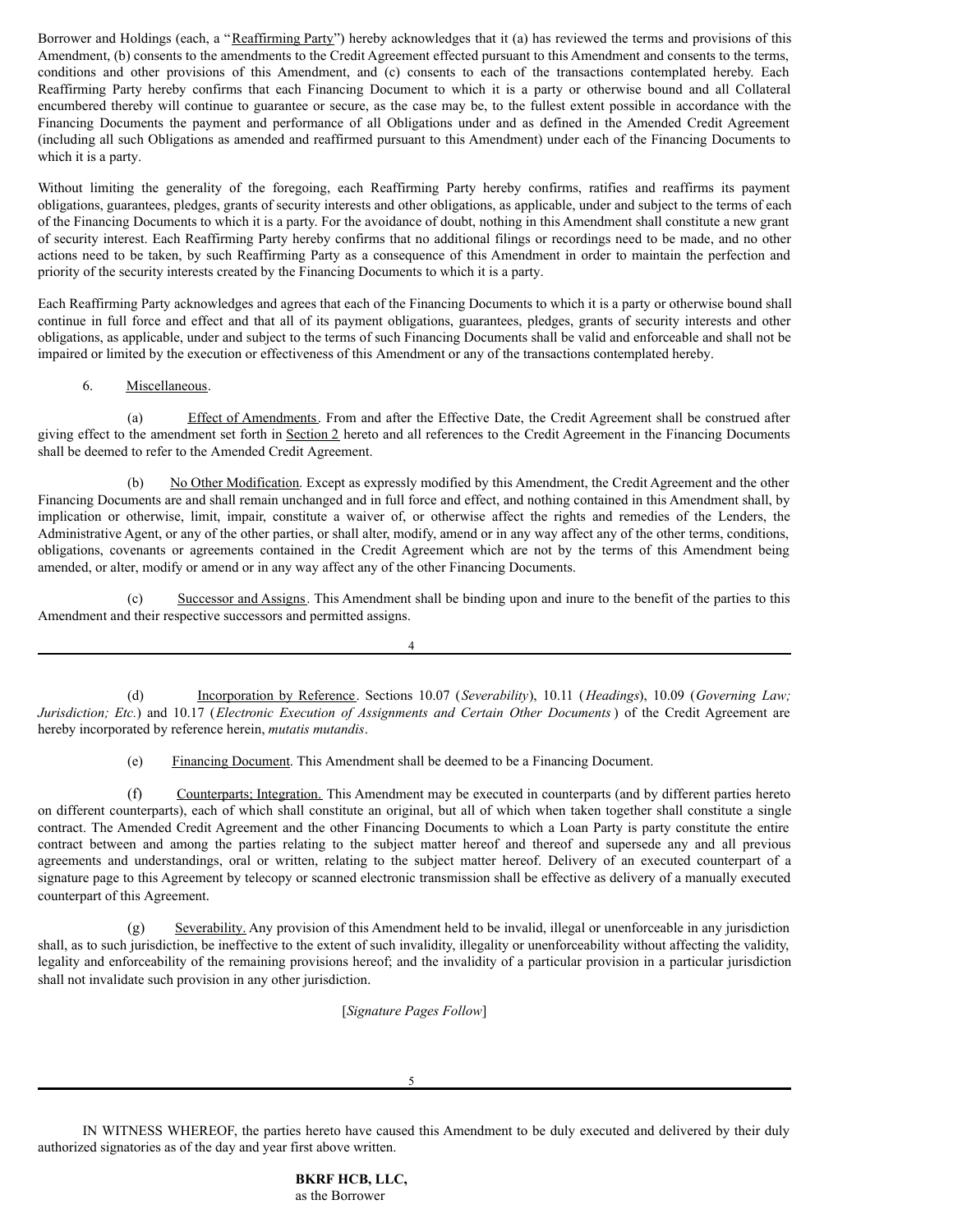Borrower and Holdings (each, a "Reaffirming Party") hereby acknowledges that it (a) has reviewed the terms and provisions of this Amendment, (b) consents to the amendments to the Credit Agreement effected pursuant to this Amendment and consents to the terms, conditions and other provisions of this Amendment, and (c) consents to each of the transactions contemplated hereby. Each Reaffirming Party hereby confirms that each Financing Document to which it is a party or otherwise bound and all Collateral encumbered thereby will continue to guarantee or secure, as the case may be, to the fullest extent possible in accordance with the Financing Documents the payment and performance of all Obligations under and as defined in the Amended Credit Agreement (including all such Obligations as amended and reaffirmed pursuant to this Amendment) under each of the Financing Documents to which it is a party.

Without limiting the generality of the foregoing, each Reaffirming Party hereby confirms, ratifies and reaffirms its payment obligations, guarantees, pledges, grants of security interests and other obligations, as applicable, under and subject to the terms of each of the Financing Documents to which it is a party. For the avoidance of doubt, nothing in this Amendment shall constitute a new grant of security interest. Each Reaffirming Party hereby confirms that no additional filings or recordings need to be made, and no other actions need to be taken, by such Reaffirming Party as a consequence of this Amendment in order to maintain the perfection and priority of the security interests created by the Financing Documents to which it is a party.

Each Reaffirming Party acknowledges and agrees that each of the Financing Documents to which it is a party or otherwise bound shall continue in full force and effect and that all of its payment obligations, guarantees, pledges, grants of security interests and other obligations, as applicable, under and subject to the terms of such Financing Documents shall be valid and enforceable and shall not be impaired or limited by the execution or effectiveness of this Amendment or any of the transactions contemplated hereby.

# 6. Miscellaneous.

(a) Effect of Amendments. From and after the Effective Date, the Credit Agreement shall be construed after giving effect to the amendment set forth in Section 2 hereto and all references to the Credit Agreement in the Financing Documents shall be deemed to refer to the Amended Credit Agreement.

No Other Modification. Except as expressly modified by this Amendment, the Credit Agreement and the other Financing Documents are and shall remain unchanged and in full force and effect, and nothing contained in this Amendment shall, by implication or otherwise, limit, impair, constitute a waiver of, or otherwise affect the rights and remedies of the Lenders, the Administrative Agent, or any of the other parties, or shall alter, modify, amend or in any way affect any of the other terms, conditions, obligations, covenants or agreements contained in the Credit Agreement which are not by the terms of this Amendment being amended, or alter, modify or amend or in any way affect any of the other Financing Documents.

(c) Successor and Assigns. This Amendment shall be binding upon and inure to the benefit of the parties to this Amendment and their respective successors and permitted assigns.

4

(d) Incorporation by Reference. Sections 10.07 (*Severability*), 10.11 (*Headings*), 10.09 (*Governing Law; Jurisdiction; Etc.*) and 10.17 (*Electronic Execution of Assignments and Certain Other Documents* ) of the Credit Agreement are hereby incorporated by reference herein, *mutatis mutandis*.

(e) Financing Document. This Amendment shall be deemed to be a Financing Document.

(f) Counterparts; Integration. This Amendment may be executed in counterparts (and by different parties hereto on different counterparts), each of which shall constitute an original, but all of which when taken together shall constitute a single contract. The Amended Credit Agreement and the other Financing Documents to which a Loan Party is party constitute the entire contract between and among the parties relating to the subject matter hereof and thereof and supersede any and all previous agreements and understandings, oral or written, relating to the subject matter hereof. Delivery of an executed counterpart of a signature page to this Agreement by telecopy or scanned electronic transmission shall be effective as delivery of a manually executed counterpart of this Agreement.

(g) Severability. Any provision of this Amendment held to be invalid, illegal or unenforceable in any jurisdiction shall, as to such jurisdiction, be ineffective to the extent of such invalidity, illegality or unenforceability without affecting the validity, legality and enforceability of the remaining provisions hereof; and the invalidity of a particular provision in a particular jurisdiction shall not invalidate such provision in any other jurisdiction.

[*Signature Pages Follow*]

5

IN WITNESS WHEREOF, the parties hereto have caused this Amendment to be duly executed and delivered by their duly authorized signatories as of the day and year first above written.

> **BKRF HCB, LLC,** as the Borrower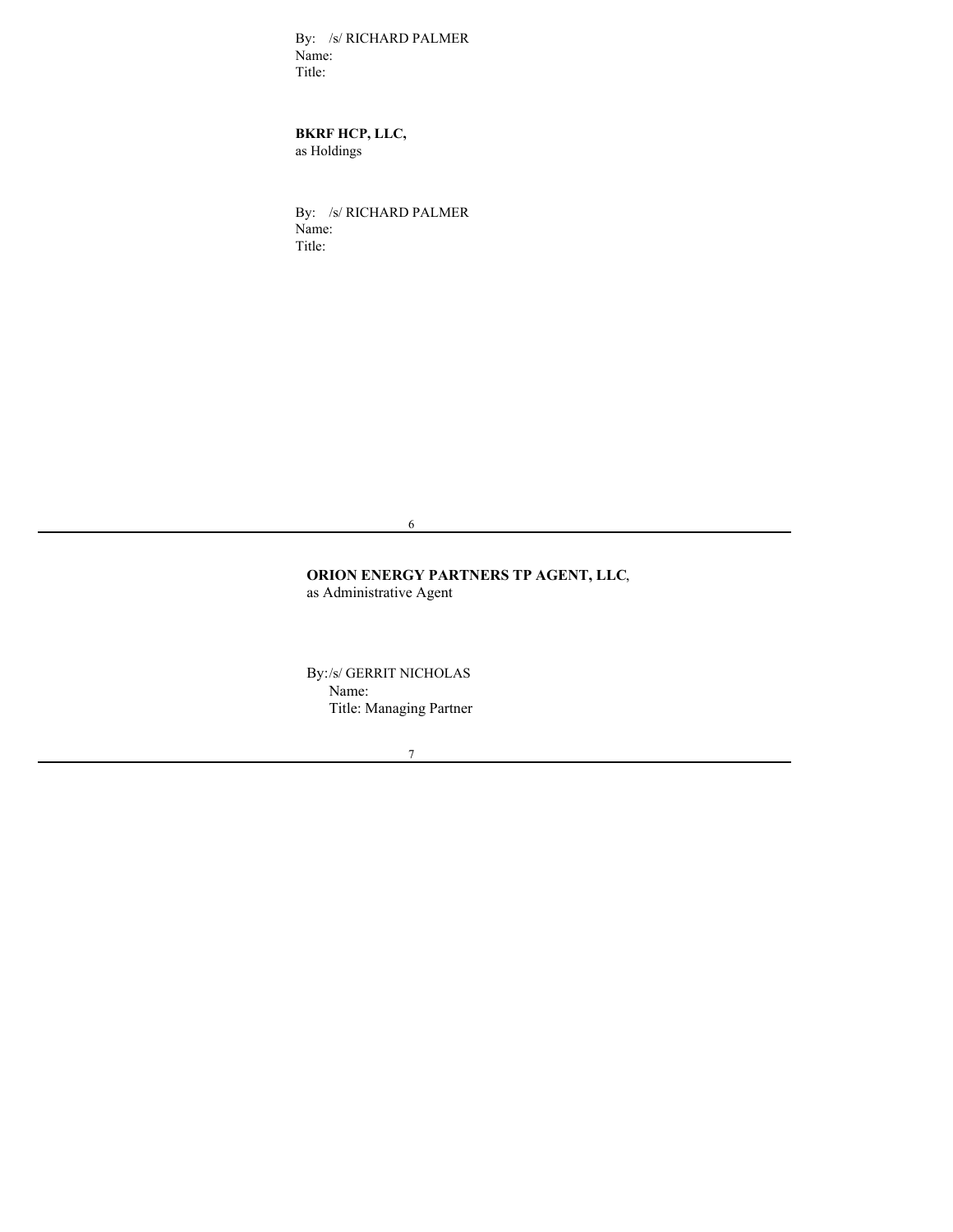By: /s/ RICHARD PALMER Name: Title:

**BKRF HCP, LLC,** as Holdings

By: /s/ RICHARD PALMER Name: Title:

6

# **ORION ENERGY PARTNERS TP AGENT, LLC**, as Administrative Agent

By:/s/ GERRIT NICHOLAS Name: Title: Managing Partner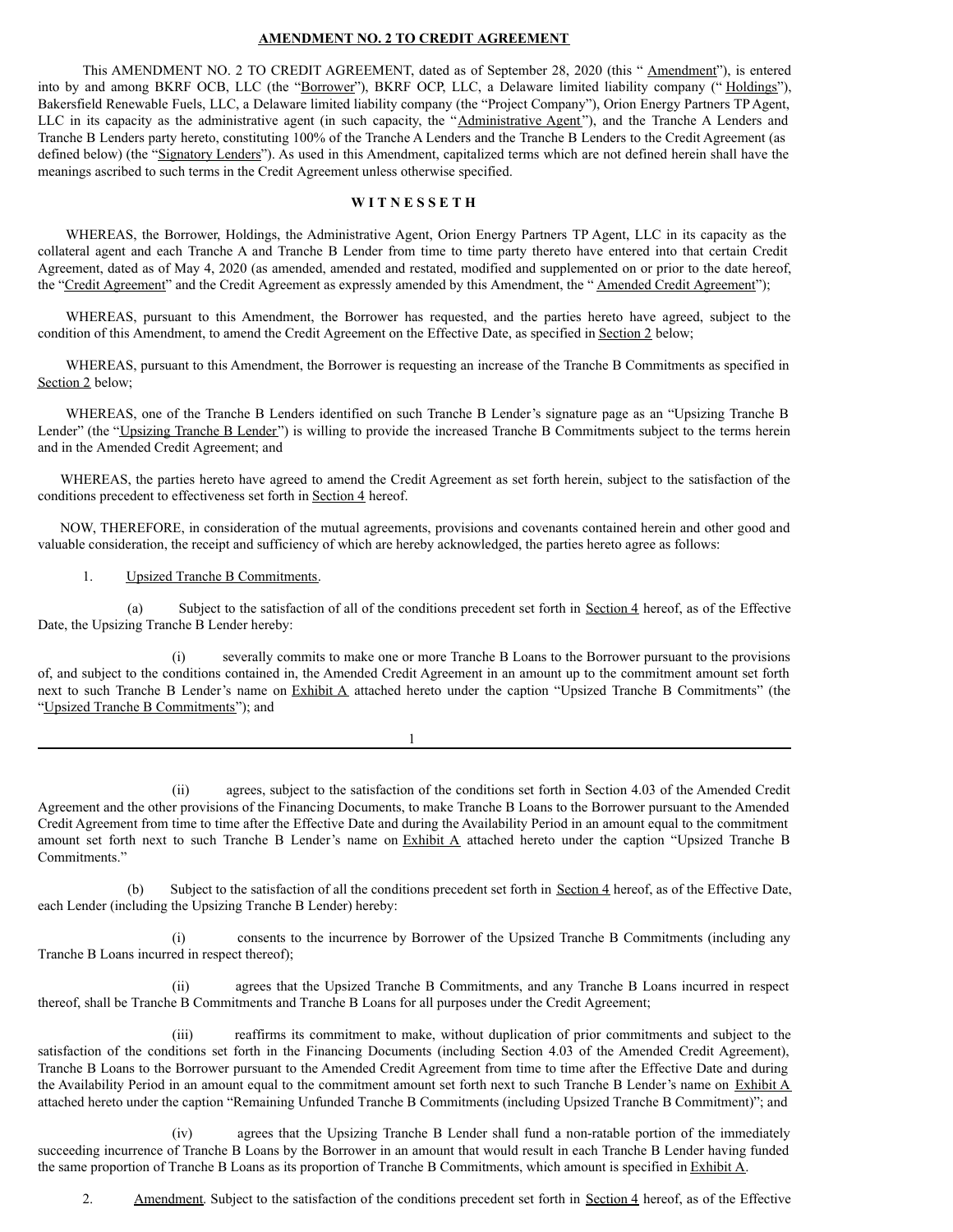## **AMENDMENT NO. 2 TO CREDIT AGREEMENT**

This AMENDMENT NO. 2 TO CREDIT AGREEMENT, dated as of September 28, 2020 (this "Amendment"), is entered into by and among BKRF OCB, LLC (the "Borrower"), BKRF OCP, LLC, a Delaware limited liability company ("Holdings"), Bakersfield Renewable Fuels, LLC, a Delaware limited liability company (the "Project Company"), Orion Energy Partners TPAgent, LLC in its capacity as the administrative agent (in such capacity, the "Administrative Agent"), and the Tranche A Lenders and Tranche B Lenders party hereto, constituting 100% of the Tranche A Lenders and the Tranche B Lenders to the Credit Agreement (as defined below) (the "Signatory Lenders"). As used in this Amendment, capitalized terms which are not defined herein shall have the meanings ascribed to such terms in the Credit Agreement unless otherwise specified.

# **W I T N E S S E T H**

WHEREAS, the Borrower, Holdings, the Administrative Agent, Orion Energy Partners TP Agent, LLC in its capacity as the collateral agent and each Tranche A and Tranche B Lender from time to time party thereto have entered into that certain Credit Agreement, dated as of May 4, 2020 (as amended, amended and restated, modified and supplemented on or prior to the date hereof, the "Credit Agreement" and the Credit Agreement as expressly amended by this Amendment, the " Amended Credit Agreement");

WHEREAS, pursuant to this Amendment, the Borrower has requested, and the parties hereto have agreed, subject to the condition of this Amendment, to amend the Credit Agreement on the Effective Date, as specified in Section 2 below;

WHEREAS, pursuant to this Amendment, the Borrower is requesting an increase of the Tranche B Commitments as specified in Section 2 below;

WHEREAS, one of the Tranche B Lenders identified on such Tranche B Lender's signature page as an "Upsizing Tranche B Lender" (the "Upsizing Tranche B Lender") is willing to provide the increased Tranche B Commitments subject to the terms herein and in the Amended Credit Agreement; and

WHEREAS, the parties hereto have agreed to amend the Credit Agreement as set forth herein, subject to the satisfaction of the conditions precedent to effectiveness set forth in Section 4 hereof.

NOW, THEREFORE, in consideration of the mutual agreements, provisions and covenants contained herein and other good and valuable consideration, the receipt and sufficiency of which are hereby acknowledged, the parties hereto agree as follows:

# 1. Upsized Tranche B Commitments.

(a) Subject to the satisfaction of all of the conditions precedent set forth in Section 4 hereof, as of the Effective Date, the Upsizing Tranche B Lender hereby:

(i) severally commits to make one or more Tranche B Loans to the Borrower pursuant to the provisions of, and subject to the conditions contained in, the Amended Credit Agreement in an amount up to the commitment amount set forth next to such Tranche B Lender's name on Exhibit A attached hereto under the caption "Upsized Tranche B Commitments" (the "Upsized Tranche B Commitments"); and

1

(ii) agrees, subject to the satisfaction of the conditions set forth in Section 4.03 of the Amended Credit Agreement and the other provisions of the Financing Documents, to make Tranche B Loans to the Borrower pursuant to the Amended Credit Agreement from time to time after the Effective Date and during the Availability Period in an amount equal to the commitment amount set forth next to such Tranche B Lender's name on Exhibit A attached hereto under the caption "Upsized Tranche B Commitments."

(b) Subject to the satisfaction of all the conditions precedent set forth in Section 4 hereof, as of the Effective Date, each Lender (including the Upsizing Tranche B Lender) hereby:

(i) consents to the incurrence by Borrower of the Upsized Tranche B Commitments (including any Tranche B Loans incurred in respect thereof);

(ii) agrees that the Upsized Tranche B Commitments, and any Tranche B Loans incurred in respect thereof, shall be Tranche B Commitments and Tranche B Loans for all purposes under the Credit Agreement;

(iii) reaffirms its commitment to make, without duplication of prior commitments and subject to the satisfaction of the conditions set forth in the Financing Documents (including Section 4.03 of the Amended Credit Agreement), Tranche B Loans to the Borrower pursuant to the Amended Credit Agreement from time to time after the Effective Date and during the Availability Period in an amount equal to the commitment amount set forth next to such Tranche B Lender's name on Exhibit A attached hereto under the caption "Remaining Unfunded Tranche B Commitments (including Upsized Tranche B Commitment)"; and

(iv) agrees that the Upsizing Tranche B Lender shall fund a non-ratable portion of the immediately succeeding incurrence of Tranche B Loans by the Borrower in an amount that would result in each Tranche B Lender having funded the same proportion of Tranche B Loans as its proportion of Tranche B Commitments, which amount is specified in Exhibit A.

2. Amendment. Subject to the satisfaction of the conditions precedent set forth in Section 4 hereof, as of the Effective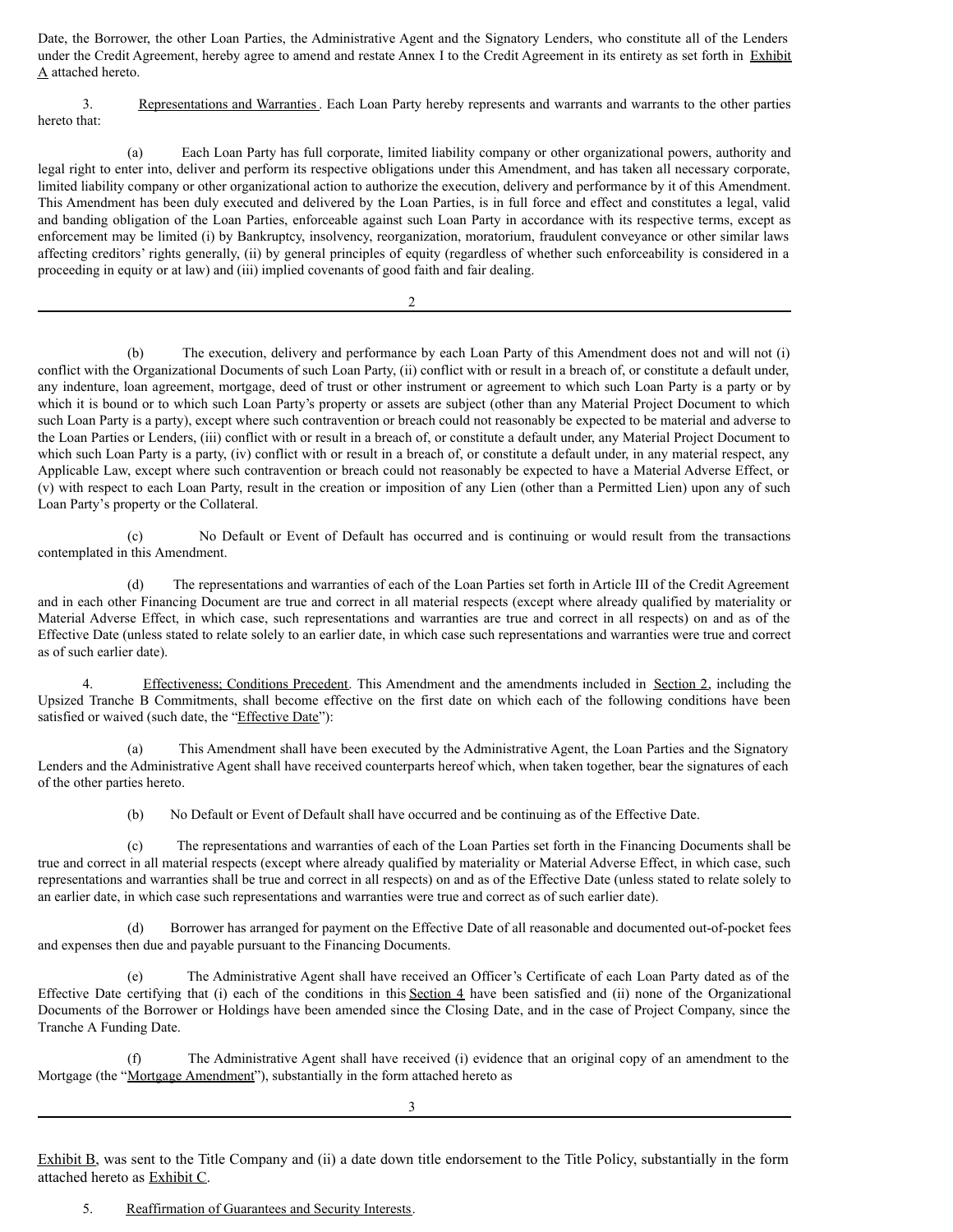Date, the Borrower, the other Loan Parties, the Administrative Agent and the Signatory Lenders, who constitute all of the Lenders under the Credit Agreement, hereby agree to amend and restate Annex I to the Credit Agreement in its entirety as set forth in Exhibit A attached hereto.

3. Representations and Warranties. Each Loan Party hereby represents and warrants and warrants to the other parties hereto that:

(a) Each Loan Party has full corporate, limited liability company or other organizational powers, authority and legal right to enter into, deliver and perform its respective obligations under this Amendment, and has taken all necessary corporate, limited liability company or other organizational action to authorize the execution, delivery and performance by it of this Amendment. This Amendment has been duly executed and delivered by the Loan Parties, is in full force and effect and constitutes a legal, valid and banding obligation of the Loan Parties, enforceable against such Loan Party in accordance with its respective terms, except as enforcement may be limited (i) by Bankruptcy, insolvency, reorganization, moratorium, fraudulent conveyance or other similar laws affecting creditors' rights generally, (ii) by general principles of equity (regardless of whether such enforceability is considered in a proceeding in equity or at law) and (iii) implied covenants of good faith and fair dealing.

 $\mathcal{D}$ 

(b) The execution, delivery and performance by each Loan Party of this Amendment does not and will not (i) conflict with the Organizational Documents of such Loan Party, (ii) conflict with or result in a breach of, or constitute a default under, any indenture, loan agreement, mortgage, deed of trust or other instrument or agreement to which such Loan Party is a party or by which it is bound or to which such Loan Party's property or assets are subject (other than any Material Project Document to which such Loan Party is a party), except where such contravention or breach could not reasonably be expected to be material and adverse to the Loan Parties or Lenders, (iii) conflict with or result in a breach of, or constitute a default under, any Material Project Document to which such Loan Party is a party, (iv) conflict with or result in a breach of, or constitute a default under, in any material respect, any Applicable Law, except where such contravention or breach could not reasonably be expected to have a Material Adverse Effect, or (v) with respect to each Loan Party, result in the creation or imposition of any Lien (other than a Permitted Lien) upon any of such Loan Party's property or the Collateral.

(c) No Default or Event of Default has occurred and is continuing or would result from the transactions contemplated in this Amendment.

(d) The representations and warranties of each of the Loan Parties set forth in Article III of the Credit Agreement and in each other Financing Document are true and correct in all material respects (except where already qualified by materiality or Material Adverse Effect, in which case, such representations and warranties are true and correct in all respects) on and as of the Effective Date (unless stated to relate solely to an earlier date, in which case such representations and warranties were true and correct as of such earlier date).

Effectiveness; Conditions Precedent. This Amendment and the amendments included in Section 2, including the Upsized Tranche B Commitments, shall become effective on the first date on which each of the following conditions have been satisfied or waived (such date, the "Effective Date"):

(a) This Amendment shall have been executed by the Administrative Agent, the Loan Parties and the Signatory Lenders and the Administrative Agent shall have received counterparts hereof which, when taken together, bear the signatures of each of the other parties hereto.

(b) No Default or Event of Default shall have occurred and be continuing as of the Effective Date.

(c) The representations and warranties of each of the Loan Parties set forth in the Financing Documents shall be true and correct in all material respects (except where already qualified by materiality or Material Adverse Effect, in which case, such representations and warranties shall be true and correct in all respects) on and as of the Effective Date (unless stated to relate solely to an earlier date, in which case such representations and warranties were true and correct as of such earlier date).

(d) Borrower has arranged for payment on the Effective Date of all reasonable and documented out-of-pocket fees and expenses then due and payable pursuant to the Financing Documents.

The Administrative Agent shall have received an Officer's Certificate of each Loan Party dated as of the Effective Date certifying that (i) each of the conditions in this Section 4 have been satisfied and (ii) none of the Organizational Documents of the Borrower or Holdings have been amended since the Closing Date, and in the case of Project Company, since the Tranche A Funding Date.

(f) The Administrative Agent shall have received (i) evidence that an original copy of an amendment to the Mortgage (the "Mortgage Amendment"), substantially in the form attached hereto as

3

Exhibit B, was sent to the Title Company and (ii) a date down title endorsement to the Title Policy, substantially in the form attached hereto as Exhibit C.

5. Reaffirmation of Guarantees and Security Interests.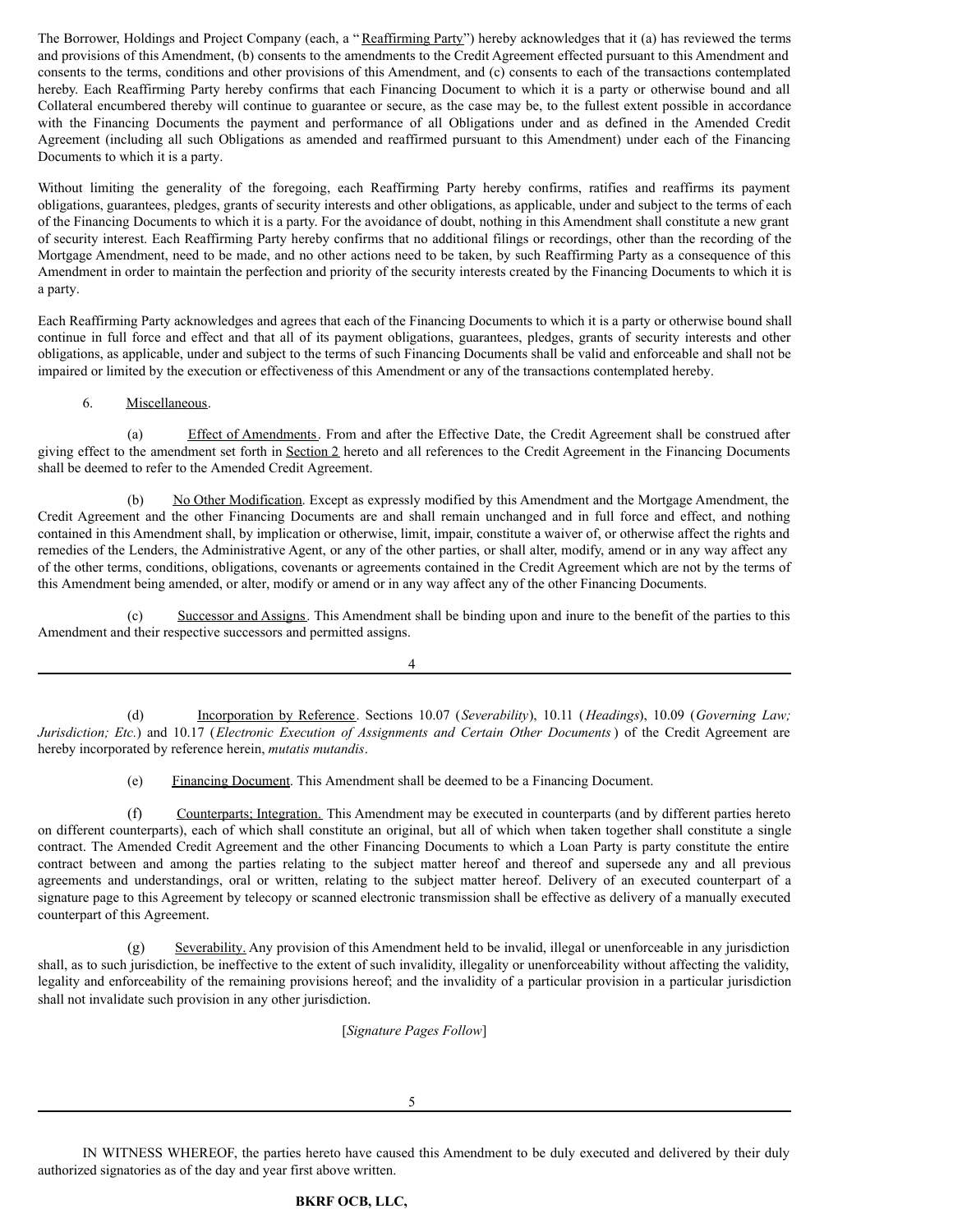The Borrower, Holdings and Project Company (each, a "Reaffirming Party") hereby acknowledges that it (a) has reviewed the terms and provisions of this Amendment, (b) consents to the amendments to the Credit Agreement effected pursuant to this Amendment and consents to the terms, conditions and other provisions of this Amendment, and (c) consents to each of the transactions contemplated hereby. Each Reaffirming Party hereby confirms that each Financing Document to which it is a party or otherwise bound and all Collateral encumbered thereby will continue to guarantee or secure, as the case may be, to the fullest extent possible in accordance with the Financing Documents the payment and performance of all Obligations under and as defined in the Amended Credit Agreement (including all such Obligations as amended and reaffirmed pursuant to this Amendment) under each of the Financing Documents to which it is a party.

Without limiting the generality of the foregoing, each Reaffirming Party hereby confirms, ratifies and reaffirms its payment obligations, guarantees, pledges, grants of security interests and other obligations, as applicable, under and subject to the terms of each of the Financing Documents to which it is a party. For the avoidance of doubt, nothing in this Amendment shall constitute a new grant of security interest. Each Reaffirming Party hereby confirms that no additional filings or recordings, other than the recording of the Mortgage Amendment, need to be made, and no other actions need to be taken, by such Reaffirming Party as a consequence of this Amendment in order to maintain the perfection and priority of the security interests created by the Financing Documents to which it is a party.

Each Reaffirming Party acknowledges and agrees that each of the Financing Documents to which it is a party or otherwise bound shall continue in full force and effect and that all of its payment obligations, guarantees, pledges, grants of security interests and other obligations, as applicable, under and subject to the terms of such Financing Documents shall be valid and enforceable and shall not be impaired or limited by the execution or effectiveness of this Amendment or any of the transactions contemplated hereby.

# 6. Miscellaneous.

(a) Effect of Amendments. From and after the Effective Date, the Credit Agreement shall be construed after giving effect to the amendment set forth in Section 2 hereto and all references to the Credit Agreement in the Financing Documents shall be deemed to refer to the Amended Credit Agreement.

(b) No Other Modification. Except as expressly modified by this Amendment and the Mortgage Amendment, the Credit Agreement and the other Financing Documents are and shall remain unchanged and in full force and effect, and nothing contained in this Amendment shall, by implication or otherwise, limit, impair, constitute a waiver of, or otherwise affect the rights and remedies of the Lenders, the Administrative Agent, or any of the other parties, or shall alter, modify, amend or in any way affect any of the other terms, conditions, obligations, covenants or agreements contained in the Credit Agreement which are not by the terms of this Amendment being amended, or alter, modify or amend or in any way affect any of the other Financing Documents.

(c) Successor and Assigns. This Amendment shall be binding upon and inure to the benefit of the parties to this Amendment and their respective successors and permitted assigns.

4

(d) Incorporation by Reference. Sections 10.07 (*Severability*), 10.11 (*Headings*), 10.09 (*Governing Law; Jurisdiction; Etc.*) and 10.17 (*Electronic Execution of Assignments and Certain Other Documents* ) of the Credit Agreement are hereby incorporated by reference herein, *mutatis mutandis*.

(e) Financing Document. This Amendment shall be deemed to be a Financing Document.

(f) Counterparts; Integration. This Amendment may be executed in counterparts (and by different parties hereto on different counterparts), each of which shall constitute an original, but all of which when taken together shall constitute a single contract. The Amended Credit Agreement and the other Financing Documents to which a Loan Party is party constitute the entire contract between and among the parties relating to the subject matter hereof and thereof and supersede any and all previous agreements and understandings, oral or written, relating to the subject matter hereof. Delivery of an executed counterpart of a signature page to this Agreement by telecopy or scanned electronic transmission shall be effective as delivery of a manually executed counterpart of this Agreement.

Severability. Any provision of this Amendment held to be invalid, illegal or unenforceable in any jurisdiction shall, as to such jurisdiction, be ineffective to the extent of such invalidity, illegality or unenforceability without affecting the validity, legality and enforceability of the remaining provisions hereof; and the invalidity of a particular provision in a particular jurisdiction shall not invalidate such provision in any other jurisdiction.

[*Signature Pages Follow*]

5

IN WITNESS WHEREOF, the parties hereto have caused this Amendment to be duly executed and delivered by their duly authorized signatories as of the day and year first above written.

## **BKRF OCB, LLC,**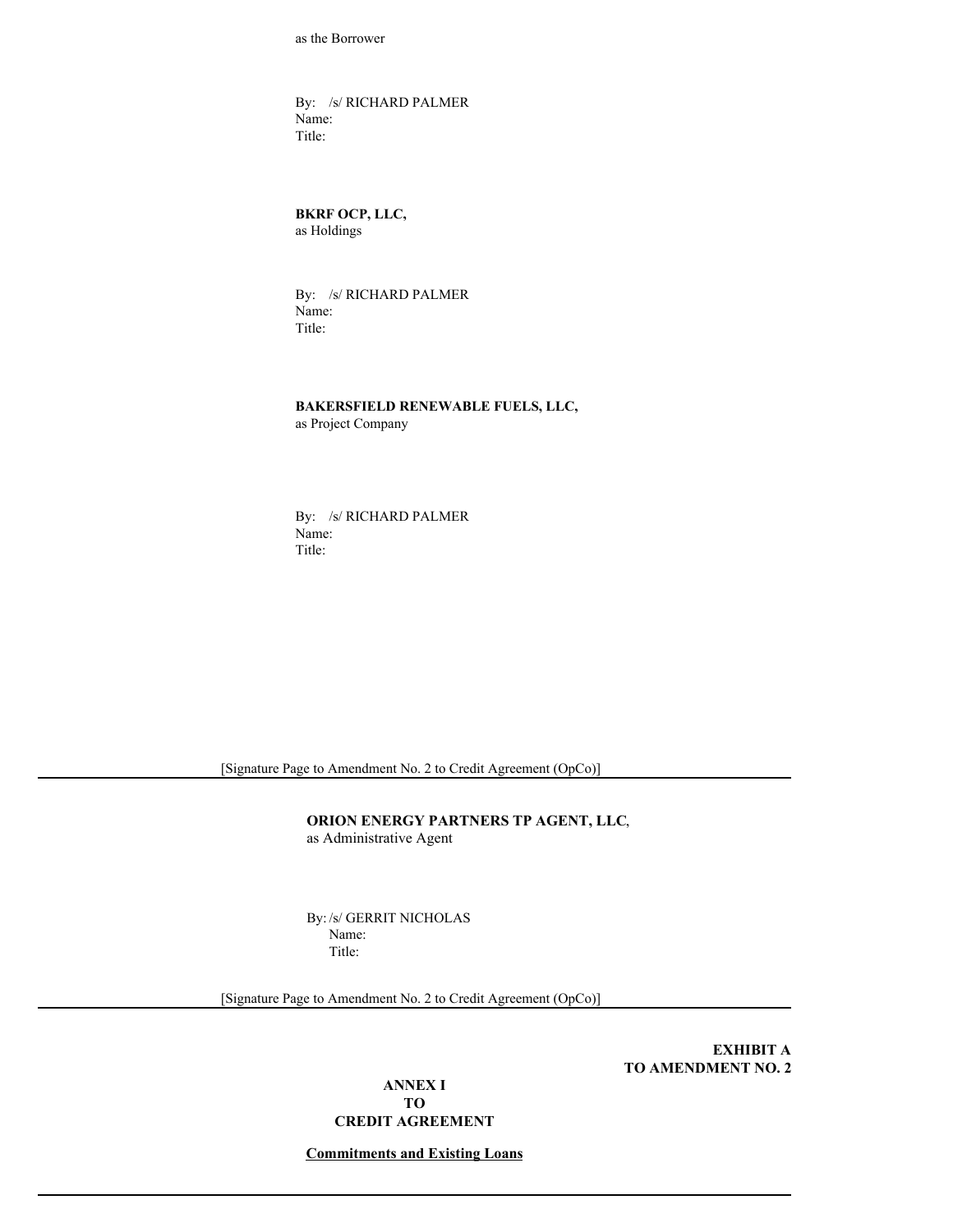as the Borrower

By: /s/ RICHARD PALMER Name: Title:

**BKRF OCP, LLC,** as Holdings

By: /s/ RICHARD PALMER Name: Title:

**BAKERSFIELD RENEWABLE FUELS, LLC,**

as Project Company

By: /s/ RICHARD PALMER Name: Title:

[Signature Page to Amendment No. 2 to Credit Agreement (OpCo)]

**ORION ENERGY PARTNERS TP AGENT, LLC**, as Administrative Agent

By: /s/ GERRIT NICHOLAS Name: Title:

[Signature Page to Amendment No. 2 to Credit Agreement (OpCo)]

**EXHIBIT A TO AMENDMENT NO. 2**

**ANNEX I TO**

**CREDIT AGREEMENT**

**Commitments and Existing Loans**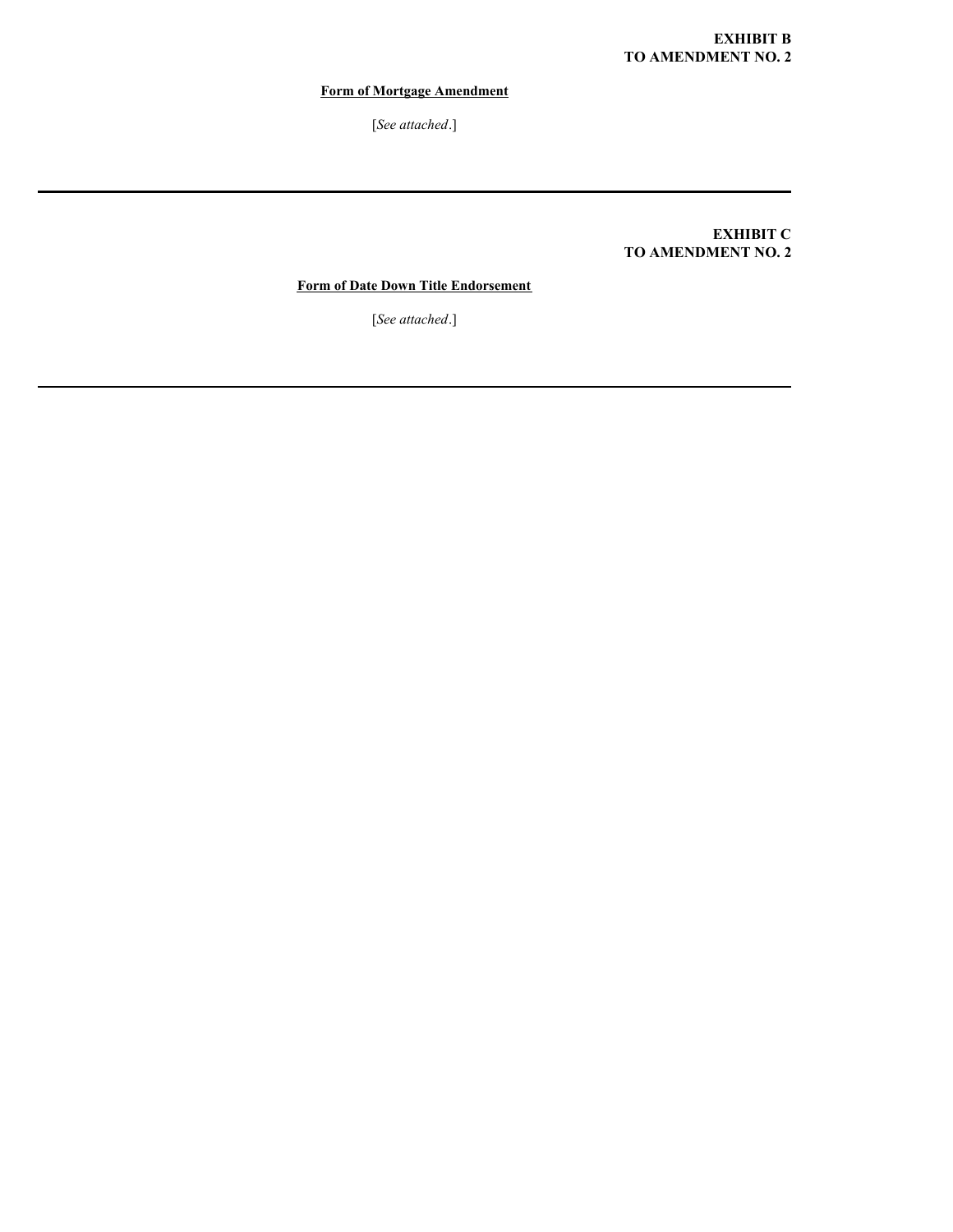**Form of Mortgage Amendment**

[*See attached*.]

**EXHIBIT C TO AMENDMENT NO. 2**

**Form of Date Down Title Endorsement**

[*See attached*.]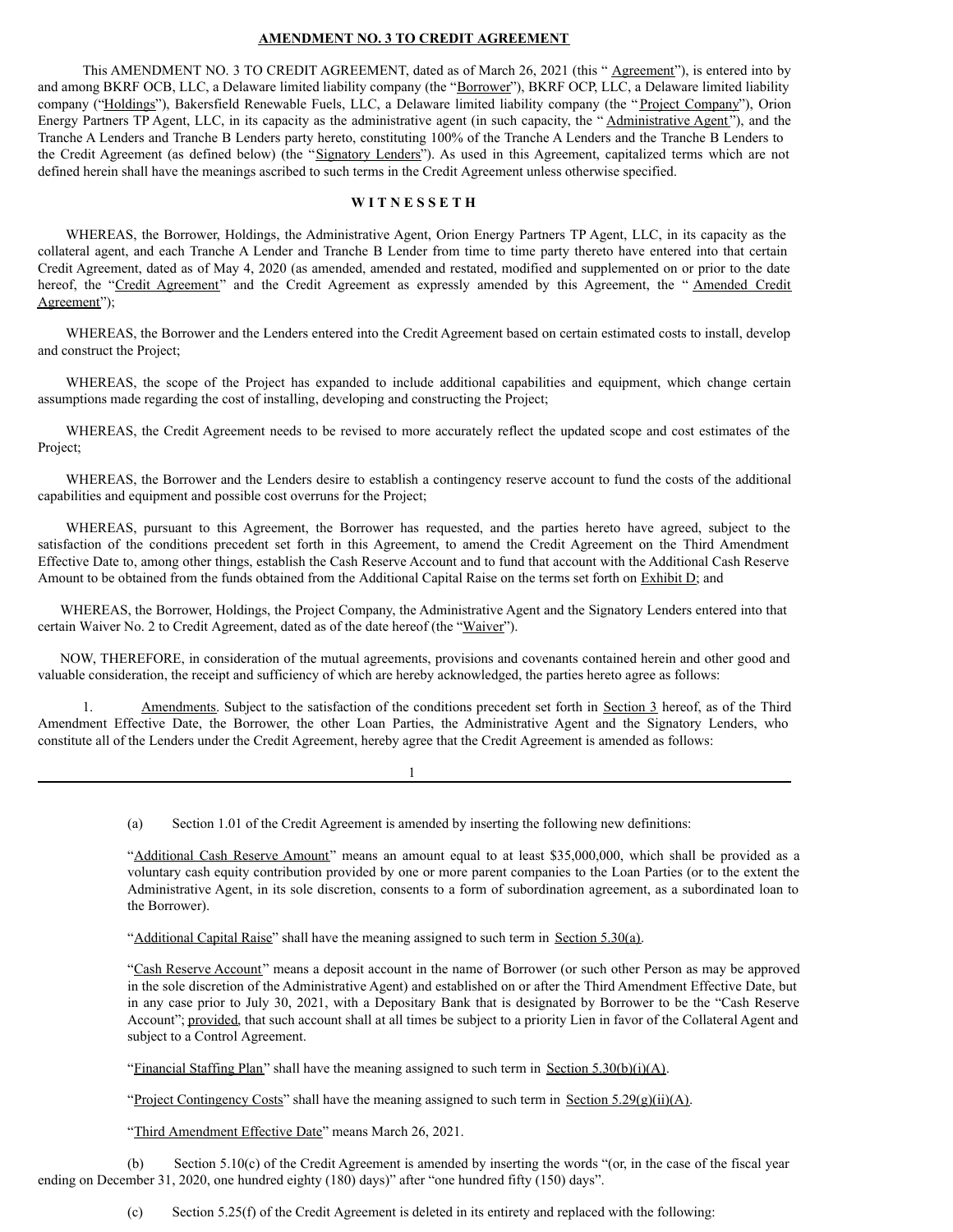## **AMENDMENT NO. 3 TO CREDIT AGREEMENT**

This AMENDMENT NO. 3 TO CREDIT AGREEMENT, dated as of March 26, 2021 (this "Agreement"), is entered into by and among BKRF OCB, LLC, a Delaware limited liability company (the "Borrower"), BKRF OCP, LLC, a Delaware limited liability company ("Holdings"), Bakersfield Renewable Fuels, LLC, a Delaware limited liability company (the "Project Company"), Orion Energy Partners TP Agent, LLC, in its capacity as the administrative agent (in such capacity, the "Administrative Agent"), and the Tranche A Lenders and Tranche B Lenders party hereto, constituting 100% of the Tranche A Lenders and the Tranche B Lenders to the Credit Agreement (as defined below) (the "Signatory Lenders"). As used in this Agreement, capitalized terms which are not defined herein shall have the meanings ascribed to such terms in the Credit Agreement unless otherwise specified.

# **W I T N E S S E T H**

WHEREAS, the Borrower, Holdings, the Administrative Agent, Orion Energy Partners TP Agent, LLC, in its capacity as the collateral agent, and each Tranche A Lender and Tranche B Lender from time to time party thereto have entered into that certain Credit Agreement, dated as of May 4, 2020 (as amended, amended and restated, modified and supplemented on or prior to the date hereof, the "Credit Agreement" and the Credit Agreement as expressly amended by this Agreement, the "Amended Credit Agreement");

WHEREAS, the Borrower and the Lenders entered into the Credit Agreement based on certain estimated costs to install, develop and construct the Project;

WHEREAS, the scope of the Project has expanded to include additional capabilities and equipment, which change certain assumptions made regarding the cost of installing, developing and constructing the Project;

WHEREAS, the Credit Agreement needs to be revised to more accurately reflect the updated scope and cost estimates of the Project;

WHEREAS, the Borrower and the Lenders desire to establish a contingency reserve account to fund the costs of the additional capabilities and equipment and possible cost overruns for the Project;

WHEREAS, pursuant to this Agreement, the Borrower has requested, and the parties hereto have agreed, subject to the satisfaction of the conditions precedent set forth in this Agreement, to amend the Credit Agreement on the Third Amendment Effective Date to, among other things, establish the Cash Reserve Account and to fund that account with the Additional Cash Reserve Amount to be obtained from the funds obtained from the Additional Capital Raise on the terms set forth on Exhibit D; and

WHEREAS, the Borrower, Holdings, the Project Company, the Administrative Agent and the Signatory Lenders entered into that certain Waiver No. 2 to Credit Agreement, dated as of the date hereof (the "Waiver").

NOW, THEREFORE, in consideration of the mutual agreements, provisions and covenants contained herein and other good and valuable consideration, the receipt and sufficiency of which are hereby acknowledged, the parties hereto agree as follows:

1. Amendments. Subject to the satisfaction of the conditions precedent set forth in Section 3 hereof, as of the Third Amendment Effective Date, the Borrower, the other Loan Parties, the Administrative Agent and the Signatory Lenders, who constitute all of the Lenders under the Credit Agreement, hereby agree that the Credit Agreement is amended as follows:

(a) Section 1.01 of the Credit Agreement is amended by inserting the following new definitions:

1

"Additional Cash Reserve Amount" means an amount equal to at least \$35,000,000, which shall be provided as a voluntary cash equity contribution provided by one or more parent companies to the Loan Parties (or to the extent the Administrative Agent, in its sole discretion, consents to a form of subordination agreement, as a subordinated loan to the Borrower).

"Additional Capital Raise" shall have the meaning assigned to such term in Section 5.30(a).

"Cash Reserve Account" means a deposit account in the name of Borrower (or such other Person as may be approved in the sole discretion of the Administrative Agent) and established on or after the Third Amendment Effective Date, but in any case prior to July 30, 2021, with a Depositary Bank that is designated by Borrower to be the "Cash Reserve Account"; provided, that such account shall at all times be subject to a priority Lien in favor of the Collateral Agent and subject to a Control Agreement.

"Financial Staffing Plan" shall have the meaning assigned to such term in Section 5.30(b)(i)(A).

"Project Contingency Costs" shall have the meaning assigned to such term in Section  $5.29(g)(ii)(A)$ .

"Third Amendment Effective Date" means March 26, 2021.

(b) Section 5.10(c) of the Credit Agreement is amended by inserting the words "(or, in the case of the fiscal year ending on December 31, 2020, one hundred eighty (180) days)" after "one hundred fifty (150) days".

(c) Section 5.25(f) of the Credit Agreement is deleted in its entirety and replaced with the following: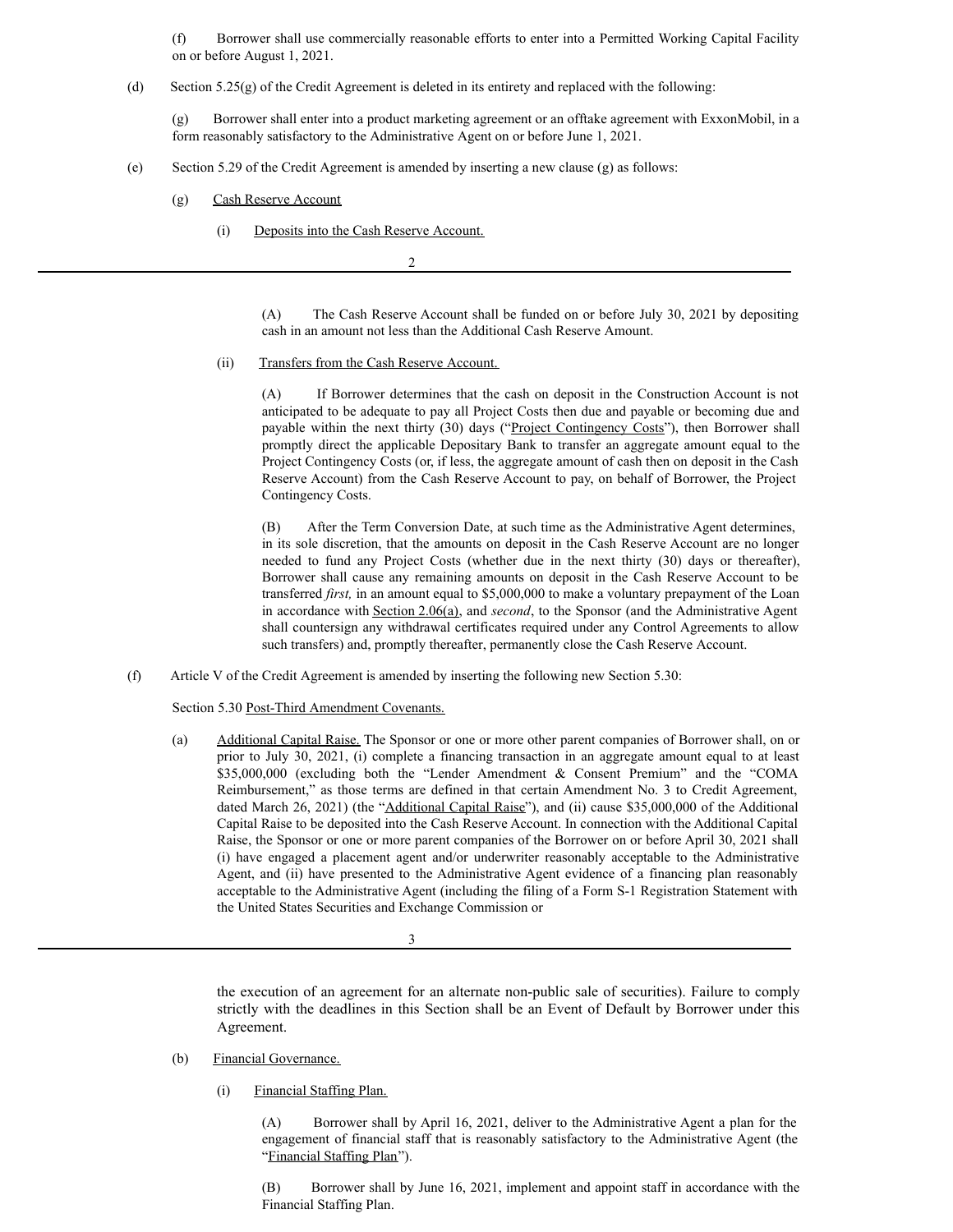(f) Borrower shall use commercially reasonable efforts to enter into a Permitted Working Capital Facility on or before August 1, 2021.

(d) Section 5.25(g) of the Credit Agreement is deleted in its entirety and replaced with the following:

(g) Borrower shall enter into a product marketing agreement or an offtake agreement with ExxonMobil, in a form reasonably satisfactory to the Administrative Agent on or before June 1, 2021.

(e) Section 5.29 of the Credit Agreement is amended by inserting a new clause (g) as follows:

 $\mathfrak{D}$ 

- (g) Cash Reserve Account
	- (i) Deposits into the Cash Reserve Account.

(A) The Cash Reserve Account shall be funded on or before July 30, 2021 by depositing cash in an amount not less than the Additional Cash Reserve Amount.

(ii) Transfers from the Cash Reserve Account.

(A) If Borrower determines that the cash on deposit in the Construction Account is not anticipated to be adequate to pay all Project Costs then due and payable or becoming due and payable within the next thirty (30) days ("Project Contingency Costs"), then Borrower shall promptly direct the applicable Depositary Bank to transfer an aggregate amount equal to the Project Contingency Costs (or, if less, the aggregate amount of cash then on deposit in the Cash Reserve Account) from the Cash Reserve Account to pay, on behalf of Borrower, the Project Contingency Costs.

(B) After the Term Conversion Date, at such time as the Administrative Agent determines, in its sole discretion, that the amounts on deposit in the Cash Reserve Account are no longer needed to fund any Project Costs (whether due in the next thirty (30) days or thereafter), Borrower shall cause any remaining amounts on deposit in the Cash Reserve Account to be transferred *first,* in an amount equal to \$5,000,000 to make a voluntary prepayment of the Loan in accordance with Section 2.06(a), and *second*, to the Sponsor (and the Administrative Agent shall countersign any withdrawal certificates required under any Control Agreements to allow such transfers) and, promptly thereafter, permanently close the Cash Reserve Account.

(f) Article V of the Credit Agreement is amended by inserting the following new Section 5.30:

Section 5.30 Post-Third Amendment Covenants.

(a) Additional Capital Raise. The Sponsor or one or more other parent companies of Borrower shall, on or prior to July 30, 2021, (i) complete a financing transaction in an aggregate amount equal to at least \$35,000,000 (excluding both the "Lender Amendment & Consent Premium" and the "COMA Reimbursement," as those terms are defined in that certain Amendment No. 3 to Credit Agreement, dated March 26, 2021) (the "Additional Capital Raise"), and (ii) cause \$35,000,000 of the Additional Capital Raise to be deposited into the Cash Reserve Account. In connection with the Additional Capital Raise, the Sponsor or one or more parent companies of the Borrower on or before April 30, 2021 shall (i) have engaged a placement agent and/or underwriter reasonably acceptable to the Administrative Agent, and (ii) have presented to the Administrative Agent evidence of a financing plan reasonably acceptable to the Administrative Agent (including the filing of a Form S-1 Registration Statement with the United States Securities and Exchange Commission or

3

the execution of an agreement for an alternate non-public sale of securities). Failure to comply strictly with the deadlines in this Section shall be an Event of Default by Borrower under this Agreement.

- (b) Financial Governance.
	- (i) Financial Staffing Plan.

(A) Borrower shall by April 16, 2021, deliver to the Administrative Agent a plan for the engagement of financial staff that is reasonably satisfactory to the Administrative Agent (the "Financial Staffing Plan").

(B) Borrower shall by June 16, 2021, implement and appoint staff in accordance with the Financial Staffing Plan.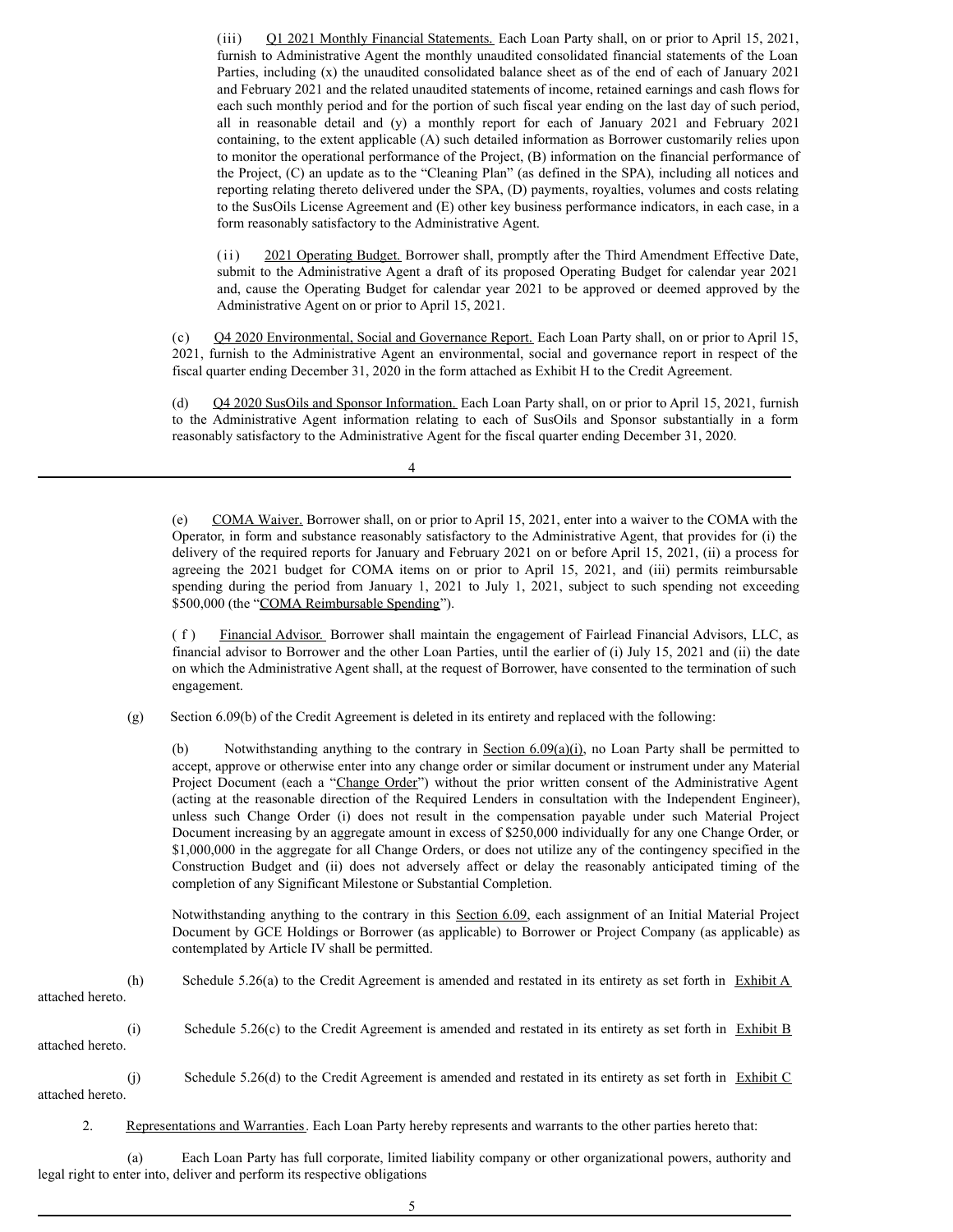(iii) Q1 2021 Monthly Financial Statements. Each Loan Party shall, on or prior to April 15, 2021, furnish to Administrative Agent the monthly unaudited consolidated financial statements of the Loan Parties, including (x) the unaudited consolidated balance sheet as of the end of each of January 2021 and February 2021 and the related unaudited statements of income, retained earnings and cash flows for each such monthly period and for the portion of such fiscal year ending on the last day of such period, all in reasonable detail and (y) a monthly report for each of January 2021 and February 2021 containing, to the extent applicable (A) such detailed information as Borrower customarily relies upon to monitor the operational performance of the Project, (B) information on the financial performance of the Project, (C) an update as to the "Cleaning Plan" (as defined in the SPA), including all notices and reporting relating thereto delivered under the SPA, (D) payments, royalties, volumes and costs relating to the SusOils License Agreement and (E) other key business performance indicators, in each case, in a form reasonably satisfactory to the Administrative Agent.

(ii) 2021 Operating Budget. Borrower shall, promptly after the Third Amendment Effective Date, submit to the Administrative Agent a draft of its proposed Operating Budget for calendar year 2021 and, cause the Operating Budget for calendar year 2021 to be approved or deemed approved by the Administrative Agent on or prior to April 15, 2021.

(c) Q4 2020 Environmental, Social and Governance Report. Each Loan Party shall, on or prior to April 15, 2021, furnish to the Administrative Agent an environmental, social and governance report in respect of the fiscal quarter ending December 31, 2020 in the form attached as Exhibit H to the Credit Agreement.

(d) Q4 2020 SusOils and Sponsor Information. Each Loan Party shall, on or prior to April 15, 2021, furnish to the Administrative Agent information relating to each of SusOils and Sponsor substantially in a form reasonably satisfactory to the Administrative Agent for the fiscal quarter ending December 31, 2020.

4

(e) COMA Waiver. Borrower shall, on or prior to April 15, 2021, enter into a waiver to the COMA with the Operator, in form and substance reasonably satisfactory to the Administrative Agent, that provides for (i) the delivery of the required reports for January and February 2021 on or before April 15, 2021, (ii) a process for agreeing the 2021 budget for COMA items on or prior to April 15, 2021, and (iii) permits reimbursable spending during the period from January 1, 2021 to July 1, 2021, subject to such spending not exceeding \$500,000 (the "COMA Reimbursable Spending").

( f ) Financial Advisor. Borrower shall maintain the engagement of Fairlead Financial Advisors, LLC, as financial advisor to Borrower and the other Loan Parties, until the earlier of (i) July 15, 2021 and (ii) the date on which the Administrative Agent shall, at the request of Borrower, have consented to the termination of such engagement.

(g) Section 6.09(b) of the Credit Agreement is deleted in its entirety and replaced with the following:

(b) Notwithstanding anything to the contrary in <u>Section  $6.09(a)(i)$ </u>, no Loan Party shall be permitted to accept, approve or otherwise enter into any change order or similar document or instrument under any Material Project Document (each a "Change Order") without the prior written consent of the Administrative Agent (acting at the reasonable direction of the Required Lenders in consultation with the Independent Engineer), unless such Change Order (i) does not result in the compensation payable under such Material Project Document increasing by an aggregate amount in excess of \$250,000 individually for any one Change Order, or \$1,000,000 in the aggregate for all Change Orders, or does not utilize any of the contingency specified in the Construction Budget and (ii) does not adversely affect or delay the reasonably anticipated timing of the completion of any Significant Milestone or Substantial Completion.

Notwithstanding anything to the contrary in this Section 6.09, each assignment of an Initial Material Project Document by GCE Holdings or Borrower (as applicable) to Borrower or Project Company (as applicable) as contemplated by Article IV shall be permitted.

(h) Schedule 5.26(a) to the Credit Agreement is amended and restated in its entirety as set forth in Exhibit A attached hereto.

(i) Schedule  $5.26(c)$  to the Credit Agreement is amended and restated in its entirety as set forth in Exhibit B attached hereto.

(j) Schedule 5.26(d) to the Credit Agreement is amended and restated in its entirety as set forth in  $\overline{\text{Exhibit C}}$ attached hereto.

2. Representations and Warranties. Each Loan Party hereby represents and warrants to the other parties hereto that:

(a) Each Loan Party has full corporate, limited liability company or other organizational powers, authority and legal right to enter into, deliver and perform its respective obligations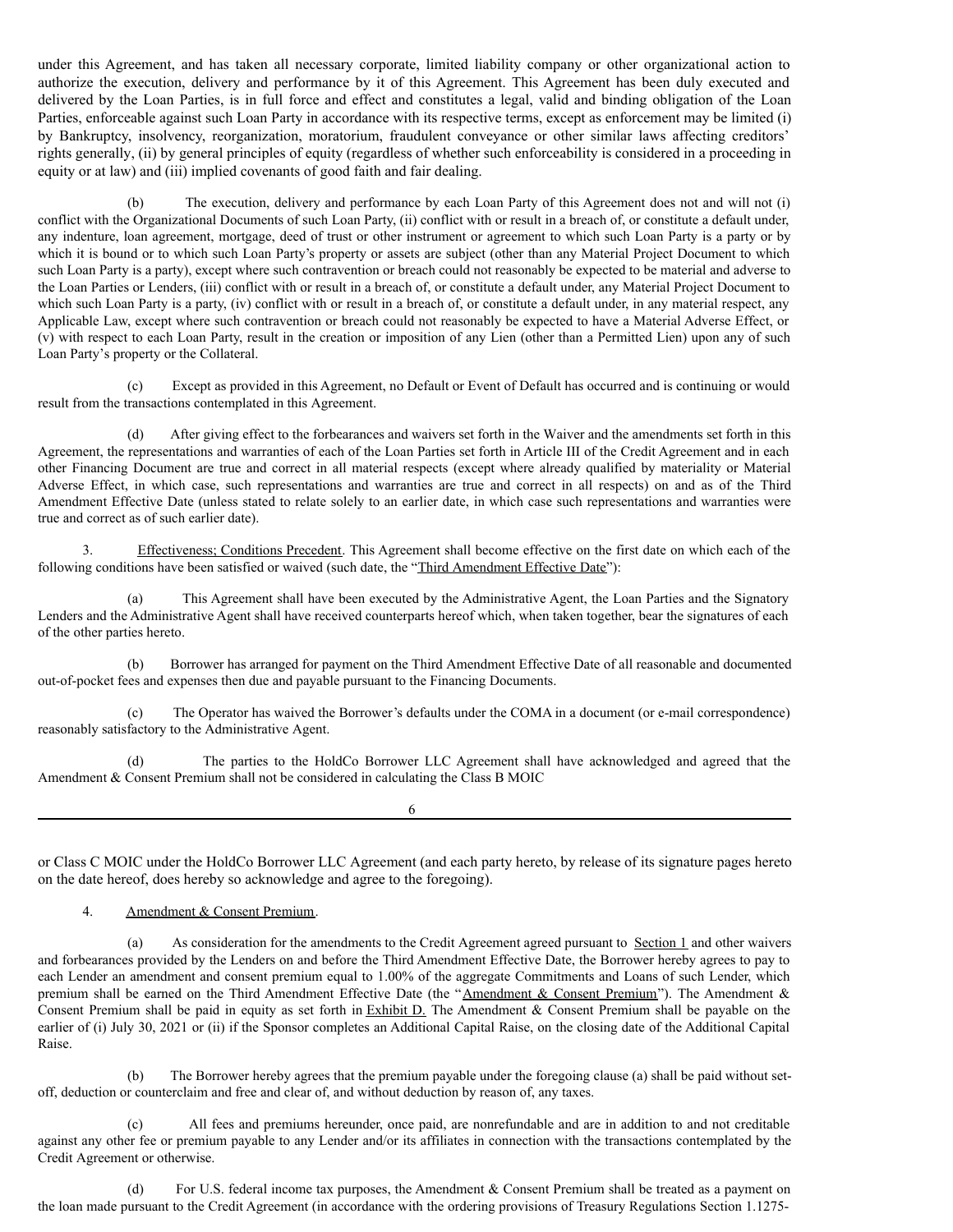under this Agreement, and has taken all necessary corporate, limited liability company or other organizational action to authorize the execution, delivery and performance by it of this Agreement. This Agreement has been duly executed and delivered by the Loan Parties, is in full force and effect and constitutes a legal, valid and binding obligation of the Loan Parties, enforceable against such Loan Party in accordance with its respective terms, except as enforcement may be limited (i) by Bankruptcy, insolvency, reorganization, moratorium, fraudulent conveyance or other similar laws affecting creditors' rights generally, (ii) by general principles of equity (regardless of whether such enforceability is considered in a proceeding in equity or at law) and (iii) implied covenants of good faith and fair dealing.

(b) The execution, delivery and performance by each Loan Party of this Agreement does not and will not (i) conflict with the Organizational Documents of such Loan Party, (ii) conflict with or result in a breach of, or constitute a default under, any indenture, loan agreement, mortgage, deed of trust or other instrument or agreement to which such Loan Party is a party or by which it is bound or to which such Loan Party's property or assets are subject (other than any Material Project Document to which such Loan Party is a party), except where such contravention or breach could not reasonably be expected to be material and adverse to the Loan Parties or Lenders, (iii) conflict with or result in a breach of, or constitute a default under, any Material Project Document to which such Loan Party is a party, (iv) conflict with or result in a breach of, or constitute a default under, in any material respect, any Applicable Law, except where such contravention or breach could not reasonably be expected to have a Material Adverse Effect, or (v) with respect to each Loan Party, result in the creation or imposition of any Lien (other than a Permitted Lien) upon any of such Loan Party's property or the Collateral.

(c) Except as provided in this Agreement, no Default or Event of Default has occurred and is continuing or would result from the transactions contemplated in this Agreement.

(d) After giving effect to the forbearances and waivers set forth in the Waiver and the amendments set forth in this Agreement, the representations and warranties of each of the Loan Parties set forth in Article III of the Credit Agreement and in each other Financing Document are true and correct in all material respects (except where already qualified by materiality or Material Adverse Effect, in which case, such representations and warranties are true and correct in all respects) on and as of the Third Amendment Effective Date (unless stated to relate solely to an earlier date, in which case such representations and warranties were true and correct as of such earlier date).

3. Effectiveness; Conditions Precedent. This Agreement shall become effective on the first date on which each of the following conditions have been satisfied or waived (such date, the "Third Amendment Effective Date"):

(a) This Agreement shall have been executed by the Administrative Agent, the Loan Parties and the Signatory Lenders and the Administrative Agent shall have received counterparts hereof which, when taken together, bear the signatures of each of the other parties hereto.

(b) Borrower has arranged for payment on the Third Amendment Effective Date of all reasonable and documented out-of-pocket fees and expenses then due and payable pursuant to the Financing Documents.

The Operator has waived the Borrower's defaults under the COMA in a document (or e-mail correspondence) reasonably satisfactory to the Administrative Agent.

(d) The parties to the HoldCo Borrower LLC Agreement shall have acknowledged and agreed that the Amendment & Consent Premium shall not be considered in calculating the Class B MOIC

or Class C MOIC under the HoldCo Borrower LLC Agreement (and each party hereto, by release of its signature pages hereto on the date hereof, does hereby so acknowledge and agree to the foregoing).

4. Amendment & Consent Premium.

(a) As consideration for the amendments to the Credit Agreement agreed pursuant to Section 1 and other waivers and forbearances provided by the Lenders on and before the Third Amendment Effective Date, the Borrower hereby agrees to pay to each Lender an amendment and consent premium equal to 1.00% of the aggregate Commitments and Loans of such Lender, which premium shall be earned on the Third Amendment Effective Date (the "Amendment & Consent Premium"). The Amendment & Consent Premium shall be paid in equity as set forth in Exhibit D. The Amendment & Consent Premium shall be payable on the earlier of (i) July 30, 2021 or (ii) if the Sponsor completes an Additional Capital Raise, on the closing date of the Additional Capital Raise.

(b) The Borrower hereby agrees that the premium payable under the foregoing clause (a) shall be paid without setoff, deduction or counterclaim and free and clear of, and without deduction by reason of, any taxes.

(c) All fees and premiums hereunder, once paid, are nonrefundable and are in addition to and not creditable against any other fee or premium payable to any Lender and/or its affiliates in connection with the transactions contemplated by the Credit Agreement or otherwise.

(d) For U.S. federal income tax purposes, the Amendment & Consent Premium shall be treated as a payment on the loan made pursuant to the Credit Agreement (in accordance with the ordering provisions of Treasury Regulations Section 1.1275-

6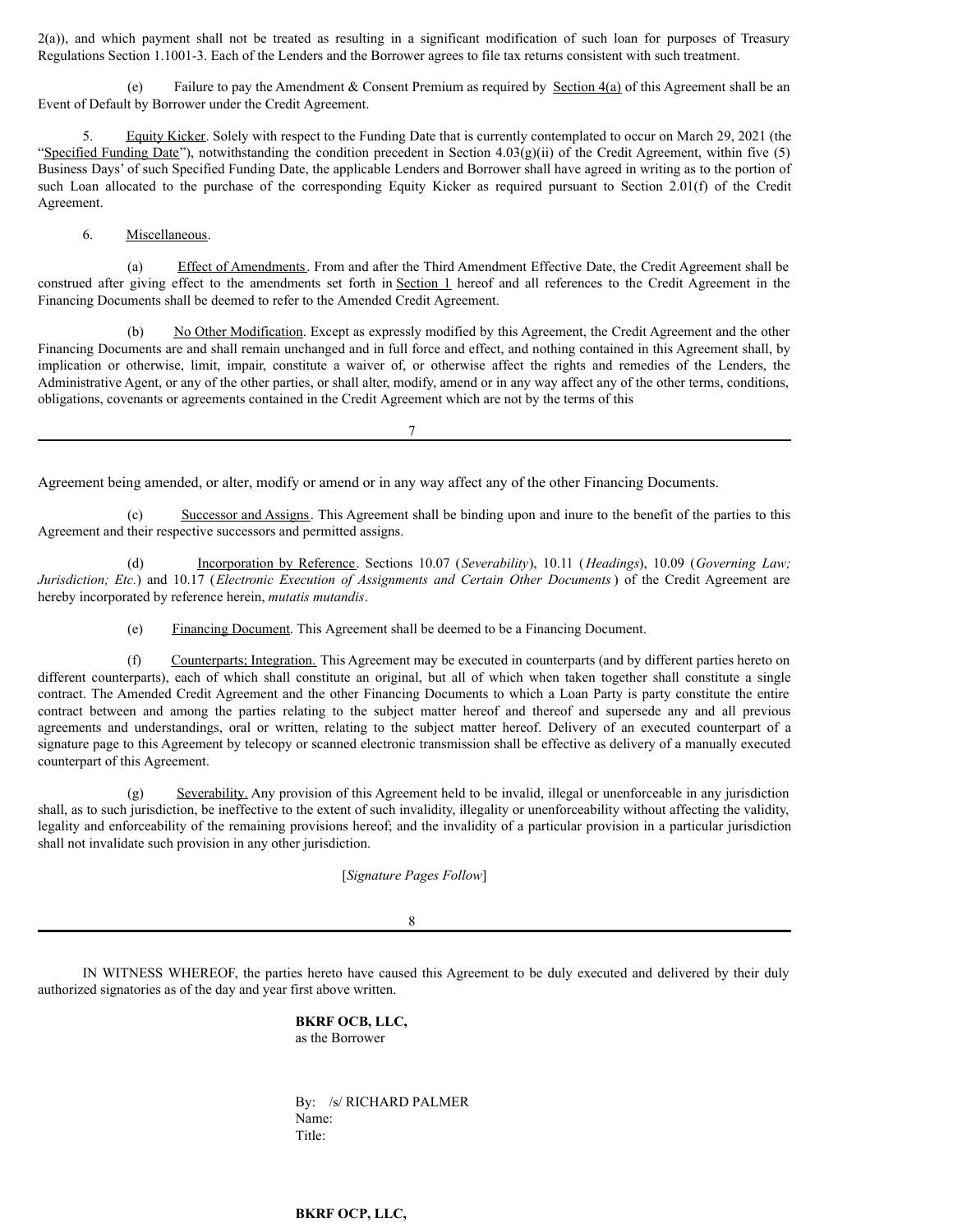2(a)), and which payment shall not be treated as resulting in a significant modification of such loan for purposes of Treasury Regulations Section 1.1001-3. Each of the Lenders and the Borrower agrees to file tax returns consistent with such treatment.

(e) Failure to pay the Amendment & Consent Premium as required by Section  $4(a)$  of this Agreement shall be an Event of Default by Borrower under the Credit Agreement.

5. Equity Kicker. Solely with respect to the Funding Date that is currently contemplated to occur on March 29, 2021 (the "Specified Funding Date"), notwithstanding the condition precedent in Section  $4.03(g)(ii)$  of the Credit Agreement, within five (5) Business Days' of such Specified Funding Date, the applicable Lenders and Borrower shall have agreed in writing as to the portion of such Loan allocated to the purchase of the corresponding Equity Kicker as required pursuant to Section 2.01(f) of the Credit Agreement.

# 6. Miscellaneous.

(a) Effect of Amendments. From and after the Third Amendment Effective Date, the Credit Agreement shall be construed after giving effect to the amendments set forth in Section 1 hereof and all references to the Credit Agreement in the Financing Documents shall be deemed to refer to the Amended Credit Agreement.

(b) No Other Modification. Except as expressly modified by this Agreement, the Credit Agreement and the other Financing Documents are and shall remain unchanged and in full force and effect, and nothing contained in this Agreement shall, by implication or otherwise, limit, impair, constitute a waiver of, or otherwise affect the rights and remedies of the Lenders, the Administrative Agent, or any of the other parties, or shall alter, modify, amend or in any way affect any of the other terms, conditions, obligations, covenants or agreements contained in the Credit Agreement which are not by the terms of this

7

Agreement being amended, or alter, modify or amend or in any way affect any of the other Financing Documents.

(c) Successor and Assigns. This Agreement shall be binding upon and inure to the benefit of the parties to this Agreement and their respective successors and permitted assigns.

(d) Incorporation by Reference. Sections 10.07 (*Severability*), 10.11 (*Headings*), 10.09 (*Governing Law; Jurisdiction; Etc.*) and 10.17 (*Electronic Execution of Assignments and Certain Other Documents* ) of the Credit Agreement are hereby incorporated by reference herein, *mutatis mutandis*.

(e) Financing Document. This Agreement shall be deemed to be a Financing Document.

(f) Counterparts; Integration. This Agreement may be executed in counterparts (and by different parties hereto on different counterparts), each of which shall constitute an original, but all of which when taken together shall constitute a single contract. The Amended Credit Agreement and the other Financing Documents to which a Loan Party is party constitute the entire contract between and among the parties relating to the subject matter hereof and thereof and supersede any and all previous agreements and understandings, oral or written, relating to the subject matter hereof. Delivery of an executed counterpart of a signature page to this Agreement by telecopy or scanned electronic transmission shall be effective as delivery of a manually executed counterpart of this Agreement.

(g) Severability. Any provision of this Agreement held to be invalid, illegal or unenforceable in any jurisdiction shall, as to such jurisdiction, be ineffective to the extent of such invalidity, illegality or unenforceability without affecting the validity, legality and enforceability of the remaining provisions hereof; and the invalidity of a particular provision in a particular jurisdiction shall not invalidate such provision in any other jurisdiction.

[*Signature Pages Follow*]

8

IN WITNESS WHEREOF, the parties hereto have caused this Agreement to be duly executed and delivered by their duly authorized signatories as of the day and year first above written.

> **BKRF OCB, LLC,** as the Borrower

By: /s/ RICHARD PALMER Name: Title:

# **BKRF OCP, LLC,**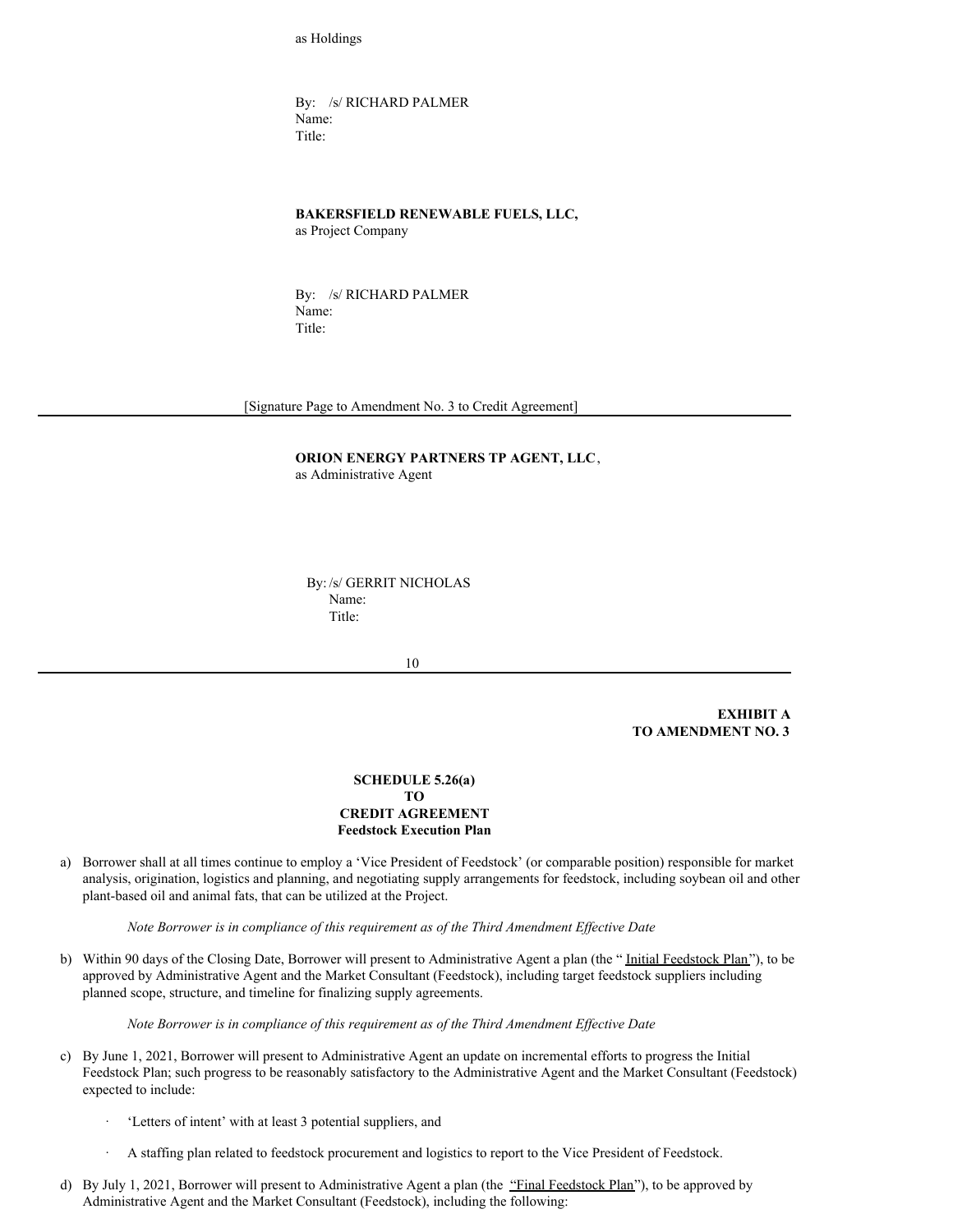as Holdings

By: /s/ RICHARD PALMER Name: Title:

**BAKERSFIELD RENEWABLE FUELS, LLC,** as Project Company

By: /s/ RICHARD PALMER Name: Title:

[Signature Page to Amendment No. 3 to Credit Agreement]

**ORION ENERGY PARTNERS TP AGENT, LLC**, as Administrative Agent

By: /s/ GERRIT NICHOLAS Name: Title:

10

**EXHIBIT A TO AMENDMENT NO. 3**

# **SCHEDULE 5.26(a) TO CREDIT AGREEMENT Feedstock Execution Plan**

a) Borrower shall at all times continue to employ a 'Vice President of Feedstock' (or comparable position) responsible for market analysis, origination, logistics and planning, and negotiating supply arrangements for feedstock, including soybean oil and other plant-based oil and animal fats, that can be utilized at the Project.

*Note Borrower is in compliance of this requirement as of the Third Amendment Ef ective Date*

b) Within 90 days of the Closing Date, Borrower will present to Administrative Agent a plan (the "*Initial Feedstock Plan*"), to be approved by Administrative Agent and the Market Consultant (Feedstock), including target feedstock suppliers including planned scope, structure, and timeline for finalizing supply agreements.

*Note Borrower is in compliance of this requirement as of the Third Amendment Ef ective Date*

- c) By June 1, 2021, Borrower will present to Administrative Agent an update on incremental efforts to progress the Initial Feedstock Plan; such progress to be reasonably satisfactory to the Administrative Agent and the Market Consultant (Feedstock) expected to include:
	- · 'Letters of intent' with at least 3 potential suppliers, and
	- · A staffing plan related to feedstock procurement and logistics to report to the Vice President of Feedstock.
- d) By July 1, 2021, Borrower will present to Administrative Agent a plan (the "Final Feedstock Plan"), to be approved by Administrative Agent and the Market Consultant (Feedstock), including the following: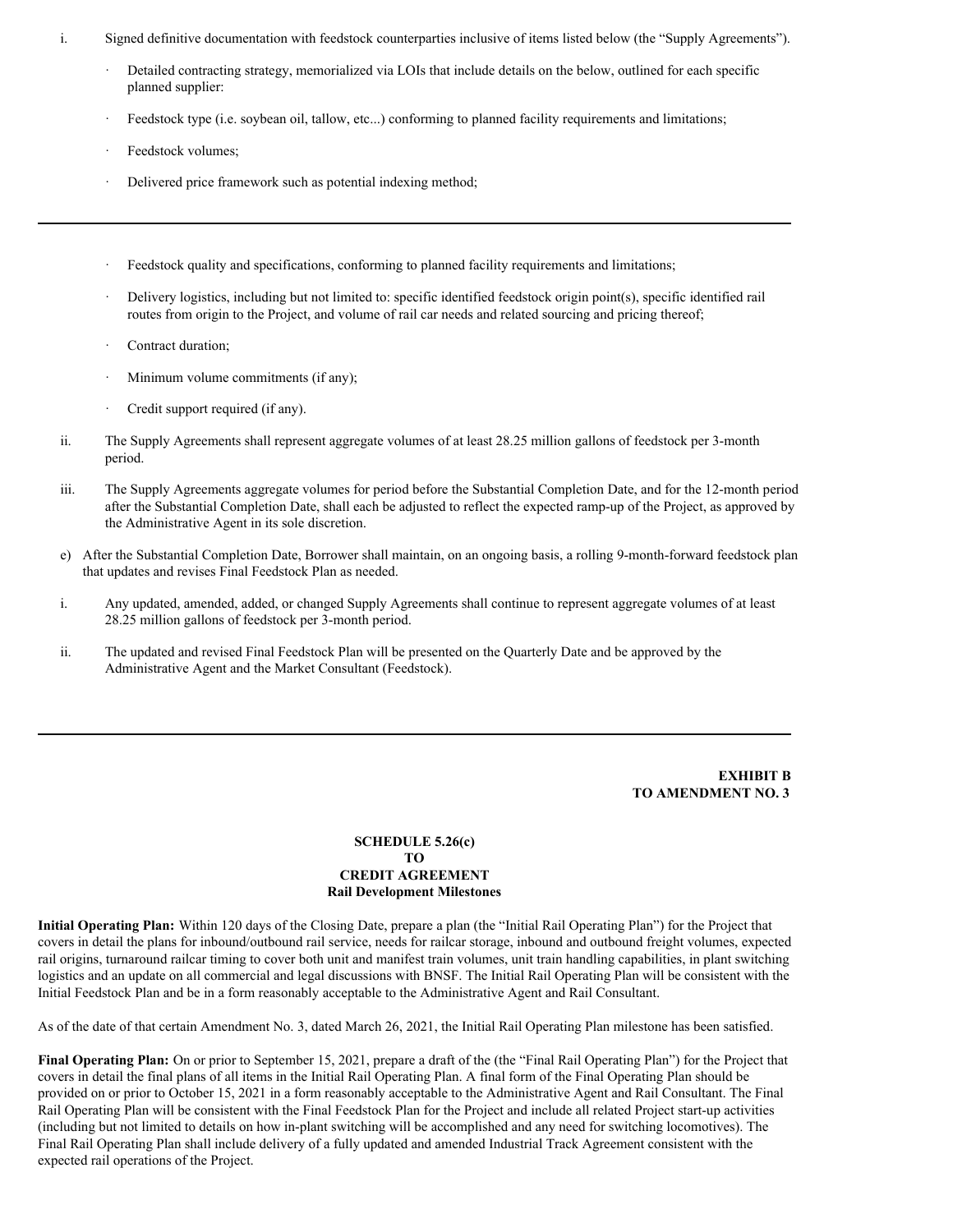- i. Signed definitive documentation with feedstock counterparties inclusive of items listed below (the "Supply Agreements").
	- · Detailed contracting strategy, memorialized via LOIs that include details on the below, outlined for each specific planned supplier:
	- Feedstock type (i.e. soybean oil, tallow, etc...) conforming to planned facility requirements and limitations;
	- Feedstock volumes;
	- Delivered price framework such as potential indexing method;
	- Feedstock quality and specifications, conforming to planned facility requirements and limitations;
	- Delivery logistics, including but not limited to: specific identified feedstock origin point(s), specific identified rail routes from origin to the Project, and volume of rail car needs and related sourcing and pricing thereof;
	- Contract duration:
	- Minimum volume commitments (if any);
	- Credit support required (if any).
- ii. The Supply Agreements shall represent aggregate volumes of at least 28.25 million gallons of feedstock per 3-month period.
- iii. The Supply Agreements aggregate volumes for period before the Substantial Completion Date, and for the 12-month period after the Substantial Completion Date, shall each be adjusted to reflect the expected ramp-up of the Project, as approved by the Administrative Agent in its sole discretion.
- e) After the Substantial Completion Date, Borrower shall maintain, on an ongoing basis, a rolling 9-month-forward feedstock plan that updates and revises Final Feedstock Plan as needed.
- i. Any updated, amended, added, or changed Supply Agreements shall continue to represent aggregate volumes of at least 28.25 million gallons of feedstock per 3-month period.
- ii. The updated and revised Final Feedstock Plan will be presented on the Quarterly Date and be approved by the Administrative Agent and the Market Consultant (Feedstock).

# **EXHIBIT B TO AMENDMENT NO. 3**

# **SCHEDULE 5.26(c) TO CREDIT AGREEMENT Rail Development Milestones**

**Initial Operating Plan:** Within 120 days of the Closing Date, prepare a plan (the "Initial Rail Operating Plan") for the Project that covers in detail the plans for inbound/outbound rail service, needs for railcar storage, inbound and outbound freight volumes, expected rail origins, turnaround railcar timing to cover both unit and manifest train volumes, unit train handling capabilities, in plant switching logistics and an update on all commercial and legal discussions with BNSF. The Initial Rail Operating Plan will be consistent with the Initial Feedstock Plan and be in a form reasonably acceptable to the Administrative Agent and Rail Consultant.

As of the date of that certain Amendment No. 3, dated March 26, 2021, the Initial Rail Operating Plan milestone has been satisfied.

**Final Operating Plan:** On or prior to September 15, 2021, prepare a draft of the (the "Final Rail Operating Plan") for the Project that covers in detail the final plans of all items in the Initial Rail Operating Plan. A final form of the Final Operating Plan should be provided on or prior to October 15, 2021 in a form reasonably acceptable to the Administrative Agent and Rail Consultant. The Final Rail Operating Plan will be consistent with the Final Feedstock Plan for the Project and include all related Project start-up activities (including but not limited to details on how in-plant switching will be accomplished and any need for switching locomotives). The Final Rail Operating Plan shall include delivery of a fully updated and amended Industrial Track Agreement consistent with the expected rail operations of the Project.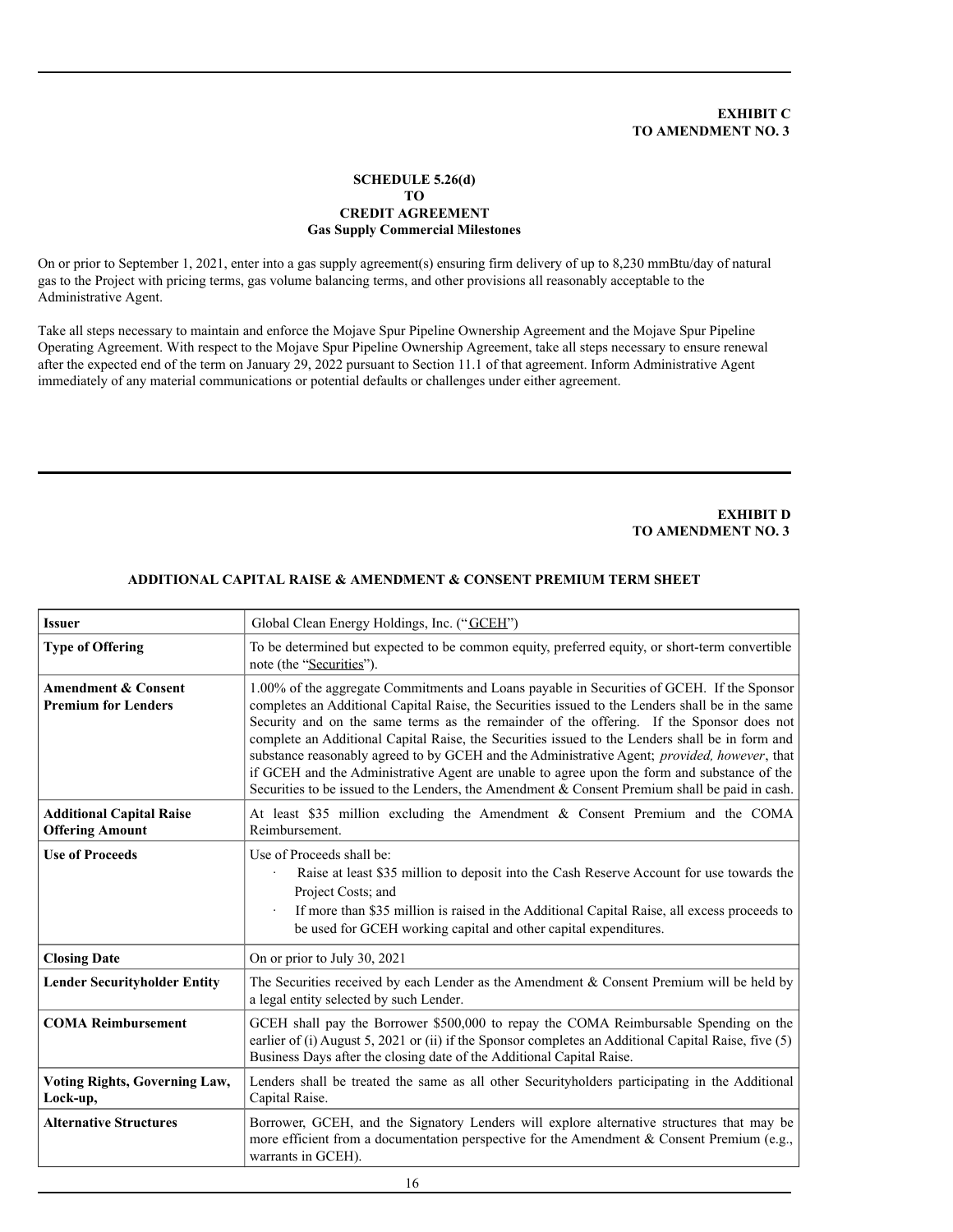# **EXHIBIT C TO AMENDMENT NO. 3**

# **SCHEDULE 5.26(d) TO CREDIT AGREEMENT Gas Supply Commercial Milestones**

On or prior to September 1, 2021, enter into a gas supply agreement(s) ensuring firm delivery of up to 8,230 mmBtu/day of natural gas to the Project with pricing terms, gas volume balancing terms, and other provisions all reasonably acceptable to the Administrative Agent.

Take all steps necessary to maintain and enforce the Mojave Spur Pipeline Ownership Agreement and the Mojave Spur Pipeline Operating Agreement. With respect to the Mojave Spur Pipeline Ownership Agreement, take all steps necessary to ensure renewal after the expected end of the term on January 29, 2022 pursuant to Section 11.1 of that agreement. Inform Administrative Agent immediately of any material communications or potential defaults or challenges under either agreement.

# **EXHIBIT D TO AMENDMENT NO. 3**

| <b>Issuer</b>                                                | Global Clean Energy Holdings, Inc. ("GCEH")                                                                                                                                                                                                                                                                                                                                                                                                                                                                                                                                                                                                                                                    |
|--------------------------------------------------------------|------------------------------------------------------------------------------------------------------------------------------------------------------------------------------------------------------------------------------------------------------------------------------------------------------------------------------------------------------------------------------------------------------------------------------------------------------------------------------------------------------------------------------------------------------------------------------------------------------------------------------------------------------------------------------------------------|
| <b>Type of Offering</b>                                      | To be determined but expected to be common equity, preferred equity, or short-term convertible<br>note (the "Securities").                                                                                                                                                                                                                                                                                                                                                                                                                                                                                                                                                                     |
| <b>Amendment &amp; Consent</b><br><b>Premium for Lenders</b> | 1.00% of the aggregate Commitments and Loans payable in Securities of GCEH. If the Sponsor<br>completes an Additional Capital Raise, the Securities issued to the Lenders shall be in the same<br>Security and on the same terms as the remainder of the offering. If the Sponsor does not<br>complete an Additional Capital Raise, the Securities issued to the Lenders shall be in form and<br>substance reasonably agreed to by GCEH and the Administrative Agent; provided, however, that<br>if GCEH and the Administrative Agent are unable to agree upon the form and substance of the<br>Securities to be issued to the Lenders, the Amendment & Consent Premium shall be paid in cash. |
| <b>Additional Capital Raise</b><br><b>Offering Amount</b>    | At least \$35 million excluding the Amendment & Consent Premium and the COMA<br>Reimbursement.                                                                                                                                                                                                                                                                                                                                                                                                                                                                                                                                                                                                 |
| <b>Use of Proceeds</b>                                       | Use of Proceeds shall be:<br>Raise at least \$35 million to deposit into the Cash Reserve Account for use towards the<br>Project Costs; and<br>If more than \$35 million is raised in the Additional Capital Raise, all excess proceeds to<br>be used for GCEH working capital and other capital expenditures.                                                                                                                                                                                                                                                                                                                                                                                 |
| <b>Closing Date</b>                                          | On or prior to July 30, 2021                                                                                                                                                                                                                                                                                                                                                                                                                                                                                                                                                                                                                                                                   |
| <b>Lender Securityholder Entity</b>                          | The Securities received by each Lender as the Amendment $&$ Consent Premium will be held by<br>a legal entity selected by such Lender.                                                                                                                                                                                                                                                                                                                                                                                                                                                                                                                                                         |
| <b>COMA Reimbursement</b>                                    | GCEH shall pay the Borrower \$500,000 to repay the COMA Reimbursable Spending on the<br>earlier of (i) August 5, 2021 or (ii) if the Sponsor completes an Additional Capital Raise, five (5)<br>Business Days after the closing date of the Additional Capital Raise.                                                                                                                                                                                                                                                                                                                                                                                                                          |
| <b>Voting Rights, Governing Law,</b><br>Lock-up,             | Lenders shall be treated the same as all other Securityholders participating in the Additional<br>Capital Raise.                                                                                                                                                                                                                                                                                                                                                                                                                                                                                                                                                                               |
| <b>Alternative Structures</b>                                | Borrower, GCEH, and the Signatory Lenders will explore alternative structures that may be<br>more efficient from a documentation perspective for the Amendment & Consent Premium (e.g.,<br>warrants in GCEH).                                                                                                                                                                                                                                                                                                                                                                                                                                                                                  |

# **ADDITIONAL CAPITAL RAISE & AMENDMENT & CONSENT PREMIUM TERM SHEET**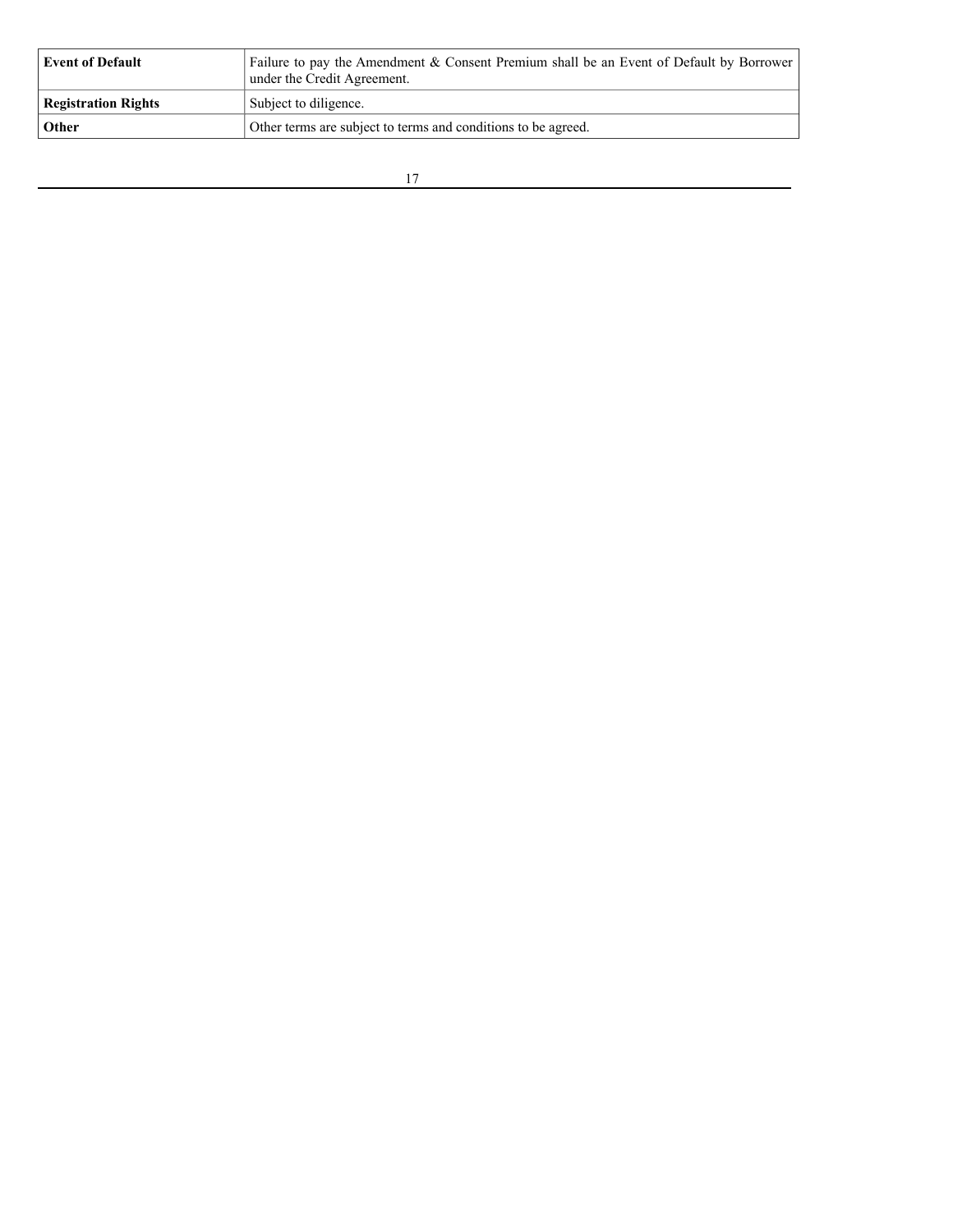| <b>Event of Default</b>    | Failure to pay the Amendment & Consent Premium shall be an Event of Default by Borrower<br>under the Credit Agreement. |
|----------------------------|------------------------------------------------------------------------------------------------------------------------|
| <b>Registration Rights</b> | Subject to diligence.                                                                                                  |
| Other                      | Other terms are subject to terms and conditions to be agreed.                                                          |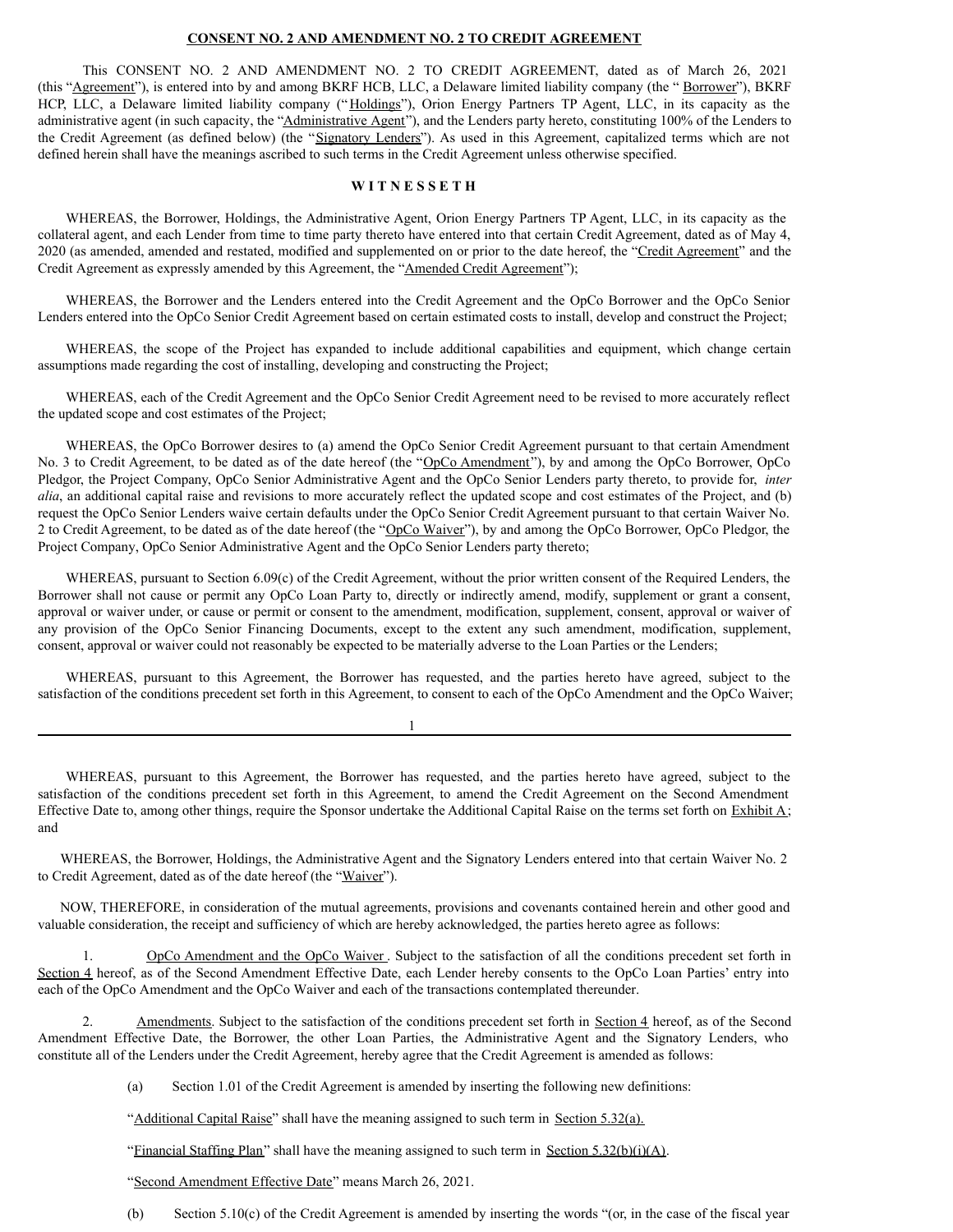### **CONSENT NO. 2 AND AMENDMENT NO. 2 TO CREDIT AGREEMENT**

This CONSENT NO. 2 AND AMENDMENT NO. 2 TO CREDIT AGREEMENT, dated as of March 26, 2021 (this "Agreement"), is entered into by and among BKRF HCB, LLC, a Delaware limited liability company (the " Borrower"), BKRF HCP, LLC, a Delaware limited liability company ("Holdings"), Orion Energy Partners TP Agent, LLC, in its capacity as the administrative agent (in such capacity, the "Administrative Agent"), and the Lenders party hereto, constituting 100% of the Lenders to the Credit Agreement (as defined below) (the "Signatory Lenders"). As used in this Agreement, capitalized terms which are not defined herein shall have the meanings ascribed to such terms in the Credit Agreement unless otherwise specified.

### **W I T N E S S E T H**

WHEREAS, the Borrower, Holdings, the Administrative Agent, Orion Energy Partners TP Agent, LLC, in its capacity as the collateral agent, and each Lender from time to time party thereto have entered into that certain Credit Agreement, dated as of May 4, 2020 (as amended, amended and restated, modified and supplemented on or prior to the date hereof, the "Credit Agreement" and the Credit Agreement as expressly amended by this Agreement, the "Amended Credit Agreement");

WHEREAS, the Borrower and the Lenders entered into the Credit Agreement and the OpCo Borrower and the OpCo Senior Lenders entered into the OpCo Senior Credit Agreement based on certain estimated costs to install, develop and construct the Project;

WHEREAS, the scope of the Project has expanded to include additional capabilities and equipment, which change certain assumptions made regarding the cost of installing, developing and constructing the Project;

WHEREAS, each of the Credit Agreement and the OpCo Senior Credit Agreement need to be revised to more accurately reflect the updated scope and cost estimates of the Project;

WHEREAS, the OpCo Borrower desires to (a) amend the OpCo Senior Credit Agreement pursuant to that certain Amendment No. 3 to Credit Agreement, to be dated as of the date hereof (the "OpCo Amendment"), by and among the OpCo Borrower, OpCo Pledgor, the Project Company, OpCo Senior Administrative Agent and the OpCo Senior Lenders party thereto, to provide for, *inter alia*, an additional capital raise and revisions to more accurately reflect the updated scope and cost estimates of the Project, and (b) request the OpCo Senior Lenders waive certain defaults under the OpCo Senior Credit Agreement pursuant to that certain Waiver No. 2 to Credit Agreement, to be dated as of the date hereof (the "OpCo Waiver"), by and among the OpCo Borrower, OpCo Pledgor, the Project Company, OpCo Senior Administrative Agent and the OpCo Senior Lenders party thereto;

WHEREAS, pursuant to Section 6.09(c) of the Credit Agreement, without the prior written consent of the Required Lenders, the Borrower shall not cause or permit any OpCo Loan Party to, directly or indirectly amend, modify, supplement or grant a consent, approval or waiver under, or cause or permit or consent to the amendment, modification, supplement, consent, approval or waiver of any provision of the OpCo Senior Financing Documents, except to the extent any such amendment, modification, supplement, consent, approval or waiver could not reasonably be expected to be materially adverse to the Loan Parties or the Lenders;

WHEREAS, pursuant to this Agreement, the Borrower has requested, and the parties hereto have agreed, subject to the satisfaction of the conditions precedent set forth in this Agreement, to consent to each of the OpCo Amendment and the OpCo Waiver;

1

WHEREAS, pursuant to this Agreement, the Borrower has requested, and the parties hereto have agreed, subject to the satisfaction of the conditions precedent set forth in this Agreement, to amend the Credit Agreement on the Second Amendment Effective Date to, among other things, require the Sponsor undertake the Additional Capital Raise on the terms set forth on Exhibit A; and

WHEREAS, the Borrower, Holdings, the Administrative Agent and the Signatory Lenders entered into that certain Waiver No. 2 to Credit Agreement, dated as of the date hereof (the "Waiver").

NOW, THEREFORE, in consideration of the mutual agreements, provisions and covenants contained herein and other good and valuable consideration, the receipt and sufficiency of which are hereby acknowledged, the parties hereto agree as follows:

1. OpCo Amendment and the OpCo Waiver. Subject to the satisfaction of all the conditions precedent set forth in Section 4 hereof, as of the Second Amendment Effective Date, each Lender hereby consents to the OpCo Loan Parties' entry into each of the OpCo Amendment and the OpCo Waiver and each of the transactions contemplated thereunder.

2. Amendments. Subject to the satisfaction of the conditions precedent set forth in Section 4 hereof, as of the Second Amendment Effective Date, the Borrower, the other Loan Parties, the Administrative Agent and the Signatory Lenders, who constitute all of the Lenders under the Credit Agreement, hereby agree that the Credit Agreement is amended as follows:

(a) Section 1.01 of the Credit Agreement is amended by inserting the following new definitions:

"Additional Capital Raise" shall have the meaning assigned to such term in Section 5.32(a).

"Financial Staffing Plan" shall have the meaning assigned to such term in Section  $5.32(b)(i)(A)$ .

"Second Amendment Effective Date" means March 26, 2021.

(b) Section 5.10(c) of the Credit Agreement is amended by inserting the words "(or, in the case of the fiscal year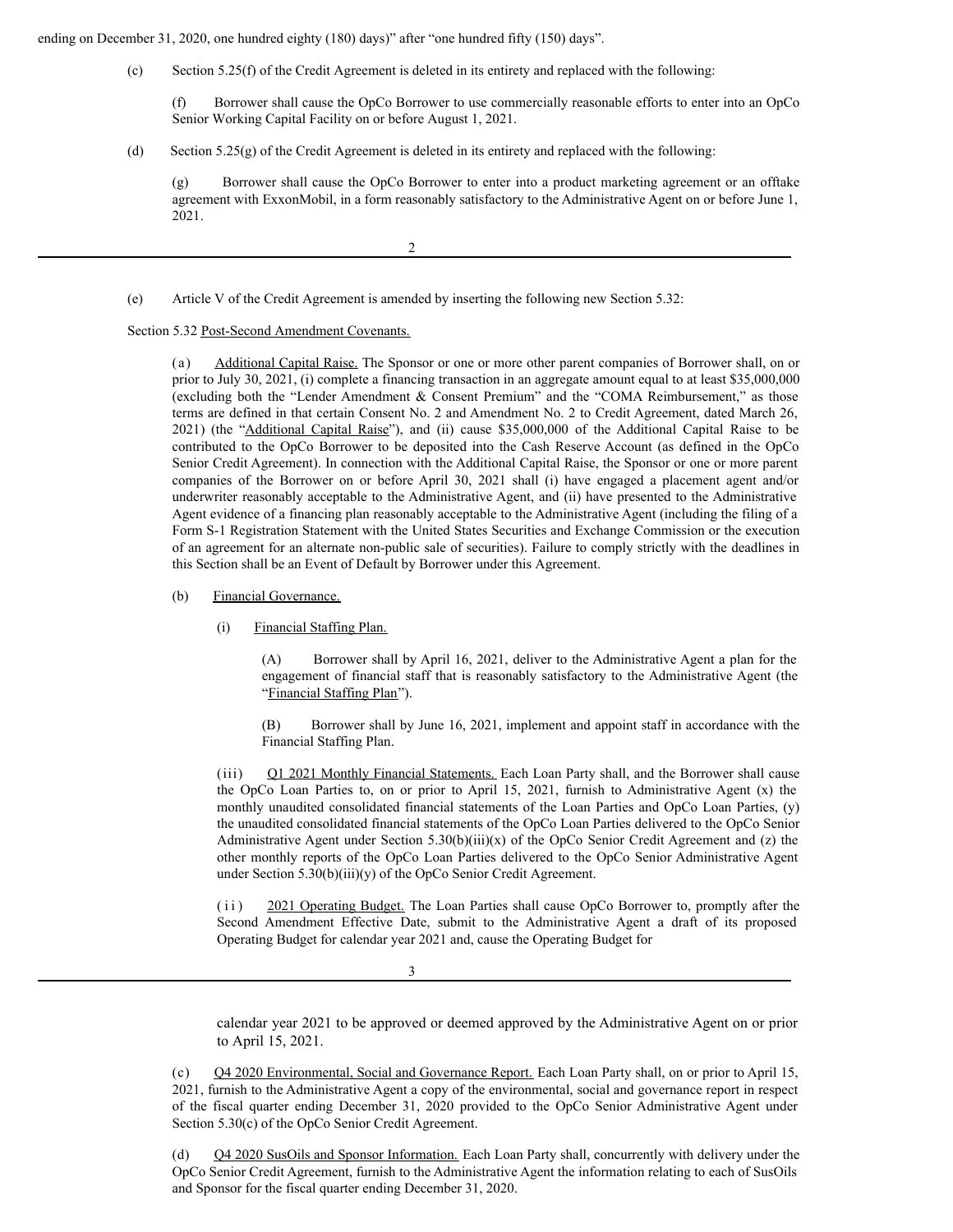ending on December 31, 2020, one hundred eighty (180) days)" after "one hundred fifty (150) days".

(c) Section 5.25(f) of the Credit Agreement is deleted in its entirety and replaced with the following:

(f) Borrower shall cause the OpCo Borrower to use commercially reasonable efforts to enter into an OpCo Senior Working Capital Facility on or before August 1, 2021.

(d) Section 5.25(g) of the Credit Agreement is deleted in its entirety and replaced with the following:

(g) Borrower shall cause the OpCo Borrower to enter into a product marketing agreement or an offtake agreement with ExxonMobil, in a form reasonably satisfactory to the Administrative Agent on or before June 1, 2021.

2

(e) Article V of the Credit Agreement is amended by inserting the following new Section 5.32:

# Section 5.32 Post-Second Amendment Covenants.

(a) Additional Capital Raise. The Sponsor or one or more other parent companies of Borrower shall, on or prior to July 30, 2021, (i) complete a financing transaction in an aggregate amount equal to at least \$35,000,000 (excluding both the "Lender Amendment & Consent Premium" and the "COMA Reimbursement," as those terms are defined in that certain Consent No. 2 and Amendment No. 2 to Credit Agreement, dated March 26, 2021) (the "Additional Capital Raise"), and (ii) cause \$35,000,000 of the Additional Capital Raise to be contributed to the OpCo Borrower to be deposited into the Cash Reserve Account (as defined in the OpCo Senior Credit Agreement). In connection with the Additional Capital Raise, the Sponsor or one or more parent companies of the Borrower on or before April 30, 2021 shall (i) have engaged a placement agent and/or underwriter reasonably acceptable to the Administrative Agent, and (ii) have presented to the Administrative Agent evidence of a financing plan reasonably acceptable to the Administrative Agent (including the filing of a Form S-1 Registration Statement with the United States Securities and Exchange Commission or the execution of an agreement for an alternate non-public sale of securities). Failure to comply strictly with the deadlines in this Section shall be an Event of Default by Borrower under this Agreement.

- (b) Financial Governance.
	- (i) Financial Staffing Plan.

(A) Borrower shall by April 16, 2021, deliver to the Administrative Agent a plan for the engagement of financial staff that is reasonably satisfactory to the Administrative Agent (the "Financial Staffing Plan").

(B) Borrower shall by June 16, 2021, implement and appoint staff in accordance with the Financial Staffing Plan.

(iii) Q1 2021 Monthly Financial Statements. Each Loan Party shall, and the Borrower shall cause the OpCo Loan Parties to, on or prior to April 15, 2021, furnish to Administrative Agent (x) the monthly unaudited consolidated financial statements of the Loan Parties and OpCo Loan Parties, (y) the unaudited consolidated financial statements of the OpCo Loan Parties delivered to the OpCo Senior Administrative Agent under Section  $5.30(b)(iii)(x)$  of the OpCo Senior Credit Agreement and (z) the other monthly reports of the OpCo Loan Parties delivered to the OpCo Senior Administrative Agent under Section 5.30(b)(iii)(y) of the OpCo Senior Credit Agreement.

(ii) 2021 Operating Budget. The Loan Parties shall cause OpCo Borrower to, promptly after the Second Amendment Effective Date, submit to the Administrative Agent a draft of its proposed Operating Budget for calendar year 2021 and, cause the Operating Budget for

3

calendar year 2021 to be approved or deemed approved by the Administrative Agent on or prior to April 15, 2021.

(c) Q4 2020 Environmental, Social and Governance Report. Each Loan Party shall, on or prior to April 15, 2021, furnish to the Administrative Agent a copy of the environmental, social and governance report in respect of the fiscal quarter ending December 31, 2020 provided to the OpCo Senior Administrative Agent under Section 5.30(c) of the OpCo Senior Credit Agreement.

(d) Q4 2020 SusOils and Sponsor Information. Each Loan Party shall, concurrently with delivery under the OpCo Senior Credit Agreement, furnish to the Administrative Agent the information relating to each of SusOils and Sponsor for the fiscal quarter ending December 31, 2020.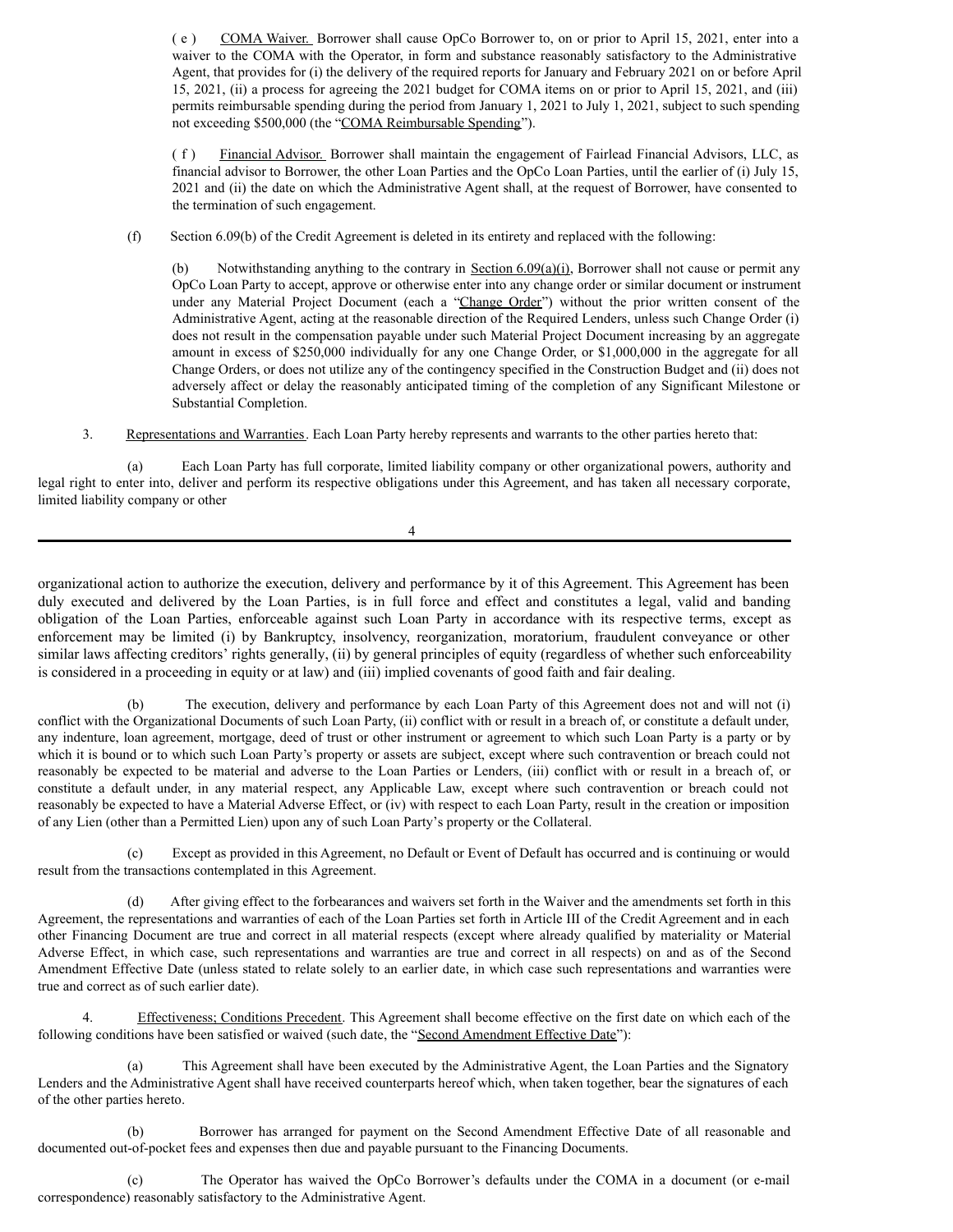( e ) COMA Waiver. Borrower shall cause OpCo Borrower to, on or prior to April 15, 2021, enter into a waiver to the COMA with the Operator, in form and substance reasonably satisfactory to the Administrative Agent, that provides for (i) the delivery of the required reports for January and February 2021 on or before April 15, 2021, (ii) a process for agreeing the 2021 budget for COMA items on or prior to April 15, 2021, and (iii) permits reimbursable spending during the period from January 1, 2021 to July 1, 2021, subject to such spending not exceeding \$500,000 (the "COMA Reimbursable Spending").

( f ) Financial Advisor. Borrower shall maintain the engagement of Fairlead Financial Advisors, LLC, as financial advisor to Borrower, the other Loan Parties and the OpCo Loan Parties, until the earlier of (i) July 15, 2021 and (ii) the date on which the Administrative Agent shall, at the request of Borrower, have consented to the termination of such engagement.

(f) Section 6.09(b) of the Credit Agreement is deleted in its entirety and replaced with the following:

(b) Notwithstanding anything to the contrary in  $Section 6.09(a)(i)$ , Borrower shall not cause or permit any OpCo Loan Party to accept, approve or otherwise enter into any change order or similar document or instrument under any Material Project Document (each a "Change Order") without the prior written consent of the Administrative Agent, acting at the reasonable direction of the Required Lenders, unless such Change Order (i) does not result in the compensation payable under such Material Project Document increasing by an aggregate amount in excess of \$250,000 individually for any one Change Order, or \$1,000,000 in the aggregate for all Change Orders, or does not utilize any of the contingency specified in the Construction Budget and (ii) does not adversely affect or delay the reasonably anticipated timing of the completion of any Significant Milestone or Substantial Completion.

3. Representations and Warranties. Each Loan Party hereby represents and warrants to the other parties hereto that:

Each Loan Party has full corporate, limited liability company or other organizational powers, authority and legal right to enter into, deliver and perform its respective obligations under this Agreement, and has taken all necessary corporate, limited liability company or other

4

organizational action to authorize the execution, delivery and performance by it of this Agreement. This Agreement has been duly executed and delivered by the Loan Parties, is in full force and effect and constitutes a legal, valid and banding obligation of the Loan Parties, enforceable against such Loan Party in accordance with its respective terms, except as enforcement may be limited (i) by Bankruptcy, insolvency, reorganization, moratorium, fraudulent conveyance or other similar laws affecting creditors' rights generally, (ii) by general principles of equity (regardless of whether such enforceability is considered in a proceeding in equity or at law) and (iii) implied covenants of good faith and fair dealing.

(b) The execution, delivery and performance by each Loan Party of this Agreement does not and will not (i) conflict with the Organizational Documents of such Loan Party, (ii) conflict with or result in a breach of, or constitute a default under, any indenture, loan agreement, mortgage, deed of trust or other instrument or agreement to which such Loan Party is a party or by which it is bound or to which such Loan Party's property or assets are subject, except where such contravention or breach could not reasonably be expected to be material and adverse to the Loan Parties or Lenders, (iii) conflict with or result in a breach of, or constitute a default under, in any material respect, any Applicable Law, except where such contravention or breach could not reasonably be expected to have a Material Adverse Effect, or (iv) with respect to each Loan Party, result in the creation or imposition of any Lien (other than a Permitted Lien) upon any of such Loan Party's property or the Collateral.

(c) Except as provided in this Agreement, no Default or Event of Default has occurred and is continuing or would result from the transactions contemplated in this Agreement.

(d) After giving effect to the forbearances and waivers set forth in the Waiver and the amendments set forth in this Agreement, the representations and warranties of each of the Loan Parties set forth in Article III of the Credit Agreement and in each other Financing Document are true and correct in all material respects (except where already qualified by materiality or Material Adverse Effect, in which case, such representations and warranties are true and correct in all respects) on and as of the Second Amendment Effective Date (unless stated to relate solely to an earlier date, in which case such representations and warranties were true and correct as of such earlier date).

Effectiveness; Conditions Precedent. This Agreement shall become effective on the first date on which each of the following conditions have been satisfied or waived (such date, the "Second Amendment Effective Date"):

(a) This Agreement shall have been executed by the Administrative Agent, the Loan Parties and the Signatory Lenders and the Administrative Agent shall have received counterparts hereof which, when taken together, bear the signatures of each of the other parties hereto.

(b) Borrower has arranged for payment on the Second Amendment Effective Date of all reasonable and documented out-of-pocket fees and expenses then due and payable pursuant to the Financing Documents.

(c) The Operator has waived the OpCo Borrower's defaults under the COMA in a document (or e-mail correspondence) reasonably satisfactory to the Administrative Agent.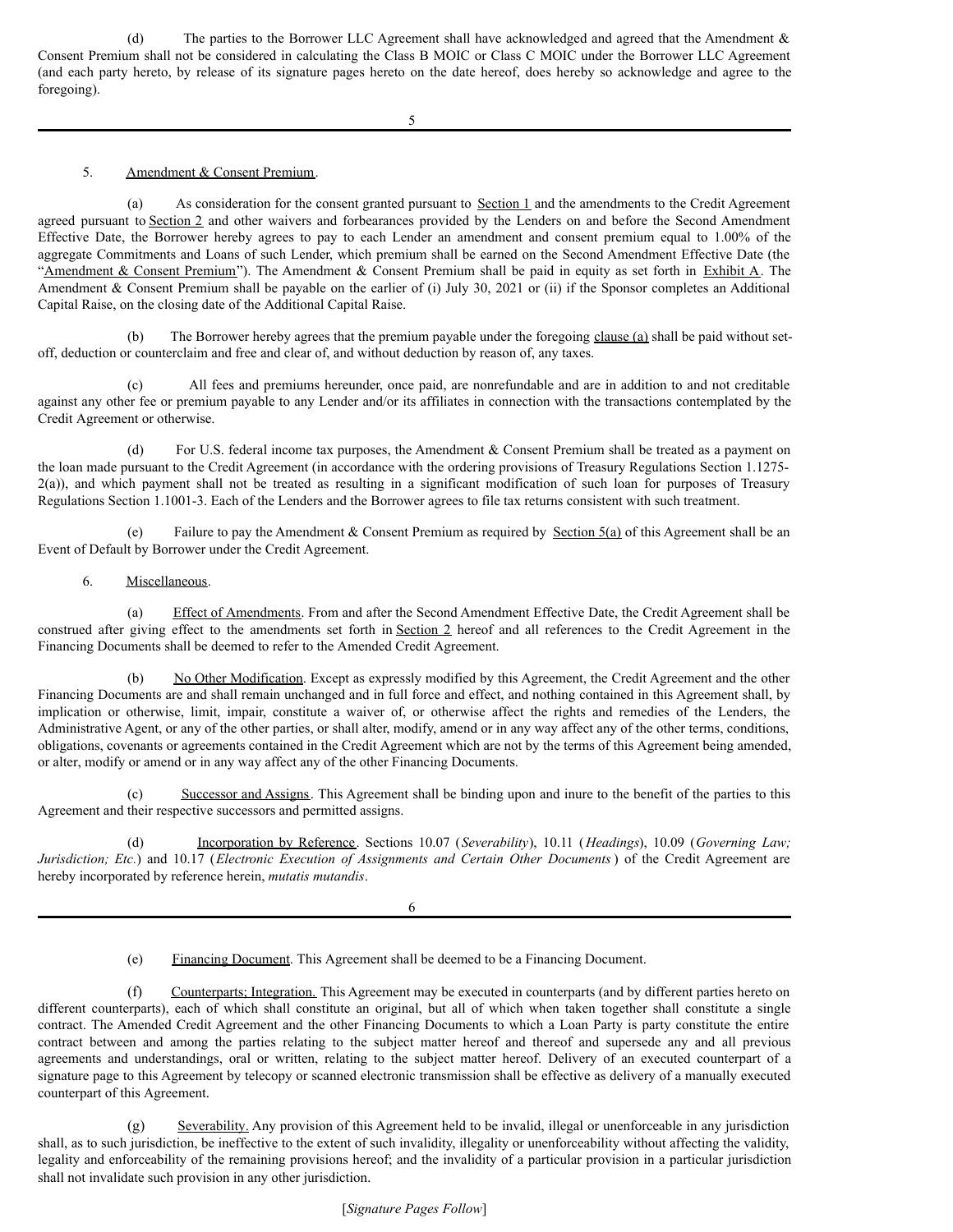(d) The parties to the Borrower LLC Agreement shall have acknowledged and agreed that the Amendment & Consent Premium shall not be considered in calculating the Class B MOIC or Class C MOIC under the Borrower LLC Agreement (and each party hereto, by release of its signature pages hereto on the date hereof, does hereby so acknowledge and agree to the foregoing).

5

# 5. Amendment & Consent Premium.

(a) As consideration for the consent granted pursuant to Section 1 and the amendments to the Credit Agreement agreed pursuant to Section 2 and other waivers and forbearances provided by the Lenders on and before the Second Amendment Effective Date, the Borrower hereby agrees to pay to each Lender an amendment and consent premium equal to 1.00% of the aggregate Commitments and Loans of such Lender, which premium shall be earned on the Second Amendment Effective Date (the "Amendment & Consent Premium"). The Amendment & Consent Premium shall be paid in equity as set forth in Exhibit A. The Amendment & Consent Premium shall be payable on the earlier of (i) July 30, 2021 or (ii) if the Sponsor completes an Additional Capital Raise, on the closing date of the Additional Capital Raise.

(b) The Borrower hereby agrees that the premium payable under the foregoing clause (a) shall be paid without setoff, deduction or counterclaim and free and clear of, and without deduction by reason of, any taxes.

All fees and premiums hereunder, once paid, are nonrefundable and are in addition to and not creditable against any other fee or premium payable to any Lender and/or its affiliates in connection with the transactions contemplated by the Credit Agreement or otherwise.

For U.S. federal income tax purposes, the Amendment  $&$  Consent Premium shall be treated as a payment on the loan made pursuant to the Credit Agreement (in accordance with the ordering provisions of Treasury Regulations Section 1.1275- 2(a)), and which payment shall not be treated as resulting in a significant modification of such loan for purposes of Treasury Regulations Section 1.1001-3. Each of the Lenders and the Borrower agrees to file tax returns consistent with such treatment.

(e) Failure to pay the Amendment & Consent Premium as required by Section  $5(a)$  of this Agreement shall be an Event of Default by Borrower under the Credit Agreement.

# 6. Miscellaneous.

(a) Effect of Amendments. From and after the Second Amendment Effective Date, the Credit Agreement shall be construed after giving effect to the amendments set forth in Section 2 hereof and all references to the Credit Agreement in the Financing Documents shall be deemed to refer to the Amended Credit Agreement.

(b) No Other Modification. Except as expressly modified by this Agreement, the Credit Agreement and the other Financing Documents are and shall remain unchanged and in full force and effect, and nothing contained in this Agreement shall, by implication or otherwise, limit, impair, constitute a waiver of, or otherwise affect the rights and remedies of the Lenders, the Administrative Agent, or any of the other parties, or shall alter, modify, amend or in any way affect any of the other terms, conditions, obligations, covenants or agreements contained in the Credit Agreement which are not by the terms of this Agreement being amended, or alter, modify or amend or in any way affect any of the other Financing Documents.

(c) Successor and Assigns. This Agreement shall be binding upon and inure to the benefit of the parties to this Agreement and their respective successors and permitted assigns.

(d) Incorporation by Reference. Sections 10.07 (*Severability*), 10.11 (*Headings*), 10.09 (*Governing Law; Jurisdiction; Etc.*) and 10.17 (*Electronic Execution of Assignments and Certain Other Documents* ) of the Credit Agreement are hereby incorporated by reference herein, *mutatis mutandis*.

6

(e) Financing Document. This Agreement shall be deemed to be a Financing Document.

(f) Counterparts; Integration. This Agreement may be executed in counterparts (and by different parties hereto on different counterparts), each of which shall constitute an original, but all of which when taken together shall constitute a single contract. The Amended Credit Agreement and the other Financing Documents to which a Loan Party is party constitute the entire contract between and among the parties relating to the subject matter hereof and thereof and supersede any and all previous agreements and understandings, oral or written, relating to the subject matter hereof. Delivery of an executed counterpart of a signature page to this Agreement by telecopy or scanned electronic transmission shall be effective as delivery of a manually executed counterpart of this Agreement.

(g) Severability. Any provision of this Agreement held to be invalid, illegal or unenforceable in any jurisdiction shall, as to such jurisdiction, be ineffective to the extent of such invalidity, illegality or unenforceability without affecting the validity, legality and enforceability of the remaining provisions hereof; and the invalidity of a particular provision in a particular jurisdiction shall not invalidate such provision in any other jurisdiction.

[*Signature Pages Follow*]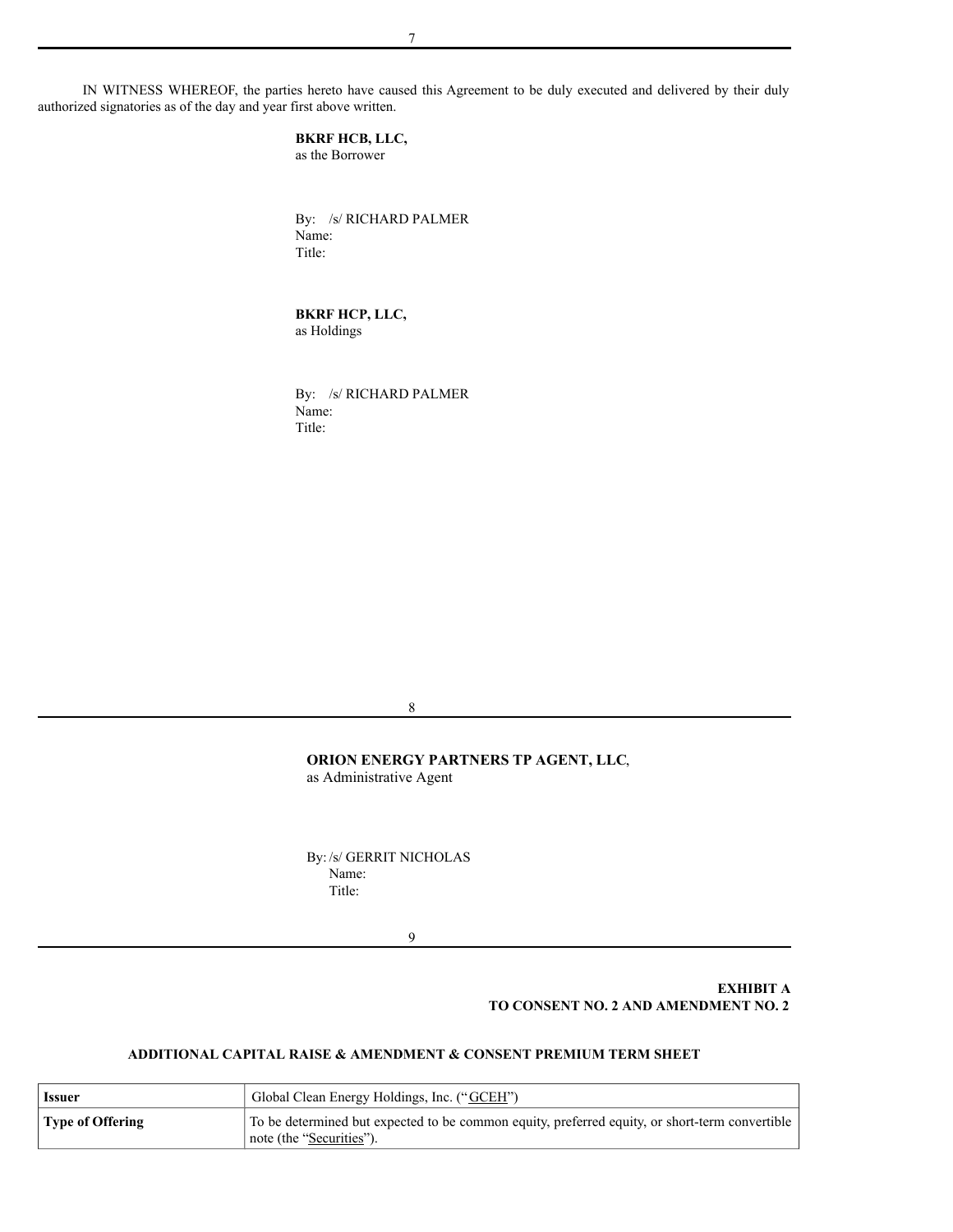IN WITNESS WHEREOF, the parties hereto have caused this Agreement to be duly executed and delivered by their duly authorized signatories as of the day and year first above written.

**BKRF HCB, LLC,**

as the Borrower

By: /s/ RICHARD PALMER Name: Title:

**BKRF HCP, LLC,**

as Holdings

By: /s/ RICHARD PALMER Name: Title:

### 8

**ORION ENERGY PARTNERS TP AGENT, LLC**, as Administrative Agent

By: /s/ GERRIT NICHOLAS Name: Title:

9

## **EXHIBIT A TO CONSENT NO. 2 AND AMENDMENT NO. 2**

# **ADDITIONAL CAPITAL RAISE & AMENDMENT & CONSENT PREMIUM TERM SHEET**

| <b>Issuer</b>    | Global Clean Energy Holdings, Inc. ("GCEH")                                                                                |
|------------------|----------------------------------------------------------------------------------------------------------------------------|
| Type of Offering | To be determined but expected to be common equity, preferred equity, or short-term convertible<br>note (the "Securities"). |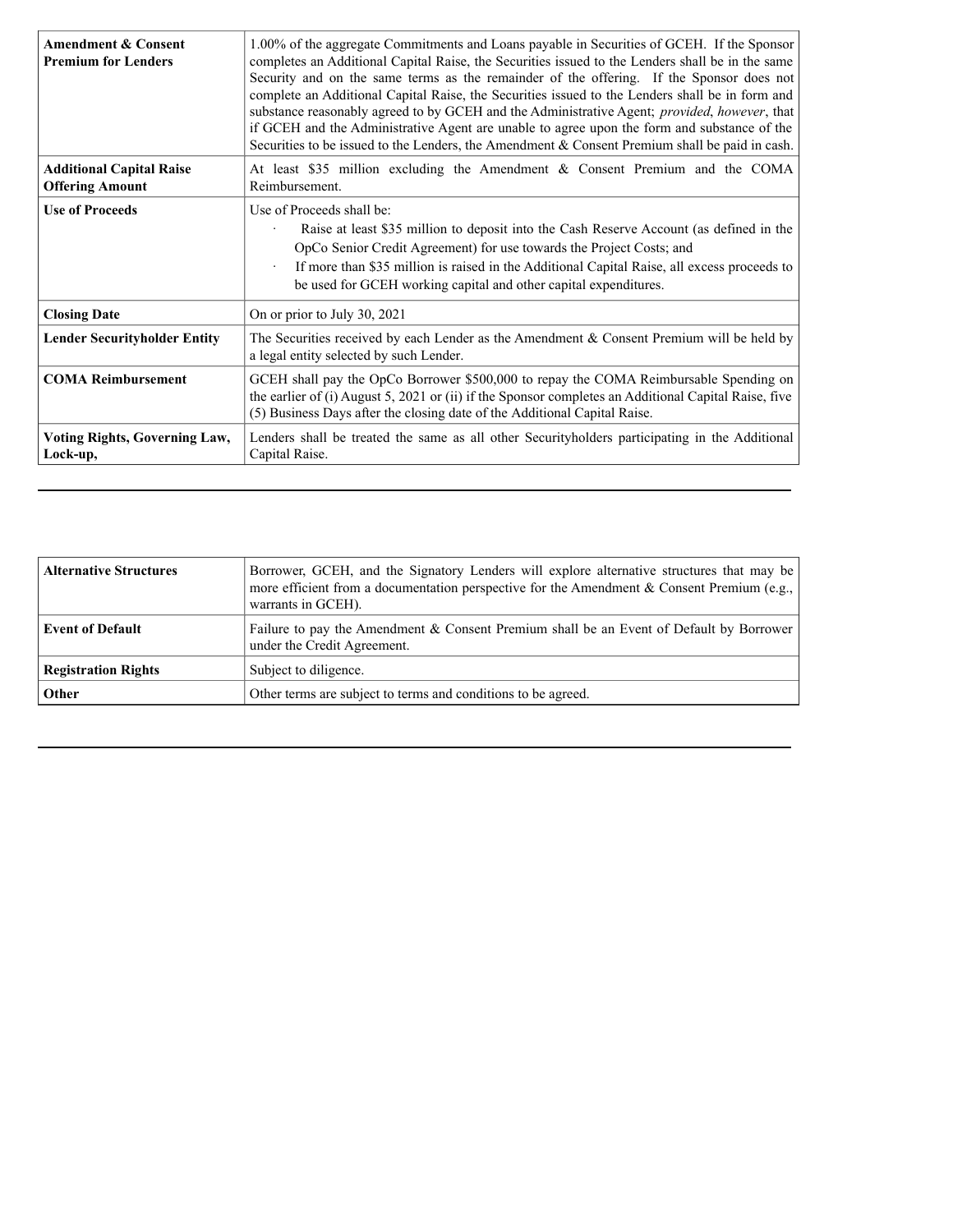| <b>Amendment &amp; Consent</b><br><b>Premium for Lenders</b> | 1.00% of the aggregate Commitments and Loans payable in Securities of GCEH. If the Sponsor<br>completes an Additional Capital Raise, the Securities issued to the Lenders shall be in the same<br>Security and on the same terms as the remainder of the offering. If the Sponsor does not<br>complete an Additional Capital Raise, the Securities issued to the Lenders shall be in form and<br>substance reasonably agreed to by GCEH and the Administrative Agent; provided, however, that<br>if GCEH and the Administrative Agent are unable to agree upon the form and substance of the<br>Securities to be issued to the Lenders, the Amendment & Consent Premium shall be paid in cash. |
|--------------------------------------------------------------|------------------------------------------------------------------------------------------------------------------------------------------------------------------------------------------------------------------------------------------------------------------------------------------------------------------------------------------------------------------------------------------------------------------------------------------------------------------------------------------------------------------------------------------------------------------------------------------------------------------------------------------------------------------------------------------------|
| <b>Additional Capital Raise</b><br><b>Offering Amount</b>    | At least \$35 million excluding the Amendment & Consent Premium and the COMA<br>Reimbursement.                                                                                                                                                                                                                                                                                                                                                                                                                                                                                                                                                                                                 |
| <b>Use of Proceeds</b>                                       | Use of Proceeds shall be:<br>Raise at least \$35 million to deposit into the Cash Reserve Account (as defined in the<br>OpCo Senior Credit Agreement) for use towards the Project Costs; and<br>If more than \$35 million is raised in the Additional Capital Raise, all excess proceeds to<br>be used for GCEH working capital and other capital expenditures.                                                                                                                                                                                                                                                                                                                                |
| <b>Closing Date</b>                                          | On or prior to July 30, 2021                                                                                                                                                                                                                                                                                                                                                                                                                                                                                                                                                                                                                                                                   |
| <b>Lender Securityholder Entity</b>                          | The Securities received by each Lender as the Amendment & Consent Premium will be held by<br>a legal entity selected by such Lender.                                                                                                                                                                                                                                                                                                                                                                                                                                                                                                                                                           |
| <b>COMA Reimbursement</b>                                    | GCEH shall pay the OpCo Borrower \$500,000 to repay the COMA Reimbursable Spending on<br>the earlier of (i) August 5, 2021 or (ii) if the Sponsor completes an Additional Capital Raise, five<br>(5) Business Days after the closing date of the Additional Capital Raise.                                                                                                                                                                                                                                                                                                                                                                                                                     |
| <b>Voting Rights, Governing Law,</b><br>Lock-up,             | Lenders shall be treated the same as all other Securityholders participating in the Additional<br>Capital Raise.                                                                                                                                                                                                                                                                                                                                                                                                                                                                                                                                                                               |

| <b>Alternative Structures</b> | Borrower, GCEH, and the Signatory Lenders will explore alternative structures that may be<br>more efficient from a documentation perspective for the Amendment & Consent Premium (e.g.,<br>warrants in GCEH). |
|-------------------------------|---------------------------------------------------------------------------------------------------------------------------------------------------------------------------------------------------------------|
| <b>Event of Default</b>       | Failure to pay the Amendment & Consent Premium shall be an Event of Default by Borrower<br>under the Credit Agreement.                                                                                        |
| <b>Registration Rights</b>    | Subject to diligence.                                                                                                                                                                                         |
| Other                         | Other terms are subject to terms and conditions to be agreed.                                                                                                                                                 |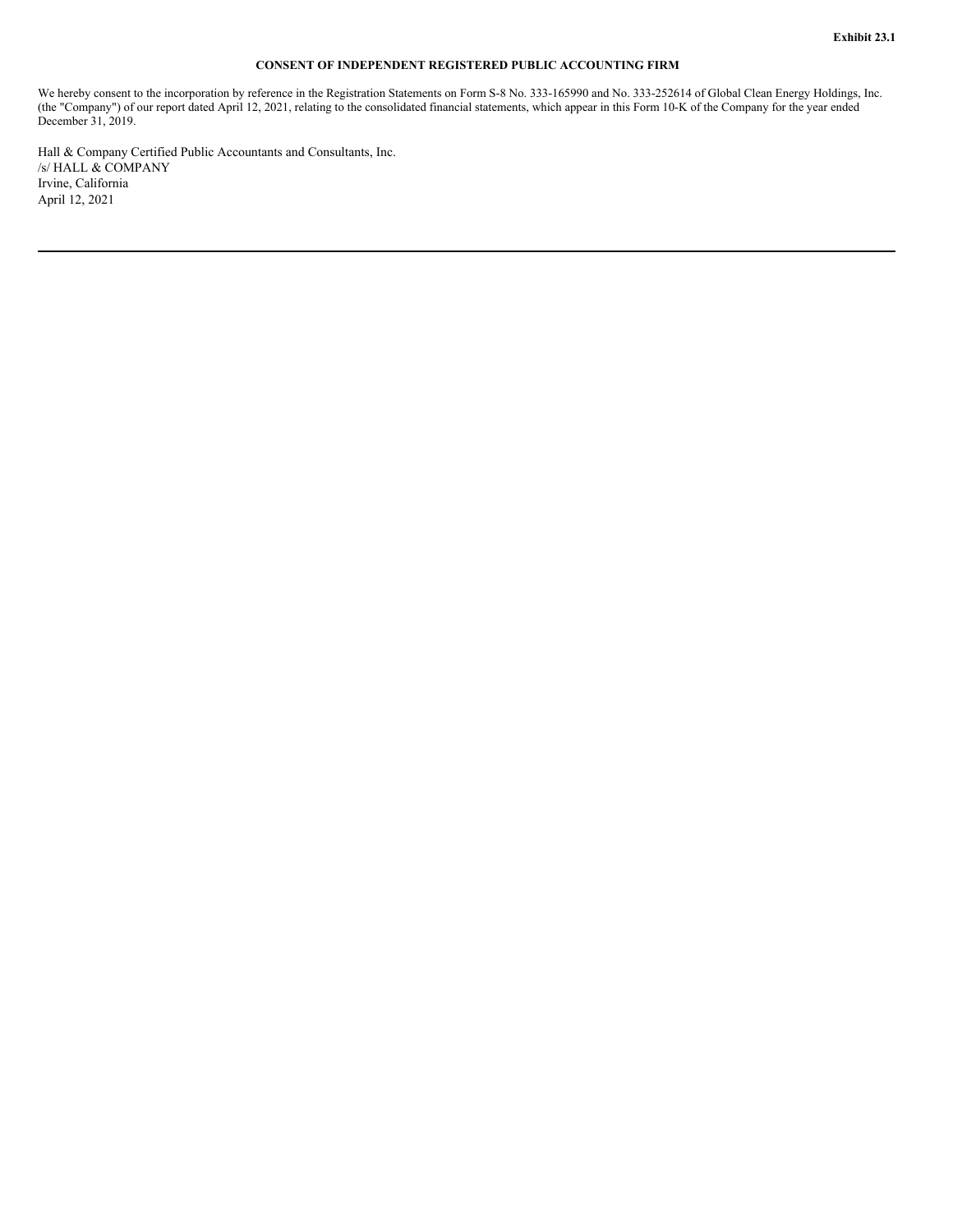### **CONSENT OF INDEPENDENT REGISTERED PUBLIC ACCOUNTING FIRM**

We hereby consent to the incorporation by reference in the Registration Statements on Form S-8 No. 333-165990 and No. 333-252614 of Global Clean Energy Holdings, Inc. (the "Company") of our report dated April 12, 2021, relating to the consolidated financial statements, which appear in this Form 10-K of the Company for the year ended December 31, 2019.

Hall & Company Certified Public Accountants and Consultants, Inc. /s/ HALL & COMPANY Irvine, California April 12, 2021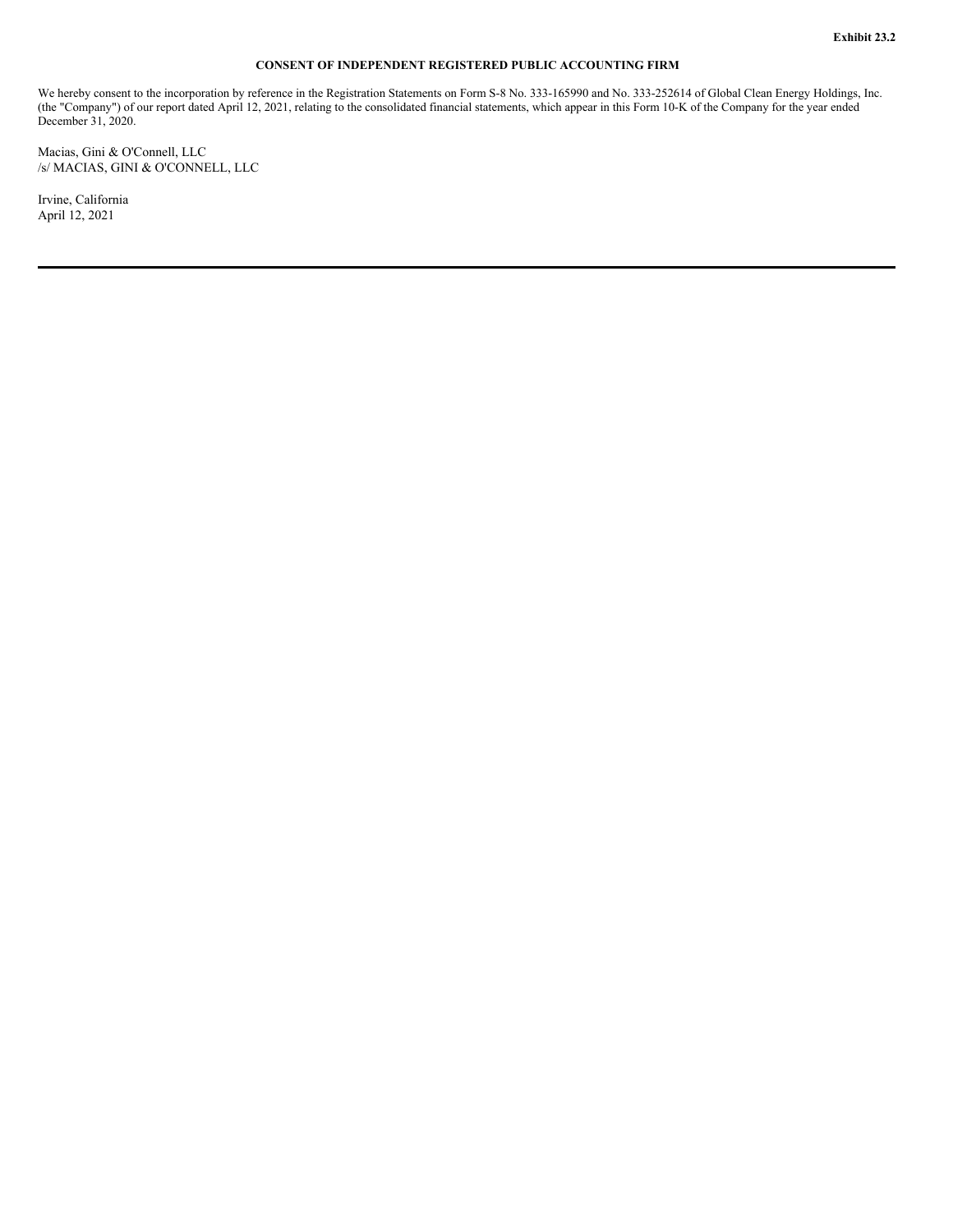### **CONSENT OF INDEPENDENT REGISTERED PUBLIC ACCOUNTING FIRM**

We hereby consent to the incorporation by reference in the Registration Statements on Form S-8 No. 333-165990 and No. 333-252614 of Global Clean Energy Holdings, Inc. (the "Company") of our report dated April 12, 2021, relating to the consolidated financial statements, which appear in this Form 10-K of the Company for the year ended December 31, 2020.

Macias, Gini & O'Connell, LLC /s/ MACIAS, GINI & O'CONNELL, LLC

Irvine, California April 12, 2021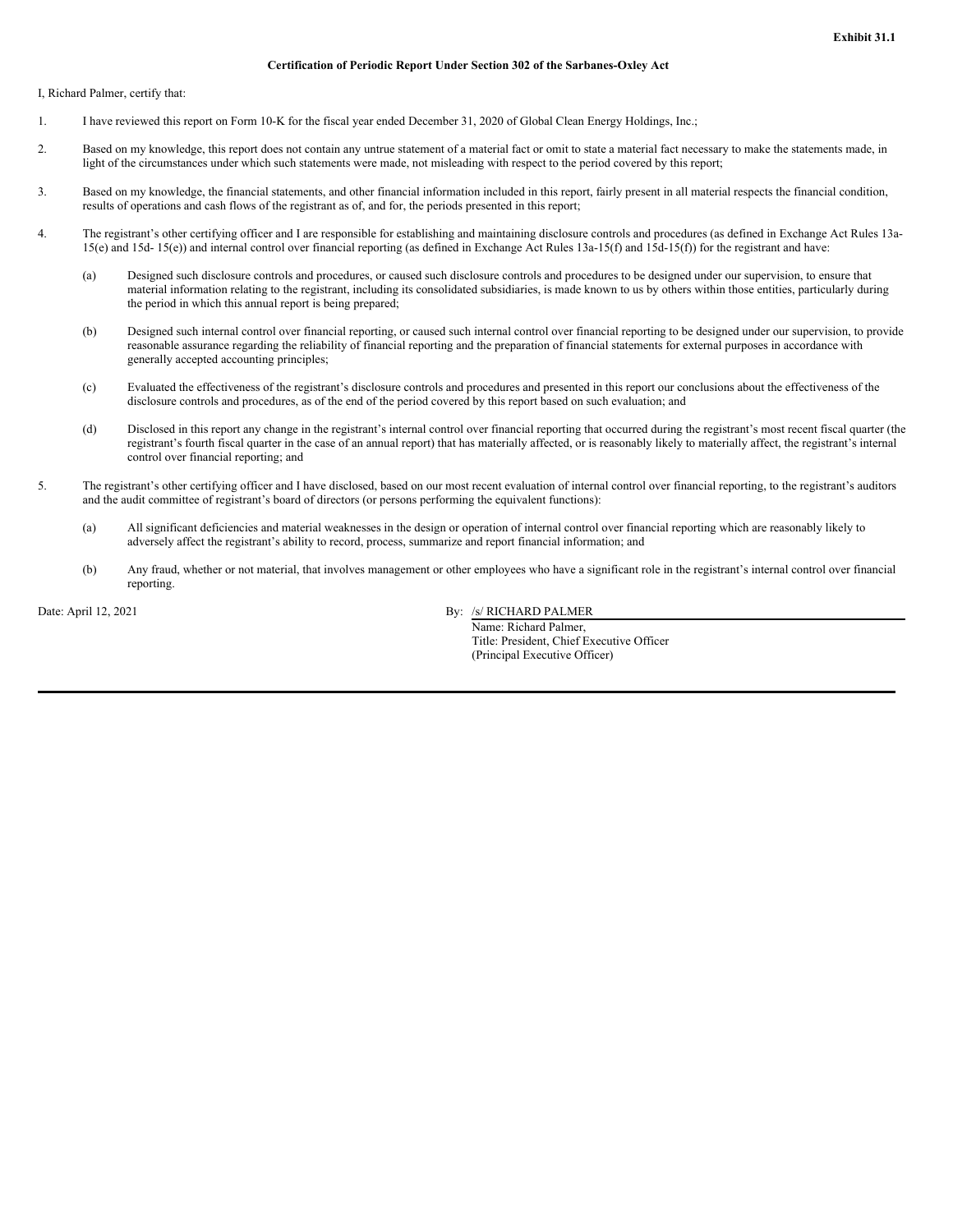### **Certification of Periodic Report Under Section 302 of the Sarbanes-Oxley Act**

I, Richard Palmer, certify that:

- 1. I have reviewed this report on Form 10-K for the fiscal year ended December 31, 2020 of Global Clean Energy Holdings, Inc.;
- 2. Based on my knowledge, this report does not contain any untrue statement of a material fact or omit to state a material fact necessary to make the statements made, in light of the circumstances under which such statements were made, not misleading with respect to the period covered by this report;
- 3. Based on my knowledge, the financial statements, and other financial information included in this report, fairly present in all material respects the financial condition, results of operations and cash flows of the registrant as of, and for, the periods presented in this report;
- 4. The registrant's other certifying officer and I are responsible for establishing and maintaining disclosure controls and procedures (as defined in Exchange Act Rules 13a-15(e) and 15d- 15(e)) and internal control over financial reporting (as defined in Exchange Act Rules 13a-15(f) and 15d-15(f)) for the registrant and have:
	- (a) Designed such disclosure controls and procedures, or caused such disclosure controls and procedures to be designed under our supervision, to ensure that material information relating to the registrant, including its consolidated subsidiaries, is made known to us by others within those entities, particularly during the period in which this annual report is being prepared;
	- (b) Designed such internal control over financial reporting, or caused such internal control over financial reporting to be designed under our supervision, to provide reasonable assurance regarding the reliability of financial reporting and the preparation of financial statements for external purposes in accordance with generally accepted accounting principles;
	- (c) Evaluated the effectiveness of the registrant's disclosure controls and procedures and presented in this report our conclusions about the effectiveness of the disclosure controls and procedures, as of the end of the period covered by this report based on such evaluation; and
	- (d) Disclosed in this report any change in the registrant's internal control over financial reporting that occurred during the registrant's most recent fiscal quarter (the registrant's fourth fiscal quarter in the case of an annual report) that has materially affected, or is reasonably likely to materially affect, the registrant's internal control over financial reporting; and
- 5. The registrant's other certifying officer and I have disclosed, based on our most recent evaluation of internal control over financial reporting, to the registrant's auditors and the audit committee of registrant's board of directors (or persons performing the equivalent functions):
	- (a) All significant deficiencies and material weaknesses in the design or operation of internal control over financial reporting which are reasonably likely to adversely affect the registrant's ability to record, process, summarize and report financial information; and
	- (b) Any fraud, whether or not material, that involves management or other employees who have a significant role in the registrant's internal control over financial reporting.

Date: April 12, 2021 By: /s/ RICHARD PALMER

Name: Richard Palmer, Title: President, Chief Executive Officer (Principal Executive Officer)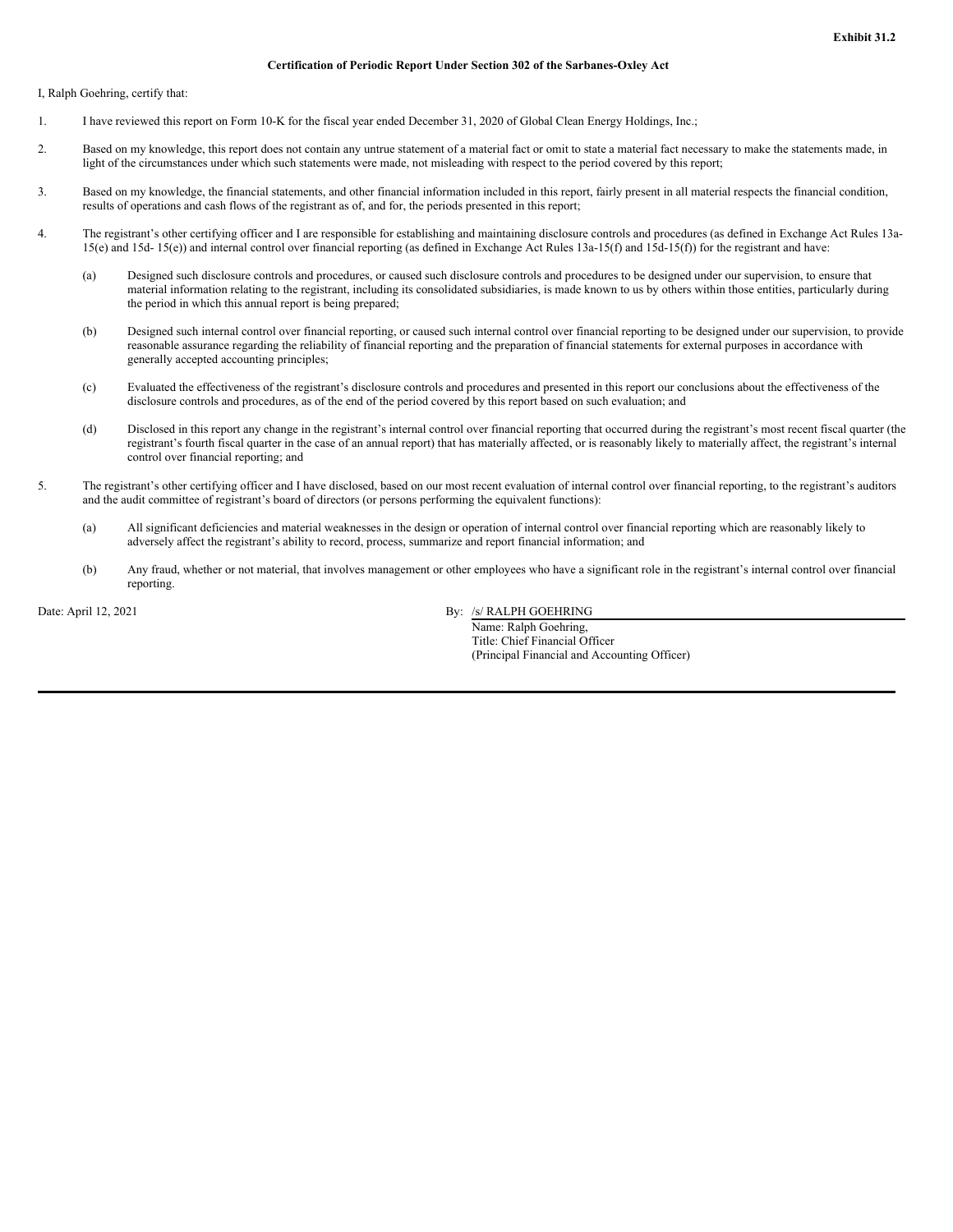#### **Certification of Periodic Report Under Section 302 of the Sarbanes-Oxley Act**

I, Ralph Goehring, certify that:

- 1. I have reviewed this report on Form 10-K for the fiscal year ended December 31, 2020 of Global Clean Energy Holdings, Inc.;
- 2. Based on my knowledge, this report does not contain any untrue statement of a material fact or omit to state a material fact necessary to make the statements made, in light of the circumstances under which such statements were made, not misleading with respect to the period covered by this report;
- 3. Based on my knowledge, the financial statements, and other financial information included in this report, fairly present in all material respects the financial condition, results of operations and cash flows of the registrant as of, and for, the periods presented in this report;
- 4. The registrant's other certifying officer and I are responsible for establishing and maintaining disclosure controls and procedures (as defined in Exchange Act Rules 13a-15(e) and 15d- 15(e)) and internal control over financial reporting (as defined in Exchange Act Rules 13a-15(f) and 15d-15(f)) for the registrant and have:
	- (a) Designed such disclosure controls and procedures, or caused such disclosure controls and procedures to be designed under our supervision, to ensure that material information relating to the registrant, including its consolidated subsidiaries, is made known to us by others within those entities, particularly during the period in which this annual report is being prepared;
	- (b) Designed such internal control over financial reporting, or caused such internal control over financial reporting to be designed under our supervision, to provide reasonable assurance regarding the reliability of financial reporting and the preparation of financial statements for external purposes in accordance with generally accepted accounting principles;
	- (c) Evaluated the effectiveness of the registrant's disclosure controls and procedures and presented in this report our conclusions about the effectiveness of the disclosure controls and procedures, as of the end of the period covered by this report based on such evaluation; and
	- (d) Disclosed in this report any change in the registrant's internal control over financial reporting that occurred during the registrant's most recent fiscal quarter (the registrant's fourth fiscal quarter in the case of an annual report) that has materially affected, or is reasonably likely to materially affect, the registrant's internal control over financial reporting; and
- 5. The registrant's other certifying officer and I have disclosed, based on our most recent evaluation of internal control over financial reporting, to the registrant's auditors and the audit committee of registrant's board of directors (or persons performing the equivalent functions):
	- (a) All significant deficiencies and material weaknesses in the design or operation of internal control over financial reporting which are reasonably likely to adversely affect the registrant's ability to record, process, summarize and report financial information; and
	- (b) Any fraud, whether or not material, that involves management or other employees who have a significant role in the registrant's internal control over financial reporting.

Date: April 12, 2021 By: /s/ RALPH GOEHRING

Name: Ralph Goehring, Title: Chief Financial Officer (Principal Financial and Accounting Officer)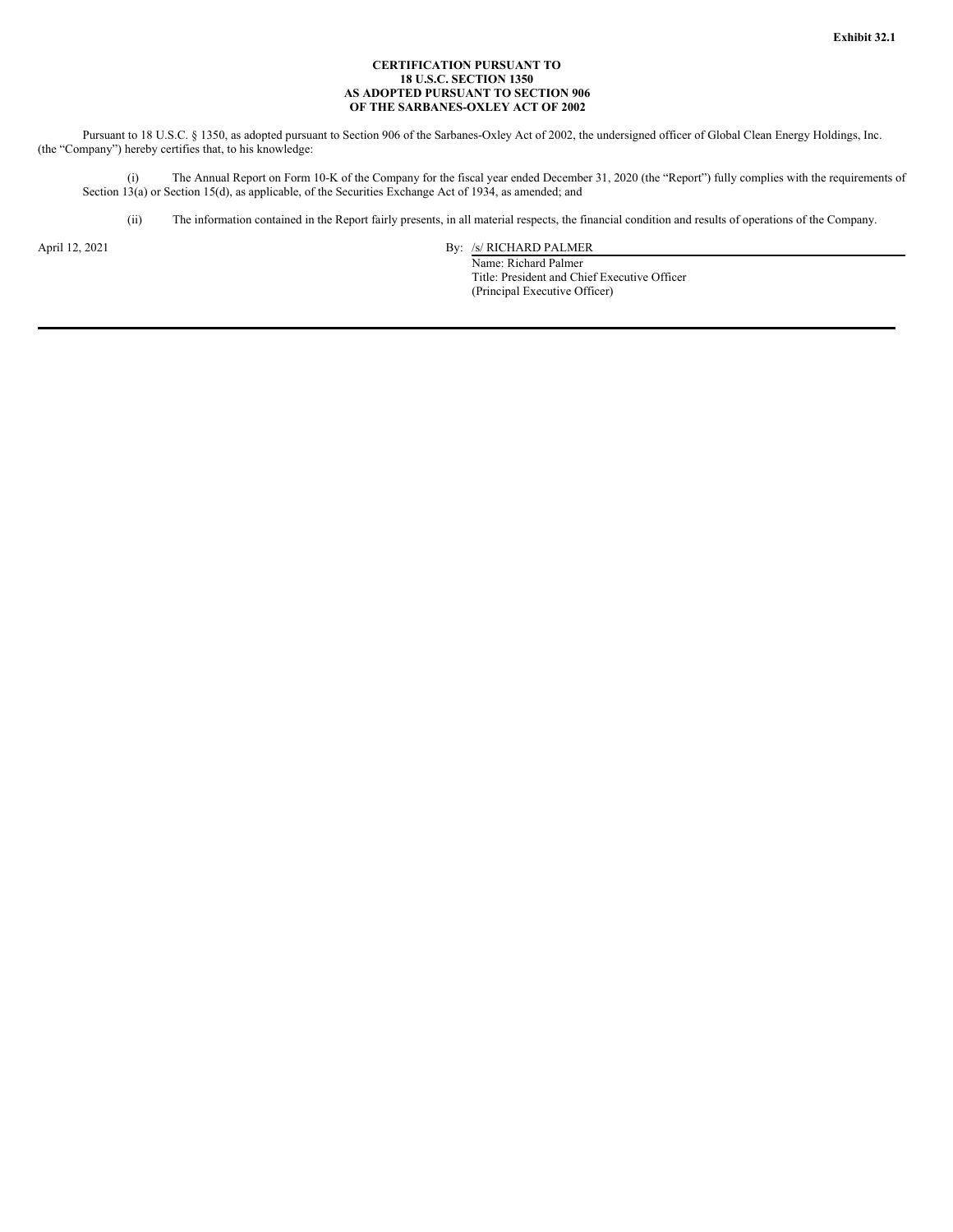#### **CERTIFICATION PURSUANT TO 18 U.S.C. SECTION 1350 AS ADOPTED PURSUANT TO SECTION 906 OF THE SARBANES-OXLEY ACT OF 2002**

Pursuant to 18 U.S.C. § 1350, as adopted pursuant to Section 906 of the Sarbanes-Oxley Act of 2002, the undersigned officer of Global Clean Energy Holdings, Inc. (the "Company") hereby certifies that, to his knowledge:

(i) The Annual Report on Form 10-K of the Company for the fiscal year ended December 31, 2020 (the "Report") fully complies with the requirements of Section 13(a) or Section 15(d), as applicable, of the Securities Exchange Act of 1934, as amended; and

(ii) The information contained in the Report fairly presents, in all material respects, the financial condition and results of operations of the Company.

April 12, 2021 By: /s/ RICHARD PALMER

Name: Richard Palmer Title: President and Chief Executive Officer (Principal Executive Officer)